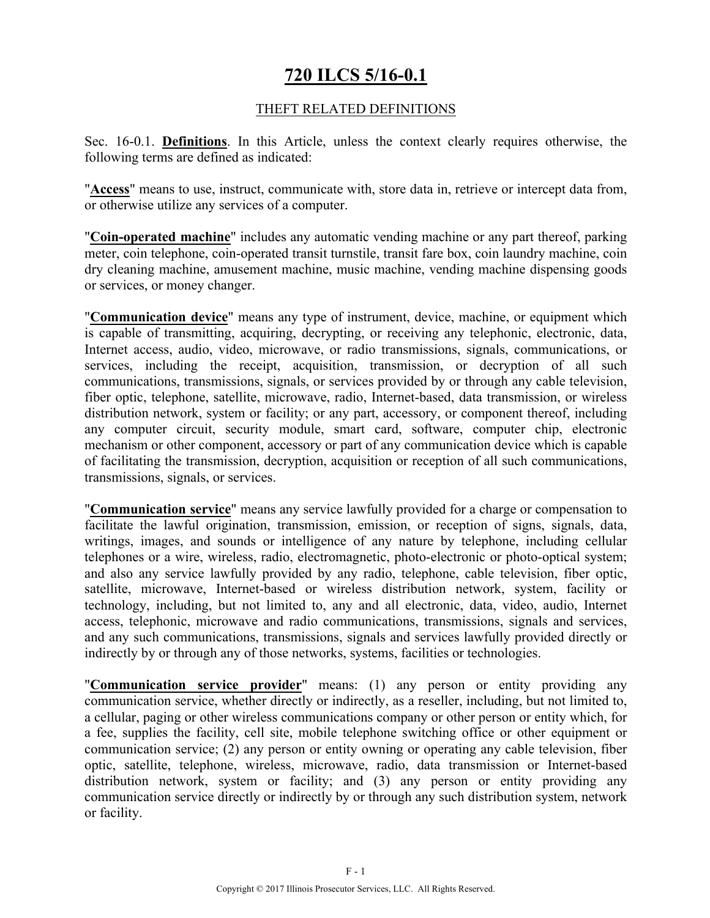## **720 ILCS 5/16-0.1**

### THEFT RELATED DEFINITIONS

Sec. 16-0.1. **Definitions**. In this Article, unless the context clearly requires otherwise, the following terms are defined as indicated:

"**Access**" means to use, instruct, communicate with, store data in, retrieve or intercept data from, or otherwise utilize any services of a computer.

"**Coin-operated machine**" includes any automatic vending machine or any part thereof, parking meter, coin telephone, coin-operated transit turnstile, transit fare box, coin laundry machine, coin dry cleaning machine, amusement machine, music machine, vending machine dispensing goods or services, or money changer.

"**Communication device**" means any type of instrument, device, machine, or equipment which is capable of transmitting, acquiring, decrypting, or receiving any telephonic, electronic, data, Internet access, audio, video, microwave, or radio transmissions, signals, communications, or services, including the receipt, acquisition, transmission, or decryption of all such communications, transmissions, signals, or services provided by or through any cable television, fiber optic, telephone, satellite, microwave, radio, Internet-based, data transmission, or wireless distribution network, system or facility; or any part, accessory, or component thereof, including any computer circuit, security module, smart card, software, computer chip, electronic mechanism or other component, accessory or part of any communication device which is capable of facilitating the transmission, decryption, acquisition or reception of all such communications, transmissions, signals, or services.

"**Communication service**" means any service lawfully provided for a charge or compensation to facilitate the lawful origination, transmission, emission, or reception of signs, signals, data, writings, images, and sounds or intelligence of any nature by telephone, including cellular telephones or a wire, wireless, radio, electromagnetic, photo-electronic or photo-optical system; and also any service lawfully provided by any radio, telephone, cable television, fiber optic, satellite, microwave, Internet-based or wireless distribution network, system, facility or technology, including, but not limited to, any and all electronic, data, video, audio, Internet access, telephonic, microwave and radio communications, transmissions, signals and services, and any such communications, transmissions, signals and services lawfully provided directly or indirectly by or through any of those networks, systems, facilities or technologies.

"**Communication service provider**" means: (1) any person or entity providing any communication service, whether directly or indirectly, as a reseller, including, but not limited to, a cellular, paging or other wireless communications company or other person or entity which, for a fee, supplies the facility, cell site, mobile telephone switching office or other equipment or communication service; (2) any person or entity owning or operating any cable television, fiber optic, satellite, telephone, wireless, microwave, radio, data transmission or Internet-based distribution network, system or facility; and (3) any person or entity providing any communication service directly or indirectly by or through any such distribution system, network or facility.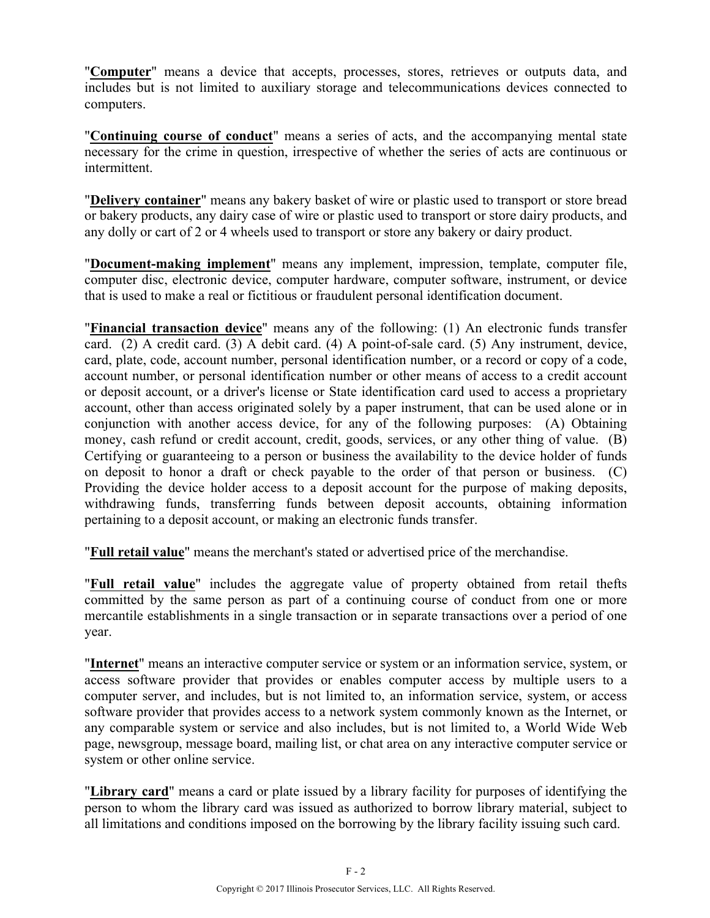"**Computer**" means a device that accepts, processes, stores, retrieves or outputs data, and includes but is not limited to auxiliary storage and telecommunications devices connected to computers.

"**Continuing course of conduct**" means a series of acts, and the accompanying mental state necessary for the crime in question, irrespective of whether the series of acts are continuous or intermittent.

"**Delivery container**" means any bakery basket of wire or plastic used to transport or store bread or bakery products, any dairy case of wire or plastic used to transport or store dairy products, and any dolly or cart of 2 or 4 wheels used to transport or store any bakery or dairy product.

"**Document-making implement**" means any implement, impression, template, computer file, computer disc, electronic device, computer hardware, computer software, instrument, or device that is used to make a real or fictitious or fraudulent personal identification document.

"**Financial transaction device**" means any of the following: (1) An electronic funds transfer card. (2) A credit card. (3) A debit card. (4) A point-of-sale card. (5) Any instrument, device, card, plate, code, account number, personal identification number, or a record or copy of a code, account number, or personal identification number or other means of access to a credit account or deposit account, or a driver's license or State identification card used to access a proprietary account, other than access originated solely by a paper instrument, that can be used alone or in conjunction with another access device, for any of the following purposes: (A) Obtaining money, cash refund or credit account, credit, goods, services, or any other thing of value. (B) Certifying or guaranteeing to a person or business the availability to the device holder of funds on deposit to honor a draft or check payable to the order of that person or business. (C) Providing the device holder access to a deposit account for the purpose of making deposits, withdrawing funds, transferring funds between deposit accounts, obtaining information pertaining to a deposit account, or making an electronic funds transfer.

"**Full retail value**" means the merchant's stated or advertised price of the merchandise.

"**Full retail value**" includes the aggregate value of property obtained from retail thefts committed by the same person as part of a continuing course of conduct from one or more mercantile establishments in a single transaction or in separate transactions over a period of one year.

"**Internet**" means an interactive computer service or system or an information service, system, or access software provider that provides or enables computer access by multiple users to a computer server, and includes, but is not limited to, an information service, system, or access software provider that provides access to a network system commonly known as the Internet, or any comparable system or service and also includes, but is not limited to, a World Wide Web page, newsgroup, message board, mailing list, or chat area on any interactive computer service or system or other online service.

"**Library card**" means a card or plate issued by a library facility for purposes of identifying the person to whom the library card was issued as authorized to borrow library material, subject to all limitations and conditions imposed on the borrowing by the library facility issuing such card.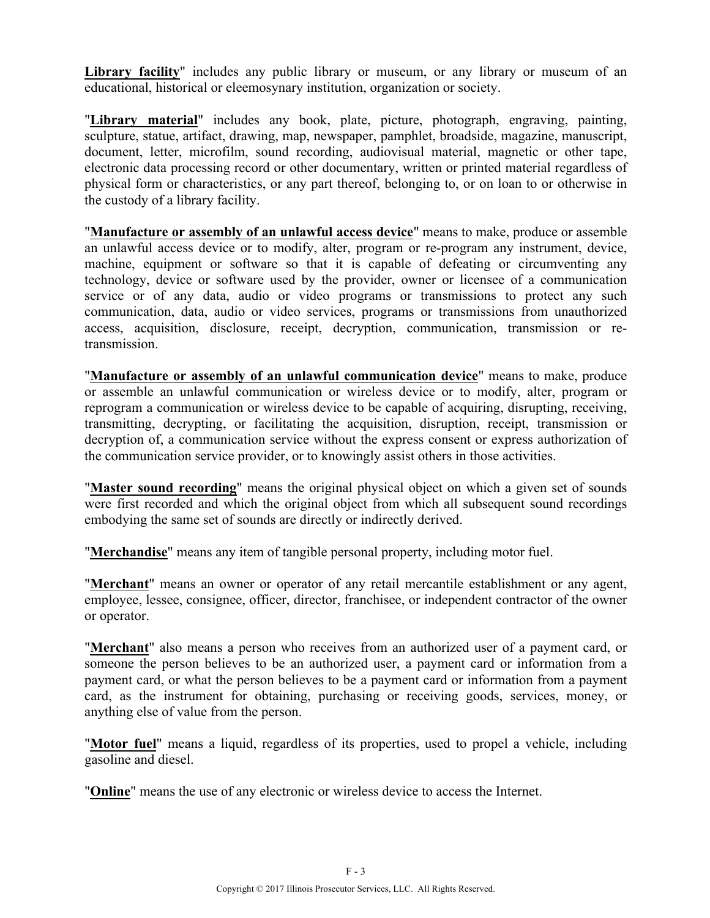Library facility" includes any public library or museum, or any library or museum of an educational, historical or eleemosynary institution, organization or society.

"**Library material**" includes any book, plate, picture, photograph, engraving, painting, sculpture, statue, artifact, drawing, map, newspaper, pamphlet, broadside, magazine, manuscript, document, letter, microfilm, sound recording, audiovisual material, magnetic or other tape, electronic data processing record or other documentary, written or printed material regardless of physical form or characteristics, or any part thereof, belonging to, or on loan to or otherwise in the custody of a library facility.

"**Manufacture or assembly of an unlawful access device**" means to make, produce or assemble an unlawful access device or to modify, alter, program or re-program any instrument, device, machine, equipment or software so that it is capable of defeating or circumventing any technology, device or software used by the provider, owner or licensee of a communication service or of any data, audio or video programs or transmissions to protect any such communication, data, audio or video services, programs or transmissions from unauthorized access, acquisition, disclosure, receipt, decryption, communication, transmission or retransmission.

"**Manufacture or assembly of an unlawful communication device**" means to make, produce or assemble an unlawful communication or wireless device or to modify, alter, program or reprogram a communication or wireless device to be capable of acquiring, disrupting, receiving, transmitting, decrypting, or facilitating the acquisition, disruption, receipt, transmission or decryption of, a communication service without the express consent or express authorization of the communication service provider, or to knowingly assist others in those activities.

"**Master sound recording**" means the original physical object on which a given set of sounds were first recorded and which the original object from which all subsequent sound recordings embodying the same set of sounds are directly or indirectly derived.

"**Merchandise**" means any item of tangible personal property, including motor fuel.

"**Merchant**" means an owner or operator of any retail mercantile establishment or any agent, employee, lessee, consignee, officer, director, franchisee, or independent contractor of the owner or operator.

"**Merchant**" also means a person who receives from an authorized user of a payment card, or someone the person believes to be an authorized user, a payment card or information from a payment card, or what the person believes to be a payment card or information from a payment card, as the instrument for obtaining, purchasing or receiving goods, services, money, or anything else of value from the person.

"**Motor fuel**" means a liquid, regardless of its properties, used to propel a vehicle, including gasoline and diesel.

"**Online**" means the use of any electronic or wireless device to access the Internet.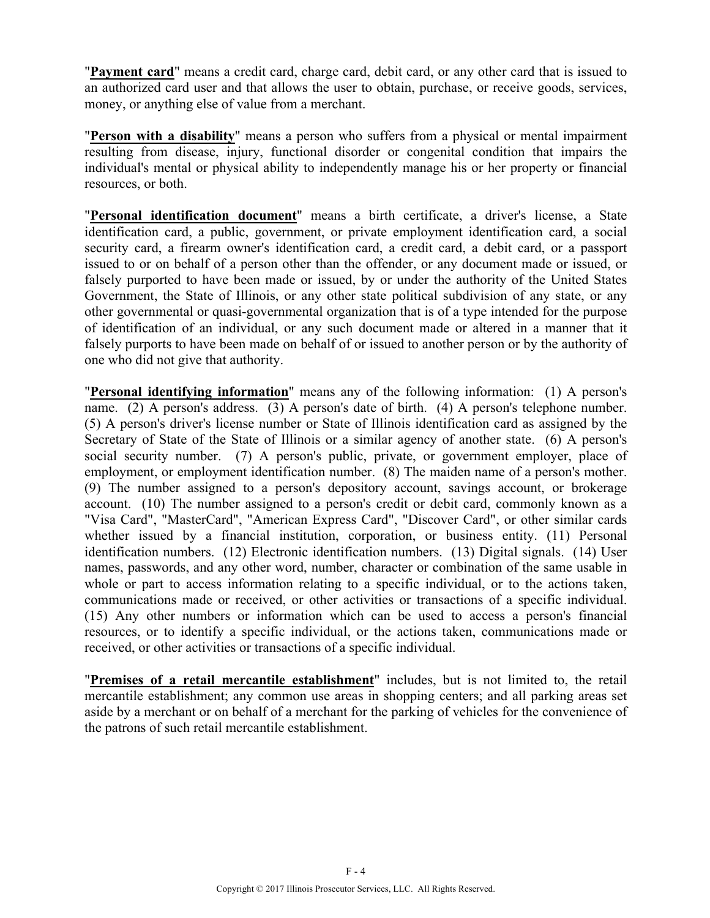"**Payment card**" means a credit card, charge card, debit card, or any other card that is issued to an authorized card user and that allows the user to obtain, purchase, or receive goods, services, money, or anything else of value from a merchant.

"**Person with a disability**" means a person who suffers from a physical or mental impairment resulting from disease, injury, functional disorder or congenital condition that impairs the individual's mental or physical ability to independently manage his or her property or financial resources, or both.

"**Personal identification document**" means a birth certificate, a driver's license, a State identification card, a public, government, or private employment identification card, a social security card, a firearm owner's identification card, a credit card, a debit card, or a passport issued to or on behalf of a person other than the offender, or any document made or issued, or falsely purported to have been made or issued, by or under the authority of the United States Government, the State of Illinois, or any other state political subdivision of any state, or any other governmental or quasi-governmental organization that is of a type intended for the purpose of identification of an individual, or any such document made or altered in a manner that it falsely purports to have been made on behalf of or issued to another person or by the authority of one who did not give that authority.

"**Personal identifying information**" means any of the following information: (1) A person's name. (2) A person's address. (3) A person's date of birth. (4) A person's telephone number. (5) A person's driver's license number or State of Illinois identification card as assigned by the Secretary of State of the State of Illinois or a similar agency of another state. (6) A person's social security number. (7) A person's public, private, or government employer, place of employment, or employment identification number. (8) The maiden name of a person's mother. (9) The number assigned to a person's depository account, savings account, or brokerage account. (10) The number assigned to a person's credit or debit card, commonly known as a "Visa Card", "MasterCard", "American Express Card", "Discover Card", or other similar cards whether issued by a financial institution, corporation, or business entity. (11) Personal identification numbers. (12) Electronic identification numbers. (13) Digital signals. (14) User names, passwords, and any other word, number, character or combination of the same usable in whole or part to access information relating to a specific individual, or to the actions taken, communications made or received, or other activities or transactions of a specific individual. (15) Any other numbers or information which can be used to access a person's financial resources, or to identify a specific individual, or the actions taken, communications made or received, or other activities or transactions of a specific individual.

"**Premises of a retail mercantile establishment**" includes, but is not limited to, the retail mercantile establishment; any common use areas in shopping centers; and all parking areas set aside by a merchant or on behalf of a merchant for the parking of vehicles for the convenience of the patrons of such retail mercantile establishment.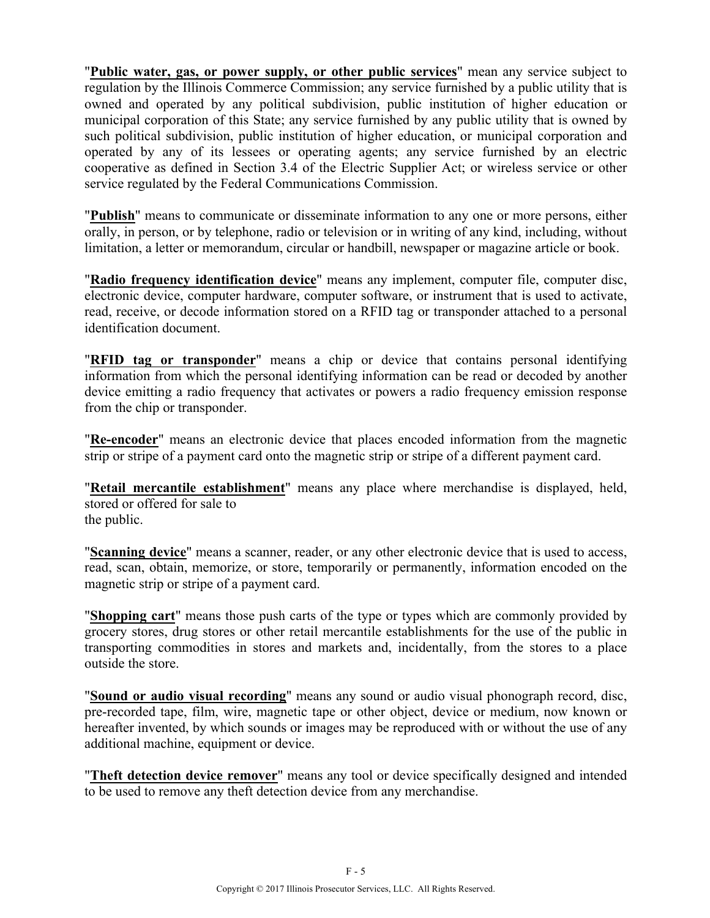"**Public water, gas, or power supply, or other public services**" mean any service subject to regulation by the Illinois Commerce Commission; any service furnished by a public utility that is owned and operated by any political subdivision, public institution of higher education or municipal corporation of this State; any service furnished by any public utility that is owned by such political subdivision, public institution of higher education, or municipal corporation and operated by any of its lessees or operating agents; any service furnished by an electric cooperative as defined in Section 3.4 of the Electric Supplier Act; or wireless service or other service regulated by the Federal Communications Commission.

"**Publish**" means to communicate or disseminate information to any one or more persons, either orally, in person, or by telephone, radio or television or in writing of any kind, including, without limitation, a letter or memorandum, circular or handbill, newspaper or magazine article or book.

"**Radio frequency identification device**" means any implement, computer file, computer disc, electronic device, computer hardware, computer software, or instrument that is used to activate, read, receive, or decode information stored on a RFID tag or transponder attached to a personal identification document.

"**RFID tag or transponder**" means a chip or device that contains personal identifying information from which the personal identifying information can be read or decoded by another device emitting a radio frequency that activates or powers a radio frequency emission response from the chip or transponder.

"**Re-encoder**" means an electronic device that places encoded information from the magnetic strip or stripe of a payment card onto the magnetic strip or stripe of a different payment card.

"**Retail mercantile establishment**" means any place where merchandise is displayed, held, stored or offered for sale to the public.

"**Scanning device**" means a scanner, reader, or any other electronic device that is used to access, read, scan, obtain, memorize, or store, temporarily or permanently, information encoded on the magnetic strip or stripe of a payment card.

"**Shopping cart**" means those push carts of the type or types which are commonly provided by grocery stores, drug stores or other retail mercantile establishments for the use of the public in transporting commodities in stores and markets and, incidentally, from the stores to a place outside the store.

"**Sound or audio visual recording**" means any sound or audio visual phonograph record, disc, pre-recorded tape, film, wire, magnetic tape or other object, device or medium, now known or hereafter invented, by which sounds or images may be reproduced with or without the use of any additional machine, equipment or device.

"**Theft detection device remover**" means any tool or device specifically designed and intended to be used to remove any theft detection device from any merchandise.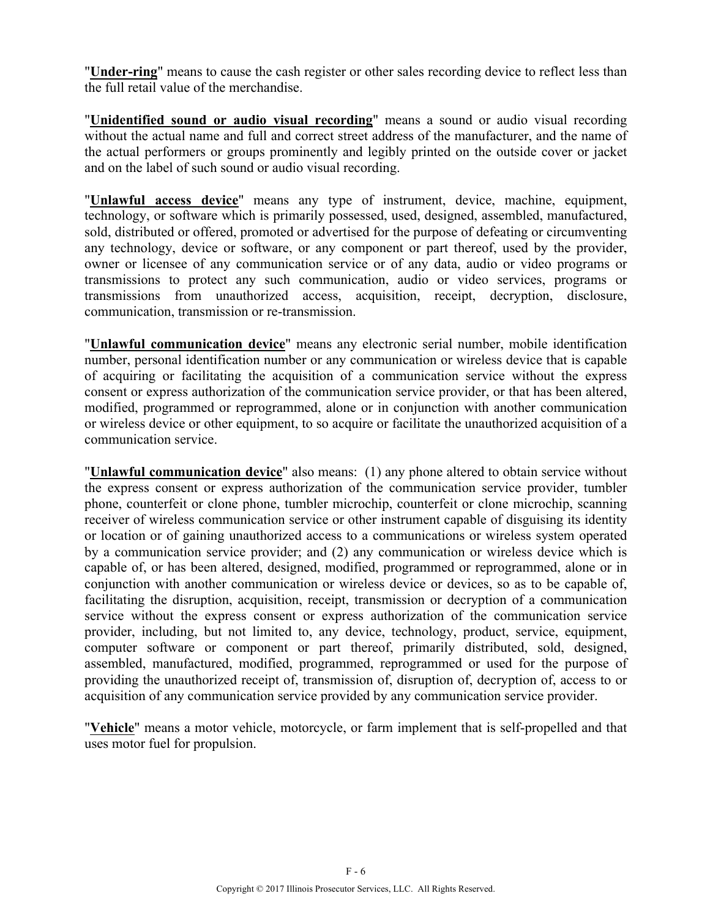"**Under-ring**" means to cause the cash register or other sales recording device to reflect less than the full retail value of the merchandise.

"**Unidentified sound or audio visual recording**" means a sound or audio visual recording without the actual name and full and correct street address of the manufacturer, and the name of the actual performers or groups prominently and legibly printed on the outside cover or jacket and on the label of such sound or audio visual recording.

"**Unlawful access device**" means any type of instrument, device, machine, equipment, technology, or software which is primarily possessed, used, designed, assembled, manufactured, sold, distributed or offered, promoted or advertised for the purpose of defeating or circumventing any technology, device or software, or any component or part thereof, used by the provider, owner or licensee of any communication service or of any data, audio or video programs or transmissions to protect any such communication, audio or video services, programs or transmissions from unauthorized access, acquisition, receipt, decryption, disclosure, communication, transmission or re-transmission.

"**Unlawful communication device**" means any electronic serial number, mobile identification number, personal identification number or any communication or wireless device that is capable of acquiring or facilitating the acquisition of a communication service without the express consent or express authorization of the communication service provider, or that has been altered, modified, programmed or reprogrammed, alone or in conjunction with another communication or wireless device or other equipment, to so acquire or facilitate the unauthorized acquisition of a communication service.

"**Unlawful communication device**" also means: (1) any phone altered to obtain service without the express consent or express authorization of the communication service provider, tumbler phone, counterfeit or clone phone, tumbler microchip, counterfeit or clone microchip, scanning receiver of wireless communication service or other instrument capable of disguising its identity or location or of gaining unauthorized access to a communications or wireless system operated by a communication service provider; and (2) any communication or wireless device which is capable of, or has been altered, designed, modified, programmed or reprogrammed, alone or in conjunction with another communication or wireless device or devices, so as to be capable of, facilitating the disruption, acquisition, receipt, transmission or decryption of a communication service without the express consent or express authorization of the communication service provider, including, but not limited to, any device, technology, product, service, equipment, computer software or component or part thereof, primarily distributed, sold, designed, assembled, manufactured, modified, programmed, reprogrammed or used for the purpose of providing the unauthorized receipt of, transmission of, disruption of, decryption of, access to or acquisition of any communication service provided by any communication service provider.

"**Vehicle**" means a motor vehicle, motorcycle, or farm implement that is self-propelled and that uses motor fuel for propulsion.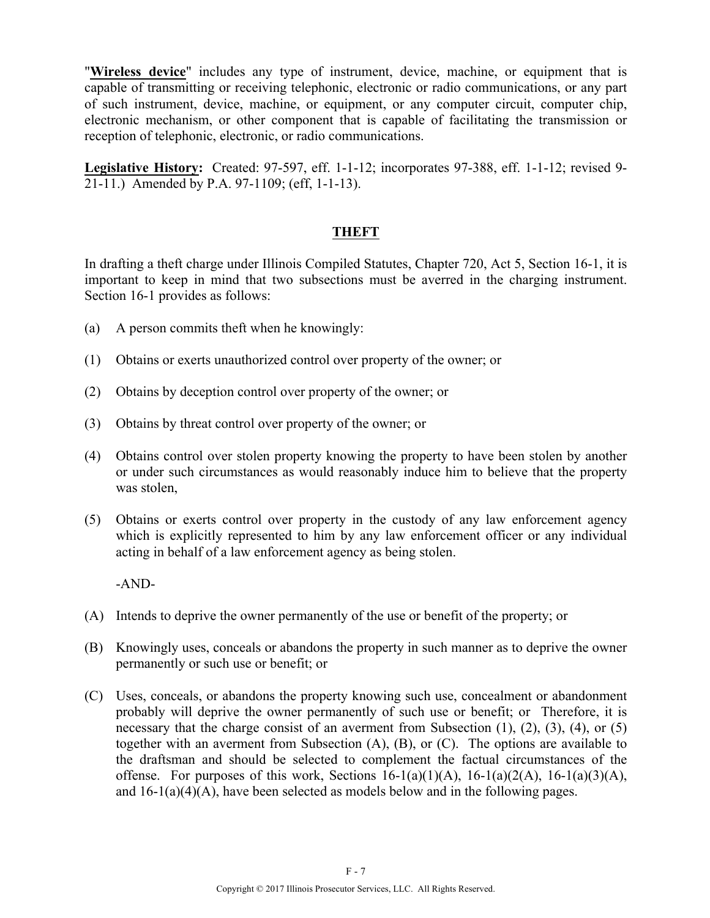"**Wireless device**" includes any type of instrument, device, machine, or equipment that is capable of transmitting or receiving telephonic, electronic or radio communications, or any part of such instrument, device, machine, or equipment, or any computer circuit, computer chip, electronic mechanism, or other component that is capable of facilitating the transmission or reception of telephonic, electronic, or radio communications.

**Legislative History:** Created: 97-597, eff. 1-1-12; incorporates 97-388, eff. 1-1-12; revised 9- 21-11.) Amended by P.A. 97-1109; (eff, 1-1-13).

### **THEFT**

In drafting a theft charge under Illinois Compiled Statutes, Chapter 720, Act 5, Section 16-1, it is important to keep in mind that two subsections must be averred in the charging instrument. Section 16-1 provides as follows:

- (a) A person commits theft when he knowingly:
- (1) Obtains or exerts unauthorized control over property of the owner; or
- (2) Obtains by deception control over property of the owner; or
- (3) Obtains by threat control over property of the owner; or
- (4) Obtains control over stolen property knowing the property to have been stolen by another or under such circumstances as would reasonably induce him to believe that the property was stolen,
- (5) Obtains or exerts control over property in the custody of any law enforcement agency which is explicitly represented to him by any law enforcement officer or any individual acting in behalf of a law enforcement agency as being stolen.

-AND-

- (A) Intends to deprive the owner permanently of the use or benefit of the property; or
- (B) Knowingly uses, conceals or abandons the property in such manner as to deprive the owner permanently or such use or benefit; or
- (C) Uses, conceals, or abandons the property knowing such use, concealment or abandonment probably will deprive the owner permanently of such use or benefit; or Therefore, it is necessary that the charge consist of an averment from Subsection (1), (2), (3), (4), or (5) together with an averment from Subsection (A), (B), or (C). The options are available to the draftsman and should be selected to complement the factual circumstances of the offense. For purposes of this work, Sections  $16-1(a)(1)(A)$ ,  $16-1(a)(2(A), 16-1(a)(3)(A)$ , and 16-1(a)(4)(A), have been selected as models below and in the following pages.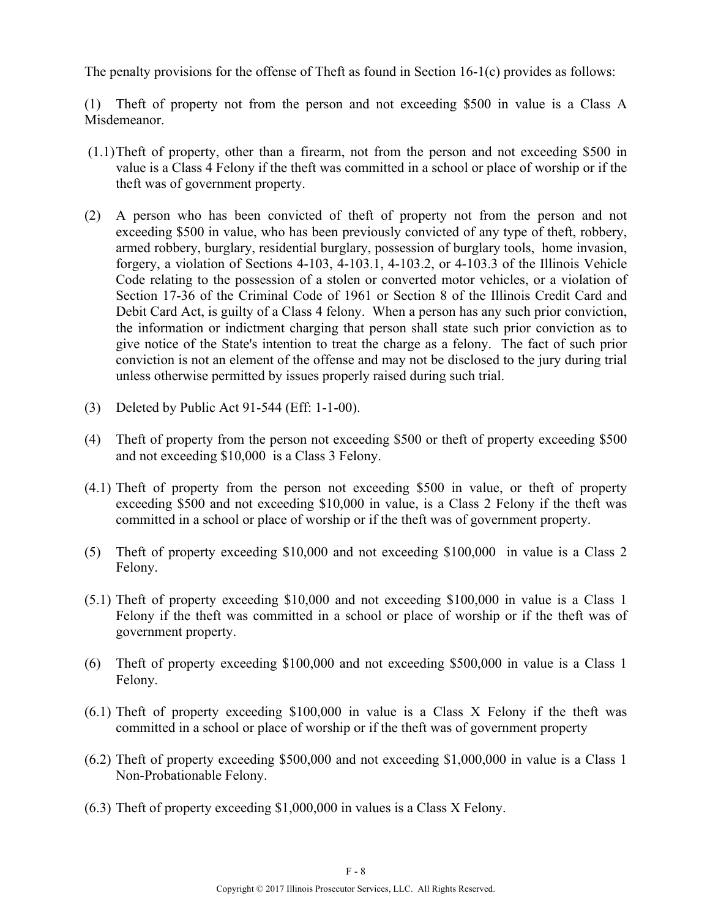The penalty provisions for the offense of Theft as found in Section 16-1(c) provides as follows:

(1) Theft of property not from the person and not exceeding \$500 in value is a Class A Misdemeanor.

- (1.1)Theft of property, other than a firearm, not from the person and not exceeding \$500 in value is a Class 4 Felony if the theft was committed in a school or place of worship or if the theft was of government property.
- (2) A person who has been convicted of theft of property not from the person and not exceeding \$500 in value, who has been previously convicted of any type of theft, robbery, armed robbery, burglary, residential burglary, possession of burglary tools, home invasion, forgery, a violation of Sections 4-103, 4-103.1, 4-103.2, or 4-103.3 of the Illinois Vehicle Code relating to the possession of a stolen or converted motor vehicles, or a violation of Section 17-36 of the Criminal Code of 1961 or Section 8 of the Illinois Credit Card and Debit Card Act, is guilty of a Class 4 felony. When a person has any such prior conviction, the information or indictment charging that person shall state such prior conviction as to give notice of the State's intention to treat the charge as a felony. The fact of such prior conviction is not an element of the offense and may not be disclosed to the jury during trial unless otherwise permitted by issues properly raised during such trial.
- (3) Deleted by Public Act 91-544 (Eff: 1-1-00).
- (4) Theft of property from the person not exceeding \$500 or theft of property exceeding \$500 and not exceeding \$10,000 is a Class 3 Felony.
- (4.1) Theft of property from the person not exceeding \$500 in value, or theft of property exceeding \$500 and not exceeding \$10,000 in value, is a Class 2 Felony if the theft was committed in a school or place of worship or if the theft was of government property.
- (5) Theft of property exceeding \$10,000 and not exceeding \$100,000 in value is a Class 2 Felony.
- (5.1) Theft of property exceeding \$10,000 and not exceeding \$100,000 in value is a Class 1 Felony if the theft was committed in a school or place of worship or if the theft was of government property.
- (6) Theft of property exceeding \$100,000 and not exceeding \$500,000 in value is a Class 1 Felony.
- (6.1) Theft of property exceeding \$100,000 in value is a Class X Felony if the theft was committed in a school or place of worship or if the theft was of government property
- (6.2) Theft of property exceeding \$500,000 and not exceeding \$1,000,000 in value is a Class 1 Non-Probationable Felony.
- (6.3) Theft of property exceeding \$1,000,000 in values is a Class X Felony.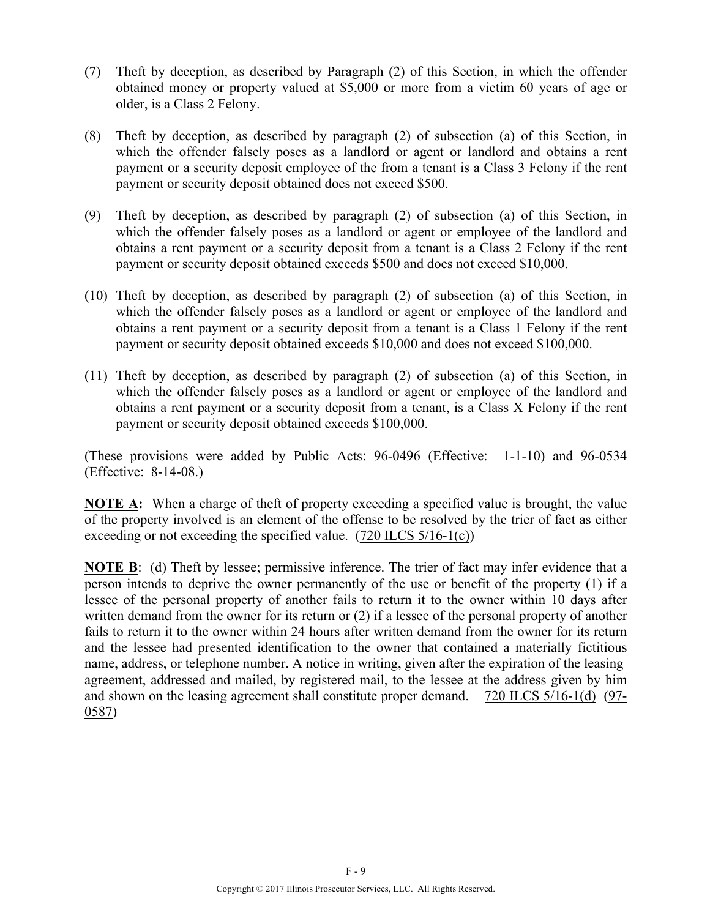- (7) Theft by deception, as described by Paragraph (2) of this Section, in which the offender obtained money or property valued at \$5,000 or more from a victim 60 years of age or older, is a Class 2 Felony.
- (8) Theft by deception, as described by paragraph (2) of subsection (a) of this Section, in which the offender falsely poses as a landlord or agent or landlord and obtains a rent payment or a security deposit employee of the from a tenant is a Class 3 Felony if the rent payment or security deposit obtained does not exceed \$500.
- (9) Theft by deception, as described by paragraph (2) of subsection (a) of this Section, in which the offender falsely poses as a landlord or agent or employee of the landlord and obtains a rent payment or a security deposit from a tenant is a Class 2 Felony if the rent payment or security deposit obtained exceeds \$500 and does not exceed \$10,000.
- (10) Theft by deception, as described by paragraph (2) of subsection (a) of this Section, in which the offender falsely poses as a landlord or agent or employee of the landlord and obtains a rent payment or a security deposit from a tenant is a Class 1 Felony if the rent payment or security deposit obtained exceeds \$10,000 and does not exceed \$100,000.
- (11) Theft by deception, as described by paragraph (2) of subsection (a) of this Section, in which the offender falsely poses as a landlord or agent or employee of the landlord and obtains a rent payment or a security deposit from a tenant, is a Class X Felony if the rent payment or security deposit obtained exceeds \$100,000.

(These provisions were added by Public Acts: 96-0496 (Effective: 1-1-10) and 96-0534 (Effective: 8-14-08.)

**NOTE A:** When a charge of theft of property exceeding a specified value is brought, the value of the property involved is an element of the offense to be resolved by the trier of fact as either exceeding or not exceeding the specified value. (720 ILCS 5/16-1(c))

**NOTE B**: (d) Theft by lessee; permissive inference. The trier of fact may infer evidence that a person intends to deprive the owner permanently of the use or benefit of the property (1) if a lessee of the personal property of another fails to return it to the owner within 10 days after written demand from the owner for its return or (2) if a lessee of the personal property of another fails to return it to the owner within 24 hours after written demand from the owner for its return and the lessee had presented identification to the owner that contained a materially fictitious name, address, or telephone number. A notice in writing, given after the expiration of the leasing agreement, addressed and mailed, by registered mail, to the lessee at the address given by him and shown on the leasing agreement shall constitute proper demand. 720 ILCS 5/16-1(d) (97- 0587)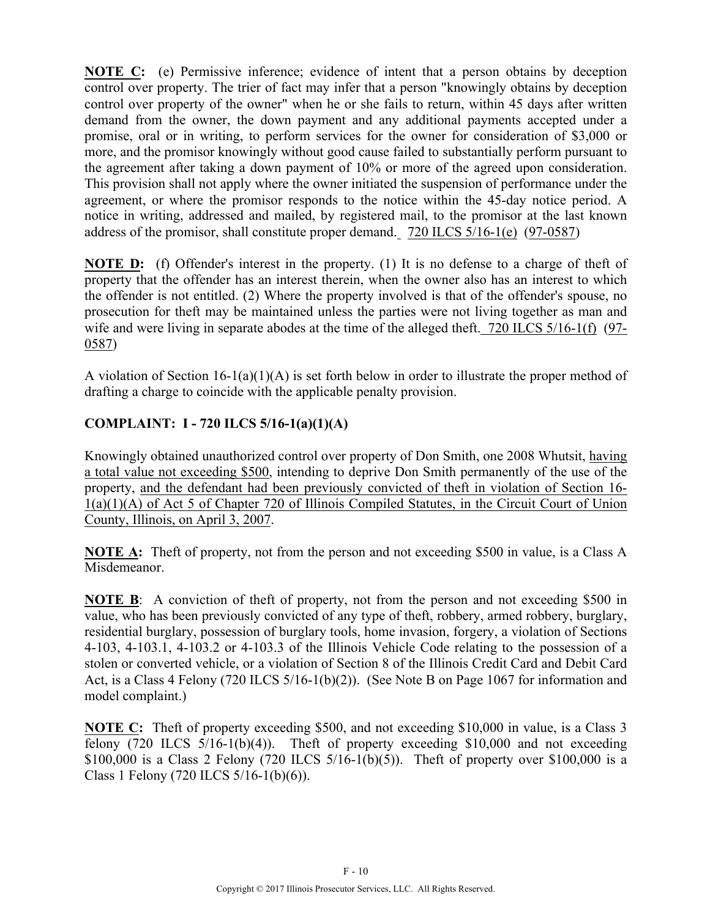**NOTE C:** (e) Permissive inference; evidence of intent that a person obtains by deception control over property. The trier of fact may infer that a person "knowingly obtains by deception control over property of the owner" when he or she fails to return, within 45 days after written demand from the owner, the down payment and any additional payments accepted under a promise, oral or in writing, to perform services for the owner for consideration of \$3,000 or more, and the promisor knowingly without good cause failed to substantially perform pursuant to the agreement after taking a down payment of 10% or more of the agreed upon consideration. This provision shall not apply where the owner initiated the suspension of performance under the agreement, or where the promisor responds to the notice within the 45-day notice period. A notice in writing, addressed and mailed, by registered mail, to the promisor at the last known address of the promisor, shall constitute proper demand. 720 ILCS 5/16-1(e) (97-0587)

**NOTE D:** (f) Offender's interest in the property. (1) It is no defense to a charge of theft of property that the offender has an interest therein, when the owner also has an interest to which the offender is not entitled. (2) Where the property involved is that of the offender's spouse, no prosecution for theft may be maintained unless the parties were not living together as man and wife and were living in separate abodes at the time of the alleged theft. 720 ILCS 5/16-1(f) (97-0587)

A violation of Section 16-1(a)(1)(A) is set forth below in order to illustrate the proper method of drafting a charge to coincide with the applicable penalty provision.

### **COMPLAINT: I - 720 ILCS 5/16-1(a)(1)(A)**

Knowingly obtained unauthorized control over property of Don Smith, one 2008 Whutsit, having a total value not exceeding \$500, intending to deprive Don Smith permanently of the use of the property, and the defendant had been previously convicted of theft in violation of Section 16- 1(a)(1)(A) of Act 5 of Chapter 720 of Illinois Compiled Statutes, in the Circuit Court of Union County, Illinois, on April 3, 2007.

**NOTE A:** Theft of property, not from the person and not exceeding \$500 in value, is a Class A Misdemeanor.

**NOTE B**: A conviction of theft of property, not from the person and not exceeding \$500 in value, who has been previously convicted of any type of theft, robbery, armed robbery, burglary, residential burglary, possession of burglary tools, home invasion, forgery, a violation of Sections 4-103, 4-103.1, 4-103.2 or 4-103.3 of the Illinois Vehicle Code relating to the possession of a stolen or converted vehicle, or a violation of Section 8 of the Illinois Credit Card and Debit Card Act, is a Class 4 Felony (720 ILCS 5/16-1(b)(2)). (See Note B on Page 1067 for information and model complaint.)

**NOTE C:** Theft of property exceeding \$500, and not exceeding \$10,000 in value, is a Class 3 felony  $(720$  ILCS  $5/16-1(b)(4)$ . Theft of property exceeding \$10,000 and not exceeding \$100,000 is a Class 2 Felony (720 ILCS  $5/16-1(b)(5)$ ). Theft of property over \$100,000 is a Class 1 Felony (720 ILCS 5/16-1(b)(6)).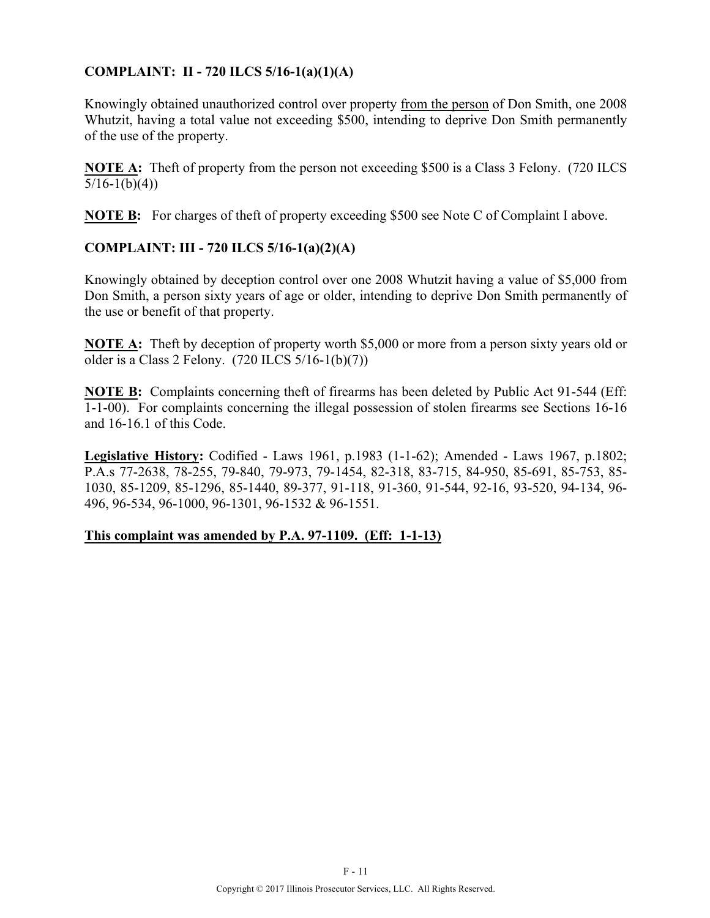### **COMPLAINT: II - 720 ILCS 5/16-1(a)(1)(A)**

Knowingly obtained unauthorized control over property from the person of Don Smith, one 2008 Whutzit, having a total value not exceeding \$500, intending to deprive Don Smith permanently of the use of the property.

**NOTE A:** Theft of property from the person not exceeding \$500 is a Class 3 Felony. (720 ILCS)  $5/16-1(b)(4)$ 

**NOTE B:** For charges of theft of property exceeding \$500 see Note C of Complaint I above.

#### **COMPLAINT: III - 720 ILCS 5/16-1(a)(2)(A)**

Knowingly obtained by deception control over one 2008 Whutzit having a value of \$5,000 from Don Smith, a person sixty years of age or older, intending to deprive Don Smith permanently of the use or benefit of that property.

**NOTE A:** Theft by deception of property worth \$5,000 or more from a person sixty years old or older is a Class 2 Felony. (720 ILCS 5/16-1(b)(7))

**NOTE B:** Complaints concerning theft of firearms has been deleted by Public Act 91-544 (Eff: 1-1-00). For complaints concerning the illegal possession of stolen firearms see Sections 16-16 and 16-16.1 of this Code.

**Legislative History:** Codified - Laws 1961, p.1983 (1-1-62); Amended - Laws 1967, p.1802; P.A.s 77-2638, 78-255, 79-840, 79-973, 79-1454, 82-318, 83-715, 84-950, 85-691, 85-753, 85- 1030, 85-1209, 85-1296, 85-1440, 89-377, 91-118, 91-360, 91-544, 92-16, 93-520, 94-134, 96- 496, 96-534, 96-1000, 96-1301, 96-1532 & 96-1551.

#### **This complaint was amended by P.A. 97-1109. (Eff: 1-1-13)**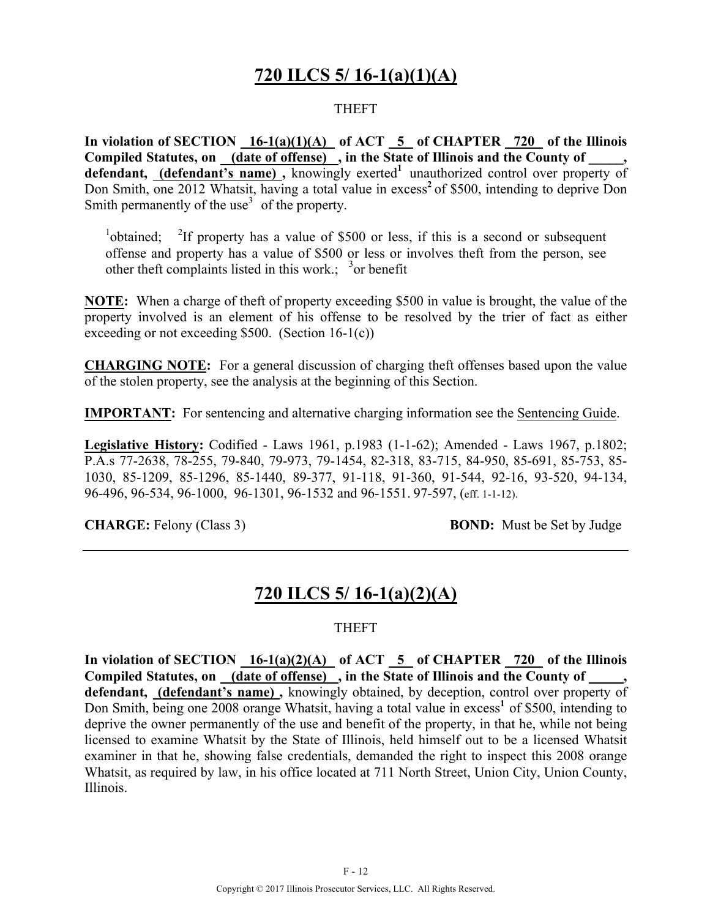## **720 ILCS 5/ 16-1(a)(1)(A)**

#### THEFT

**In violation of SECTION 16-1(a)(1)(A) of ACT 5 of CHAPTER 720 of the Illinois**  Compiled Statutes, on \_\_\_ (date of offense) , in the State of Illinois and the County of defendant, (defendant's name), knowingly exerted<sup>1</sup> unauthorized control over property of Don Smith, one 2012 Whatsit, having a total value in excess<sup>2</sup> of \$500, intending to deprive Don Smith permanently of the use<sup>3</sup> of the property.

 $\frac{1}{2}$ obtained;  $\frac{2}{2}$ <sup>2</sup>If property has a value of \$500 or less, if this is a second or subsequent offense and property has a value of \$500 or less or involves theft from the person, see other theft complaints listed in this work.;  $\frac{3}{2}$  or benefit

**NOTE:** When a charge of theft of property exceeding \$500 in value is brought, the value of the property involved is an element of his offense to be resolved by the trier of fact as either exceeding or not exceeding  $$500.$  (Section 16-1(c))

**CHARGING NOTE:** For a general discussion of charging theft offenses based upon the value of the stolen property, see the analysis at the beginning of this Section.

**IMPORTANT:** For sentencing and alternative charging information see the Sentencing Guide.

**Legislative History:** Codified - Laws 1961, p.1983 (1-1-62); Amended - Laws 1967, p.1802; P.A.s 77-2638, 78-255, 79-840, 79-973, 79-1454, 82-318, 83-715, 84-950, 85-691, 85-753, 85- 1030, 85-1209, 85-1296, 85-1440, 89-377, 91-118, 91-360, 91-544, 92-16, 93-520, 94-134, 96-496, 96-534, 96-1000, 96-1301, 96-1532 and 96-1551. 97-597, (eff. 1-1-12).

**CHARGE:** Felony (Class 3) **BOND:** Must be Set by Judge

### **720 ILCS 5/ 16-1(a)(2)(A)**

#### THEFT

In violation of SECTION  $16-1(a)(2)(A)$  of ACT  $\overline{5}$  of CHAPTER  $\overline{720}$  of the Illinois **Compiled Statutes, on (date of offense) , in the State of Illinois and the County of \_\_\_\_\_, defendant, (defendant's name) ,** knowingly obtained, by deception, control over property of Don Smith, being one 2008 orange Whatsit, having a total value in excess<sup>1</sup> of \$500, intending to deprive the owner permanently of the use and benefit of the property, in that he, while not being licensed to examine Whatsit by the State of Illinois, held himself out to be a licensed Whatsit examiner in that he, showing false credentials, demanded the right to inspect this 2008 orange Whatsit, as required by law, in his office located at 711 North Street, Union City, Union County, Illinois.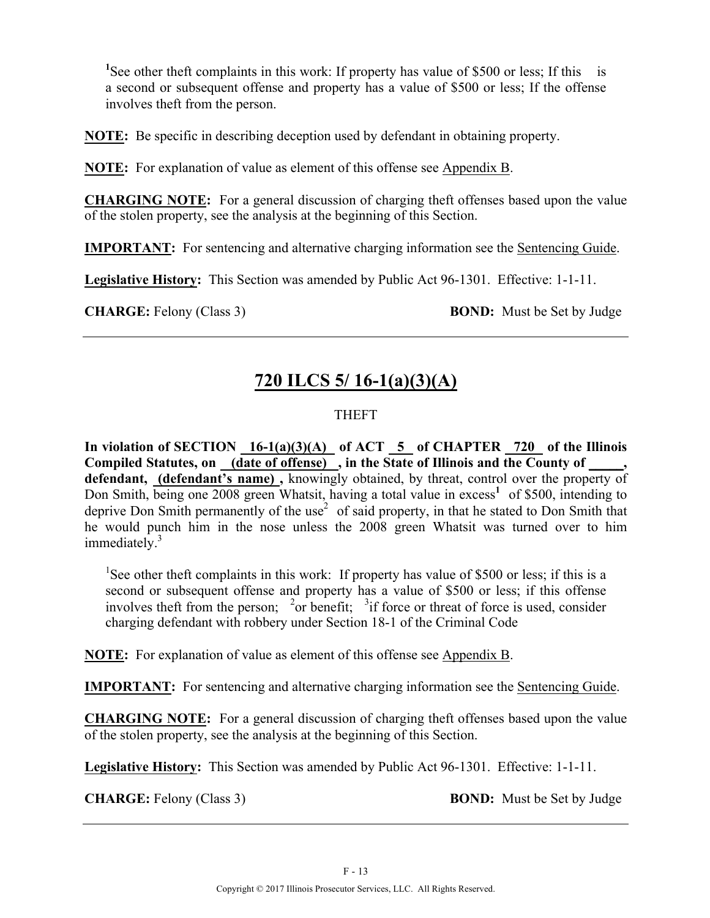<sup>1</sup>See other theft complaints in this work: If property has value of \$500 or less; If this is a second or subsequent offense and property has a value of \$500 or less; If the offense involves theft from the person.

**NOTE:** Be specific in describing deception used by defendant in obtaining property.

**NOTE:** For explanation of value as element of this offense see Appendix B.

**CHARGING NOTE:** For a general discussion of charging theft offenses based upon the value of the stolen property, see the analysis at the beginning of this Section.

**IMPORTANT:** For sentencing and alternative charging information see the Sentencing Guide.

**Legislative History:** This Section was amended by Public Act 96-1301. Effective: 1-1-11.

**CHARGE:** Felony (Class 3) **BOND:** Must be Set by Judge

## **720 ILCS 5/ 16-1(a)(3)(A)**

### THEFT

In violation of SECTION  $16-1(a)(3)(A)$  of ACT  $\overline{5}$  of CHAPTER  $\overline{720}$  of the Illinois Compiled Statutes, on <u>(date of offense)</u>, in the State of Illinois and the County of \_\_\_\_\_, defendant, (defendant's name), knowingly obtained, by threat, control over the property of Don Smith, being one 2008 green Whatsit, having a total value in excess<sup>1</sup> of \$500, intending to deprive Don Smith permanently of the use<sup>2</sup> of said property, in that he stated to Don Smith that he would punch him in the nose unless the 2008 green Whatsit was turned over to him immediately.<sup>3</sup>

<sup>1</sup>See other theft complaints in this work: If property has value of \$500 or less; if this is a second or subsequent offense and property has a value of \$500 or less; if this offense involves theft from the person; <sup>2</sup> or benefit; <sup>3</sup> if force or threat of force is used, consider charging defendant with robbery under Section 18-1 of the Criminal Code

**NOTE:** For explanation of value as element of this offense see Appendix B.

**IMPORTANT:** For sentencing and alternative charging information see the Sentencing Guide.

**CHARGING NOTE:** For a general discussion of charging theft offenses based upon the value of the stolen property, see the analysis at the beginning of this Section.

**Legislative History:** This Section was amended by Public Act 96-1301. Effective: 1-1-11.

**CHARGE:** Felony (Class 3) **BOND:** Must be Set by Judge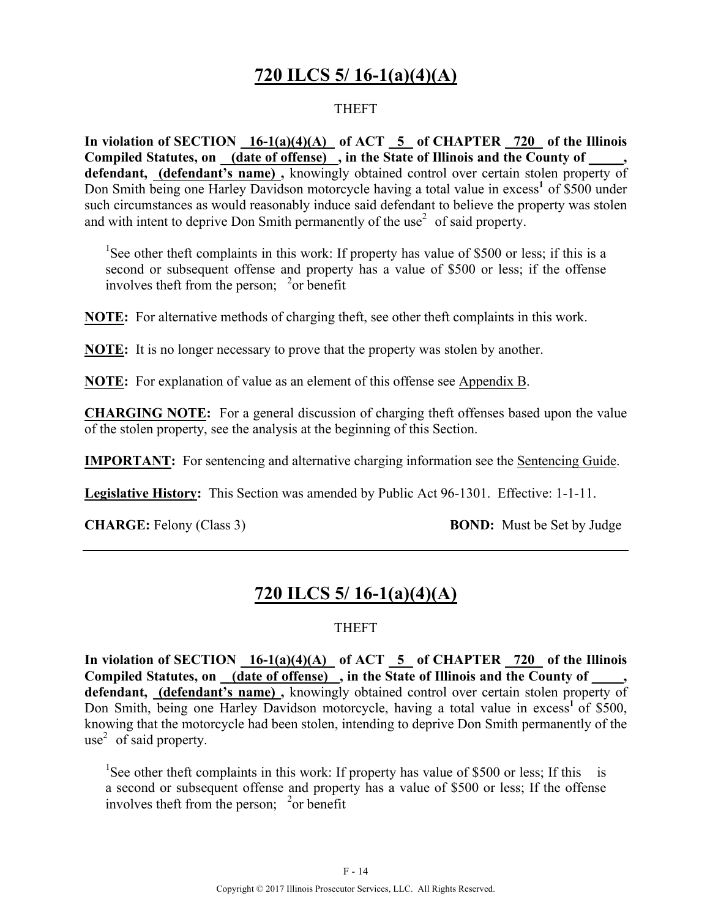# **720 ILCS 5/ 16-1(a)(4)(A)**

#### THEFT

**In violation of SECTION 16-1(a)(4)(A) of ACT 5 of CHAPTER 720 of the Illinois**  Compiled Statutes, on <u>(date of offense)</u>, in the State of Illinois and the County of **defendant, (defendant's name) ,** knowingly obtained control over certain stolen property of Don Smith being one Harley Davidson motorcycle having a total value in excess<sup>1</sup> of \$500 under such circumstances as would reasonably induce said defendant to believe the property was stolen and with intent to deprive Don Smith permanently of the use<sup>2</sup> of said property.

<sup>1</sup>See other theft complaints in this work: If property has value of \$500 or less; if this is a second or subsequent offense and property has a value of \$500 or less; if the offense involves theft from the person;  $\frac{2}{x}$  or benefit

**NOTE:** For alternative methods of charging theft, see other theft complaints in this work.

**NOTE:** It is no longer necessary to prove that the property was stolen by another.

**NOTE:** For explanation of value as an element of this offense see Appendix B.

**CHARGING NOTE:** For a general discussion of charging theft offenses based upon the value of the stolen property, see the analysis at the beginning of this Section.

**IMPORTANT:** For sentencing and alternative charging information see the Sentencing Guide.

**Legislative History:** This Section was amended by Public Act 96-1301. Effective: 1-1-11.

**CHARGE:** Felony (Class 3) **BOND:** Must be Set by Judge

### **720 ILCS 5/ 16-1(a)(4)(A)**

#### THEFT

In violation of SECTION 16-1(a)(4)(A) of ACT 5 of CHAPTER 720 of the Illinois Compiled Statutes, on (date of offense), in the State of Illinois and the County of **defendant, (defendant's name) ,** knowingly obtained control over certain stolen property of Don Smith, being one Harley Davidson motorcycle, having a total value in excess<sup>1</sup> of \$500, knowing that the motorcycle had been stolen, intending to deprive Don Smith permanently of the use<sup>2</sup> of said property.

<sup>1</sup>See other theft complaints in this work: If property has value of \$500 or less; If this is a second or subsequent offense and property has a value of \$500 or less; If the offense involves theft from the person;  $\frac{2}{x}$  or benefit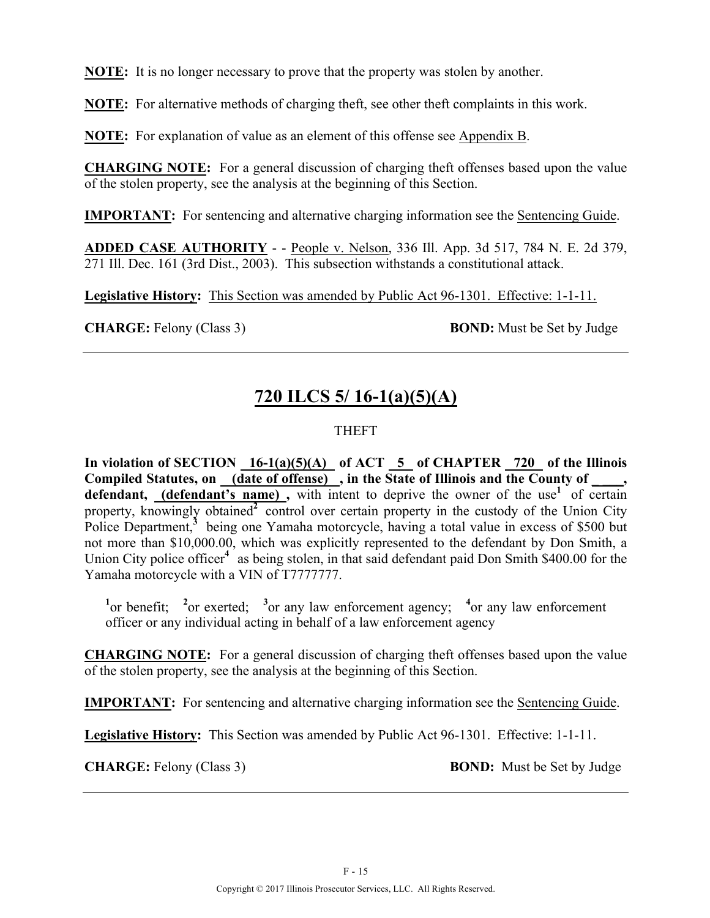**NOTE:** It is no longer necessary to prove that the property was stolen by another.

**NOTE:** For alternative methods of charging theft, see other theft complaints in this work.

**NOTE:** For explanation of value as an element of this offense see Appendix B.

**CHARGING NOTE:** For a general discussion of charging theft offenses based upon the value of the stolen property, see the analysis at the beginning of this Section.

**IMPORTANT:** For sentencing and alternative charging information see the Sentencing Guide.

**ADDED CASE AUTHORITY** - - People v. Nelson, 336 Ill. App. 3d 517, 784 N. E. 2d 379, 271 Ill. Dec. 161 (3rd Dist., 2003). This subsection withstands a constitutional attack.

**Legislative History:** This Section was amended by Public Act 96-1301. Effective: 1-1-11.

**CHARGE:** Felony (Class 3) **BOND:** Must be Set by Judge

## **720 ILCS 5/ 16-1(a)(5)(A)**

### THEFT

In violation of SECTION  $16-1(a)(5)(A)$  of ACT  $\overline{5}$  of CHAPTER  $\overline{720}$  of the Illinois Compiled Statutes, on (date of offense), in the State of Illinois and the County of **defendant, (defendant's name)**, with intent to deprive the owner of the use<sup>1</sup> of certain property, knowingly obtained<sup>2</sup> control over certain property in the custody of the Union City Police Department,<sup>3</sup> being one Yamaha motorcycle, having a total value in excess of \$500 but not more than \$10,000.00, which was explicitly represented to the defendant by Don Smith, a Union City police officer<sup>4</sup> as being stolen, in that said defendant paid Don Smith \$400.00 for the Yamaha motorcycle with a VIN of T7777777.

<sup>1</sup><sup>or</sup> benefit; <sup>2</sup><sup>or</sup> exerted; <sup>3</sup><sup>or</sup> any law enforcement agency; <sup>4</sup><sup>or</sup> any law enforcement officer or any individual acting in behalf of a law enforcement agency

**CHARGING NOTE:** For a general discussion of charging theft offenses based upon the value of the stolen property, see the analysis at the beginning of this Section.

**IMPORTANT:** For sentencing and alternative charging information see the Sentencing Guide.

**Legislative History:** This Section was amended by Public Act 96-1301. Effective: 1-1-11.

**CHARGE:** Felony (Class 3) **BOND:** Must be Set by Judge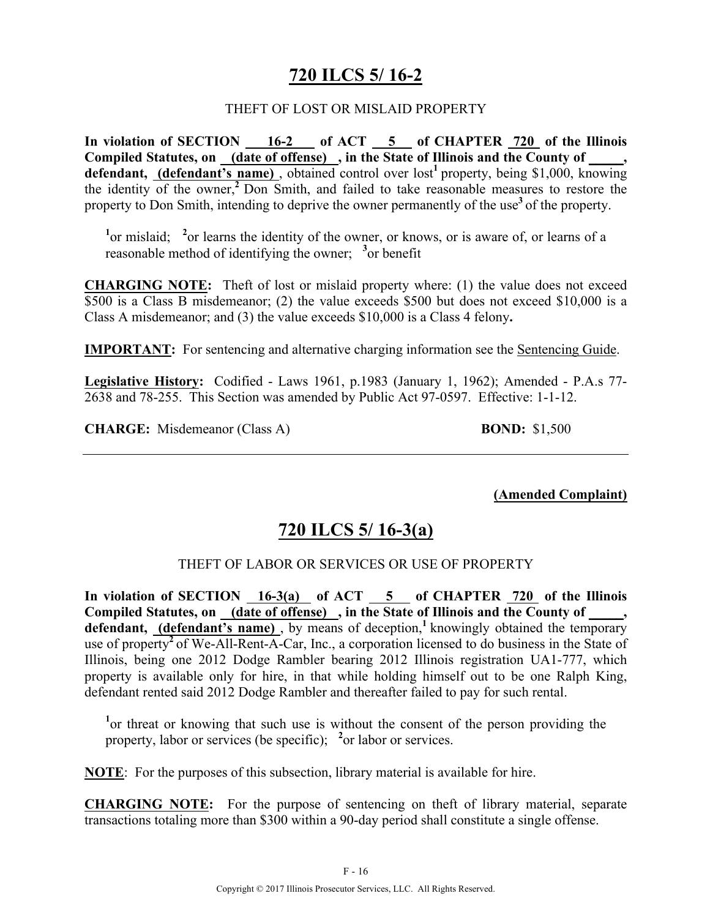## **720 ILCS 5/ 16-2**

#### THEFT OF LOST OR MISLAID PROPERTY

**In violation of SECTION 16-2 of ACT 5 of CHAPTER 720 of the Illinois Compiled Statutes, on (date of offense) , in the State of Illinois and the County of \_\_\_\_\_,**  defendant, (defendant's name), obtained control over lost<sup>1</sup> property, being \$1,000, knowing the identity of the owner,**<sup>2</sup>**Don Smith, and failed to take reasonable measures to restore the property to Don Smith, intending to deprive the owner permanently of the use<sup>3</sup> of the property.

<sup>1</sup> or mislaid; <sup>2</sup> or learns the identity of the owner, or knows, or is aware of, or learns of a reasonable method of identifying the owner; <sup>3</sup> or benefit

**CHARGING NOTE:** Theft of lost or mislaid property where: (1) the value does not exceed \$500 is a Class B misdemeanor; (2) the value exceeds \$500 but does not exceed \$10,000 is a Class A misdemeanor; and (3) the value exceeds \$10,000 is a Class 4 felony**.**

**IMPORTANT:** For sentencing and alternative charging information see the Sentencing Guide.

**Legislative History:** Codified - Laws 1961, p.1983 (January 1, 1962); Amended - P.A.s 77- 2638 and 78-255. This Section was amended by Public Act 97-0597. Effective: 1-1-12.

**CHARGE:** Misdemeanor (Class A) **BOND:** \$1,500

**(Amended Complaint)**

### **720 ILCS 5/ 16-3(a)**

#### THEFT OF LABOR OR SERVICES OR USE OF PROPERTY

In violation of SECTION  $16-3(a)$  of ACT  $5$  of CHAPTER  $720$  of the Illinois Compiled Statutes, on (date of offense), in the State of Illinois and the County of, defendant, **(defendant's name)**, by means of deception,<sup>1</sup> knowingly obtained the temporary use of property<sup>2</sup> of We-All-Rent-A-Car, Inc., a corporation licensed to do business in the State of Illinois, being one 2012 Dodge Rambler bearing 2012 Illinois registration UA1-777, which property is available only for hire, in that while holding himself out to be one Ralph King, defendant rented said 2012 Dodge Rambler and thereafter failed to pay for such rental.

<sup>1</sup> or threat or knowing that such use is without the consent of the person providing the property, labor or services (be specific); <sup>2</sup> or labor or services.

**NOTE**: For the purposes of this subsection, library material is available for hire.

**CHARGING NOTE:** For the purpose of sentencing on theft of library material, separate transactions totaling more than \$300 within a 90-day period shall constitute a single offense.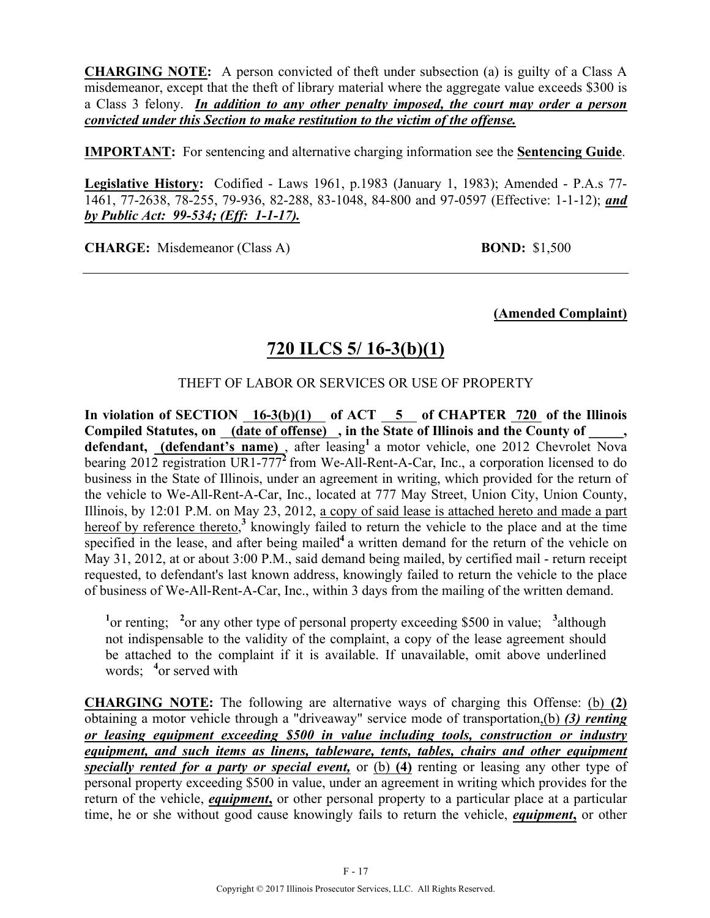**CHARGING NOTE:** A person convicted of theft under subsection (a) is guilty of a Class A misdemeanor, except that the theft of library material where the aggregate value exceeds \$300 is a Class 3 felony. *In addition to any other penalty imposed, the court may order a person convicted under this Section to make restitution to the victim of the offense.*

**IMPORTANT:** For sentencing and alternative charging information see the **Sentencing Guide**.

**Legislative History:** Codified - Laws 1961, p.1983 (January 1, 1983); Amended - P.A.s 77- 1461, 77-2638, 78-255, 79-936, 82-288, 83-1048, 84-800 and 97-0597 (Effective: 1-1-12); *and by Public Act: 99-534; (Eff: 1-1-17).*

**CHARGE:** Misdemeanor (Class A) **BOND:** \$1,500

**(Amended Complaint)**

# **720 ILCS 5/ 16-3(b)(1)**

THEFT OF LABOR OR SERVICES OR USE OF PROPERTY

In violation of SECTION 16-3(b)(1) of ACT 5 of CHAPTER 720 of the Illinois **Compiled Statutes, on (date of offense) , in the State of Illinois and the County of \_\_\_\_\_,**  defendant, **(defendant's name)**, after leasing<sup>1</sup> a motor vehicle, one 2012 Chevrolet Nova bearing 2012 registration UR1-777<sup>2</sup> from We-All-Rent-A-Car, Inc., a corporation licensed to do business in the State of Illinois, under an agreement in writing, which provided for the return of the vehicle to We-All-Rent-A-Car, Inc., located at 777 May Street, Union City, Union County, Illinois, by 12:01 P.M. on May 23, 2012, a copy of said lease is attached hereto and made a part hereof by reference thereto,<sup>3</sup> knowingly failed to return the vehicle to the place and at the time specified in the lease, and after being mailed<sup>4</sup> a written demand for the return of the vehicle on May 31, 2012, at or about 3:00 P.M., said demand being mailed, by certified mail - return receipt requested, to defendant's last known address, knowingly failed to return the vehicle to the place of business of We-All-Rent-A-Car, Inc., within 3 days from the mailing of the written demand.

<sup>1</sup> or renting; <sup>2</sup> or any other type of personal property exceeding \$500 in value; <sup>3</sup> although not indispensable to the validity of the complaint, a copy of the lease agreement should be attached to the complaint if it is available. If unavailable, omit above underlined words; **<sup>4</sup>** or served with

**CHARGING NOTE:** The following are alternative ways of charging this Offense: (b) **(2)** obtaining a motor vehicle through a "driveaway" service mode of transportation,(b) *(3) renting or leasing equipment exceeding \$500 in value including tools, construction or industry equipment, and such items as linens, tableware, tents, tables, chairs and other equipment specially rented for a party or special event,* or (b) **(4)** renting or leasing any other type of personal property exceeding \$500 in value, under an agreement in writing which provides for the return of the vehicle, *equipment***,** or other personal property to a particular place at a particular time, he or she without good cause knowingly fails to return the vehicle, *equipment***,** or other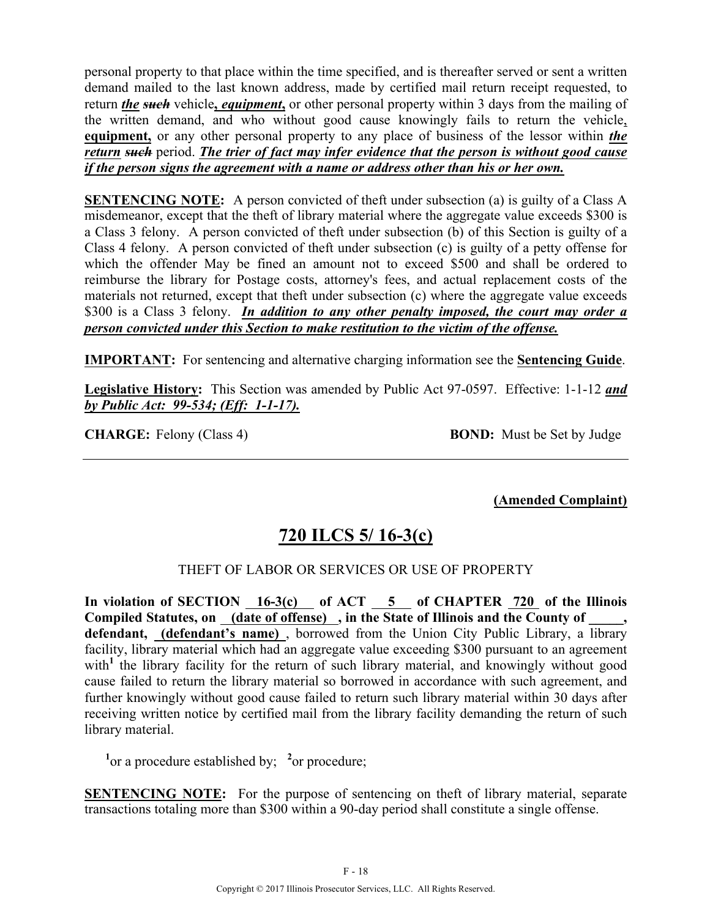personal property to that place within the time specified, and is thereafter served or sent a written demand mailed to the last known address, made by certified mail return receipt requested, to return *the such* vehicle, *equipment*, or other personal property within 3 days from the mailing of the written demand, and who without good cause knowingly fails to return the vehicle, **equipment,** or any other personal property to any place of business of the lessor within *the return such* period. *The trier of fact may infer evidence that the person is without good cause if the person signs the agreement with a name or address other than his or her own.*

**SENTENCING NOTE:** A person convicted of theft under subsection (a) is guilty of a Class A misdemeanor, except that the theft of library material where the aggregate value exceeds \$300 is a Class 3 felony. A person convicted of theft under subsection (b) of this Section is guilty of a Class 4 felony. A person convicted of theft under subsection (c) is guilty of a petty offense for which the offender May be fined an amount not to exceed \$500 and shall be ordered to reimburse the library for Postage costs, attorney's fees, and actual replacement costs of the materials not returned, except that theft under subsection (c) where the aggregate value exceeds \$300 is a Class 3 felony. *In addition to any other penalty imposed, the court may order a person convicted under this Section to make restitution to the victim of the offense.* 

**IMPORTANT:** For sentencing and alternative charging information see the **Sentencing Guide**.

**Legislative History:** This Section was amended by Public Act 97-0597. Effective: 1-1-12 *and by Public Act: 99-534; (Eff: 1-1-17).*

**CHARGE:** Felony (Class 4) **BOND:** Must be Set by Judge

**(Amended Complaint)**

# **720 ILCS 5/ 16-3(c)**

### THEFT OF LABOR OR SERVICES OR USE OF PROPERTY

**In violation of SECTION 16-3(c) of ACT 5 of CHAPTER 720 of the Illinois**  Compiled Statutes, on (date of offense), in the State of Illinois and the County of **defendant, (defendant's name)** , borrowed from the Union City Public Library, a library facility, library material which had an aggregate value exceeding \$300 pursuant to an agreement with<sup>1</sup> the library facility for the return of such library material, and knowingly without good cause failed to return the library material so borrowed in accordance with such agreement, and further knowingly without good cause failed to return such library material within 30 days after receiving written notice by certified mail from the library facility demanding the return of such library material.

<sup>1</sup> or a procedure established by; <sup>2</sup> or procedure;

**SENTENCING NOTE:** For the purpose of sentencing on theft of library material, separate transactions totaling more than \$300 within a 90-day period shall constitute a single offense.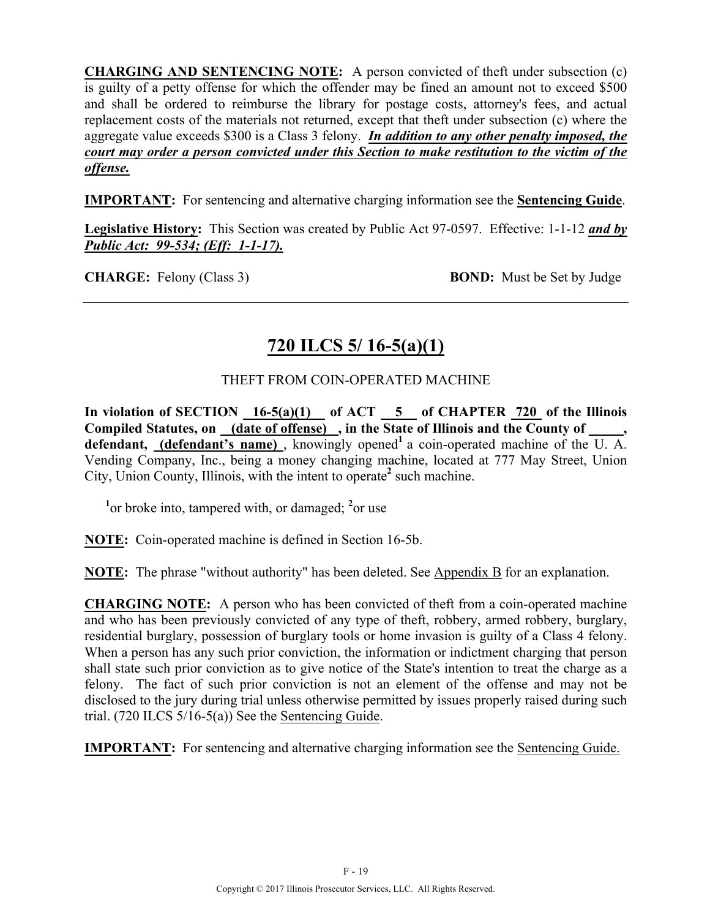**CHARGING AND SENTENCING NOTE:** A person convicted of theft under subsection (c) is guilty of a petty offense for which the offender may be fined an amount not to exceed \$500 and shall be ordered to reimburse the library for postage costs, attorney's fees, and actual replacement costs of the materials not returned, except that theft under subsection (c) where the aggregate value exceeds \$300 is a Class 3 felony. *In addition to any other penalty imposed, the court may order a person convicted under this Section to make restitution to the victim of the offense.*

**IMPORTANT:** For sentencing and alternative charging information see the **Sentencing Guide**.

**Legislative History:** This Section was created by Public Act 97-0597. Effective: 1-1-12 *and by Public Act: 99-534; (Eff: 1-1-17).*

**CHARGE:** Felony (Class 3) **BOND:** Must be Set by Judge

# **720 ILCS 5/ 16-5(a)(1)**

### THEFT FROM COIN-OPERATED MACHINE

In violation of SECTION 16-5(a)(1) of ACT 5 of CHAPTER 720 of the Illinois **Compiled Statutes, on (date of offense) , in the State of Illinois and the County of \_\_\_\_\_,**  defendant, (defendant's name), knowingly opened<sup>1</sup> a coin-operated machine of the  $\overline{U}$ . A. Vending Company, Inc., being a money changing machine, located at 777 May Street, Union City, Union County, Illinois, with the intent to operate**<sup>2</sup>** such machine.

<sup>1</sup> or broke into, tampered with, or damaged; <sup>2</sup> or use

**NOTE:** Coin-operated machine is defined in Section 16-5b.

**NOTE:** The phrase "without authority" has been deleted. See Appendix B for an explanation.

**CHARGING NOTE:** A person who has been convicted of theft from a coin-operated machine and who has been previously convicted of any type of theft, robbery, armed robbery, burglary, residential burglary, possession of burglary tools or home invasion is guilty of a Class 4 felony. When a person has any such prior conviction, the information or indictment charging that person shall state such prior conviction as to give notice of the State's intention to treat the charge as a felony. The fact of such prior conviction is not an element of the offense and may not be disclosed to the jury during trial unless otherwise permitted by issues properly raised during such trial. (720 ILCS 5/16-5(a)) See the Sentencing Guide.

**IMPORTANT:** For sentencing and alternative charging information see the Sentencing Guide.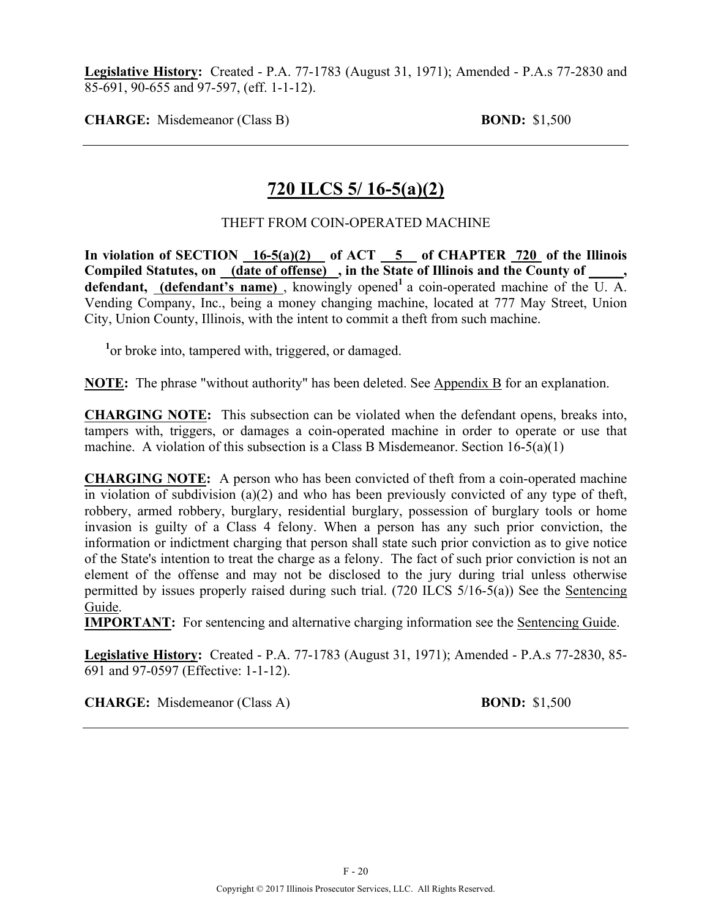**Legislative History:** Created - P.A. 77-1783 (August 31, 1971); Amended - P.A.s 77-2830 and 85-691, 90-655 and 97-597, (eff. 1-1-12).

**CHARGE:** Misdemeanor (Class B) **BOND:** \$1,500

### **720 ILCS 5/ 16-5(a)(2)**

### THEFT FROM COIN-OPERATED MACHINE

In violation of SECTION 16-5(a)(2) of ACT 5 of CHAPTER 720 of the Illinois **Compiled Statutes, on (date of offense) , in the State of Illinois and the County of \_\_\_\_\_, defendant, (defendant's name)**, knowingly opened<sup>1</sup> a coin-operated machine of the U. A. Vending Company, Inc., being a money changing machine, located at 777 May Street, Union City, Union County, Illinois, with the intent to commit a theft from such machine.

<sup>1</sup> or broke into, tampered with, triggered, or damaged.

**NOTE:** The phrase "without authority" has been deleted. See Appendix B for an explanation.

**CHARGING NOTE:** This subsection can be violated when the defendant opens, breaks into, tampers with, triggers, or damages a coin-operated machine in order to operate or use that machine. A violation of this subsection is a Class B Misdemeanor. Section 16-5(a)(1)

**CHARGING NOTE:** A person who has been convicted of theft from a coin-operated machine in violation of subdivision (a)(2) and who has been previously convicted of any type of theft, robbery, armed robbery, burglary, residential burglary, possession of burglary tools or home invasion is guilty of a Class 4 felony. When a person has any such prior conviction, the information or indictment charging that person shall state such prior conviction as to give notice of the State's intention to treat the charge as a felony. The fact of such prior conviction is not an element of the offense and may not be disclosed to the jury during trial unless otherwise permitted by issues properly raised during such trial. (720 ILCS 5/16-5(a)) See the Sentencing Guide.

**IMPORTANT:** For sentencing and alternative charging information see the Sentencing Guide.

**Legislative History:** Created - P.A. 77-1783 (August 31, 1971); Amended - P.A.s 77-2830, 85- 691 and 97-0597 (Effective: 1-1-12).

**CHARGE:** Misdemeanor (Class A) **BOND:** \$1,500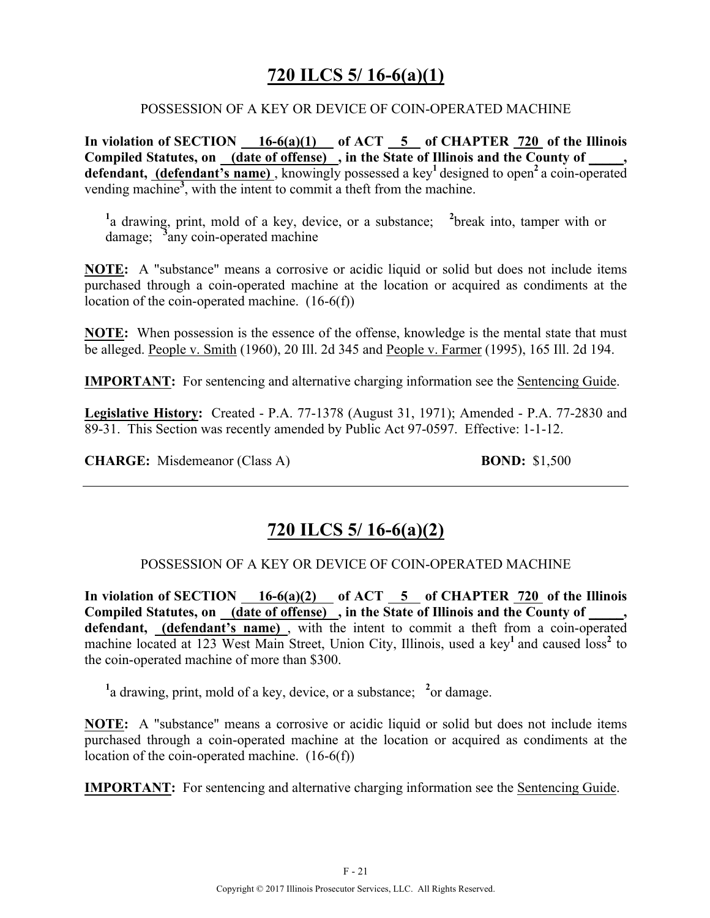## **720 ILCS 5/ 16-6(a)(1)**

#### POSSESSION OF A KEY OR DEVICE OF COIN-OPERATED MACHINE

In violation of SECTION  $\_\_16-6(a)(1)$  of ACT  $\_\_5$  of CHAPTER  $\_\_720$  of the Illinois **Compiled Statutes, on (date of offense) , in the State of Illinois and the County of \_\_\_\_\_, defendant, (defendant's name)** , knowingly possessed a key**<sup>1</sup>**designed to open**<sup>2</sup>**a coin-operated vending machine**<sup>3</sup>** , with the intent to commit a theft from the machine.

<sup>1</sup>a drawing, print, mold of a key, device, or a substance; <sup>2</sup>break into, tamper with or damage; **<sup>3</sup>** any coin-operated machine

**NOTE:** A "substance" means a corrosive or acidic liquid or solid but does not include items purchased through a coin-operated machine at the location or acquired as condiments at the location of the coin-operated machine. (16-6(f))

**NOTE:** When possession is the essence of the offense, knowledge is the mental state that must be alleged. People v. Smith (1960), 20 Ill. 2d 345 and People v. Farmer (1995), 165 Ill. 2d 194.

**IMPORTANT:** For sentencing and alternative charging information see the Sentencing Guide.

**Legislative History:** Created - P.A. 77-1378 (August 31, 1971); Amended - P.A. 77-2830 and 89-31. This Section was recently amended by Public Act 97-0597. Effective: 1-1-12.

**CHARGE:** Misdemeanor (Class A) **BOND:** \$1,500

## **720 ILCS 5/ 16-6(a)(2)**

#### POSSESSION OF A KEY OR DEVICE OF COIN-OPERATED MACHINE

In violation of SECTION  $\underline{\hspace{1cm}}$  16-6(a)(2) of ACT  $\underline{\hspace{1cm}}$  5 of CHAPTER 720 of the Illinois Compiled Statutes, on (date of offense), in the State of Illinois and the County of  $\cdots$ **defendant, (defendant's name)** , with the intent to commit a theft from a coin-operated machine located at 123 West Main Street, Union City, Illinois, used a key<sup>1</sup> and caused loss<sup>2</sup> to the coin-operated machine of more than \$300.

<sup>1</sup> a drawing, print, mold of a key, device, or a substance; <sup>2</sup> or damage.

**NOTE:** A "substance" means a corrosive or acidic liquid or solid but does not include items purchased through a coin-operated machine at the location or acquired as condiments at the location of the coin-operated machine. (16-6(f))

**IMPORTANT:** For sentencing and alternative charging information see the Sentencing Guide.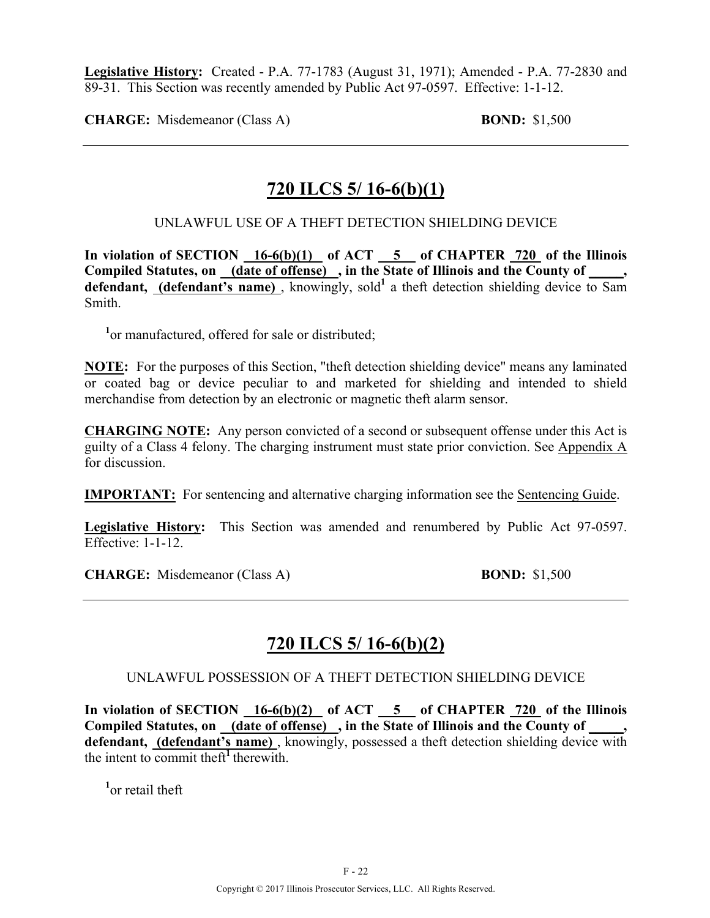**Legislative History:** Created - P.A. 77-1783 (August 31, 1971); Amended - P.A. 77-2830 and 89-31. This Section was recently amended by Public Act 97-0597. Effective: 1-1-12.

**CHARGE:** Misdemeanor (Class A) **BOND:** \$1,500

### **720 ILCS 5/ 16-6(b)(1)**

### UNLAWFUL USE OF A THEFT DETECTION SHIELDING DEVICE

In violation of SECTION 16-6(b)(1) of ACT 5 of CHAPTER 720 of the Illinois **Compiled Statutes, on (date of offense) , in the State of Illinois and the County of \_\_\_\_\_,**  defendant, (defendant's name), knowingly, sold<sup>1</sup> a theft detection shielding device to Sam Smith.

<sup>1</sup> or manufactured, offered for sale or distributed;

**NOTE:** For the purposes of this Section, "theft detection shielding device" means any laminated or coated bag or device peculiar to and marketed for shielding and intended to shield merchandise from detection by an electronic or magnetic theft alarm sensor.

**CHARGING NOTE:** Any person convicted of a second or subsequent offense under this Act is guilty of a Class 4 felony. The charging instrument must state prior conviction. See Appendix A for discussion.

**IMPORTANT:** For sentencing and alternative charging information see the Sentencing Guide.

**Legislative History:** This Section was amended and renumbered by Public Act 97-0597. Effective: 1-1-12.

**CHARGE:** Misdemeanor (Class A) **BOND:** \$1,500

## **720 ILCS 5/ 16-6(b)(2)**

### UNLAWFUL POSSESSION OF A THEFT DETECTION SHIELDING DEVICE

**In violation of SECTION 16-6(b)(2) of ACT 5 of CHAPTER 720 of the Illinois Compiled Statutes, on (date of offense) , in the State of Illinois and the County of \_\_\_\_\_, defendant, (defendant's name)** , knowingly, possessed a theft detection shielding device with the intent to commit theft<sup>1</sup> therewith.

**1** or retail theft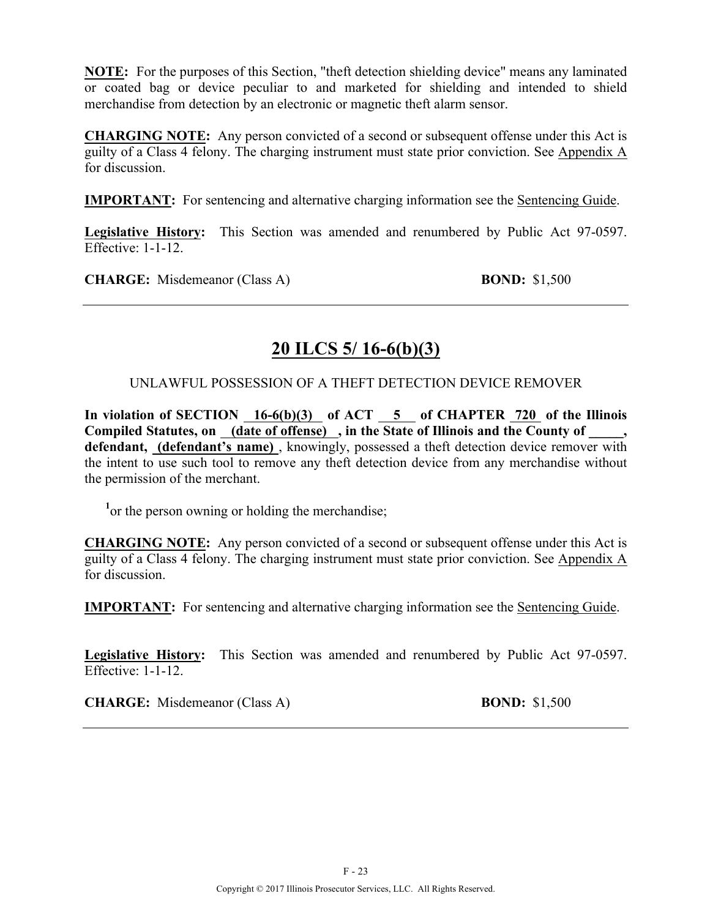**NOTE:** For the purposes of this Section, "theft detection shielding device" means any laminated or coated bag or device peculiar to and marketed for shielding and intended to shield merchandise from detection by an electronic or magnetic theft alarm sensor.

**CHARGING NOTE:** Any person convicted of a second or subsequent offense under this Act is guilty of a Class 4 felony. The charging instrument must state prior conviction. See Appendix A for discussion.

**IMPORTANT:** For sentencing and alternative charging information see the Sentencing Guide.

**Legislative History:** This Section was amended and renumbered by Public Act 97-0597. Effective: 1-1-12

**CHARGE:** Misdemeanor (Class A) **BOND:** \$1,500

## **20 ILCS 5/ 16-6(b)(3)**

### UNLAWFUL POSSESSION OF A THEFT DETECTION DEVICE REMOVER

In violation of SECTION 16-6(b)(3) of ACT 5 of CHAPTER 720 of the Illinois **Compiled Statutes, on (date of offense) , in the State of Illinois and the County of \_\_\_\_\_, defendant, (defendant's name)** , knowingly, possessed a theft detection device remover with the intent to use such tool to remove any theft detection device from any merchandise without the permission of the merchant.

<sup>1</sup> or the person owning or holding the merchandise;

**CHARGING NOTE:** Any person convicted of a second or subsequent offense under this Act is guilty of a Class 4 felony. The charging instrument must state prior conviction. See Appendix A for discussion.

**IMPORTANT:** For sentencing and alternative charging information see the Sentencing Guide.

**Legislative History:** This Section was amended and renumbered by Public Act 97-0597. Effective: 1-1-12.

**CHARGE:** Misdemeanor (Class A) **BOND:** \$1,500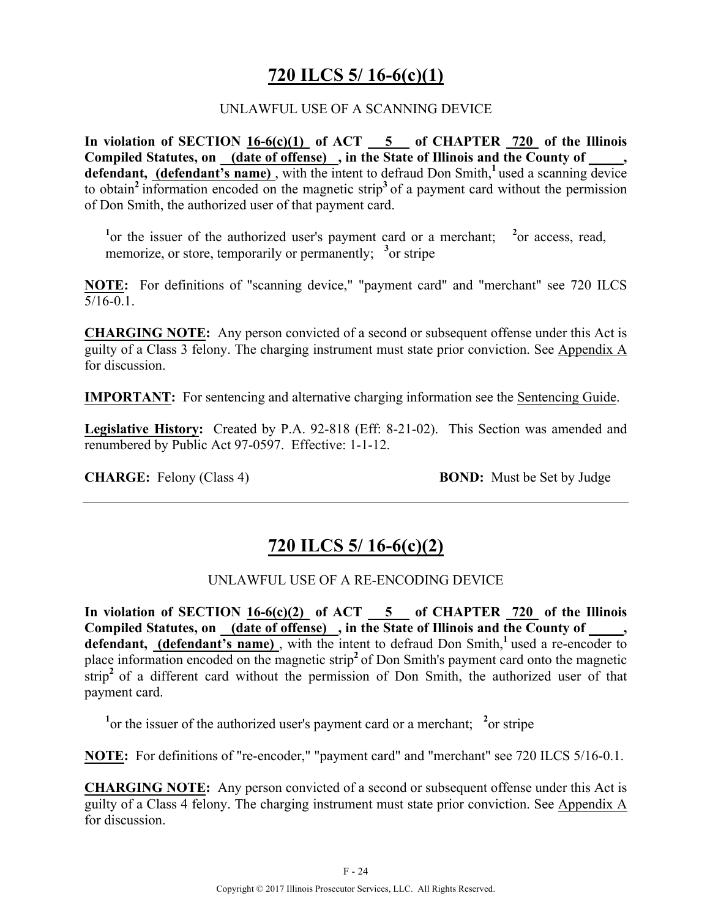## **720 ILCS 5/ 16-6(c)(1)**

### UNLAWFUL USE OF A SCANNING DEVICE

**In violation of SECTION 16-6(c)(1) of ACT 5 of CHAPTER 720 of the Illinois Compiled Statutes, on (date of offense) , in the State of Illinois and the County of \_\_\_\_\_,**  defendant, (defendant's name), with the intent to defraud Don Smith,<sup>1</sup>used a scanning device to obtain**<sup>2</sup>**information encoded on the magnetic strip**<sup>3</sup>**of a payment card without the permission of Don Smith, the authorized user of that payment card.

<sup>1</sup> or the issuer of the authorized user's payment card or a merchant; <sup>2</sup> or access, read, memorize, or store, temporarily or permanently; <sup>3</sup> or stripe

**NOTE:** For definitions of "scanning device," "payment card" and "merchant" see 720 ILCS 5/16-0.1.

**CHARGING NOTE:** Any person convicted of a second or subsequent offense under this Act is guilty of a Class 3 felony. The charging instrument must state prior conviction. See Appendix A for discussion.

**IMPORTANT:** For sentencing and alternative charging information see the Sentencing Guide.

**Legislative History:** Created by P.A. 92-818 (Eff: 8-21-02). This Section was amended and renumbered by Public Act 97-0597. Effective: 1-1-12.

**CHARGE:** Felony (Class 4) **BOND:** Must be Set by Judge

## **720 ILCS 5/ 16-6(c)(2)**

### UNLAWFUL USE OF A RE-ENCODING DEVICE

**In violation of SECTION 16-6(c)(2) of ACT 5 of CHAPTER 720 of the Illinois Compiled Statutes, on (date of offense) , in the State of Illinois and the County of \_\_\_\_\_, defendant, (defendant's name)** , with the intent to defraud Don Smith,**<sup>1</sup>**used a re-encoder to place information encoded on the magnetic strip**<sup>2</sup>**of Don Smith's payment card onto the magnetic strip<sup>2</sup> of a different card without the permission of Don Smith, the authorized user of that payment card.

<sup>1</sup> or the issuer of the authorized user's payment card or a merchant; <sup>2</sup> or stripe

**NOTE:** For definitions of "re-encoder," "payment card" and "merchant" see 720 ILCS 5/16-0.1.

**CHARGING NOTE:** Any person convicted of a second or subsequent offense under this Act is guilty of a Class 4 felony. The charging instrument must state prior conviction. See Appendix A for discussion.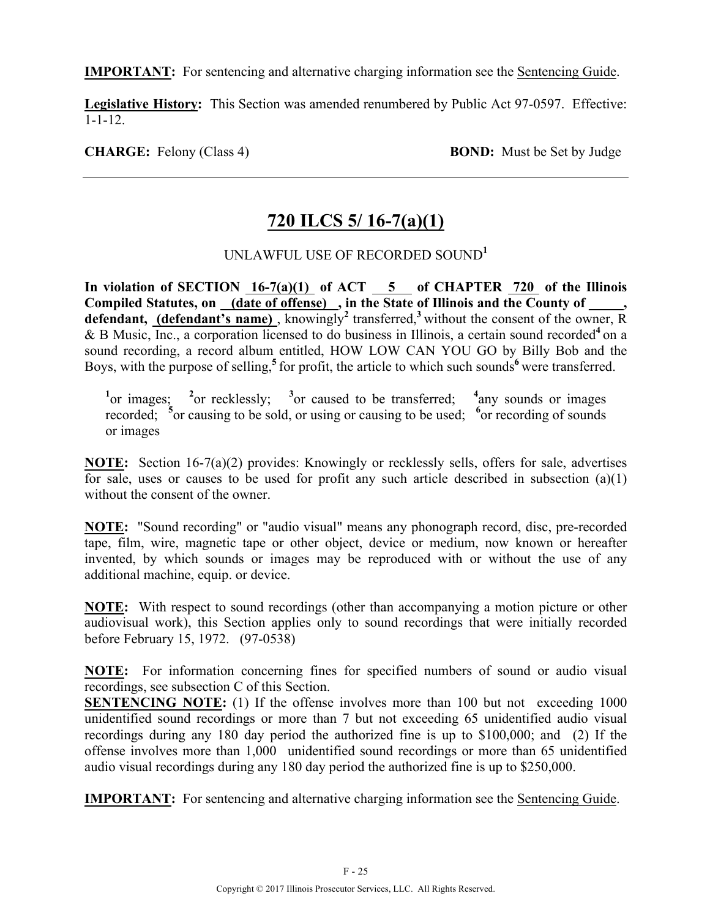**IMPORTANT:** For sentencing and alternative charging information see the Sentencing Guide.

**Legislative History:** This Section was amended renumbered by Public Act 97-0597. Effective: 1-1-12.

**CHARGE:** Felony (Class 4) **BOND:** Must be Set by Judge

## **720 ILCS 5/ 16-7(a)(1)**

### UNLAWFUL USE OF RECORDED SOUND**<sup>1</sup>**

In violation of SECTION 16-7(a)(1) of ACT 5 of CHAPTER 720 of the Illinois Compiled Statutes, on (date of offense), in the State of Illinois and the County of defendant, (defendant's name), knowingly<sup>2</sup> transferred,<sup>3</sup> without the consent of the owner, R & B Music, Inc., a corporation licensed to do business in Illinois, a certain sound recorded**<sup>4</sup>** on a sound recording, a record album entitled, HOW LOW CAN YOU GO by Billy Bob and the Boys, with the purpose of selling,<sup>5</sup> for profit, the article to which such sounds<sup>6</sup> were transferred.

<sup>1</sup>thermal intervalses intervalses in the transferred;  $\frac{4}{3}$  any sounds or images recorded; <sup>5</sup> or causing to be sold, or using or causing to be used; <sup>6</sup> or recording of sounds or images

**NOTE:** Section 16-7(a)(2) provides: Knowingly or recklessly sells, offers for sale, advertises for sale, uses or causes to be used for profit any such article described in subsection (a)(1) without the consent of the owner.

**NOTE:** "Sound recording" or "audio visual" means any phonograph record, disc, pre-recorded tape, film, wire, magnetic tape or other object, device or medium, now known or hereafter invented, by which sounds or images may be reproduced with or without the use of any additional machine, equip. or device.

**NOTE:** With respect to sound recordings (other than accompanying a motion picture or other audiovisual work), this Section applies only to sound recordings that were initially recorded before February 15, 1972. (97-0538)

**NOTE:** For information concerning fines for specified numbers of sound or audio visual recordings, see subsection C of this Section.

**SENTENCING NOTE:** (1) If the offense involves more than 100 but not exceeding 1000 unidentified sound recordings or more than 7 but not exceeding 65 unidentified audio visual recordings during any 180 day period the authorized fine is up to \$100,000; and (2) If the offense involves more than 1,000 unidentified sound recordings or more than 65 unidentified audio visual recordings during any 180 day period the authorized fine is up to \$250,000.

**IMPORTANT:** For sentencing and alternative charging information see the Sentencing Guide.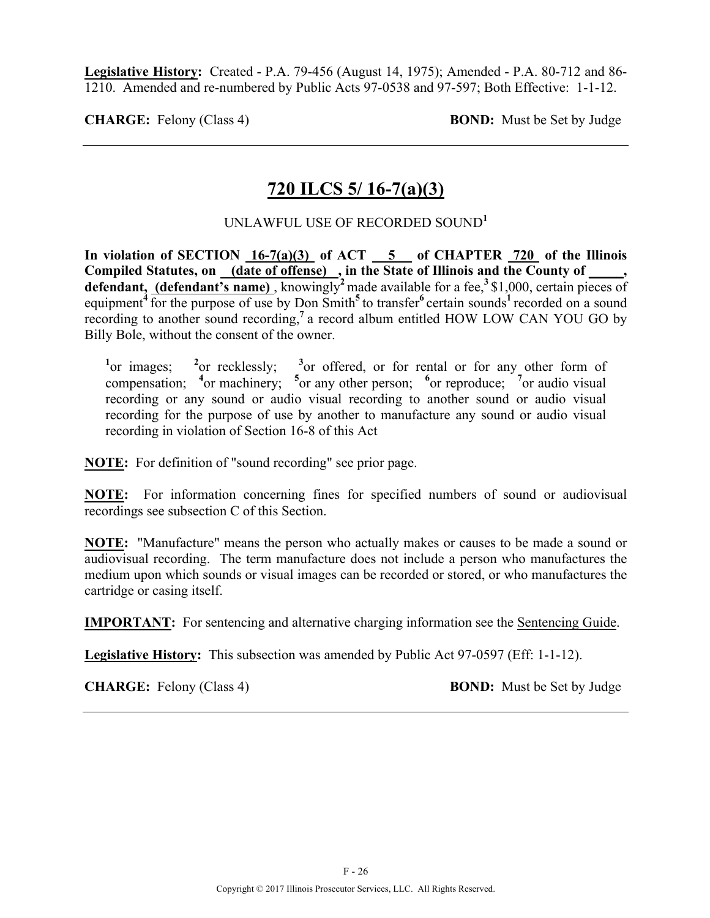**Legislative History:** Created - P.A. 79-456 (August 14, 1975); Amended - P.A. 80-712 and 86- 1210. Amended and re-numbered by Public Acts 97-0538 and 97-597; Both Effective: 1-1-12.

**CHARGE:** Felony (Class 4) **BOND:** Must be Set by Judge

### **720 ILCS 5/ 16-7(a)(3)**

### UNLAWFUL USE OF RECORDED SOUND**<sup>1</sup>**

**In violation of SECTION 16-7(a)(3) of ACT 5 of CHAPTER 720 of the Illinois Compiled Statutes, on (date of offense) , in the State of Illinois and the County of \_\_\_\_\_, defendant, (defendant's name)**, knowingly<sup>2</sup> made available for a fee,<sup>3</sup>\$1,000, certain pieces of equipment<sup>4</sup> for the purpose of use by Don Smith<sup>5</sup> to transfer<sup>6</sup> certain sounds<sup>1</sup> recorded on a sound recording to another sound recording,**<sup>7</sup>**a record album entitled HOW LOW CAN YOU GO by Billy Bole, without the consent of the owner.

<sup>1</sup><sub>or</sub> images; <sup>2</sup> or recklessly; **<sup>3</sup>** or offered, or for rental or for any other form of compensation; <sup>4</sup><sub>or</sub> machinery; <sup>5</sup><sub>or</sub> any other person; <sup>6</sup><sub>or</sub> reproduce; <sup>7</sup><sub>or</sub> audio visual recording or any sound or audio visual recording to another sound or audio visual recording for the purpose of use by another to manufacture any sound or audio visual recording in violation of Section 16-8 of this Act

**NOTE:** For definition of "sound recording" see prior page.

**NOTE:** For information concerning fines for specified numbers of sound or audiovisual recordings see subsection C of this Section.

**NOTE:** "Manufacture" means the person who actually makes or causes to be made a sound or audiovisual recording. The term manufacture does not include a person who manufactures the medium upon which sounds or visual images can be recorded or stored, or who manufactures the cartridge or casing itself.

**IMPORTANT:** For sentencing and alternative charging information see the Sentencing Guide.

**Legislative History:** This subsection was amended by Public Act 97-0597 (Eff: 1-1-12).

**CHARGE:** Felony (Class 4) **BOND:** Must be Set by Judge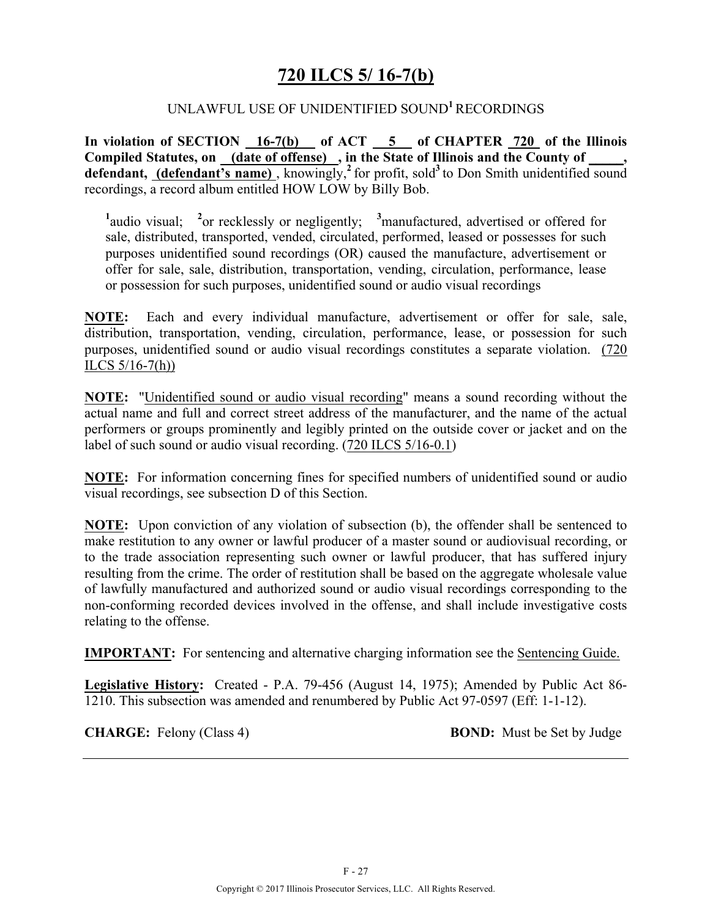### **720 ILCS 5/ 16-7(b)**

#### UNLAWFUL USE OF UNIDENTIFIED SOUND**<sup>1</sup>**RECORDINGS

**In violation of SECTION 16-7(b) of ACT 5 of CHAPTER 720 of the Illinois**  Compiled Statutes, on (date of offense), in the State of Illinois and the County of defendant, (defendant's name), knowingly,<sup>2</sup> for profit, sold<sup>3</sup> to Don Smith unidentified sound recordings, a record album entitled HOW LOW by Billy Bob.

<sup>1</sup>/<sub>audio</sub> visual; <sup>2</sup><sub>or recklessly or negligently; <sup>3</sup> manufactured, advertised or offered for</sub> sale, distributed, transported, vended, circulated, performed, leased or possesses for such purposes unidentified sound recordings (OR) caused the manufacture, advertisement or offer for sale, sale, distribution, transportation, vending, circulation, performance, lease or possession for such purposes, unidentified sound or audio visual recordings

**NOTE:** Each and every individual manufacture, advertisement or offer for sale, sale, distribution, transportation, vending, circulation, performance, lease, or possession for such purposes, unidentified sound or audio visual recordings constitutes a separate violation. (720 ILCS  $5/16-7(h)$ 

**NOTE:** "Unidentified sound or audio visual recording" means a sound recording without the actual name and full and correct street address of the manufacturer, and the name of the actual performers or groups prominently and legibly printed on the outside cover or jacket and on the label of such sound or audio visual recording. (720 ILCS 5/16-0.1)

**NOTE:** For information concerning fines for specified numbers of unidentified sound or audio visual recordings, see subsection D of this Section.

**NOTE:** Upon conviction of any violation of subsection (b), the offender shall be sentenced to make restitution to any owner or lawful producer of a master sound or audiovisual recording, or to the trade association representing such owner or lawful producer, that has suffered injury resulting from the crime. The order of restitution shall be based on the aggregate wholesale value of lawfully manufactured and authorized sound or audio visual recordings corresponding to the non-conforming recorded devices involved in the offense, and shall include investigative costs relating to the offense.

**IMPORTANT:** For sentencing and alternative charging information see the Sentencing Guide.

**Legislative History:** Created - P.A. 79-456 (August 14, 1975); Amended by Public Act 86- 1210. This subsection was amended and renumbered by Public Act 97-0597 (Eff: 1-1-12).

**CHARGE:** Felony (Class 4) **BOND:** Must be Set by Judge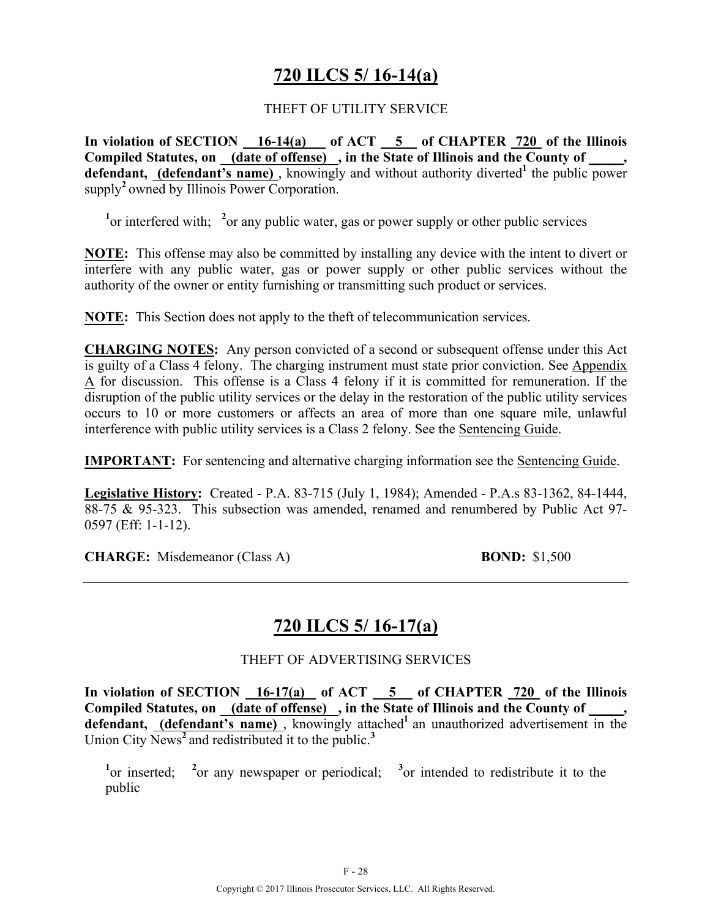## **720 ILCS 5/ 16-14(a)**

### THEFT OF UTILITY SERVICE

**In violation of SECTION 16-14(a) of ACT 5 of CHAPTER 720 of the Illinois Compiled Statutes, on (date of offense) , in the State of Illinois and the County of \_\_\_\_\_,**  defendant, (defendant's name), knowingly and without authority diverted<sup>1</sup> the public power supply<sup>2</sup> owned by Illinois Power Corporation.

<sup>1</sup> or interfered with; <sup>2</sup> or any public water, gas or power supply or other public services

**NOTE:** This offense may also be committed by installing any device with the intent to divert or interfere with any public water, gas or power supply or other public services without the authority of the owner or entity furnishing or transmitting such product or services.

**NOTE:** This Section does not apply to the theft of telecommunication services.

**CHARGING NOTES:** Any person convicted of a second or subsequent offense under this Act is guilty of a Class 4 felony. The charging instrument must state prior conviction. See Appendix A for discussion. This offense is a Class 4 felony if it is committed for remuneration. If the disruption of the public utility services or the delay in the restoration of the public utility services occurs to 10 or more customers or affects an area of more than one square mile, unlawful interference with public utility services is a Class 2 felony. See the Sentencing Guide.

**IMPORTANT:** For sentencing and alternative charging information see the Sentencing Guide.

**Legislative History:** Created - P.A. 83-715 (July 1, 1984); Amended - P.A.s 83-1362, 84-1444, 88-75 & 95-323. This subsection was amended, renamed and renumbered by Public Act 97- 0597 (Eff: 1-1-12).

**CHARGE:** Misdemeanor (Class A) **BOND:** \$1,500

## **720 ILCS 5/ 16-17(a)**

### THEFT OF ADVERTISING SERVICES

In violation of SECTION 16-17(a) of ACT 5 of CHAPTER 720 of the Illinois **Compiled Statutes, on (date of offense) , in the State of Illinois and the County of \_\_\_\_\_,**  defendant, **(defendant's name)**, knowingly attached<sup>1</sup> an unauthorized advertisement in the Union City News**<sup>2</sup>**and redistributed it to the public.**<sup>3</sup>**

<sup>1</sup><sup>or</sup> inserted; <sup>2</sup><sup>or</sup> any newspaper or periodical; <sup>3</sup><sup>or</sup> intended to redistribute it to the public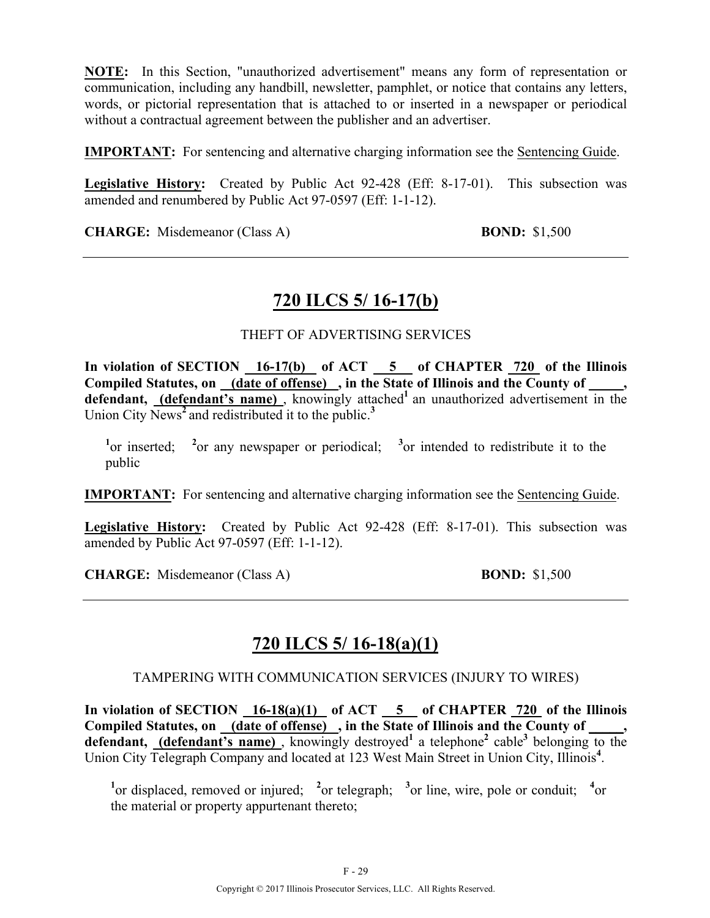**NOTE:** In this Section, "unauthorized advertisement" means any form of representation or communication, including any handbill, newsletter, pamphlet, or notice that contains any letters, words, or pictorial representation that is attached to or inserted in a newspaper or periodical without a contractual agreement between the publisher and an advertiser.

**IMPORTANT:** For sentencing and alternative charging information see the Sentencing Guide.

**Legislative History:** Created by Public Act 92-428 (Eff: 8-17-01). This subsection was amended and renumbered by Public Act 97-0597 (Eff: 1-1-12).

**CHARGE:** Misdemeanor (Class A) **BOND:** \$1,500

### **720 ILCS 5/ 16-17(b)**

### THEFT OF ADVERTISING SERVICES

In violation of SECTION 16-17(b) of ACT 5 of CHAPTER 720 of the Illinois **Compiled Statutes, on (date of offense) , in the State of Illinois and the County of \_\_\_\_\_,**  defendant, **(defendant's name)**, knowingly attached<sup>1</sup> an unauthorized advertisement in the Union City News**<sup>2</sup>**and redistributed it to the public.**<sup>3</sup>**

<sup>1</sup><sup>or</sup> inserted; <sup>2</sup><sup>or</sup> any newspaper or periodical; <sup>3</sup><sup>or</sup> intended to redistribute it to the public

**IMPORTANT:** For sentencing and alternative charging information see the Sentencing Guide.

**Legislative History:** Created by Public Act 92-428 (Eff: 8-17-01). This subsection was amended by Public Act 97-0597 (Eff: 1-1-12).

**CHARGE:** Misdemeanor (Class A) **BOND:** \$1,500

## **720 ILCS 5/ 16-18(a)(1)**

#### TAMPERING WITH COMMUNICATION SERVICES (INJURY TO WIRES)

**In violation of SECTION 16-18(a)(1) of ACT 5 of CHAPTER 720 of the Illinois Compiled Statutes, on (date of offense) , in the State of Illinois and the County of \_\_\_\_\_,**  defendant, (defendant's name), knowingly destroyed<sup>1</sup> a telephone<sup>2</sup> cable<sup>3</sup> belonging to the Union City Telegraph Company and located at 123 West Main Street in Union City, Illinois**<sup>4</sup>** .

<sup>1</sup><sup>or</sup> displaced, removed or injured; <sup>2</sup><sup>or</sup> telegraph; <sup>3</sup><sup>or</sup> line, wire, pole or conduit; <sup>4</sup><sup>or</sup> the material or property appurtenant thereto;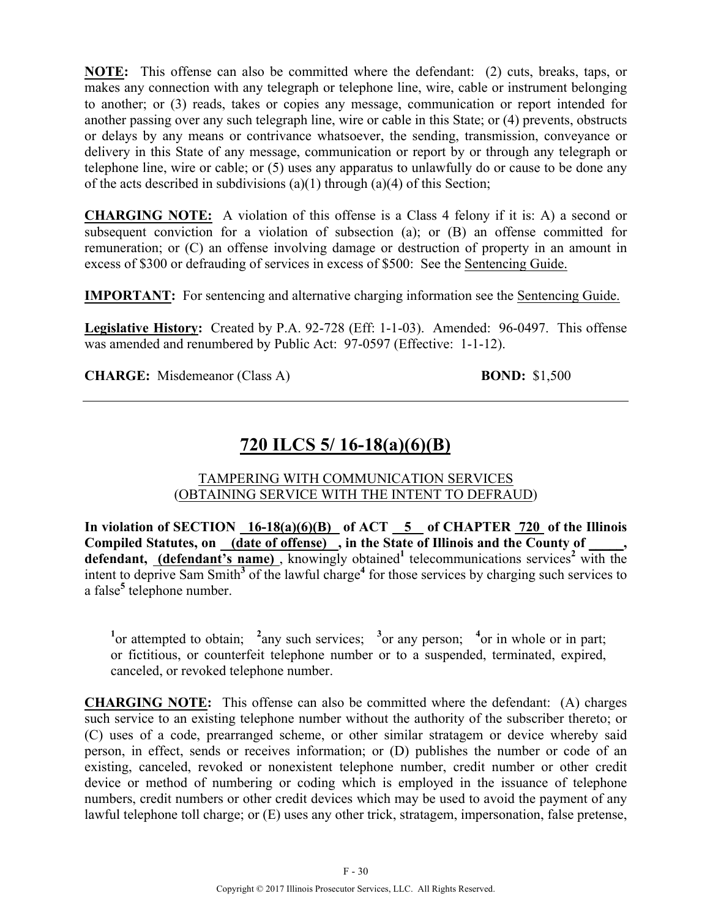**NOTE:** This offense can also be committed where the defendant: (2) cuts, breaks, taps, or makes any connection with any telegraph or telephone line, wire, cable or instrument belonging to another; or (3) reads, takes or copies any message, communication or report intended for another passing over any such telegraph line, wire or cable in this State; or (4) prevents, obstructs or delays by any means or contrivance whatsoever, the sending, transmission, conveyance or delivery in this State of any message, communication or report by or through any telegraph or telephone line, wire or cable; or (5) uses any apparatus to unlawfully do or cause to be done any of the acts described in subdivisions (a)(1) through (a)(4) of this Section;

**CHARGING NOTE:** A violation of this offense is a Class 4 felony if it is: A) a second or subsequent conviction for a violation of subsection (a); or (B) an offense committed for remuneration; or (C) an offense involving damage or destruction of property in an amount in excess of \$300 or defrauding of services in excess of \$500: See the Sentencing Guide.

**IMPORTANT:** For sentencing and alternative charging information see the Sentencing Guide.

**Legislative History:** Created by P.A. 92-728 (Eff: 1-1-03). Amended: 96-0497. This offense was amended and renumbered by Public Act: 97-0597 (Effective: 1-1-12).

**CHARGE:** Misdemeanor (Class A) **BOND:** \$1,500

# **720 ILCS 5/ 16-18(a)(6)(B)**

TAMPERING WITH COMMUNICATION SERVICES (OBTAINING SERVICE WITH THE INTENT TO DEFRAUD)

In violation of SECTION 16-18(a)(6)(B) of ACT 5 of CHAPTER 720 of the Illinois Compiled Statutes, on <u>(date of offense)</u>, in the State of Illinois and the County of defendant, (defendant's name), knowingly obtained<sup>1</sup> telecommunications services<sup>2</sup> with the intent to deprive Sam Smith<sup>3</sup> of the lawful charge<sup>4</sup> for those services by charging such services to a false**<sup>5</sup>** telephone number.

<sup>1</sup><sup>or</sup> attempted to obtain; <sup>2</sup>any such services; <sup>3</sup>or any person; <sup>4</sup>or in whole or in part; or fictitious, or counterfeit telephone number or to a suspended, terminated, expired, canceled, or revoked telephone number.

**CHARGING NOTE:** This offense can also be committed where the defendant: (A) charges such service to an existing telephone number without the authority of the subscriber thereto; or (C) uses of a code, prearranged scheme, or other similar stratagem or device whereby said person, in effect, sends or receives information; or (D) publishes the number or code of an existing, canceled, revoked or nonexistent telephone number, credit number or other credit device or method of numbering or coding which is employed in the issuance of telephone numbers, credit numbers or other credit devices which may be used to avoid the payment of any lawful telephone toll charge; or (E) uses any other trick, stratagem, impersonation, false pretense,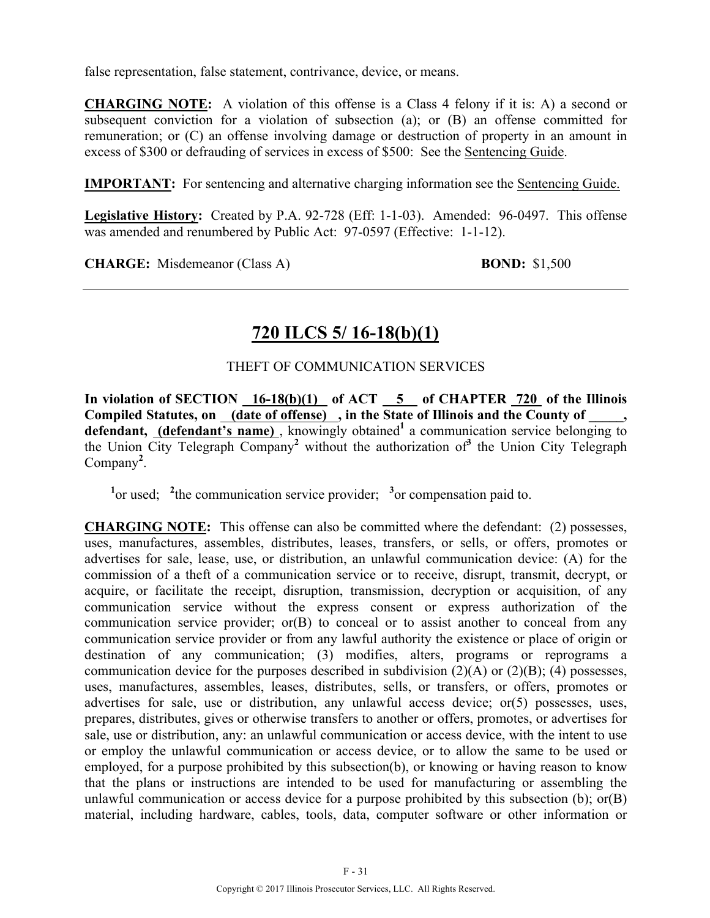false representation, false statement, contrivance, device, or means.

**CHARGING NOTE:** A violation of this offense is a Class 4 felony if it is: A) a second or subsequent conviction for a violation of subsection (a); or (B) an offense committed for remuneration; or (C) an offense involving damage or destruction of property in an amount in excess of \$300 or defrauding of services in excess of \$500: See the Sentencing Guide.

**IMPORTANT:** For sentencing and alternative charging information see the Sentencing Guide.

**Legislative History:** Created by P.A. 92-728 (Eff: 1-1-03). Amended: 96-0497. This offense was amended and renumbered by Public Act: 97-0597 (Effective: 1-1-12).

**CHARGE:** Misdemeanor (Class A) **BOND:** \$1,500

## **720 ILCS 5/ 16-18(b)(1)**

### THEFT OF COMMUNICATION SERVICES

**In violation of SECTION 16-18(b)(1) of ACT 5 of CHAPTER 720 of the Illinois**  Compiled Statutes, on (date of offense), in the State of Illinois and the County of, defendant, (defendant's name), knowingly obtained<sup>1</sup> a communication service belonging to the Union City Telegraph Company **<sup>2</sup>** without the authorization of**<sup>3</sup>** the Union City Telegraph Company**<sup>2</sup>** .

<sup>1</sup><sup>or used; <sup>2</sup> the communication service provider; <sup>3</sup><sup>or</sup> compensation paid to.</sup>

**CHARGING NOTE:** This offense can also be committed where the defendant: (2) possesses, uses, manufactures, assembles, distributes, leases, transfers, or sells, or offers, promotes or advertises for sale, lease, use, or distribution, an unlawful communication device: (A) for the commission of a theft of a communication service or to receive, disrupt, transmit, decrypt, or acquire, or facilitate the receipt, disruption, transmission, decryption or acquisition, of any communication service without the express consent or express authorization of the communication service provider; or(B) to conceal or to assist another to conceal from any communication service provider or from any lawful authority the existence or place of origin or destination of any communication; (3) modifies, alters, programs or reprograms a communication device for the purposes described in subdivision  $(2)(A)$  or  $(2)(B)$ ; (4) possesses, uses, manufactures, assembles, leases, distributes, sells, or transfers, or offers, promotes or advertises for sale, use or distribution, any unlawful access device; or(5) possesses, uses, prepares, distributes, gives or otherwise transfers to another or offers, promotes, or advertises for sale, use or distribution, any: an unlawful communication or access device, with the intent to use or employ the unlawful communication or access device, or to allow the same to be used or employed, for a purpose prohibited by this subsection(b), or knowing or having reason to know that the plans or instructions are intended to be used for manufacturing or assembling the unlawful communication or access device for a purpose prohibited by this subsection (b); or(B) material, including hardware, cables, tools, data, computer software or other information or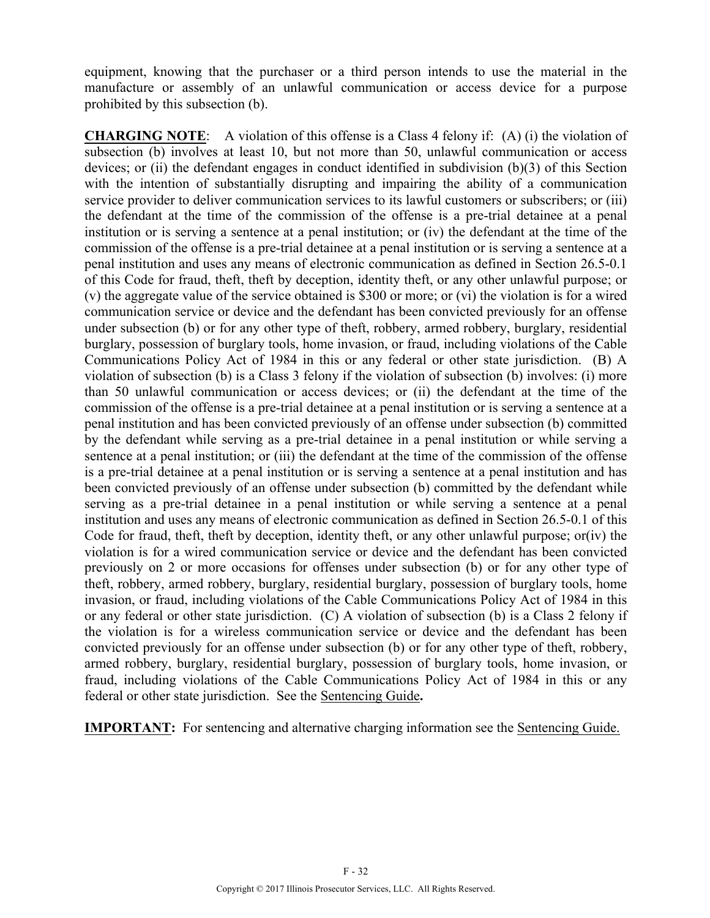equipment, knowing that the purchaser or a third person intends to use the material in the manufacture or assembly of an unlawful communication or access device for a purpose prohibited by this subsection (b).

**CHARGING NOTE**: A violation of this offense is a Class 4 felony if:(A) (i) the violation of subsection (b) involves at least 10, but not more than 50, unlawful communication or access devices; or (ii) the defendant engages in conduct identified in subdivision (b)(3) of this Section with the intention of substantially disrupting and impairing the ability of a communication service provider to deliver communication services to its lawful customers or subscribers; or (iii) the defendant at the time of the commission of the offense is a pre-trial detainee at a penal institution or is serving a sentence at a penal institution; or (iv) the defendant at the time of the commission of the offense is a pre-trial detainee at a penal institution or is serving a sentence at a penal institution and uses any means of electronic communication as defined in Section 26.5-0.1 of this Code for fraud, theft, theft by deception, identity theft, or any other unlawful purpose; or (v) the aggregate value of the service obtained is \$300 or more; or (vi) the violation is for a wired communication service or device and the defendant has been convicted previously for an offense under subsection (b) or for any other type of theft, robbery, armed robbery, burglary, residential burglary, possession of burglary tools, home invasion, or fraud, including violations of the Cable Communications Policy Act of 1984 in this or any federal or other state jurisdiction. (B) A violation of subsection (b) is a Class 3 felony if the violation of subsection (b) involves: (i) more than 50 unlawful communication or access devices; or (ii) the defendant at the time of the commission of the offense is a pre-trial detainee at a penal institution or is serving a sentence at a penal institution and has been convicted previously of an offense under subsection (b) committed by the defendant while serving as a pre-trial detainee in a penal institution or while serving a sentence at a penal institution; or (iii) the defendant at the time of the commission of the offense is a pre-trial detainee at a penal institution or is serving a sentence at a penal institution and has been convicted previously of an offense under subsection (b) committed by the defendant while serving as a pre-trial detainee in a penal institution or while serving a sentence at a penal institution and uses any means of electronic communication as defined in Section 26.5-0.1 of this Code for fraud, theft, theft by deception, identity theft, or any other unlawful purpose; or(iv) the violation is for a wired communication service or device and the defendant has been convicted previously on 2 or more occasions for offenses under subsection (b) or for any other type of theft, robbery, armed robbery, burglary, residential burglary, possession of burglary tools, home invasion, or fraud, including violations of the Cable Communications Policy Act of 1984 in this or any federal or other state jurisdiction. (C) A violation of subsection (b) is a Class 2 felony if the violation is for a wireless communication service or device and the defendant has been convicted previously for an offense under subsection (b) or for any other type of theft, robbery, armed robbery, burglary, residential burglary, possession of burglary tools, home invasion, or fraud, including violations of the Cable Communications Policy Act of 1984 in this or any federal or other state jurisdiction. See the Sentencing Guide**.**

**IMPORTANT:** For sentencing and alternative charging information see the Sentencing Guide.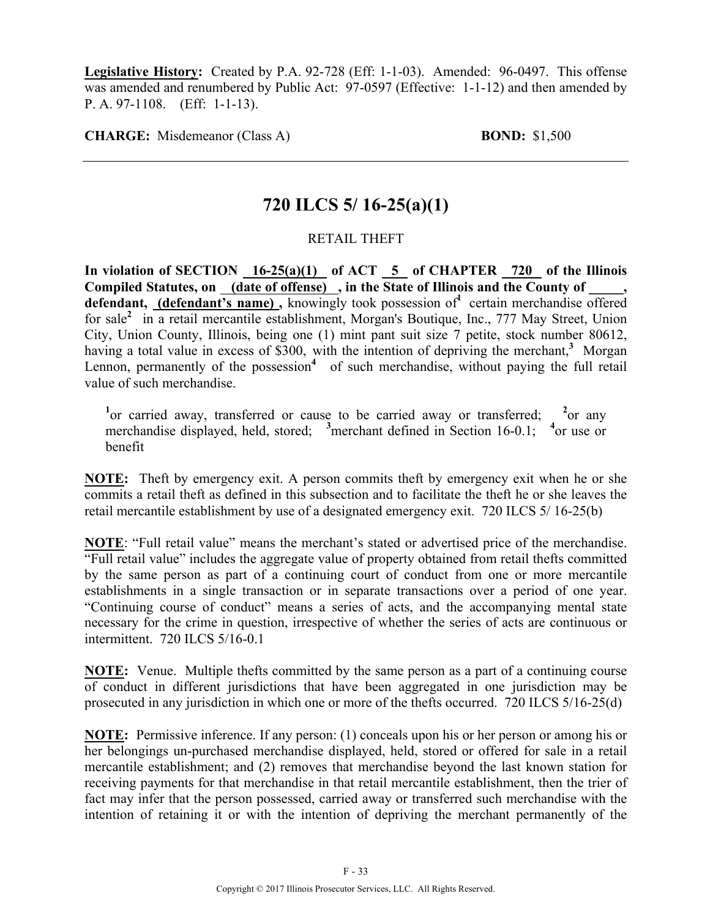**Legislative History:** Created by P.A. 92-728 (Eff: 1-1-03). Amended: 96-0497. This offense was amended and renumbered by Public Act: 97-0597 (Effective: 1-1-12) and then amended by P. A. 97-1108. (Eff: 1-1-13).

**CHARGE:** Misdemeanor (Class A) **BOND:** \$1,500

### **720 ILCS 5/ 16-25(a)(1)**

### RETAIL THEFT

**In violation of SECTION 16-25(a)(1) of ACT 5 of CHAPTER 720 of the Illinois Compiled Statutes, on (date of offense) , in the State of Illinois and the County of \_\_\_\_\_,**  defendant, (defendant's name), knowingly took possession of<sup>1</sup> certain merchandise offered for sale<sup>2</sup> in a retail mercantile establishment, Morgan's Boutique, Inc., 777 May Street, Union City, Union County, Illinois, being one (1) mint pant suit size 7 petite, stock number 80612, having a total value in excess of \$300, with the intention of depriving the merchant,<sup>3</sup> Morgan Lennon, permanently of the possession<sup>4</sup> of such merchandise, without paying the full retail value of such merchandise.

<sup>1</sup> or carried away, transferred or cause to be carried away or transferred; <sup>2</sup>  $^{2}$ or any merchandise displayed, held, stored; <sup>3</sup> merchant defined in Section 16-0.1; <sup>4</sup> or use or benefit

**NOTE:** Theft by emergency exit. A person commits theft by emergency exit when he or she commits a retail theft as defined in this subsection and to facilitate the theft he or she leaves the retail mercantile establishment by use of a designated emergency exit. 720 ILCS 5/ 16-25(b)

**NOTE**: "Full retail value" means the merchant's stated or advertised price of the merchandise. "Full retail value" includes the aggregate value of property obtained from retail thefts committed by the same person as part of a continuing court of conduct from one or more mercantile establishments in a single transaction or in separate transactions over a period of one year. "Continuing course of conduct" means a series of acts, and the accompanying mental state necessary for the crime in question, irrespective of whether the series of acts are continuous or intermittent. 720 ILCS 5/16-0.1

**NOTE:** Venue. Multiple thefts committed by the same person as a part of a continuing course of conduct in different jurisdictions that have been aggregated in one jurisdiction may be prosecuted in any jurisdiction in which one or more of the thefts occurred. 720 ILCS 5/16-25(d)

**NOTE:** Permissive inference. If any person: (1) conceals upon his or her person or among his or her belongings un-purchased merchandise displayed, held, stored or offered for sale in a retail mercantile establishment; and (2) removes that merchandise beyond the last known station for receiving payments for that merchandise in that retail mercantile establishment, then the trier of fact may infer that the person possessed, carried away or transferred such merchandise with the intention of retaining it or with the intention of depriving the merchant permanently of the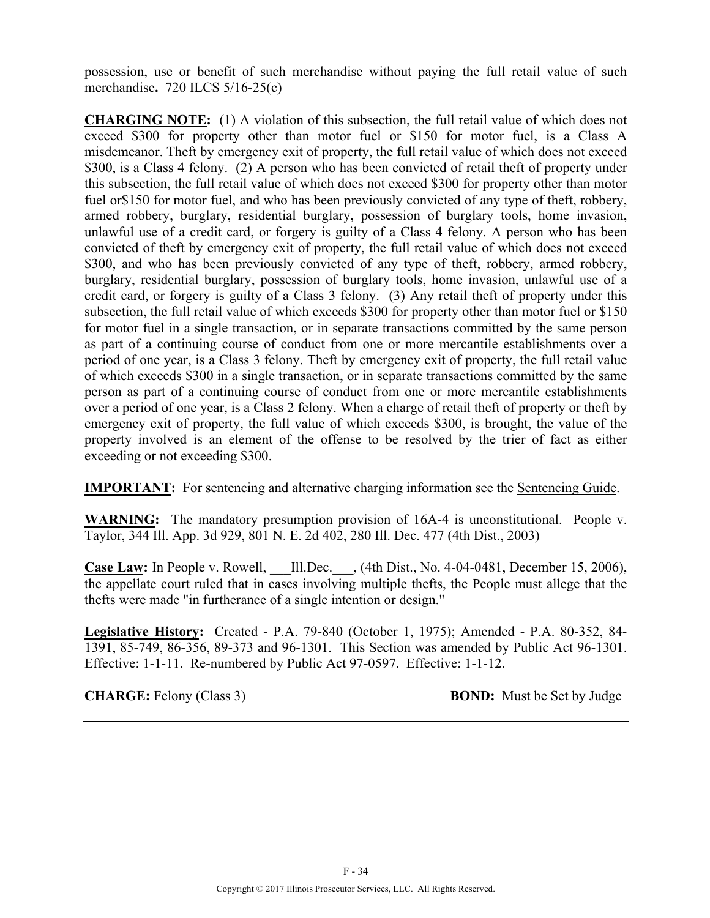possession, use or benefit of such merchandise without paying the full retail value of such merchandise**.** 720 ILCS 5/16-25(c)

**CHARGING NOTE:** (1) A violation of this subsection, the full retail value of which does not exceed \$300 for property other than motor fuel or \$150 for motor fuel, is a Class A misdemeanor. Theft by emergency exit of property, the full retail value of which does not exceed \$300, is a Class 4 felony. (2) A person who has been convicted of retail theft of property under this subsection, the full retail value of which does not exceed \$300 for property other than motor fuel or\$150 for motor fuel, and who has been previously convicted of any type of theft, robbery, armed robbery, burglary, residential burglary, possession of burglary tools, home invasion, unlawful use of a credit card, or forgery is guilty of a Class 4 felony. A person who has been convicted of theft by emergency exit of property, the full retail value of which does not exceed \$300, and who has been previously convicted of any type of theft, robbery, armed robbery, burglary, residential burglary, possession of burglary tools, home invasion, unlawful use of a credit card, or forgery is guilty of a Class 3 felony. (3) Any retail theft of property under this subsection, the full retail value of which exceeds \$300 for property other than motor fuel or \$150 for motor fuel in a single transaction, or in separate transactions committed by the same person as part of a continuing course of conduct from one or more mercantile establishments over a period of one year, is a Class 3 felony. Theft by emergency exit of property, the full retail value of which exceeds \$300 in a single transaction, or in separate transactions committed by the same person as part of a continuing course of conduct from one or more mercantile establishments over a period of one year, is a Class 2 felony. When a charge of retail theft of property or theft by emergency exit of property, the full value of which exceeds \$300, is brought, the value of the property involved is an element of the offense to be resolved by the trier of fact as either exceeding or not exceeding \$300.

**IMPORTANT:** For sentencing and alternative charging information see the Sentencing Guide.

**WARNING:** The mandatory presumption provision of 16A-4 is unconstitutional. People v. Taylor, 344 Ill. App. 3d 929, 801 N. E. 2d 402, 280 Ill. Dec. 477 (4th Dist., 2003)

**Case Law:** In People v. Rowell, \_\_\_Ill.Dec.\_\_\_, (4th Dist., No. 4-04-0481, December 15, 2006), the appellate court ruled that in cases involving multiple thefts, the People must allege that the thefts were made "in furtherance of a single intention or design."

**Legislative History:** Created - P.A. 79-840 (October 1, 1975); Amended - P.A. 80-352, 84- 1391, 85-749, 86-356, 89-373 and 96-1301. This Section was amended by Public Act 96-1301. Effective: 1-1-11. Re-numbered by Public Act 97-0597. Effective: 1-1-12.

**CHARGE:** Felony (Class 3) **BOND:** Must be Set by Judge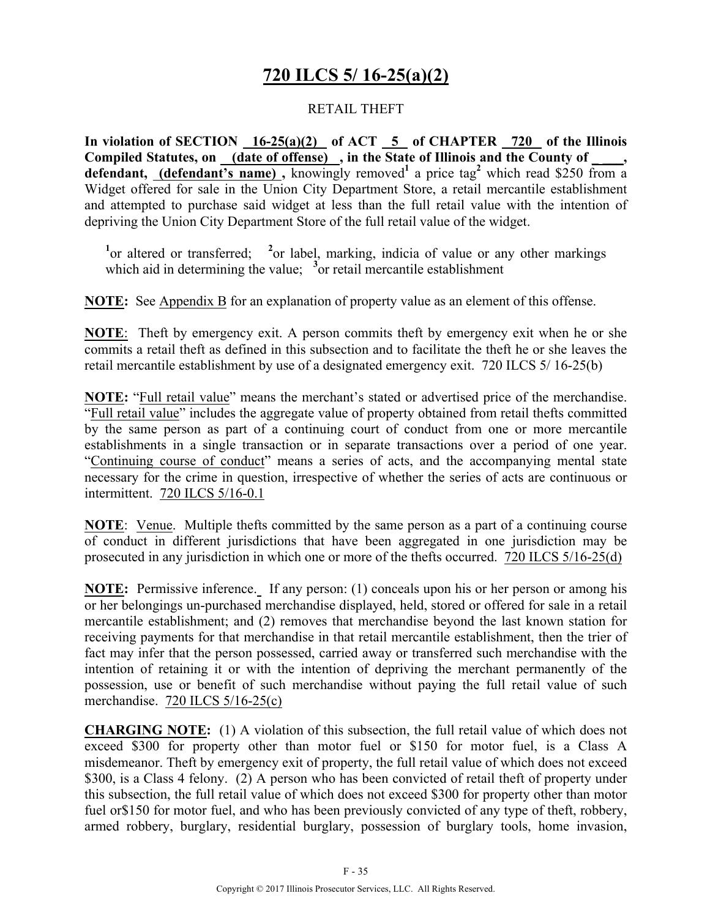## **720 ILCS 5/ 16-25(a)(2)**

### RETAIL THEFT

**In violation of SECTION 16-25(a)(2) of ACT 5 of CHAPTER 720 of the Illinois**  Compiled Statutes, on (date of offense), in the State of Illinois and the County of defendant, (defendant's name), knowingly removed<sup>1</sup> a price tag<sup>2</sup> which read \$250 from a Widget offered for sale in the Union City Department Store, a retail mercantile establishment and attempted to purchase said widget at less than the full retail value with the intention of depriving the Union City Department Store of the full retail value of the widget.

<sup>1</sup> or altered or transferred; <sup>2</sup> or label, marking, indicia of value or any other markings which aid in determining the value;  $\frac{3}{2}$  or retail mercantile establishment

**NOTE:** See Appendix B for an explanation of property value as an element of this offense.

**NOTE**: Theft by emergency exit. A person commits theft by emergency exit when he or she commits a retail theft as defined in this subsection and to facilitate the theft he or she leaves the retail mercantile establishment by use of a designated emergency exit. 720 ILCS 5/ 16-25(b)

**NOTE:** "Full retail value" means the merchant's stated or advertised price of the merchandise. "Full retail value" includes the aggregate value of property obtained from retail thefts committed by the same person as part of a continuing court of conduct from one or more mercantile establishments in a single transaction or in separate transactions over a period of one year. "Continuing course of conduct" means a series of acts, and the accompanying mental state necessary for the crime in question, irrespective of whether the series of acts are continuous or intermittent. 720 ILCS 5/16-0.1

**NOTE**: Venue. Multiple thefts committed by the same person as a part of a continuing course of conduct in different jurisdictions that have been aggregated in one jurisdiction may be prosecuted in any jurisdiction in which one or more of the thefts occurred. 720 ILCS 5/16-25(d)

**NOTE:** Permissive inference. If any person: (1) conceals upon his or her person or among his or her belongings un-purchased merchandise displayed, held, stored or offered for sale in a retail mercantile establishment; and (2) removes that merchandise beyond the last known station for receiving payments for that merchandise in that retail mercantile establishment, then the trier of fact may infer that the person possessed, carried away or transferred such merchandise with the intention of retaining it or with the intention of depriving the merchant permanently of the possession, use or benefit of such merchandise without paying the full retail value of such merchandise.720 ILCS 5/16-25(c)

**CHARGING NOTE:** (1) A violation of this subsection, the full retail value of which does not exceed \$300 for property other than motor fuel or \$150 for motor fuel, is a Class A misdemeanor. Theft by emergency exit of property, the full retail value of which does not exceed \$300, is a Class 4 felony. (2) A person who has been convicted of retail theft of property under this subsection, the full retail value of which does not exceed \$300 for property other than motor fuel or\$150 for motor fuel, and who has been previously convicted of any type of theft, robbery, armed robbery, burglary, residential burglary, possession of burglary tools, home invasion,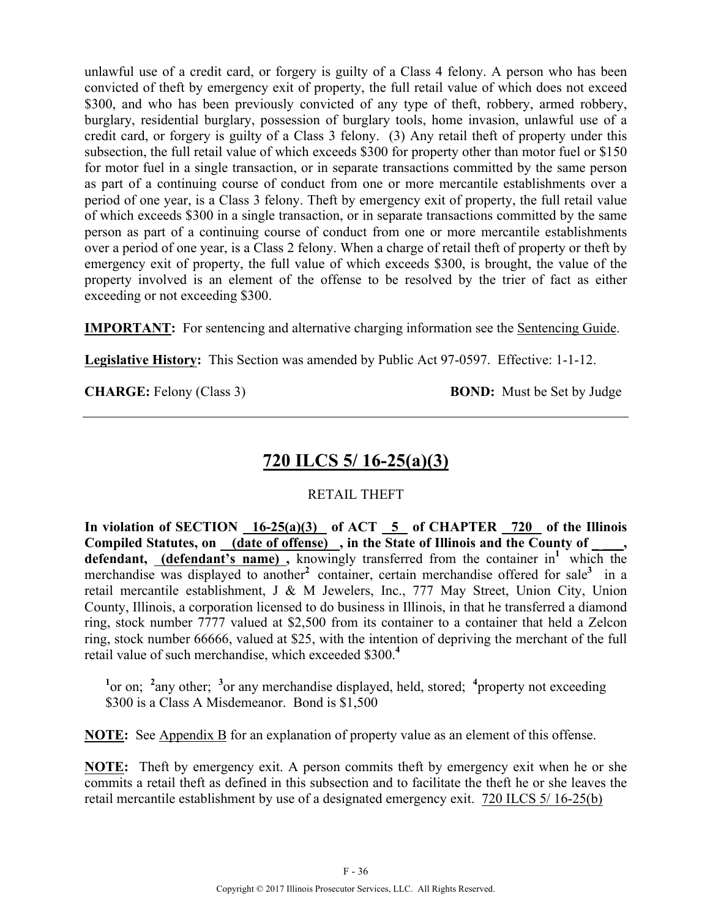unlawful use of a credit card, or forgery is guilty of a Class 4 felony. A person who has been convicted of theft by emergency exit of property, the full retail value of which does not exceed \$300, and who has been previously convicted of any type of theft, robbery, armed robbery, burglary, residential burglary, possession of burglary tools, home invasion, unlawful use of a credit card, or forgery is guilty of a Class 3 felony. (3) Any retail theft of property under this subsection, the full retail value of which exceeds \$300 for property other than motor fuel or \$150 for motor fuel in a single transaction, or in separate transactions committed by the same person as part of a continuing course of conduct from one or more mercantile establishments over a period of one year, is a Class 3 felony. Theft by emergency exit of property, the full retail value of which exceeds \$300 in a single transaction, or in separate transactions committed by the same person as part of a continuing course of conduct from one or more mercantile establishments over a period of one year, is a Class 2 felony. When a charge of retail theft of property or theft by emergency exit of property, the full value of which exceeds \$300, is brought, the value of the property involved is an element of the offense to be resolved by the trier of fact as either exceeding or not exceeding \$300.

**IMPORTANT:** For sentencing and alternative charging information see the Sentencing Guide.

**Legislative History:** This Section was amended by Public Act 97-0597. Effective: 1-1-12.

**CHARGE:** Felony (Class 3) **BOND:** Must be Set by Judge

# **720 ILCS 5/ 16-25(a)(3)**

### RETAIL THEFT

**In violation of SECTION 16-25(a)(3) of ACT 5 of CHAPTER 720 of the Illinois**  Compiled Statutes, on (date of offense), in the State of Illinois and the County of defendant, **(defendant's name)**, knowingly transferred from the container in<sup>1</sup> which the merchandise was displayed to another<sup>2</sup> container, certain merchandise offered for sale<sup>3</sup> in a retail mercantile establishment, J & M Jewelers, Inc., 777 May Street, Union City, Union County, Illinois, a corporation licensed to do business in Illinois, in that he transferred a diamond ring, stock number 7777 valued at \$2,500 from its container to a container that held a Zelcon ring, stock number 66666, valued at \$25, with the intention of depriving the merchant of the full retail value of such merchandise, which exceeded \$300.**<sup>4</sup>**

<sup>1</sup><sup>or</sup> on; <sup>2</sup><sub>any</sub> other; <sup>3</sup><sub>or</sub> any merchandise displayed, held, stored; <sup>4</sup> property not exceeding \$300 is a Class A Misdemeanor. Bond is \$1,500

**NOTE:** See Appendix B for an explanation of property value as an element of this offense.

**NOTE:** Theft by emergency exit. A person commits theft by emergency exit when he or she commits a retail theft as defined in this subsection and to facilitate the theft he or she leaves the retail mercantile establishment by use of a designated emergency exit.720 ILCS 5/ 16-25(b)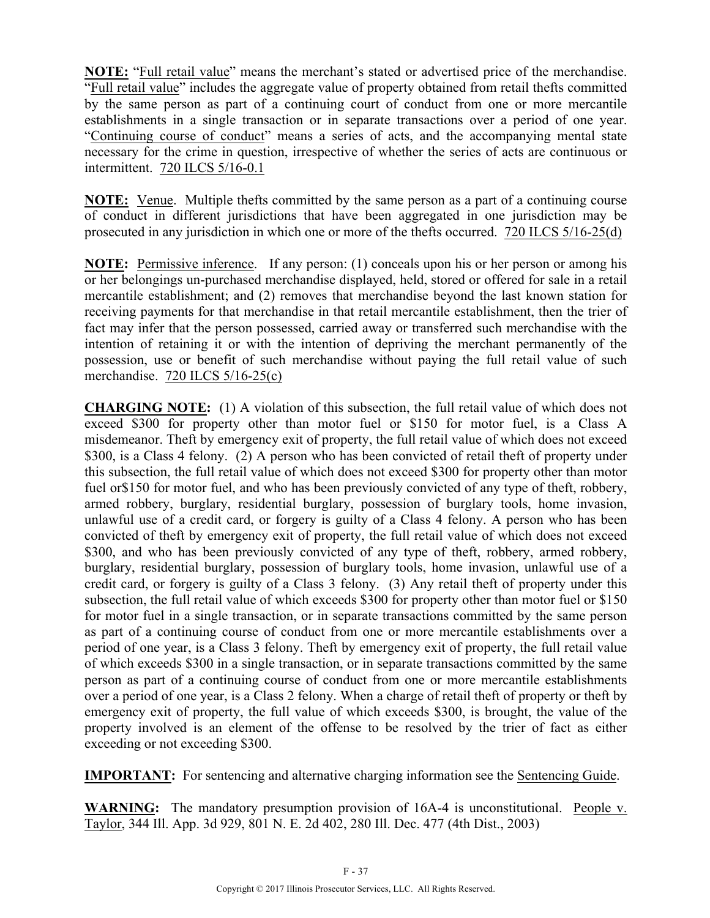**NOTE:** "Full retail value" means the merchant's stated or advertised price of the merchandise. "Full retail value" includes the aggregate value of property obtained from retail thefts committed by the same person as part of a continuing court of conduct from one or more mercantile establishments in a single transaction or in separate transactions over a period of one year. "Continuing course of conduct" means a series of acts, and the accompanying mental state necessary for the crime in question, irrespective of whether the series of acts are continuous or intermittent. 720 ILCS 5/16-0.1

**NOTE:** Venue. Multiple thefts committed by the same person as a part of a continuing course of conduct in different jurisdictions that have been aggregated in one jurisdiction may be prosecuted in any jurisdiction in which one or more of the thefts occurred. 720 ILCS 5/16-25(d)

**NOTE:** Permissive inference. If any person: (1) conceals upon his or her person or among his or her belongings un-purchased merchandise displayed, held, stored or offered for sale in a retail mercantile establishment; and (2) removes that merchandise beyond the last known station for receiving payments for that merchandise in that retail mercantile establishment, then the trier of fact may infer that the person possessed, carried away or transferred such merchandise with the intention of retaining it or with the intention of depriving the merchant permanently of the possession, use or benefit of such merchandise without paying the full retail value of such merchandise. 720 ILCS 5/16-25(c)

**CHARGING NOTE:** (1) A violation of this subsection, the full retail value of which does not exceed \$300 for property other than motor fuel or \$150 for motor fuel, is a Class A misdemeanor. Theft by emergency exit of property, the full retail value of which does not exceed \$300, is a Class 4 felony. (2) A person who has been convicted of retail theft of property under this subsection, the full retail value of which does not exceed \$300 for property other than motor fuel or\$150 for motor fuel, and who has been previously convicted of any type of theft, robbery, armed robbery, burglary, residential burglary, possession of burglary tools, home invasion, unlawful use of a credit card, or forgery is guilty of a Class 4 felony. A person who has been convicted of theft by emergency exit of property, the full retail value of which does not exceed \$300, and who has been previously convicted of any type of theft, robbery, armed robbery, burglary, residential burglary, possession of burglary tools, home invasion, unlawful use of a credit card, or forgery is guilty of a Class 3 felony. (3) Any retail theft of property under this subsection, the full retail value of which exceeds \$300 for property other than motor fuel or \$150 for motor fuel in a single transaction, or in separate transactions committed by the same person as part of a continuing course of conduct from one or more mercantile establishments over a period of one year, is a Class 3 felony. Theft by emergency exit of property, the full retail value of which exceeds \$300 in a single transaction, or in separate transactions committed by the same person as part of a continuing course of conduct from one or more mercantile establishments over a period of one year, is a Class 2 felony. When a charge of retail theft of property or theft by emergency exit of property, the full value of which exceeds \$300, is brought, the value of the property involved is an element of the offense to be resolved by the trier of fact as either exceeding or not exceeding \$300.

**IMPORTANT:** For sentencing and alternative charging information see the Sentencing Guide.

**WARNING:** The mandatory presumption provision of 16A-4 is unconstitutional. People v. Taylor, 344 Ill. App. 3d 929, 801 N. E. 2d 402, 280 Ill. Dec. 477 (4th Dist., 2003)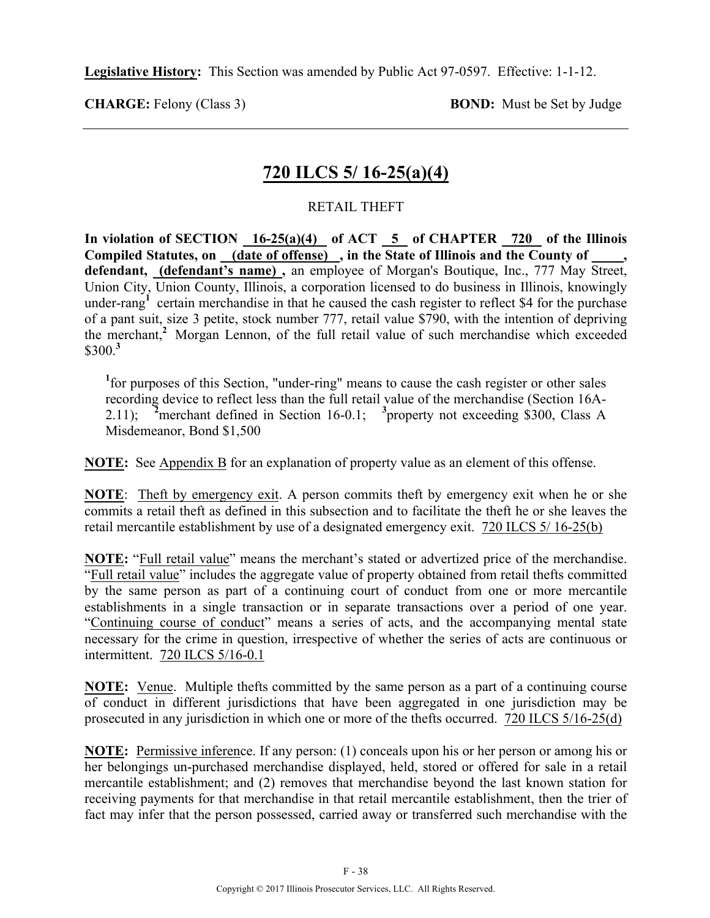**Legislative History:** This Section was amended by Public Act 97-0597. Effective: 1-1-12.

**CHARGE:** Felony (Class 3) **BOND:** Must be Set by Judge

### **720 ILCS 5/ 16-25(a)(4)**

#### RETAIL THEFT

In violation of SECTION  $\frac{16-25(a)(4)}{16-25(a)(4)}$  of ACT  $\frac{5}{5}$  of CHAPTER  $\frac{720}{720}$  of the Illinois Compiled Statutes, on (date of offense), in the State of Illinois and the County of **defendant, (defendant's name) ,** an employee of Morgan's Boutique, Inc., 777 May Street, Union City, Union County, Illinois, a corporation licensed to do business in Illinois, knowingly under-rang<sup>1</sup> certain merchandise in that he caused the cash register to reflect \$4 for the purchase of a pant suit, size 3 petite, stock number 777, retail value \$790, with the intention of depriving the merchant,**<sup>2</sup>**Morgan Lennon, of the full retail value of such merchandise which exceeded \$300.**<sup>3</sup>**

<sup>1</sup> for purposes of this Section, "under-ring" means to cause the cash register or other sales recording device to reflect less than the full retail value of the merchandise (Section 16A-2.11); **<sup>2</sup>** merchant defined in Section 16-0.1; <sup>3</sup> property not exceeding \$300, Class A Misdemeanor, Bond \$1,500

**NOTE:** See Appendix B for an explanation of property value as an element of this offense.

**NOTE**: Theft by emergency exit. A person commits theft by emergency exit when he or she commits a retail theft as defined in this subsection and to facilitate the theft he or she leaves the retail mercantile establishment by use of a designated emergency exit.720 ILCS 5/ 16-25(b)

**NOTE:** "Full retail value" means the merchant's stated or advertized price of the merchandise. "Full retail value" includes the aggregate value of property obtained from retail thefts committed by the same person as part of a continuing court of conduct from one or more mercantile establishments in a single transaction or in separate transactions over a period of one year. "Continuing course of conduct" means a series of acts, and the accompanying mental state necessary for the crime in question, irrespective of whether the series of acts are continuous or intermittent. 720 ILCS 5/16-0.1

**NOTE:** Venue. Multiple thefts committed by the same person as a part of a continuing course of conduct in different jurisdictions that have been aggregated in one jurisdiction may be prosecuted in any jurisdiction in which one or more of the thefts occurred. 720 ILCS 5/16-25(d)

**NOTE:** Permissive inference. If any person: (1) conceals upon his or her person or among his or her belongings un-purchased merchandise displayed, held, stored or offered for sale in a retail mercantile establishment; and (2) removes that merchandise beyond the last known station for receiving payments for that merchandise in that retail mercantile establishment, then the trier of fact may infer that the person possessed, carried away or transferred such merchandise with the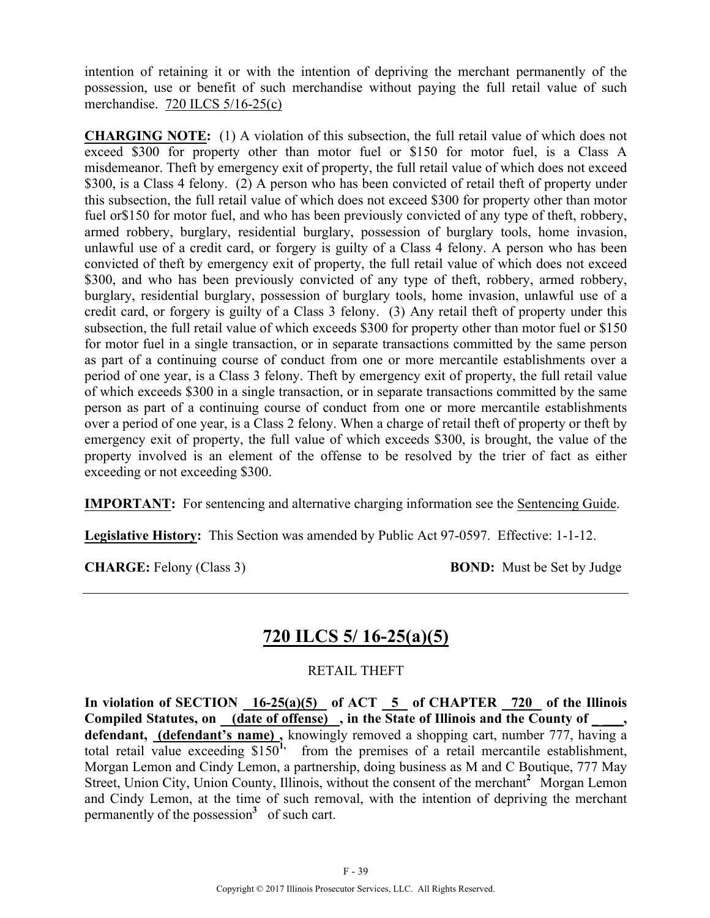intention of retaining it or with the intention of depriving the merchant permanently of the possession, use or benefit of such merchandise without paying the full retail value of such merchandise. 720 ILCS 5/16-25(c)

**CHARGING NOTE:** (1) A violation of this subsection, the full retail value of which does not exceed \$300 for property other than motor fuel or \$150 for motor fuel, is a Class A misdemeanor. Theft by emergency exit of property, the full retail value of which does not exceed \$300, is a Class 4 felony. (2) A person who has been convicted of retail theft of property under this subsection, the full retail value of which does not exceed \$300 for property other than motor fuel or\$150 for motor fuel, and who has been previously convicted of any type of theft, robbery, armed robbery, burglary, residential burglary, possession of burglary tools, home invasion, unlawful use of a credit card, or forgery is guilty of a Class 4 felony. A person who has been convicted of theft by emergency exit of property, the full retail value of which does not exceed \$300, and who has been previously convicted of any type of theft, robbery, armed robbery, burglary, residential burglary, possession of burglary tools, home invasion, unlawful use of a credit card, or forgery is guilty of a Class 3 felony. (3) Any retail theft of property under this subsection, the full retail value of which exceeds \$300 for property other than motor fuel or \$150 for motor fuel in a single transaction, or in separate transactions committed by the same person as part of a continuing course of conduct from one or more mercantile establishments over a period of one year, is a Class 3 felony. Theft by emergency exit of property, the full retail value of which exceeds \$300 in a single transaction, or in separate transactions committed by the same person as part of a continuing course of conduct from one or more mercantile establishments over a period of one year, is a Class 2 felony. When a charge of retail theft of property or theft by emergency exit of property, the full value of which exceeds \$300, is brought, the value of the property involved is an element of the offense to be resolved by the trier of fact as either exceeding or not exceeding \$300.

**IMPORTANT:** For sentencing and alternative charging information see the Sentencing Guide.

**Legislative History:** This Section was amended by Public Act 97-0597. Effective: 1-1-12.

**CHARGE:** Felony (Class 3) **BOND:** Must be Set by Judge

## **720 ILCS 5/ 16-25(a)(5)**

RETAIL THEFT

In violation of SECTION  $16-25(a)(5)$  of ACT  $5$  of CHAPTER  $720$  of the Illinois Compiled Statutes, on (date of offense), in the State of Illinois and the County of defendant, **(defendant's name)**, knowingly removed a shopping cart, number 777, having a total retail value exceeding \$150<sup>1</sup>, from the premises of a retail mercantile establishment, Morgan Lemon and Cindy Lemon, a partnership, doing business as M and C Boutique, 777 May Street, Union City, Union County, Illinois, without the consent of the merchant<sup>2</sup> Morgan Lemon and Cindy Lemon, at the time of such removal, with the intention of depriving the merchant permanently of the possession<sup>3</sup> of such cart.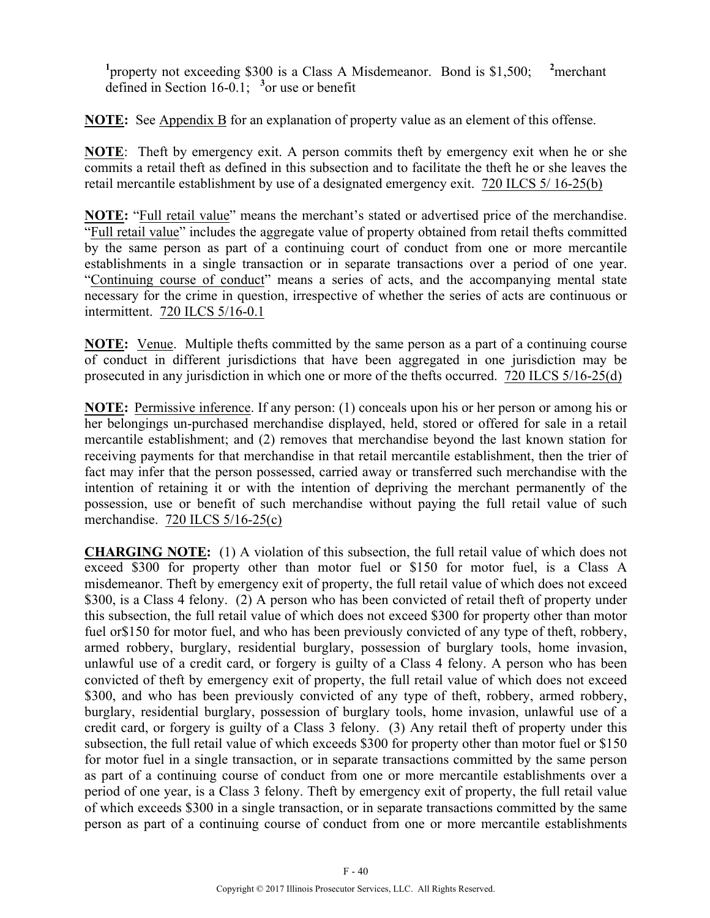<sup>1</sup> property not exceeding \$300 is a Class A Misdemeanor. Bond is \$1,500; <sup>2</sup> <sup>2</sup>merchant defined in Section 16-0.1; **<sup>3</sup>** or use or benefit

**NOTE:** See Appendix B for an explanation of property value as an element of this offense.

**NOTE**: Theft by emergency exit. A person commits theft by emergency exit when he or she commits a retail theft as defined in this subsection and to facilitate the theft he or she leaves the retail mercantile establishment by use of a designated emergency exit.720 ILCS 5/ 16-25(b)

**NOTE:** "Full retail value" means the merchant's stated or advertised price of the merchandise. "Full retail value" includes the aggregate value of property obtained from retail thefts committed by the same person as part of a continuing court of conduct from one or more mercantile establishments in a single transaction or in separate transactions over a period of one year. "Continuing course of conduct" means a series of acts, and the accompanying mental state necessary for the crime in question, irrespective of whether the series of acts are continuous or intermittent. 720 ILCS 5/16-0.1

**NOTE:** Venue. Multiple thefts committed by the same person as a part of a continuing course of conduct in different jurisdictions that have been aggregated in one jurisdiction may be prosecuted in any jurisdiction in which one or more of the thefts occurred. 720 ILCS 5/16-25(d)

**NOTE:** Permissive inference. If any person: (1) conceals upon his or her person or among his or her belongings un-purchased merchandise displayed, held, stored or offered for sale in a retail mercantile establishment; and (2) removes that merchandise beyond the last known station for receiving payments for that merchandise in that retail mercantile establishment, then the trier of fact may infer that the person possessed, carried away or transferred such merchandise with the intention of retaining it or with the intention of depriving the merchant permanently of the possession, use or benefit of such merchandise without paying the full retail value of such merchandise. 720 ILCS 5/16-25(c)

**CHARGING NOTE:** (1) A violation of this subsection, the full retail value of which does not exceed \$300 for property other than motor fuel or \$150 for motor fuel, is a Class A misdemeanor. Theft by emergency exit of property, the full retail value of which does not exceed \$300, is a Class 4 felony. (2) A person who has been convicted of retail theft of property under this subsection, the full retail value of which does not exceed \$300 for property other than motor fuel or\$150 for motor fuel, and who has been previously convicted of any type of theft, robbery, armed robbery, burglary, residential burglary, possession of burglary tools, home invasion, unlawful use of a credit card, or forgery is guilty of a Class 4 felony. A person who has been convicted of theft by emergency exit of property, the full retail value of which does not exceed \$300, and who has been previously convicted of any type of theft, robbery, armed robbery, burglary, residential burglary, possession of burglary tools, home invasion, unlawful use of a credit card, or forgery is guilty of a Class 3 felony. (3) Any retail theft of property under this subsection, the full retail value of which exceeds \$300 for property other than motor fuel or \$150 for motor fuel in a single transaction, or in separate transactions committed by the same person as part of a continuing course of conduct from one or more mercantile establishments over a period of one year, is a Class 3 felony. Theft by emergency exit of property, the full retail value of which exceeds \$300 in a single transaction, or in separate transactions committed by the same person as part of a continuing course of conduct from one or more mercantile establishments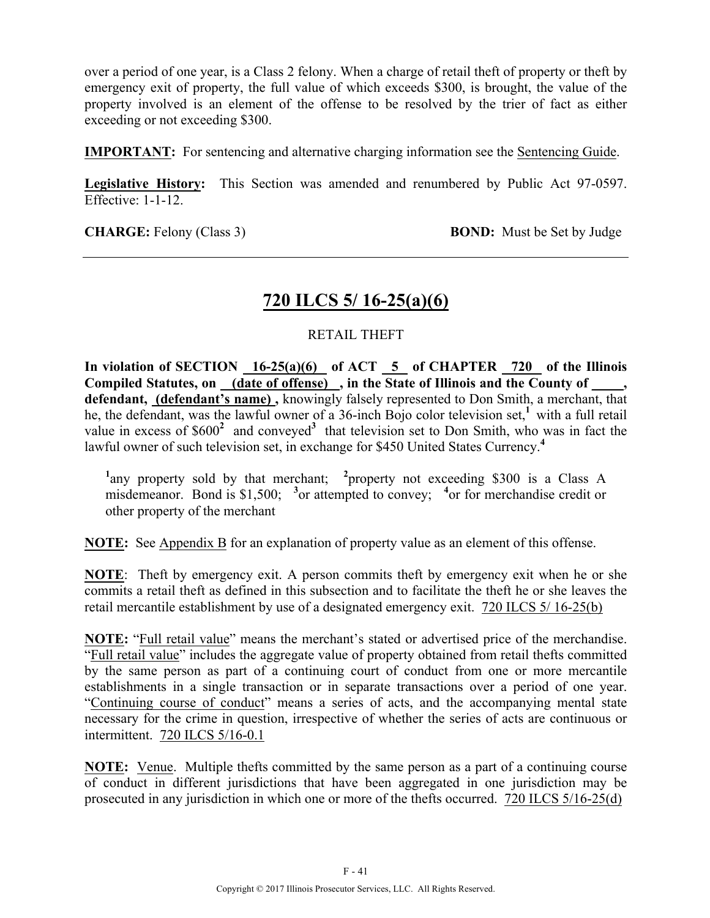over a period of one year, is a Class 2 felony. When a charge of retail theft of property or theft by emergency exit of property, the full value of which exceeds \$300, is brought, the value of the property involved is an element of the offense to be resolved by the trier of fact as either exceeding or not exceeding \$300.

**IMPORTANT:** For sentencing and alternative charging information see the Sentencing Guide.

**Legislative History:** This Section was amended and renumbered by Public Act 97-0597. Effective: 1-1-12.

**CHARGE:** Felony (Class 3) **BOND:** Must be Set by Judge

### **720 ILCS 5/ 16-25(a)(6)**

#### RETAIL THEFT

In violation of SECTION 16-25(a)(6) of ACT 5 of CHAPTER 720 of the Illinois Compiled Statutes, on <u>(date of offense)</u>, in the State of Illinois and the County of **defendant, (defendant's name) ,** knowingly falsely represented to Don Smith, a merchant, that he, the defendant, was the lawful owner of a 36-inch Bojo color television set,<sup>1</sup> with a full retail value in excess of \$600<sup>2</sup> and conveyed<sup>3</sup> that television set to Don Smith, who was in fact the lawful owner of such television set, in exchange for \$450 United States Currency.**<sup>4</sup>**

<sup>1</sup>any property sold by that merchant; <sup>2</sup> property not exceeding \$300 is a Class A misdemeanor. Bond is \$1,500;  $\frac{3}{2}$  or attempted to convey;  $\frac{4}{2}$  or for merchandise credit or other property of the merchant

**NOTE:** See Appendix B for an explanation of property value as an element of this offense.

**NOTE**: Theft by emergency exit. A person commits theft by emergency exit when he or she commits a retail theft as defined in this subsection and to facilitate the theft he or she leaves the retail mercantile establishment by use of a designated emergency exit.720 ILCS 5/ 16-25(b)

**NOTE:** "Full retail value" means the merchant's stated or advertised price of the merchandise. "Full retail value" includes the aggregate value of property obtained from retail thefts committed by the same person as part of a continuing court of conduct from one or more mercantile establishments in a single transaction or in separate transactions over a period of one year. "Continuing course of conduct" means a series of acts, and the accompanying mental state necessary for the crime in question, irrespective of whether the series of acts are continuous or intermittent. 720 ILCS 5/16-0.1

**NOTE:** Venue. Multiple thefts committed by the same person as a part of a continuing course of conduct in different jurisdictions that have been aggregated in one jurisdiction may be prosecuted in any jurisdiction in which one or more of the thefts occurred. 720 ILCS 5/16-25(d)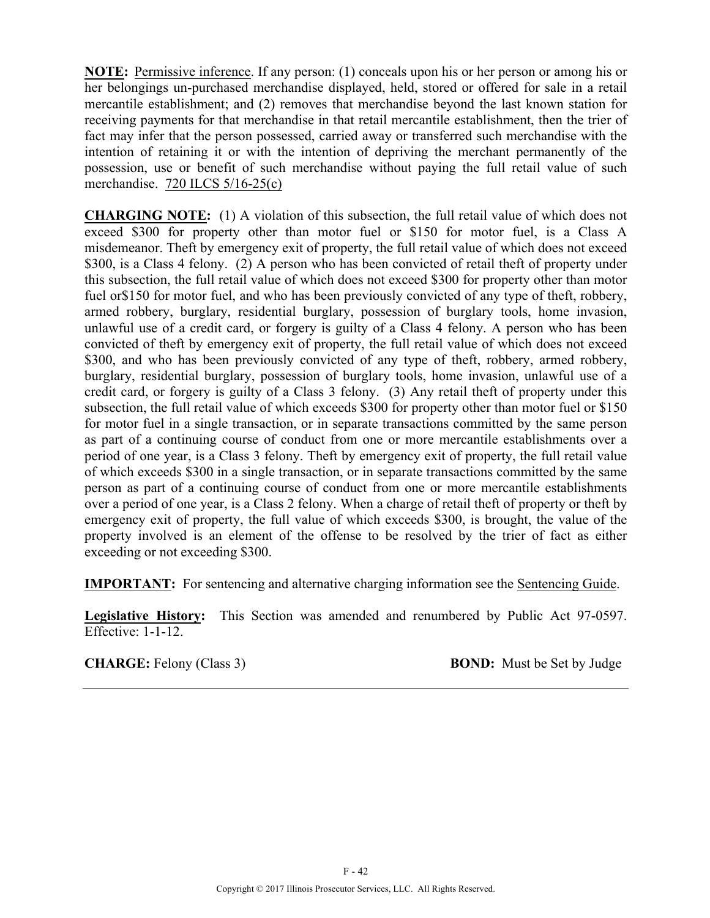**NOTE:** Permissive inference. If any person: (1) conceals upon his or her person or among his or her belongings un-purchased merchandise displayed, held, stored or offered for sale in a retail mercantile establishment; and (2) removes that merchandise beyond the last known station for receiving payments for that merchandise in that retail mercantile establishment, then the trier of fact may infer that the person possessed, carried away or transferred such merchandise with the intention of retaining it or with the intention of depriving the merchant permanently of the possession, use or benefit of such merchandise without paying the full retail value of such merchandise. 720 ILCS 5/16-25(c)

**CHARGING NOTE:** (1) A violation of this subsection, the full retail value of which does not exceed \$300 for property other than motor fuel or \$150 for motor fuel, is a Class A misdemeanor. Theft by emergency exit of property, the full retail value of which does not exceed \$300, is a Class 4 felony. (2) A person who has been convicted of retail theft of property under this subsection, the full retail value of which does not exceed \$300 for property other than motor fuel or\$150 for motor fuel, and who has been previously convicted of any type of theft, robbery, armed robbery, burglary, residential burglary, possession of burglary tools, home invasion, unlawful use of a credit card, or forgery is guilty of a Class 4 felony. A person who has been convicted of theft by emergency exit of property, the full retail value of which does not exceed \$300, and who has been previously convicted of any type of theft, robbery, armed robbery, burglary, residential burglary, possession of burglary tools, home invasion, unlawful use of a credit card, or forgery is guilty of a Class 3 felony. (3) Any retail theft of property under this subsection, the full retail value of which exceeds \$300 for property other than motor fuel or \$150 for motor fuel in a single transaction, or in separate transactions committed by the same person as part of a continuing course of conduct from one or more mercantile establishments over a period of one year, is a Class 3 felony. Theft by emergency exit of property, the full retail value of which exceeds \$300 in a single transaction, or in separate transactions committed by the same person as part of a continuing course of conduct from one or more mercantile establishments over a period of one year, is a Class 2 felony. When a charge of retail theft of property or theft by emergency exit of property, the full value of which exceeds \$300, is brought, the value of the property involved is an element of the offense to be resolved by the trier of fact as either exceeding or not exceeding \$300.

**IMPORTANT:** For sentencing and alternative charging information see the Sentencing Guide.

**Legislative History:** This Section was amended and renumbered by Public Act 97-0597. Effective: 1-1-12.

**CHARGE:** Felony (Class 3) **BOND:** Must be Set by Judge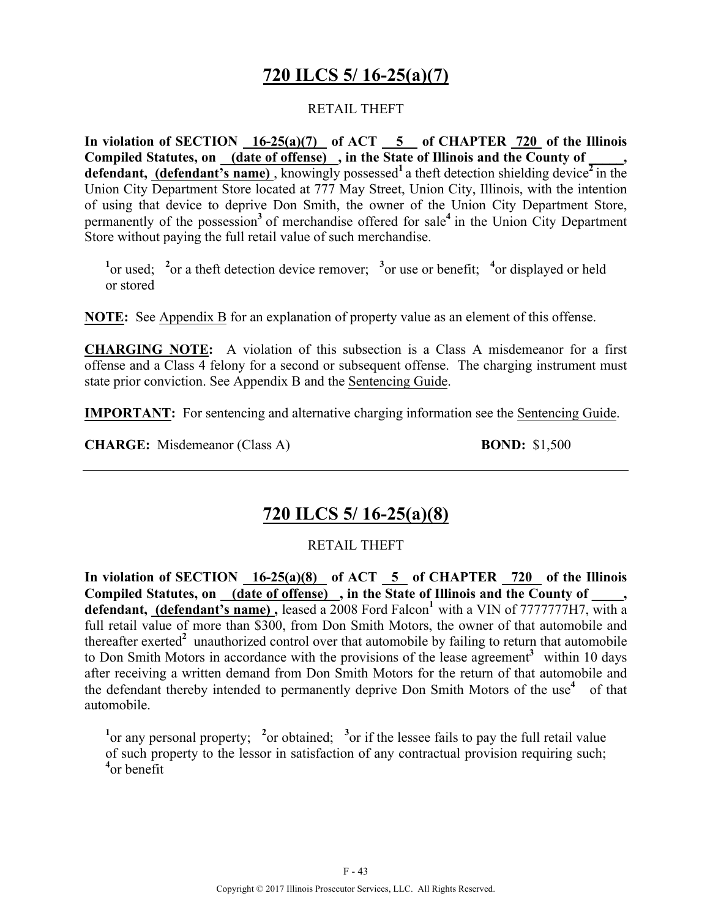### **720 ILCS 5/ 16-25(a)(7)**

#### RETAIL THEFT

**In violation of SECTION 16-25(a)(7) of ACT 5 of CHAPTER 720 of the Illinois**  Compiled Statutes, on (date of offense), in the State of Illinois and the County of **defendant, (defendant's name)**, knowingly possessed<sup>1</sup> a theft detection shielding device<sup> $2$ </sup> in the Union City Department Store located at 777 May Street, Union City, Illinois, with the intention of using that device to deprive Don Smith, the owner of the Union City Department Store, permanently of the possession**<sup>3</sup>**of merchandise offered for sale**<sup>4</sup>**in the Union City Department Store without paying the full retail value of such merchandise.

<sup>1</sup><sup>or used; <sup>2</sup><sup>or</sup> a theft detection device remover; <sup>3</sup><sup>or</sup> use or benefit; <sup>4</sup><sup>or</sup> displayed or held</sup> or stored

**NOTE:** See Appendix B for an explanation of property value as an element of this offense.

**CHARGING NOTE:** A violation of this subsection is a Class A misdemeanor for a first offense and a Class 4 felony for a second or subsequent offense. The charging instrument must state prior conviction. See Appendix B and the Sentencing Guide.

**IMPORTANT:** For sentencing and alternative charging information see the **Sentencing Guide**.

**CHARGE:** Misdemeanor (Class A) **BOND:** \$1,500

### **720 ILCS 5/ 16-25(a)(8)**

#### RETAIL THEFT

**In violation of SECTION 16-25(a)(8) of ACT 5 of CHAPTER 720 of the Illinois**  Compiled Statutes, on (date of offense), in the State of Illinois and the County of defendant, (defendant's name), leased a 2008 Ford Falcon<sup>1</sup> with a VIN of 7777777H7, with a full retail value of more than \$300, from Don Smith Motors, the owner of that automobile and thereafter exerted<sup>2</sup> unauthorized control over that automobile by failing to return that automobile to Don Smith Motors in accordance with the provisions of the lease agreement<sup>3</sup> within 10 days after receiving a written demand from Don Smith Motors for the return of that automobile and the defendant thereby intended to permanently deprive Don Smith Motors of the use<sup>4</sup> of that automobile.

<sup>1</sup> or any personal property; <sup>2</sup> or obtained; <sup>3</sup> or if the lessee fails to pay the full retail value of such property to the lessor in satisfaction of any contractual provision requiring such; **4** or benefit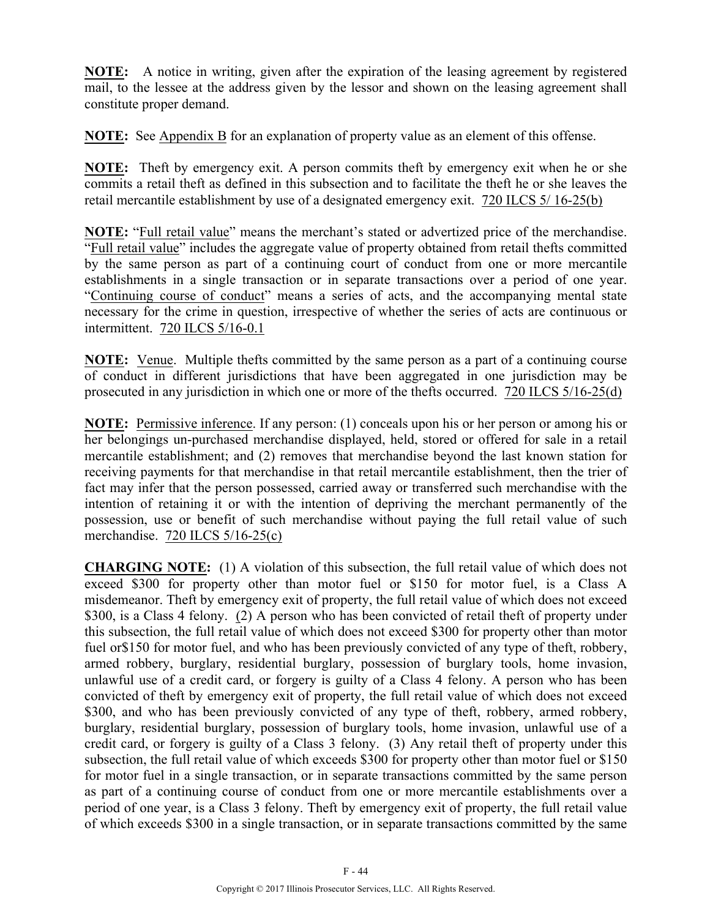**NOTE:** A notice in writing, given after the expiration of the leasing agreement by registered mail, to the lessee at the address given by the lessor and shown on the leasing agreement shall constitute proper demand.

**NOTE:** See Appendix B for an explanation of property value as an element of this offense.

**NOTE:** Theft by emergency exit. A person commits theft by emergency exit when he or she commits a retail theft as defined in this subsection and to facilitate the theft he or she leaves the retail mercantile establishment by use of a designated emergency exit.720 ILCS 5/ 16-25(b)

**NOTE:** "Full retail value" means the merchant's stated or advertized price of the merchandise. "Full retail value" includes the aggregate value of property obtained from retail thefts committed by the same person as part of a continuing court of conduct from one or more mercantile establishments in a single transaction or in separate transactions over a period of one year. "Continuing course of conduct" means a series of acts, and the accompanying mental state necessary for the crime in question, irrespective of whether the series of acts are continuous or intermittent. 720 ILCS 5/16-0.1

**NOTE:** Venue. Multiple thefts committed by the same person as a part of a continuing course of conduct in different jurisdictions that have been aggregated in one jurisdiction may be prosecuted in any jurisdiction in which one or more of the thefts occurred. 720 ILCS 5/16-25(d)

**NOTE:** Permissive inference. If any person: (1) conceals upon his or her person or among his or her belongings un-purchased merchandise displayed, held, stored or offered for sale in a retail mercantile establishment; and (2) removes that merchandise beyond the last known station for receiving payments for that merchandise in that retail mercantile establishment, then the trier of fact may infer that the person possessed, carried away or transferred such merchandise with the intention of retaining it or with the intention of depriving the merchant permanently of the possession, use or benefit of such merchandise without paying the full retail value of such merchandise. 720 ILCS 5/16-25(c)

**CHARGING NOTE:** (1) A violation of this subsection, the full retail value of which does not exceed \$300 for property other than motor fuel or \$150 for motor fuel, is a Class A misdemeanor. Theft by emergency exit of property, the full retail value of which does not exceed \$300, is a Class 4 felony. (2) A person who has been convicted of retail theft of property under this subsection, the full retail value of which does not exceed \$300 for property other than motor fuel or\$150 for motor fuel, and who has been previously convicted of any type of theft, robbery, armed robbery, burglary, residential burglary, possession of burglary tools, home invasion, unlawful use of a credit card, or forgery is guilty of a Class 4 felony. A person who has been convicted of theft by emergency exit of property, the full retail value of which does not exceed \$300, and who has been previously convicted of any type of theft, robbery, armed robbery, burglary, residential burglary, possession of burglary tools, home invasion, unlawful use of a credit card, or forgery is guilty of a Class 3 felony. (3) Any retail theft of property under this subsection, the full retail value of which exceeds \$300 for property other than motor fuel or \$150 for motor fuel in a single transaction, or in separate transactions committed by the same person as part of a continuing course of conduct from one or more mercantile establishments over a period of one year, is a Class 3 felony. Theft by emergency exit of property, the full retail value of which exceeds \$300 in a single transaction, or in separate transactions committed by the same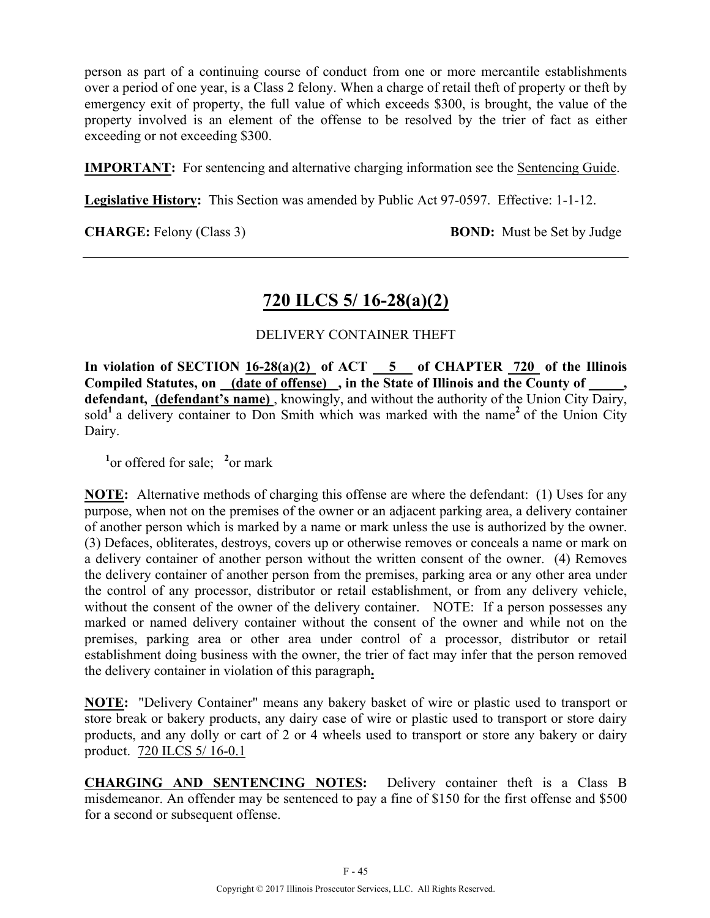person as part of a continuing course of conduct from one or more mercantile establishments over a period of one year, is a Class 2 felony. When a charge of retail theft of property or theft by emergency exit of property, the full value of which exceeds \$300, is brought, the value of the property involved is an element of the offense to be resolved by the trier of fact as either exceeding or not exceeding \$300.

**IMPORTANT:** For sentencing and alternative charging information see the Sentencing Guide.

**Legislative History:** This Section was amended by Public Act 97-0597. Effective: 1-1-12.

**CHARGE:** Felony (Class 3) **BOND:** Must be Set by Judge

### **720 ILCS 5/ 16-28(a)(2)**

#### DELIVERY CONTAINER THEFT

In violation of SECTION  $16-28(a)(2)$  of ACT  $-5$  of CHAPTER  $720$  of the Illinois **Compiled Statutes, on (date of offense) , in the State of Illinois and the County of \_\_\_\_\_, defendant, (defendant's name)** , knowingly, and without the authority of the Union City Dairy, sold<sup>1</sup> a delivery container to Don Smith which was marked with the name<sup>2</sup> of the Union City Dairy.

<sup>1</sup><sup>or</sup> offered for sale; <sup>2</sup><sup>or</sup> mark

**NOTE:** Alternative methods of charging this offense are where the defendant: (1) Uses for any purpose, when not on the premises of the owner or an adjacent parking area, a delivery container of another person which is marked by a name or mark unless the use is authorized by the owner. (3) Defaces, obliterates, destroys, covers up or otherwise removes or conceals a name or mark on a delivery container of another person without the written consent of the owner. (4) Removes the delivery container of another person from the premises, parking area or any other area under the control of any processor, distributor or retail establishment, or from any delivery vehicle, without the consent of the owner of the delivery container. NOTE: If a person possesses any marked or named delivery container without the consent of the owner and while not on the premises, parking area or other area under control of a processor, distributor or retail establishment doing business with the owner, the trier of fact may infer that the person removed the delivery container in violation of this paragraph**.**

**NOTE:** "Delivery Container" means any bakery basket of wire or plastic used to transport or store break or bakery products, any dairy case of wire or plastic used to transport or store dairy products, and any dolly or cart of 2 or 4 wheels used to transport or store any bakery or dairy product. 720 ILCS 5/ 16-0.1

**CHARGING AND SENTENCING NOTES:** Delivery container theft is a Class B misdemeanor. An offender may be sentenced to pay a fine of \$150 for the first offense and \$500 for a second or subsequent offense.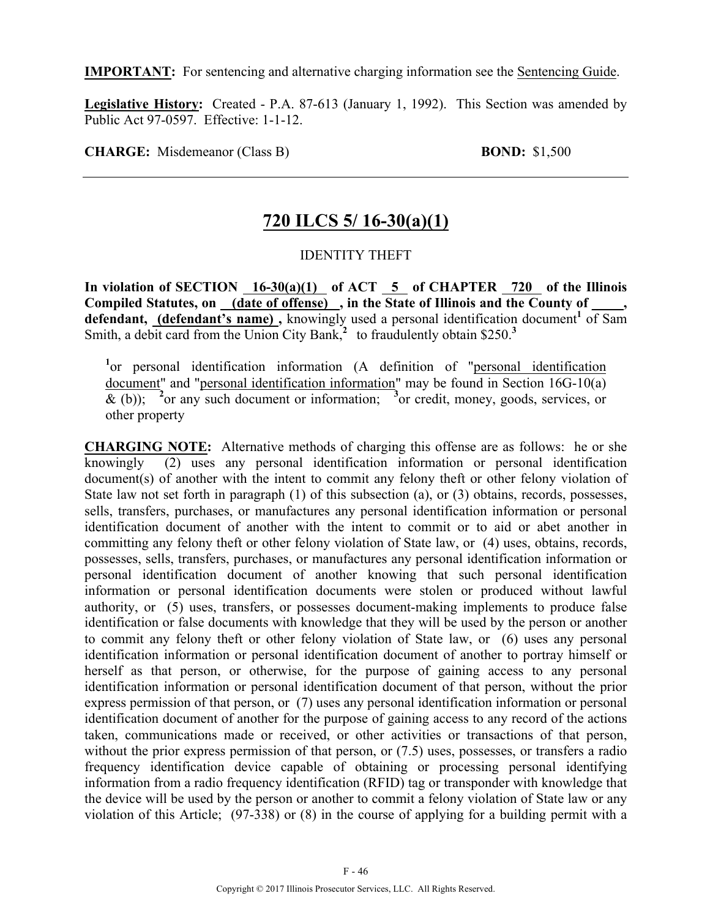**IMPORTANT:** For sentencing and alternative charging information see the Sentencing Guide.

**Legislative History:** Created - P.A. 87-613 (January 1, 1992). This Section was amended by Public Act 97-0597. Effective: 1-1-12.

**CHARGE:** Misdemeanor (Class B) **BOND:** \$1,500

### **720 ILCS 5/ 16-30(a)(1)**

#### IDENTITY THEFT

In violation of SECTION 16-30(a)(1) of ACT 5 of CHAPTER 720 of the Illinois Compiled Statutes, on (date of offense), in the State of Illinois and the County of defendant, (defendant's name), knowingly used a personal identification document<sup>1</sup> of Sam Smith, a debit card from the Union City Bank, $\frac{3}{2}$  to fraudulently obtain \$250.<sup>3</sup>

<sup>1</sup>or personal identification information (A definition of "personal identification document" and "personal identification information" may be found in Section 16G-10(a)  $\&$  (b)); <sup>2</sup> or any such document or information; <sup>3</sup> or credit, money, goods, services, or other property

**CHARGING NOTE:** Alternative methods of charging this offense are as follows: he or she knowingly (2) uses any personal identification information or personal identification document(s) of another with the intent to commit any felony theft or other felony violation of State law not set forth in paragraph (1) of this subsection (a), or (3) obtains, records, possesses, sells, transfers, purchases, or manufactures any personal identification information or personal identification document of another with the intent to commit or to aid or abet another in committing any felony theft or other felony violation of State law, or (4) uses, obtains, records, possesses, sells, transfers, purchases, or manufactures any personal identification information or personal identification document of another knowing that such personal identification information or personal identification documents were stolen or produced without lawful authority, or (5) uses, transfers, or possesses document-making implements to produce false identification or false documents with knowledge that they will be used by the person or another to commit any felony theft or other felony violation of State law, or (6) uses any personal identification information or personal identification document of another to portray himself or herself as that person, or otherwise, for the purpose of gaining access to any personal identification information or personal identification document of that person, without the prior express permission of that person, or (7) uses any personal identification information or personal identification document of another for the purpose of gaining access to any record of the actions taken, communications made or received, or other activities or transactions of that person, without the prior express permission of that person, or  $(7.5)$  uses, possesses, or transfers a radio frequency identification device capable of obtaining or processing personal identifying information from a radio frequency identification (RFID) tag or transponder with knowledge that the device will be used by the person or another to commit a felony violation of State law or any violation of this Article; (97-338) or (8) in the course of applying for a building permit with a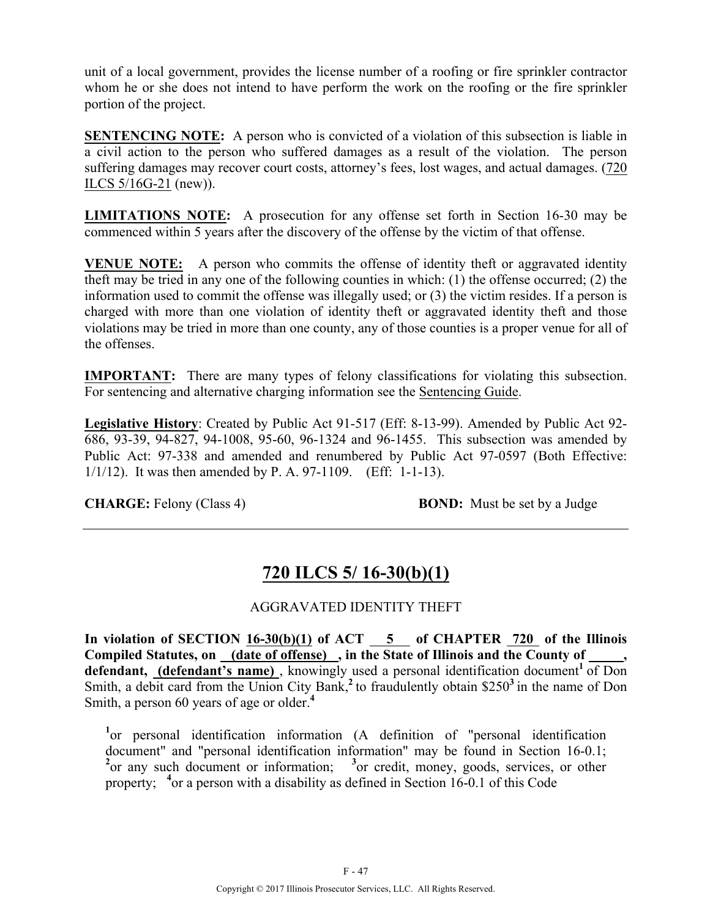unit of a local government, provides the license number of a roofing or fire sprinkler contractor whom he or she does not intend to have perform the work on the roofing or the fire sprinkler portion of the project.

**SENTENCING NOTE:** A person who is convicted of a violation of this subsection is liable in a civil action to the person who suffered damages as a result of the violation. The person suffering damages may recover court costs, attorney's fees, lost wages, and actual damages. (720 ILCS 5/16G-21 (new)).

**LIMITATIONS NOTE:** A prosecution for any offense set forth in Section 16-30 may be commenced within 5 years after the discovery of the offense by the victim of that offense.

**VENUE NOTE:** A person who commits the offense of identity theft or aggravated identity theft may be tried in any one of the following counties in which: (1) the offense occurred; (2) the information used to commit the offense was illegally used; or (3) the victim resides. If a person is charged with more than one violation of identity theft or aggravated identity theft and those violations may be tried in more than one county, any of those counties is a proper venue for all of the offenses.

**IMPORTANT:** There are many types of felony classifications for violating this subsection. For sentencing and alternative charging information see the Sentencing Guide.

**Legislative History**: Created by Public Act 91-517 (Eff: 8-13-99). Amended by Public Act 92- 686, 93-39, 94-827, 94-1008, 95-60, 96-1324 and 96-1455. This subsection was amended by Public Act: 97-338 and amended and renumbered by Public Act 97-0597 (Both Effective: 1/1/12). It was then amended by P. A. 97-1109. (Eff: 1-1-13).

**CHARGE:** Felony (Class 4) **BOND:** Must be set by a Judge

## **720 ILCS 5/ 16-30(b)(1)**

### AGGRAVATED IDENTITY THEFT

**In violation of SECTION 16-30(b)(1) of ACT 5 of CHAPTER 720 of the Illinois Compiled Statutes, on (date of offense) , in the State of Illinois and the County of \_\_\_\_\_,**  defendant, (defendant's name), knowingly used a personal identification document<sup>1</sup> of Don Smith, a debit card from the Union City Bank,<sup>2</sup> to fraudulently obtain \$250<sup>3</sup> in the name of Don Smith, a person 60 years of age or older.**<sup>4</sup>**

<sup>1</sup>or personal identification information (A definition of "personal identification document" and "personal identification information" may be found in Section 16-0.1; <sup>2</sup> or any such document or information; <sup>3</sup> or credit, money, goods, services, or other property; <sup>4</sup> or a person with a disability as defined in Section 16-0.1 of this Code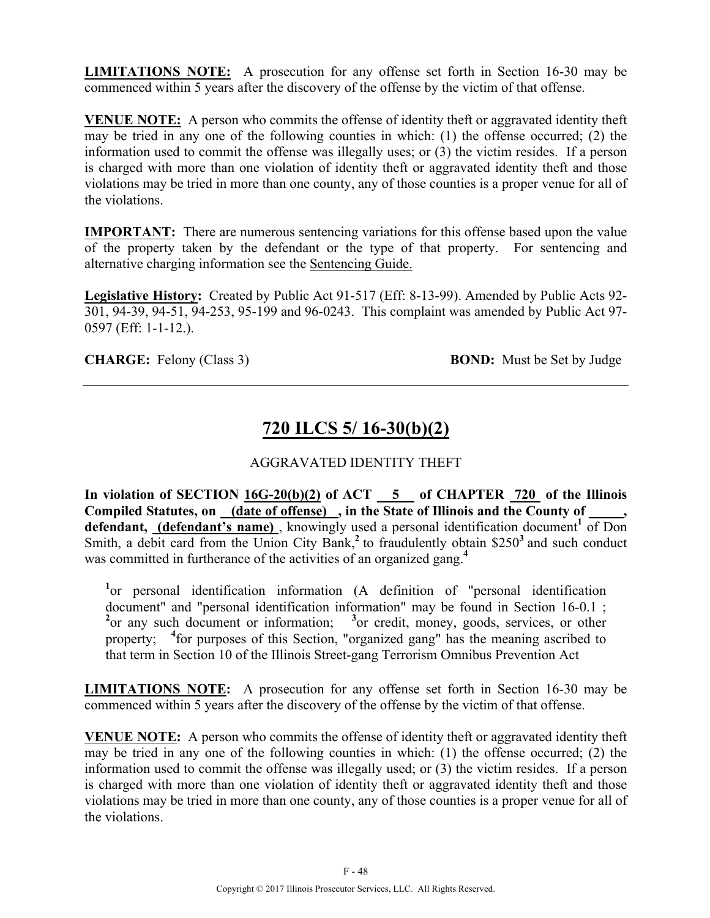**LIMITATIONS NOTE:** A prosecution for any offense set forth in Section 16-30 may be commenced within 5 years after the discovery of the offense by the victim of that offense.

**VENUE NOTE:** A person who commits the offense of identity theft or aggravated identity theft may be tried in any one of the following counties in which: (1) the offense occurred; (2) the information used to commit the offense was illegally uses; or (3) the victim resides. If a person is charged with more than one violation of identity theft or aggravated identity theft and those violations may be tried in more than one county, any of those counties is a proper venue for all of the violations.

**IMPORTANT:** There are numerous sentencing variations for this offense based upon the value of the property taken by the defendant or the type of that property.For sentencing and alternative charging information see the Sentencing Guide.

**Legislative History:** Created by Public Act 91-517 (Eff: 8-13-99). Amended by Public Acts 92- 301, 94-39, 94-51, 94-253, 95-199 and 96-0243. This complaint was amended by Public Act 97- 0597 (Eff: 1-1-12.).

**CHARGE:** Felony (Class 3) **BOND:** Must be Set by Judge

# **720 ILCS 5/ 16-30(b)(2)**

### AGGRAVATED IDENTITY THEFT

In violation of SECTION  $16G-20(b)(2)$  of ACT  $-5$  of CHAPTER  $720$  of the Illinois **Compiled Statutes, on (date of offense) , in the State of Illinois and the County of \_\_\_\_\_,**  defendant, (defendant's name), knowingly used a personal identification document<sup>1</sup> of Don Smith, a debit card from the Union City Bank,<sup>2</sup> to fraudulently obtain \$250<sup>3</sup> and such conduct was committed in furtherance of the activities of an organized gang.<sup>4</sup>

<sup>1</sup>or personal identification information (A definition of "personal identification document" and "personal identification information" may be found in Section 16-0.1 ; <sup>2</sup> or any such document or information; <sup>3</sup> or credit, money, goods, services, or other property; <sup>4</sup> for purposes of this Section, "organized gang" has the meaning ascribed to that term in Section 10 of the Illinois Street-gang Terrorism Omnibus Prevention Act

**LIMITATIONS NOTE:** A prosecution for any offense set forth in Section 16-30 may be commenced within 5 years after the discovery of the offense by the victim of that offense.

**VENUE NOTE:** A person who commits the offense of identity theft or aggravated identity theft may be tried in any one of the following counties in which: (1) the offense occurred; (2) the information used to commit the offense was illegally used; or (3) the victim resides. If a person is charged with more than one violation of identity theft or aggravated identity theft and those violations may be tried in more than one county, any of those counties is a proper venue for all of the violations.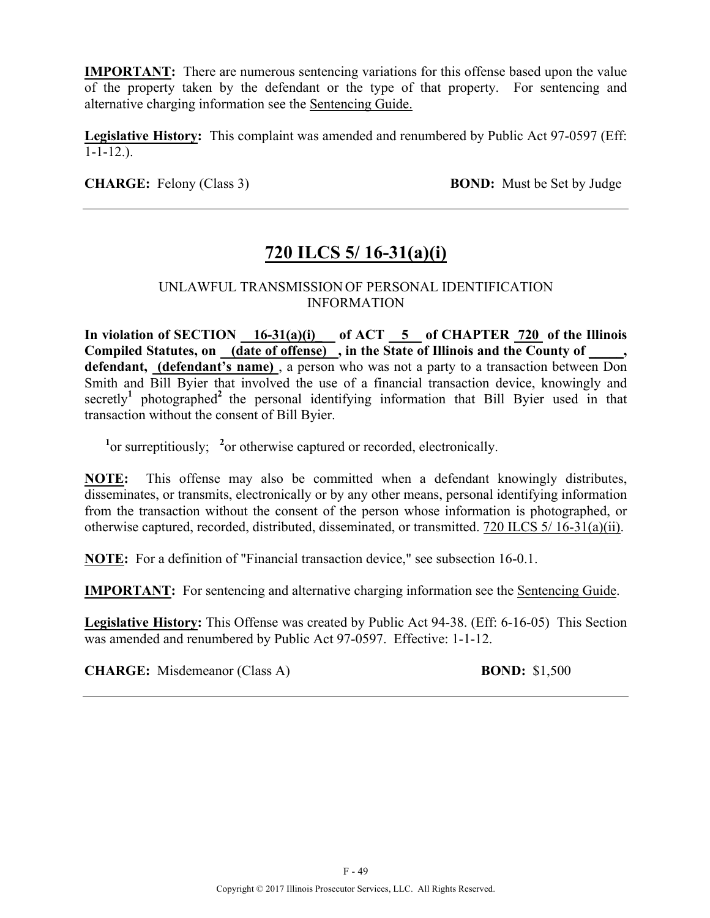**IMPORTANT:** There are numerous sentencing variations for this offense based upon the value of the property taken by the defendant or the type of that property. For sentencing and alternative charging information see the Sentencing Guide.

**Legislative History:** This complaint was amended and renumbered by Public Act 97-0597 (Eff:  $1 - 1 - 12.$ ).

**CHARGE:** Felony (Class 3) **BOND:** Must be Set by Judge

# **720 ILCS 5/ 16-31(a)(i)**

#### UNLAWFUL TRANSMISSION OF PERSONAL IDENTIFICATION INFORMATION

In violation of SECTION  $16-31(a)(i)$  of ACT  $5$  of CHAPTER 720 of the Illinois **Compiled Statutes, on (date of offense) , in the State of Illinois and the County of \_\_\_\_\_, defendant, (defendant's name)** , a person who was not a party to a transaction between Don Smith and Bill Byier that involved the use of a financial transaction device, knowingly and secretly<sup>1</sup> photographed<sup>2</sup> the personal identifying information that Bill Byier used in that transaction without the consent of Bill Byier.

<sup>1</sup><sup>or</sup> surreptitiously; <sup>2</sup><sup>or</sup> otherwise captured or recorded, electronically.

**NOTE:** This offense may also be committed when a defendant knowingly distributes, disseminates, or transmits, electronically or by any other means, personal identifying information from the transaction without the consent of the person whose information is photographed, or otherwise captured, recorded, distributed, disseminated, or transmitted. 720 ILCS 5/ 16-31(a)(ii).

**NOTE:** For a definition of "Financial transaction device," see subsection 16-0.1.

**IMPORTANT:** For sentencing and alternative charging information see the Sentencing Guide.

**Legislative History:** This Offense was created by Public Act 94-38. (Eff: 6-16-05) This Section was amended and renumbered by Public Act 97-0597. Effective: 1-1-12.

**CHARGE:** Misdemeanor (Class A) **BOND:** \$1,500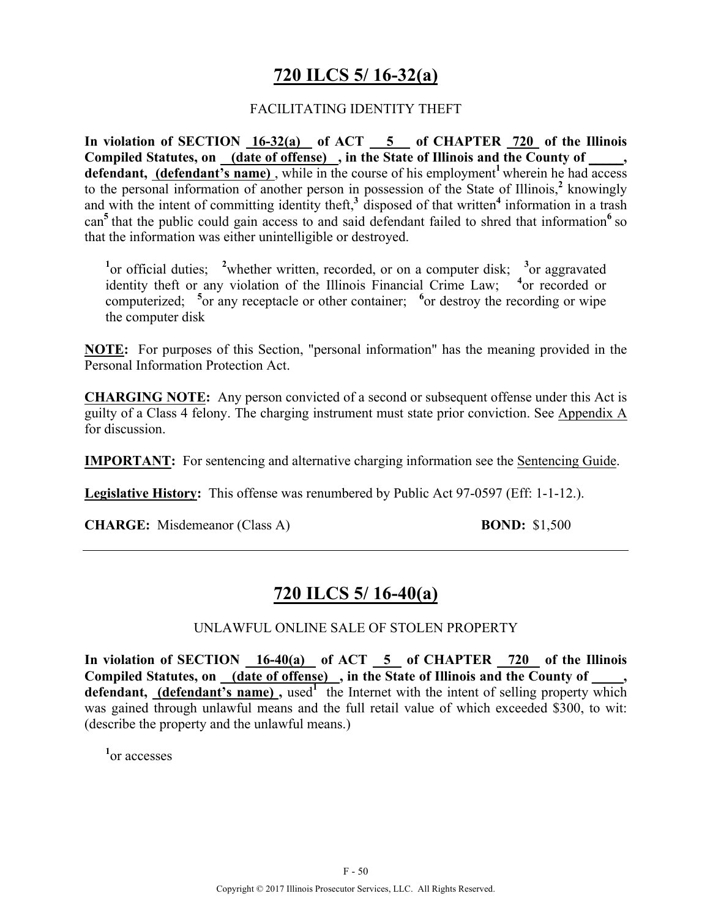## **720 ILCS 5/ 16-32(a)**

#### FACILITATING IDENTITY THEFT

**In violation of SECTION 16-32(a) of ACT 5 of CHAPTER 720 of the Illinois Compiled Statutes, on (date of offense) , in the State of Illinois and the County of \_\_\_\_\_, defendant, (defendant's name)**, while in the course of his employment<sup>1</sup> wherein he had access to the personal information of another person in possession of the State of Illinois,**<sup>2</sup>** knowingly and with the intent of committing identity theft,**<sup>3</sup>**disposed of that written**<sup>4</sup>** information in a trash can<sup>5</sup> that the public could gain access to and said defendant failed to shred that information<sup>6</sup> so that the information was either unintelligible or destroyed.

<sup>1</sup> or official duties; <sup>2</sup> whether written, recorded, or on a computer disk; <sup>3</sup> or aggravated identity theft or any violation of the Illinois Financial Crime Law; <sup>4</sup> or recorded or computerized; <sup>5</sup> or any receptacle or other container; <sup>6</sup> or destroy the recording or wipe the computer disk

**NOTE:** For purposes of this Section, "personal information" has the meaning provided in the Personal Information Protection Act.

**CHARGING NOTE:** Any person convicted of a second or subsequent offense under this Act is guilty of a Class 4 felony. The charging instrument must state prior conviction. See Appendix A for discussion.

**IMPORTANT:** For sentencing and alternative charging information see the Sentencing Guide.

**Legislative History:** This offense was renumbered by Public Act 97-0597 (Eff: 1-1-12.).

**CHARGE:** Misdemeanor (Class A) **BOND:** \$1,500

## **720 ILCS 5/ 16-40(a)**

#### UNLAWFUL ONLINE SALE OF STOLEN PROPERTY

**In violation of SECTION 16-40(a) of ACT 5 of CHAPTER 720 of the Illinois**  Compiled Statutes, on (date of offense), in the State of Illinois and the County of **defendant, (defendant's name),** used<sup>1</sup> the Internet with the intent of selling property which was gained through unlawful means and the full retail value of which exceeded \$300, to wit: (describe the property and the unlawful means.)

**1** or accesses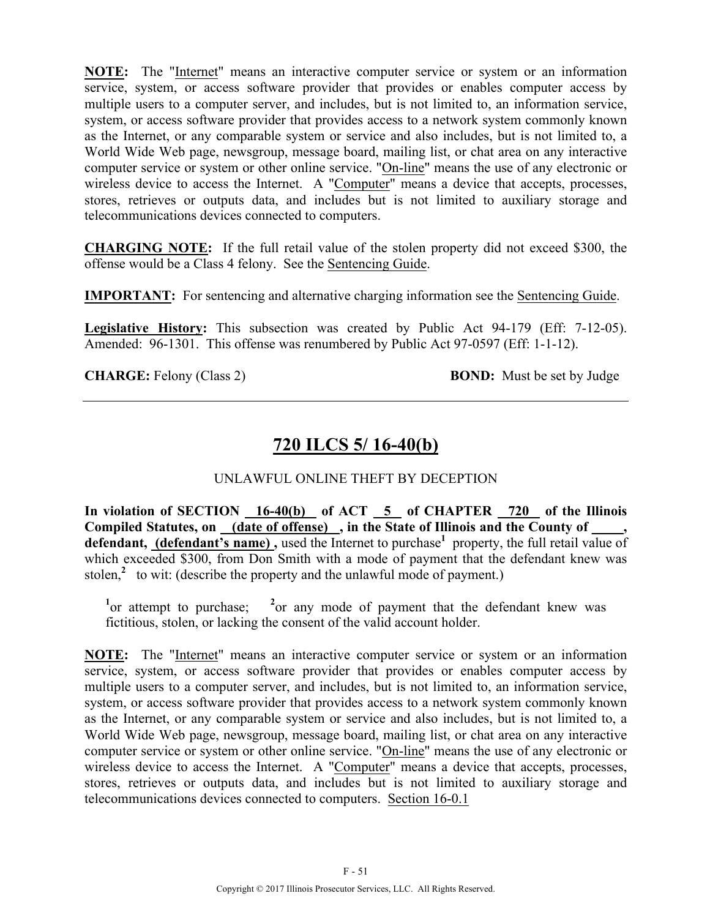**NOTE:** The "Internet" means an interactive computer service or system or an information service, system, or access software provider that provides or enables computer access by multiple users to a computer server, and includes, but is not limited to, an information service, system, or access software provider that provides access to a network system commonly known as the Internet, or any comparable system or service and also includes, but is not limited to, a World Wide Web page, newsgroup, message board, mailing list, or chat area on any interactive computer service or system or other online service. "On-line" means the use of any electronic or wireless device to access the Internet. A "Computer" means a device that accepts, processes, stores, retrieves or outputs data, and includes but is not limited to auxiliary storage and telecommunications devices connected to computers.

**CHARGING NOTE:** If the full retail value of the stolen property did not exceed \$300, the offense would be a Class 4 felony. See the Sentencing Guide.

**IMPORTANT:** For sentencing and alternative charging information see the Sentencing Guide.

**Legislative History:** This subsection was created by Public Act 94-179 (Eff: 7-12-05). Amended: 96-1301. This offense was renumbered by Public Act 97-0597 (Eff: 1-1-12).

**CHARGE:** Felony (Class 2) **BOND:** Must be set by Judge

# **720 ILCS 5/ 16-40(b)**

### UNLAWFUL ONLINE THEFT BY DECEPTION

**In violation of SECTION 16-40(b) of ACT 5 of CHAPTER 720 of the Illinois Compiled Statutes, on (date of offense) , in the State of Illinois and the County of \_ \_\_\_,**  defendant, (defendant's name), used the Internet to purchase<sup>1</sup> property, the full retail value of which exceeded \$300, from Don Smith with a mode of payment that the defendant knew was stolen, $\lambda$  to wit: (describe the property and the unlawful mode of payment.)

<sup>1</sup> or attempt to purchase; <sup>2</sup> or any mode of payment that the defendant knew was fictitious, stolen, or lacking the consent of the valid account holder.

**NOTE:** The "Internet" means an interactive computer service or system or an information service, system, or access software provider that provides or enables computer access by multiple users to a computer server, and includes, but is not limited to, an information service, system, or access software provider that provides access to a network system commonly known as the Internet, or any comparable system or service and also includes, but is not limited to, a World Wide Web page, newsgroup, message board, mailing list, or chat area on any interactive computer service or system or other online service. "On-line" means the use of any electronic or wireless device to access the Internet. A "Computer" means a device that accepts, processes, stores, retrieves or outputs data, and includes but is not limited to auxiliary storage and telecommunications devices connected to computers. Section 16-0.1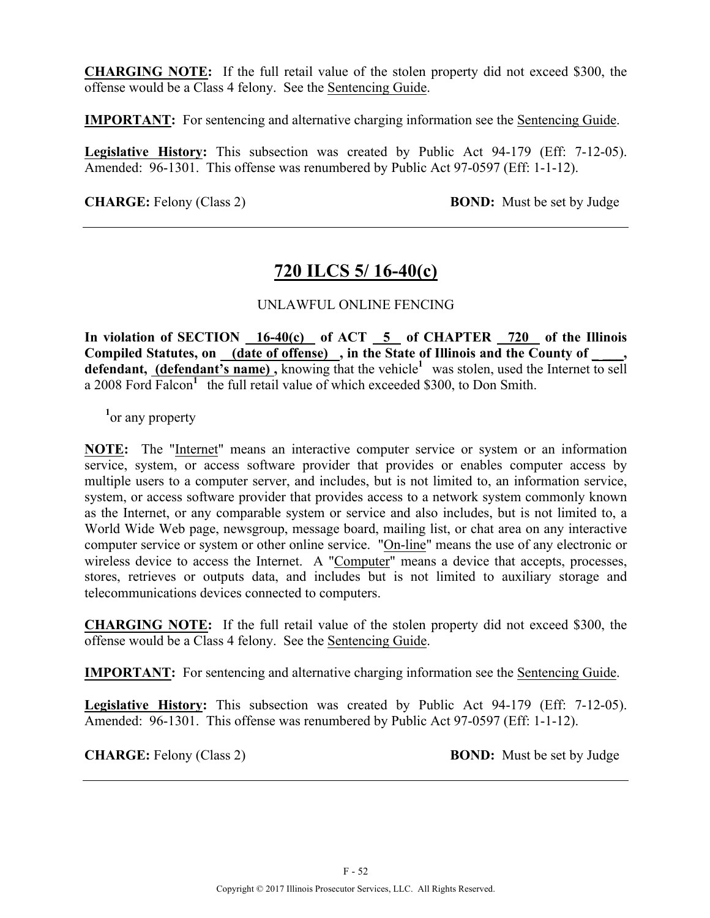**CHARGING NOTE:** If the full retail value of the stolen property did not exceed \$300, the offense would be a Class 4 felony. See the Sentencing Guide.

**IMPORTANT:** For sentencing and alternative charging information see the Sentencing Guide.

**Legislative History:** This subsection was created by Public Act 94-179 (Eff: 7-12-05). Amended: 96-1301. This offense was renumbered by Public Act 97-0597 (Eff: 1-1-12).

**CHARGE:** Felony (Class 2) **BOND:** Must be set by Judge

### **720 ILCS 5/ 16-40(c)**

#### UNLAWFUL ONLINE FENCING

In violation of SECTION 16-40(c) of ACT 5 of CHAPTER 720 of the Illinois Compiled Statutes, on (date of offense), in the State of Illinois and the County of **defendant, (defendant's name),** knowing that the vehicle<sup>1</sup> was stolen, used the Internet to sell a 2008 Ford Falcon**<sup>1</sup>**the full retail value of which exceeded \$300, to Don Smith.

<sup>1</sup><sup>or</sup> any property

**NOTE:** The "Internet" means an interactive computer service or system or an information service, system, or access software provider that provides or enables computer access by multiple users to a computer server, and includes, but is not limited to, an information service, system, or access software provider that provides access to a network system commonly known as the Internet, or any comparable system or service and also includes, but is not limited to, a World Wide Web page, newsgroup, message board, mailing list, or chat area on any interactive computer service or system or other online service. "On-line" means the use of any electronic or wireless device to access the Internet. A "Computer" means a device that accepts, processes, stores, retrieves or outputs data, and includes but is not limited to auxiliary storage and telecommunications devices connected to computers.

**CHARGING NOTE:** If the full retail value of the stolen property did not exceed \$300, the offense would be a Class 4 felony. See the Sentencing Guide.

**IMPORTANT:** For sentencing and alternative charging information see the Sentencing Guide.

**Legislative History:** This subsection was created by Public Act 94-179 (Eff: 7-12-05). Amended: 96-1301. This offense was renumbered by Public Act 97-0597 (Eff: 1-1-12).

**CHARGE:** Felony (Class 2) **BOND:** Must be set by Judge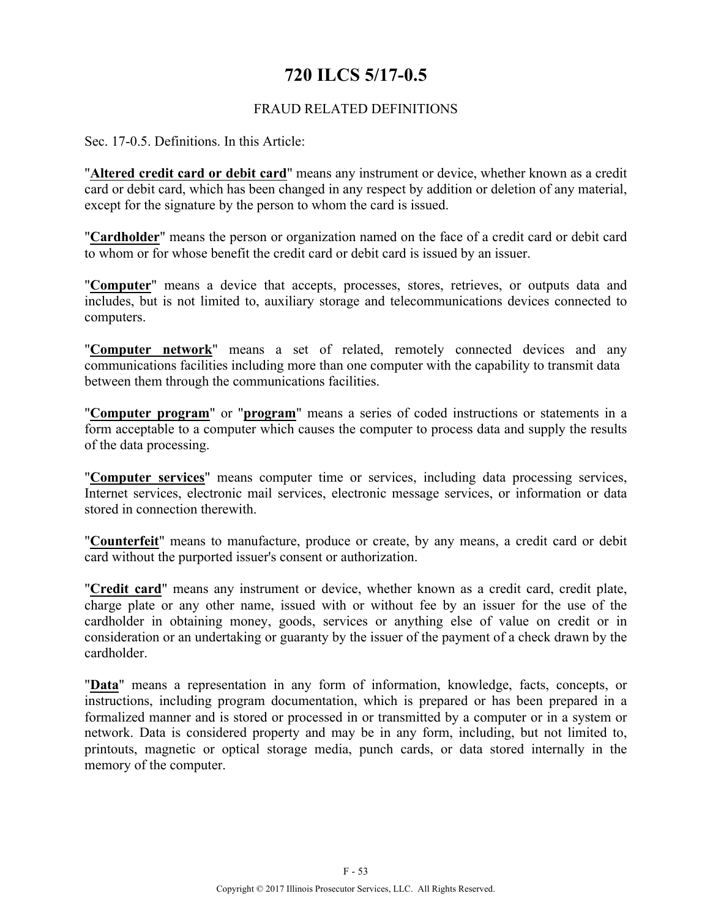### **720 ILCS 5/17-0.5**

#### FRAUD RELATED DEFINITIONS

Sec. 17-0.5. Definitions. In this Article:

"**Altered credit card or debit card**" means any instrument or device, whether known as a credit card or debit card, which has been changed in any respect by addition or deletion of any material, except for the signature by the person to whom the card is issued.

"**Cardholder**" means the person or organization named on the face of a credit card or debit card to whom or for whose benefit the credit card or debit card is issued by an issuer.

"**Computer**" means a device that accepts, processes, stores, retrieves, or outputs data and includes, but is not limited to, auxiliary storage and telecommunications devices connected to computers.

"**Computer network**" means a set of related, remotely connected devices and any communications facilities including more than one computer with the capability to transmit data between them through the communications facilities.

"**Computer program**" or "**program**" means a series of coded instructions or statements in a form acceptable to a computer which causes the computer to process data and supply the results of the data processing.

"**Computer services**" means computer time or services, including data processing services, Internet services, electronic mail services, electronic message services, or information or data stored in connection therewith.

"**Counterfeit**" means to manufacture, produce or create, by any means, a credit card or debit card without the purported issuer's consent or authorization.

"**Credit card**" means any instrument or device, whether known as a credit card, credit plate, charge plate or any other name, issued with or without fee by an issuer for the use of the cardholder in obtaining money, goods, services or anything else of value on credit or in consideration or an undertaking or guaranty by the issuer of the payment of a check drawn by the cardholder.

"**Data**" means a representation in any form of information, knowledge, facts, concepts, or instructions, including program documentation, which is prepared or has been prepared in a formalized manner and is stored or processed in or transmitted by a computer or in a system or network. Data is considered property and may be in any form, including, but not limited to, printouts, magnetic or optical storage media, punch cards, or data stored internally in the memory of the computer.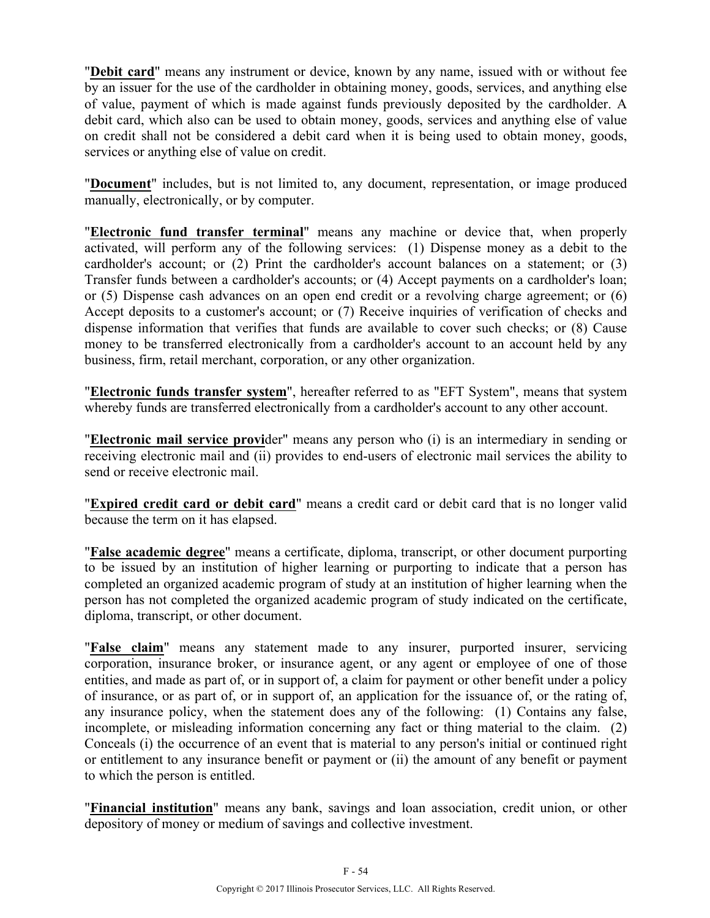"**Debit card**" means any instrument or device, known by any name, issued with or without fee by an issuer for the use of the cardholder in obtaining money, goods, services, and anything else of value, payment of which is made against funds previously deposited by the cardholder. A debit card, which also can be used to obtain money, goods, services and anything else of value on credit shall not be considered a debit card when it is being used to obtain money, goods, services or anything else of value on credit.

"**Document**" includes, but is not limited to, any document, representation, or image produced manually, electronically, or by computer.

"**Electronic fund transfer terminal**" means any machine or device that, when properly activated, will perform any of the following services: (1) Dispense money as a debit to the cardholder's account; or (2) Print the cardholder's account balances on a statement; or (3) Transfer funds between a cardholder's accounts; or (4) Accept payments on a cardholder's loan; or (5) Dispense cash advances on an open end credit or a revolving charge agreement; or (6) Accept deposits to a customer's account; or (7) Receive inquiries of verification of checks and dispense information that verifies that funds are available to cover such checks; or (8) Cause money to be transferred electronically from a cardholder's account to an account held by any business, firm, retail merchant, corporation, or any other organization.

"**Electronic funds transfer system**", hereafter referred to as "EFT System", means that system whereby funds are transferred electronically from a cardholder's account to any other account.

"**Electronic mail service provi**der" means any person who (i) is an intermediary in sending or receiving electronic mail and (ii) provides to end-users of electronic mail services the ability to send or receive electronic mail.

"**Expired credit card or debit card**" means a credit card or debit card that is no longer valid because the term on it has elapsed.

"**False academic degree**" means a certificate, diploma, transcript, or other document purporting to be issued by an institution of higher learning or purporting to indicate that a person has completed an organized academic program of study at an institution of higher learning when the person has not completed the organized academic program of study indicated on the certificate, diploma, transcript, or other document.

"**False claim**" means any statement made to any insurer, purported insurer, servicing corporation, insurance broker, or insurance agent, or any agent or employee of one of those entities, and made as part of, or in support of, a claim for payment or other benefit under a policy of insurance, or as part of, or in support of, an application for the issuance of, or the rating of, any insurance policy, when the statement does any of the following: (1) Contains any false, incomplete, or misleading information concerning any fact or thing material to the claim. (2) Conceals (i) the occurrence of an event that is material to any person's initial or continued right or entitlement to any insurance benefit or payment or (ii) the amount of any benefit or payment to which the person is entitled.

"**Financial institution**" means any bank, savings and loan association, credit union, or other depository of money or medium of savings and collective investment.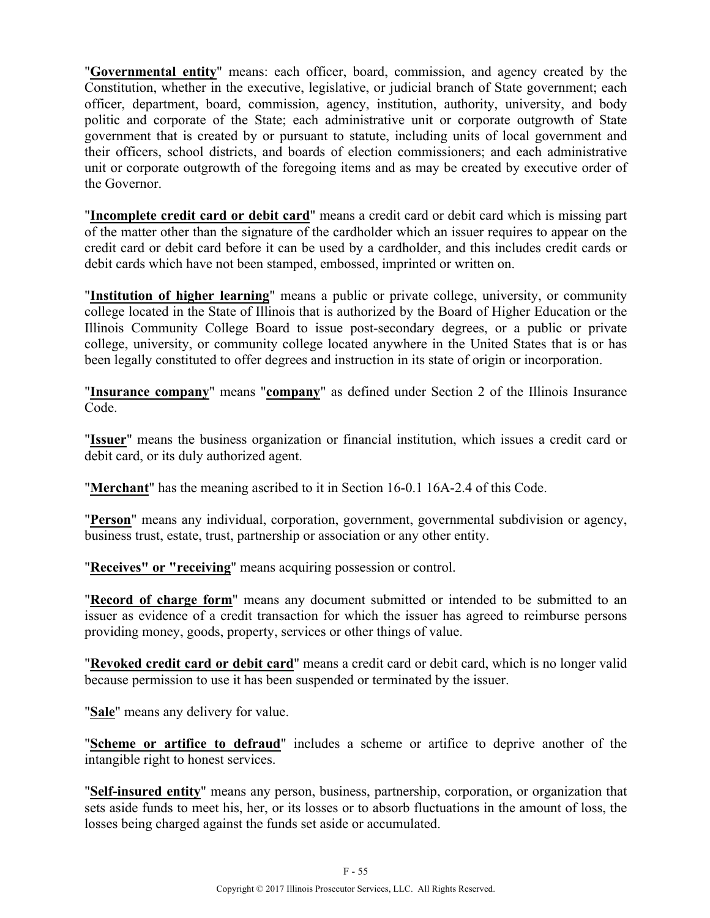"**Governmental entity**" means: each officer, board, commission, and agency created by the Constitution, whether in the executive, legislative, or judicial branch of State government; each officer, department, board, commission, agency, institution, authority, university, and body politic and corporate of the State; each administrative unit or corporate outgrowth of State government that is created by or pursuant to statute, including units of local government and their officers, school districts, and boards of election commissioners; and each administrative unit or corporate outgrowth of the foregoing items and as may be created by executive order of the Governor.

"**Incomplete credit card or debit card**" means a credit card or debit card which is missing part of the matter other than the signature of the cardholder which an issuer requires to appear on the credit card or debit card before it can be used by a cardholder, and this includes credit cards or debit cards which have not been stamped, embossed, imprinted or written on.

"**Institution of higher learning**" means a public or private college, university, or community college located in the State of Illinois that is authorized by the Board of Higher Education or the Illinois Community College Board to issue post-secondary degrees, or a public or private college, university, or community college located anywhere in the United States that is or has been legally constituted to offer degrees and instruction in its state of origin or incorporation.

"**Insurance company**" means "**company**" as defined under Section 2 of the Illinois Insurance Code.

"**Issuer**" means the business organization or financial institution, which issues a credit card or debit card, or its duly authorized agent.

"**Merchant**" has the meaning ascribed to it in Section 16-0.1 16A-2.4 of this Code.

"**Person**" means any individual, corporation, government, governmental subdivision or agency, business trust, estate, trust, partnership or association or any other entity.

"**Receives" or "receiving**" means acquiring possession or control.

"**Record of charge form**" means any document submitted or intended to be submitted to an issuer as evidence of a credit transaction for which the issuer has agreed to reimburse persons providing money, goods, property, services or other things of value.

"**Revoked credit card or debit card**" means a credit card or debit card, which is no longer valid because permission to use it has been suspended or terminated by the issuer.

"**Sale**" means any delivery for value.

"**Scheme or artifice to defraud**" includes a scheme or artifice to deprive another of the intangible right to honest services.

"**Self-insured entity**" means any person, business, partnership, corporation, or organization that sets aside funds to meet his, her, or its losses or to absorb fluctuations in the amount of loss, the losses being charged against the funds set aside or accumulated.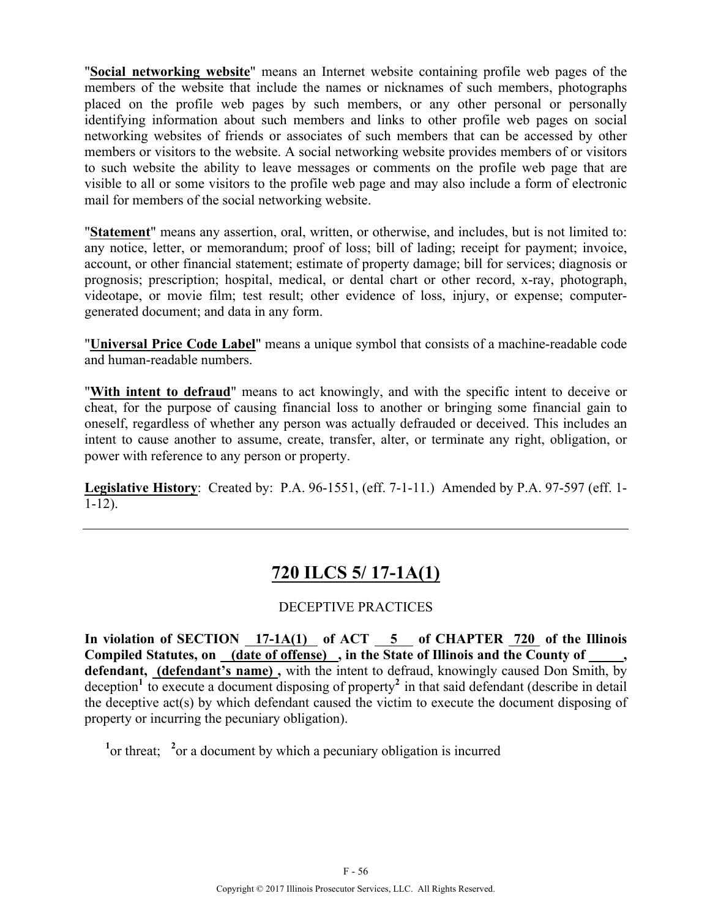"**Social networking website**" means an Internet website containing profile web pages of the members of the website that include the names or nicknames of such members, photographs placed on the profile web pages by such members, or any other personal or personally identifying information about such members and links to other profile web pages on social networking websites of friends or associates of such members that can be accessed by other members or visitors to the website. A social networking website provides members of or visitors to such website the ability to leave messages or comments on the profile web page that are visible to all or some visitors to the profile web page and may also include a form of electronic mail for members of the social networking website.

"**Statement**" means any assertion, oral, written, or otherwise, and includes, but is not limited to: any notice, letter, or memorandum; proof of loss; bill of lading; receipt for payment; invoice, account, or other financial statement; estimate of property damage; bill for services; diagnosis or prognosis; prescription; hospital, medical, or dental chart or other record, x-ray, photograph, videotape, or movie film; test result; other evidence of loss, injury, or expense; computergenerated document; and data in any form.

"**Universal Price Code Label**" means a unique symbol that consists of a machine-readable code and human-readable numbers.

"**With intent to defraud**" means to act knowingly, and with the specific intent to deceive or cheat, for the purpose of causing financial loss to another or bringing some financial gain to oneself, regardless of whether any person was actually defrauded or deceived. This includes an intent to cause another to assume, create, transfer, alter, or terminate any right, obligation, or power with reference to any person or property.

**Legislative History**: Created by: P.A. 96-1551, (eff. 7-1-11.) Amended by P.A. 97-597 (eff. 1- 1-12).

## **720 ILCS 5/ 17-1A(1)**

### DECEPTIVE PRACTICES

**In violation of SECTION 17-1A(1) of ACT 5 of CHAPTER 720 of the Illinois**  Compiled Statutes, on <u>(date of offense)</u>, in the State of Illinois and the County of defendant, (defendant's name), with the intent to defraud, knowingly caused Don Smith, by deception<sup>1</sup> to execute a document disposing of property<sup>2</sup> in that said defendant (describe in detail the deceptive act(s) by which defendant caused the victim to execute the document disposing of property or incurring the pecuniary obligation).

<sup>1</sup> or threat; <sup>2</sup> or a document by which a pecuniary obligation is incurred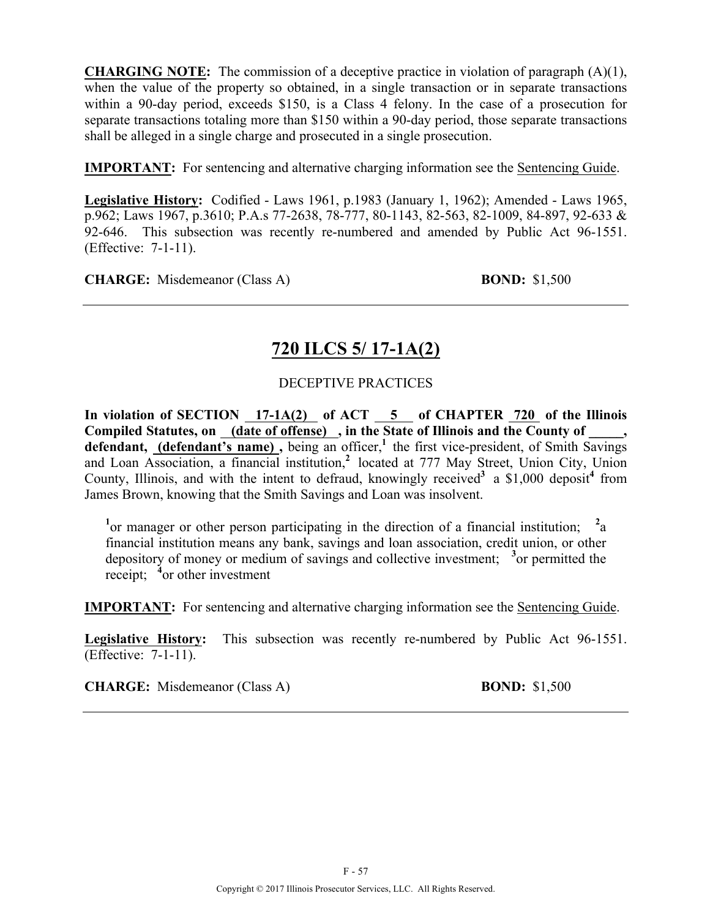**CHARGING NOTE:** The commission of a deceptive practice in violation of paragraph (A)(1), when the value of the property so obtained, in a single transaction or in separate transactions within a 90-day period, exceeds \$150, is a Class 4 felony. In the case of a prosecution for separate transactions totaling more than \$150 within a 90-day period, those separate transactions shall be alleged in a single charge and prosecuted in a single prosecution.

**IMPORTANT:** For sentencing and alternative charging information see the Sentencing Guide.

**Legislative History:** Codified - Laws 1961, p.1983 (January 1, 1962); Amended - Laws 1965, p.962; Laws 1967, p.3610; P.A.s 77-2638, 78-777, 80-1143, 82-563, 82-1009, 84-897, 92-633 & 92-646. This subsection was recently re-numbered and amended by Public Act 96-1551. (Effective: 7-1-11).

**CHARGE:** Misdemeanor (Class A) **BOND:** \$1,500

# **720 ILCS 5/ 17-1A(2)**

### DECEPTIVE PRACTICES

In violation of SECTION 17-1A(2) of ACT 5 of CHAPTER 720 of the Illinois **Compiled Statutes, on (date of offense) , in the State of Illinois and the County of \_\_\_\_\_,**  defendant, (defendant's name), being an officer,<sup>1</sup> the first vice-president, of Smith Savings and Loan Association, a financial institution,<sup>2</sup> located at 777 May Street, Union City, Union County, Illinois, and with the intent to defraud, knowingly received<sup>3</sup> a  $$1,000$  deposit<sup>4</sup> from James Brown, knowing that the Smith Savings and Loan was insolvent.

<sup>1</sup> or manager or other person participating in the direction of a financial institution; <sup>2</sup>a financial institution means any bank, savings and loan association, credit union, or other depository of money or medium of savings and collective investment; **<sup>3</sup>** or permitted the receipt; <sup>4</sup> or other investment

**IMPORTANT:** For sentencing and alternative charging information see the Sentencing Guide.

**Legislative History:** This subsection was recently re-numbered by Public Act 96-1551. (Effective: 7-1-11).

**CHARGE:** Misdemeanor (Class A) **BOND:** \$1,500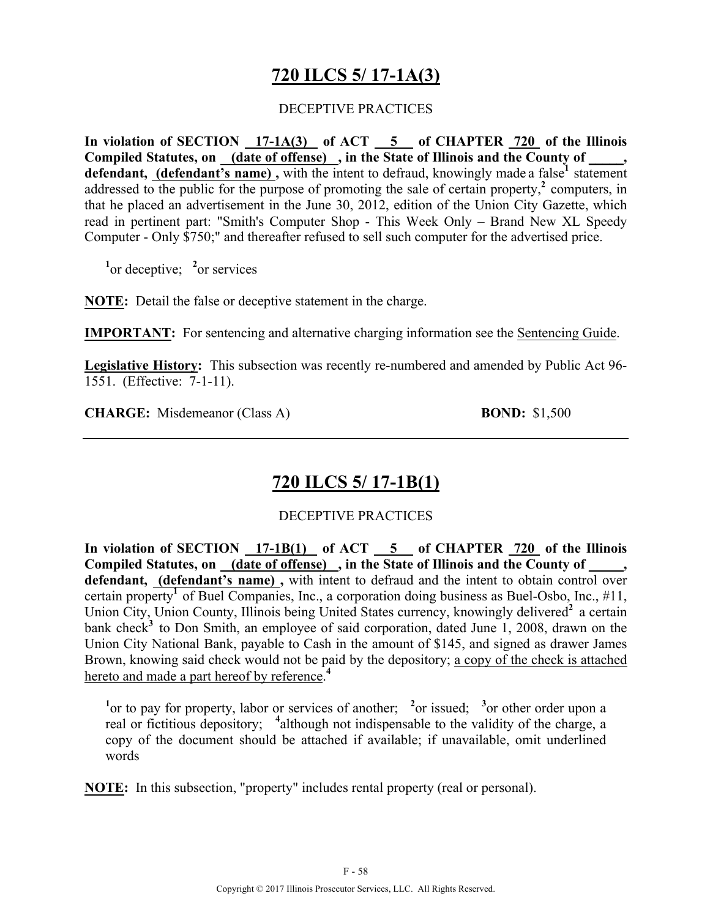## **720 ILCS 5/ 17-1A(3)**

#### DECEPTIVE PRACTICES

**In violation of SECTION 17-1A(3) of ACT 5 of CHAPTER 720 of the Illinois Compiled Statutes, on (date of offense) , in the State of Illinois and the County of \_\_\_\_\_, defendant, (defendant's name),** with the intent to defraud, knowingly made a false<sup>1</sup> statement addressed to the public for the purpose of promoting the sale of certain property,<sup>2</sup> computers, in that he placed an advertisement in the June 30, 2012, edition of the Union City Gazette, which read in pertinent part: "Smith's Computer Shop - This Week Only – Brand New XL Speedy Computer - Only \$750;" and thereafter refused to sell such computer for the advertised price.

<sup>1</sup><sup>or</sup> deceptive; <sup>2</sup><sup>or</sup> services

**NOTE:** Detail the false or deceptive statement in the charge.

**IMPORTANT:** For sentencing and alternative charging information see the Sentencing Guide.

**Legislative History:** This subsection was recently re-numbered and amended by Public Act 96- 1551. (Effective: 7-1-11).

**CHARGE:** Misdemeanor (Class A) **BOND:** \$1,500

### **720 ILCS 5/ 17-1B(1)**

#### DECEPTIVE PRACTICES

In violation of SECTION 17-1B(1) of ACT 5 of CHAPTER 720 of the Illinois Compiled Statutes, on (date of offense), in the State of Illinois and the County of **defendant, (defendant's name) ,** with intent to defraud and the intent to obtain control over certain property<sup>1</sup> of Buel Companies, Inc., a corporation doing business as Buel-Osbo, Inc.,  $\#11$ , Union City, Union County, Illinois being United States currency, knowingly delivered<sup>2</sup> a certain bank check<sup>3</sup> to Don Smith, an employee of said corporation, dated June 1, 2008, drawn on the Union City National Bank, payable to Cash in the amount of \$145, and signed as drawer James Brown, knowing said check would not be paid by the depository; a copy of the check is attached hereto and made a part hereof by reference. **4**

<sup>1</sup> or to pay for property, labor or services of another; <sup>2</sup> or issued; <sup>3</sup> or other order upon a real or fictitious depository; <sup>4</sup>although not indispensable to the validity of the charge, a copy of the document should be attached if available; if unavailable, omit underlined words

**NOTE:** In this subsection, "property" includes rental property (real or personal).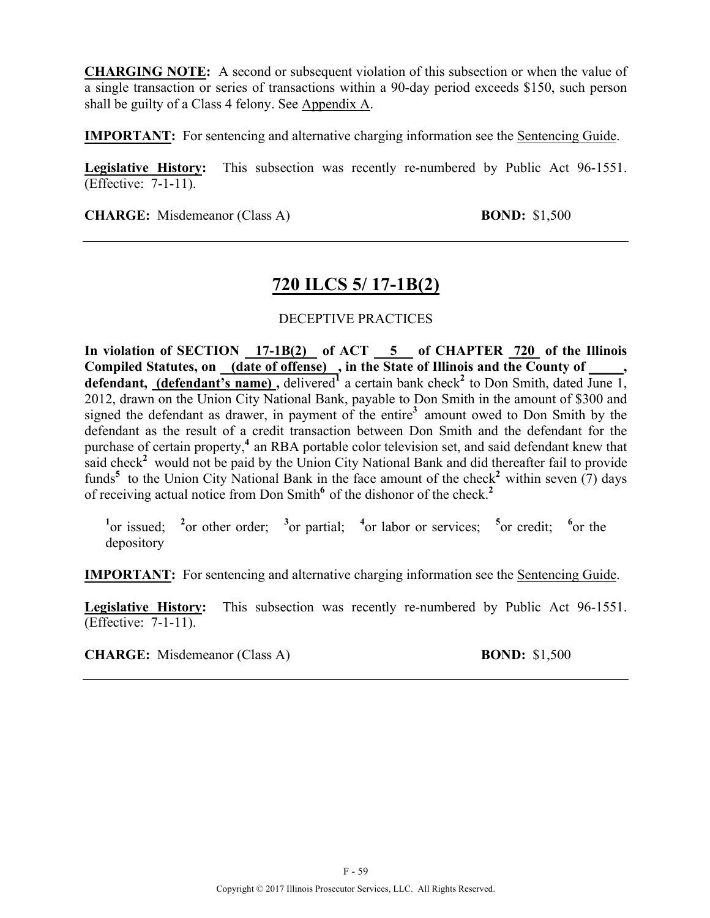**CHARGING NOTE:** A second or subsequent violation of this subsection or when the value of a single transaction or series of transactions within a 90-day period exceeds \$150, such person shall be guilty of a Class 4 felony. See Appendix A.

**IMPORTANT:** For sentencing and alternative charging information see the Sentencing Guide.

**Legislative History:** This subsection was recently re-numbered by Public Act 96-1551. (Effective: 7-1-11).

**CHARGE:** Misdemeanor (Class A) **BOND:** \$1,500

### **720 ILCS 5/ 17-1B(2)**

#### DECEPTIVE PRACTICES

**In violation of SECTION 17-1B(2) of ACT 5 of CHAPTER 720 of the Illinois**  Compiled Statutes, on (date of offense), in the State of Illinois and the County of, defendant, (defendant's name), delivered<sup>1</sup> a certain bank check<sup>2</sup> to Don Smith, dated June 1, 2012, drawn on the Union City National Bank, payable to Don Smith in the amount of \$300 and signed the defendant as drawer, in payment of the entire**<sup>3</sup>**amount owed to Don Smith by the defendant as the result of a credit transaction between Don Smith and the defendant for the purchase of certain property,**<sup>4</sup>**an RBA portable color television set, and said defendant knew that said check<sup>2</sup> would not be paid by the Union City National Bank and did thereafter fail to provide funds<sup>5</sup> to the Union City National Bank in the face amount of the check<sup>2</sup> within seven (7) days of receiving actual notice from Don Smith**<sup>6</sup>**of the dishonor of the check.**<sup>2</sup>**

<sup>1</sup> $\text{or}$  issued; <sup>2</sup> $\text{or}$  other order; <sup>3</sup> $\text{or}$  partial; <sup>4</sup> $\text{or}$  labor or services; <sup>5</sup> $\text{or}$  credit; <sup>6</sup> $\text{or}$  the depository

**IMPORTANT:** For sentencing and alternative charging information see the Sentencing Guide.

**Legislative History:** This subsection was recently re-numbered by Public Act 96-1551. (Effective: 7-1-11).

**CHARGE:** Misdemeanor (Class A) **BOND:** \$1,500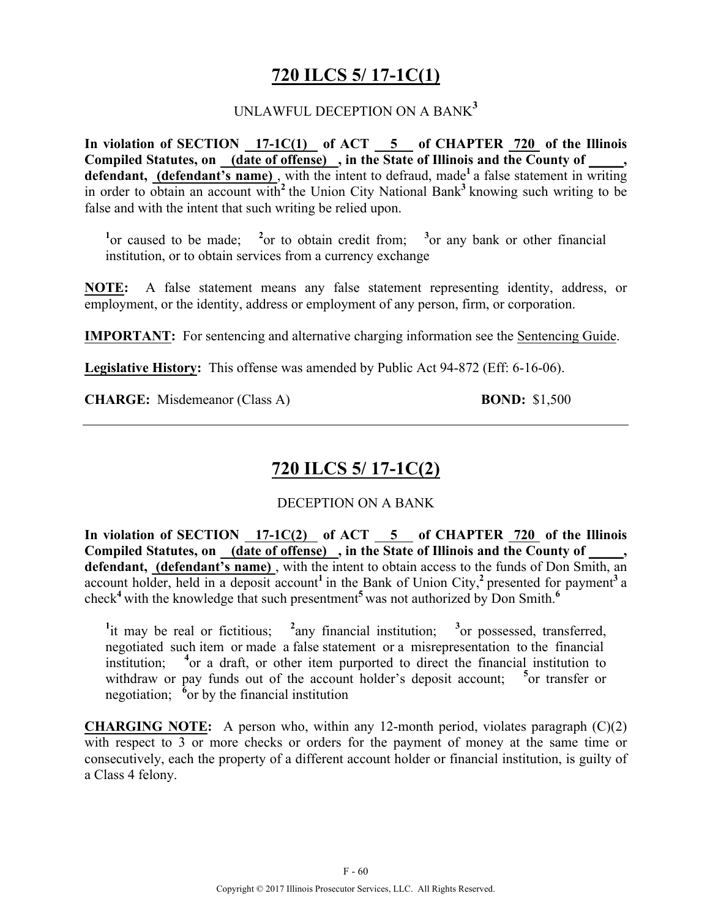## **720 ILCS 5/ 17-1C(1)**

#### UNLAWFUL DECEPTION ON A BANK**<sup>3</sup>**

**In violation of SECTION 17-1C(1) of ACT 5 of CHAPTER 720 of the Illinois**  Compiled Statutes, on (date of offense), in the State of Illinois and the County of defendant, **(defendant's name)**, with the intent to defraud, made<sup>1</sup> a false statement in writing in order to obtain an account with<sup>2</sup> the Union City National Bank<sup>3</sup> knowing such writing to be false and with the intent that such writing be relied upon.

<sup>1</sup><sup>or</sup> caused to be made; <sup>2</sup><sup>or</sup> to obtain credit from; <sup>3</sup><sup>or</sup> any bank or other financial institution, or to obtain services from a currency exchange

**NOTE:** A false statement means any false statement representing identity, address, or employment, or the identity, address or employment of any person, firm, or corporation.

**IMPORTANT:** For sentencing and alternative charging information see the Sentencing Guide.

**Legislative History:** This offense was amended by Public Act 94-872 (Eff: 6-16-06).

**CHARGE:** Misdemeanor (Class A) **BOND:** \$1,500

### **720 ILCS 5/ 17-1C(2)**

#### DECEPTION ON A BANK

**In violation of SECTION 17-1C(2) of ACT 5 of CHAPTER 720 of the Illinois**  Compiled Statutes, on (date of offense), in the State of Illinois and the County of defendant, (defendant's name), with the intent to obtain access to the funds of Don Smith, an account holder, held in a deposit account<sup>1</sup> in the Bank of Union City,<sup>2</sup> presented for payment<sup>3</sup> a check**<sup>4</sup>**with the knowledge that such presentment**<sup>5</sup>**was not authorized by Don Smith.**<sup>6</sup>**

<sup>1</sup>it may be real or fictitious; <sup>2</sup> any financial institution; <sup>3</sup> or possessed, transferred, negotiated such item or made a false statement or a misrepresentation to the financial institution; **<sup>4</sup>** or a draft, or other item purported to direct the financial institution to withdraw or pay funds out of the account holder's deposit account; <sup>5</sup> or transfer or negotiation;  $\delta$ <sup>or</sup> by the financial institution

**CHARGING NOTE:** A person who, within any 12-month period, violates paragraph (C)(2) with respect to 3 or more checks or orders for the payment of money at the same time or consecutively, each the property of a different account holder or financial institution, is guilty of a Class 4 felony.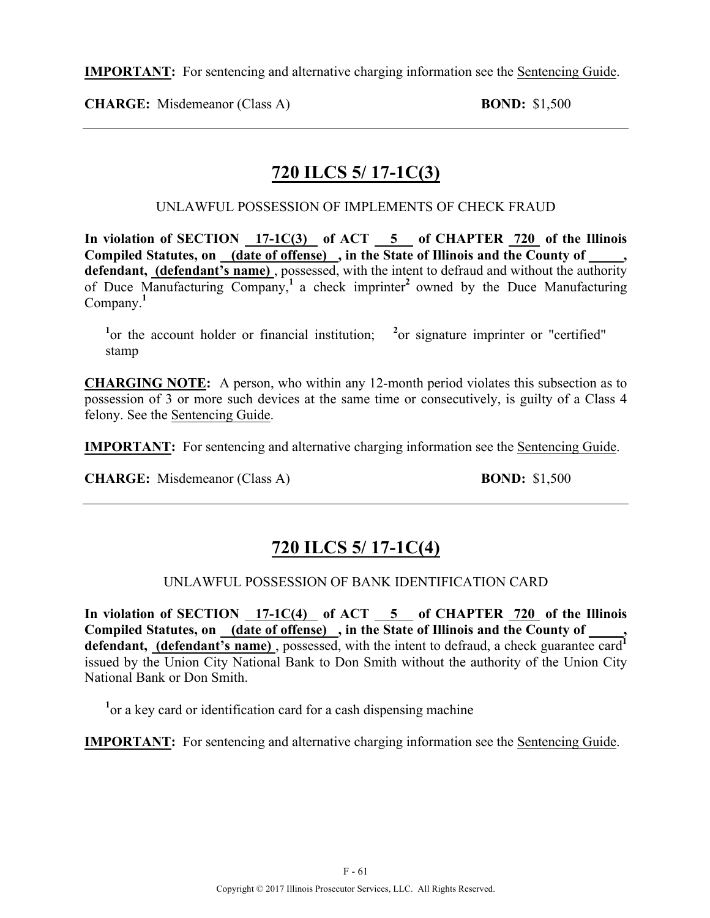**IMPORTANT:** For sentencing and alternative charging information see the Sentencing Guide.

**CHARGE:** Misdemeanor (Class A) **BOND:** \$1,500

## **720 ILCS 5/ 17-1C(3)**

UNLAWFUL POSSESSION OF IMPLEMENTS OF CHECK FRAUD

In violation of SECTION 17-1C(3) of ACT 5 of CHAPTER 720 of the Illinois **Compiled Statutes, on (date of offense) , in the State of Illinois and the County of \_\_\_\_\_, defendant, (defendant's name)** , possessed, with the intent to defraud and without the authority of Duce Manufacturing Company,**<sup>1</sup>**a check imprinter**<sup>2</sup>**owned by the Duce Manufacturing Company.**<sup>1</sup>**

<sup>1</sup> or the account holder or financial institution; <sup>2</sup> or signature imprinter or "certified" stamp

**CHARGING NOTE:** A person, who within any 12-month period violates this subsection as to possession of 3 or more such devices at the same time or consecutively, is guilty of a Class 4 felony. See the Sentencing Guide.

**IMPORTANT:** For sentencing and alternative charging information see the Sentencing Guide.

**CHARGE:** Misdemeanor (Class A) **BOND:** \$1,500

# **720 ILCS 5/ 17-1C(4)**

UNLAWFUL POSSESSION OF BANK IDENTIFICATION CARD

**In violation of SECTION 17-1C(4) of ACT 5 of CHAPTER 720 of the Illinois**  Compiled Statutes, on <u>(date of offense)</u>, in the State of Illinois and the County of defendant, **(defendant's name)**, possessed, with the intent to defraud, a check guarantee card<sup>1</sup> issued by the Union City National Bank to Don Smith without the authority of the Union City National Bank or Don Smith.

<sup>1</sup> or a key card or identification card for a cash dispensing machine

**IMPORTANT:** For sentencing and alternative charging information see the Sentencing Guide.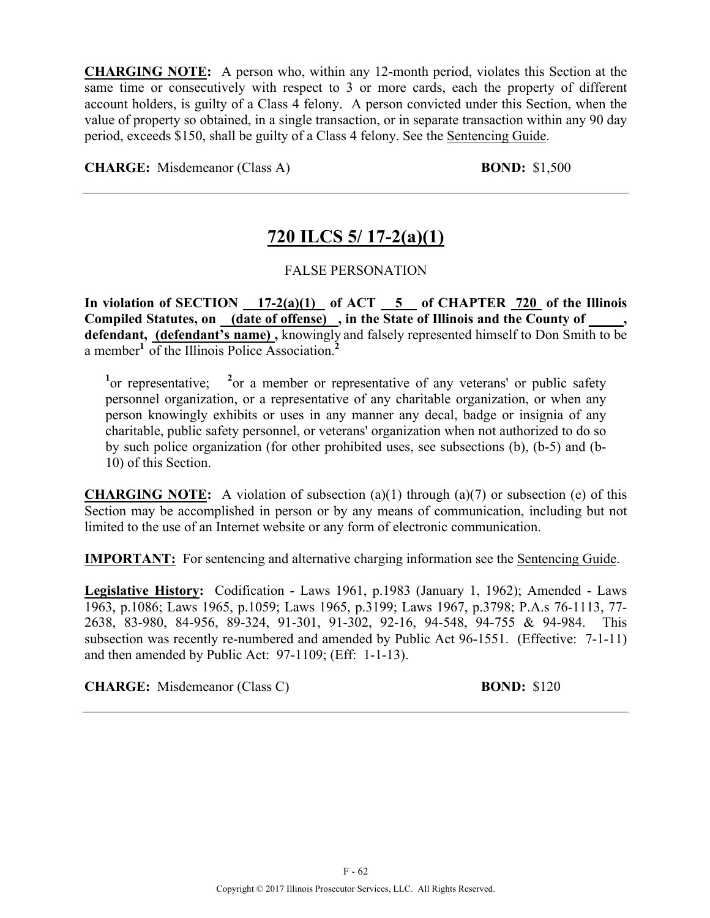**CHARGING NOTE:** A person who, within any 12-month period, violates this Section at the same time or consecutively with respect to 3 or more cards, each the property of different account holders, is guilty of a Class 4 felony. A person convicted under this Section, when the value of property so obtained, in a single transaction, or in separate transaction within any 90 day period, exceeds \$150, shall be guilty of a Class 4 felony. See the Sentencing Guide.

**CHARGE:** Misdemeanor (Class A) **BOND:** \$1,500

# **720 ILCS 5/ 17-2(a)(1)**

#### FALSE PERSONATION

In violation of SECTION  $17-2(a)(1)$  of ACT  $5$  of CHAPTER 720 of the Illinois Compiled Statutes, on (date of offense), in the State of Illinois and the County of **defendant, (defendant's name) ,** knowingly and falsely represented himself to Don Smith to be a member**<sup>1</sup>**of the Illinois Police Association.**<sup>2</sup>**

<sup>1</sup> or representative; <sup>2</sup> or a member or representative of any veterans' or public safety personnel organization, or a representative of any charitable organization, or when any person knowingly exhibits or uses in any manner any decal, badge or insignia of any charitable, public safety personnel, or veterans' organization when not authorized to do so by such police organization (for other prohibited uses, see subsections (b), (b-5) and (b-10) of this Section.

**CHARGING NOTE:** A violation of subsection (a)(1) through (a)(7) or subsection (e) of this Section may be accomplished in person or by any means of communication, including but not limited to the use of an Internet website or any form of electronic communication.

**IMPORTANT:** For sentencing and alternative charging information see the Sentencing Guide.

**Legislative History:** Codification - Laws 1961, p.1983 (January 1, 1962); Amended - Laws 1963, p.1086; Laws 1965, p.1059; Laws 1965, p.3199; Laws 1967, p.3798; P.A.s 76-1113, 77- 2638, 83-980, 84-956, 89-324, 91-301, 91-302, 92-16, 94-548, 94-755 & 94-984. This subsection was recently re-numbered and amended by Public Act 96-1551. (Effective: 7-1-11) and then amended by Public Act: 97-1109; (Eff: 1-1-13).

**CHARGE:** Misdemeanor (Class C) **BOND:** \$120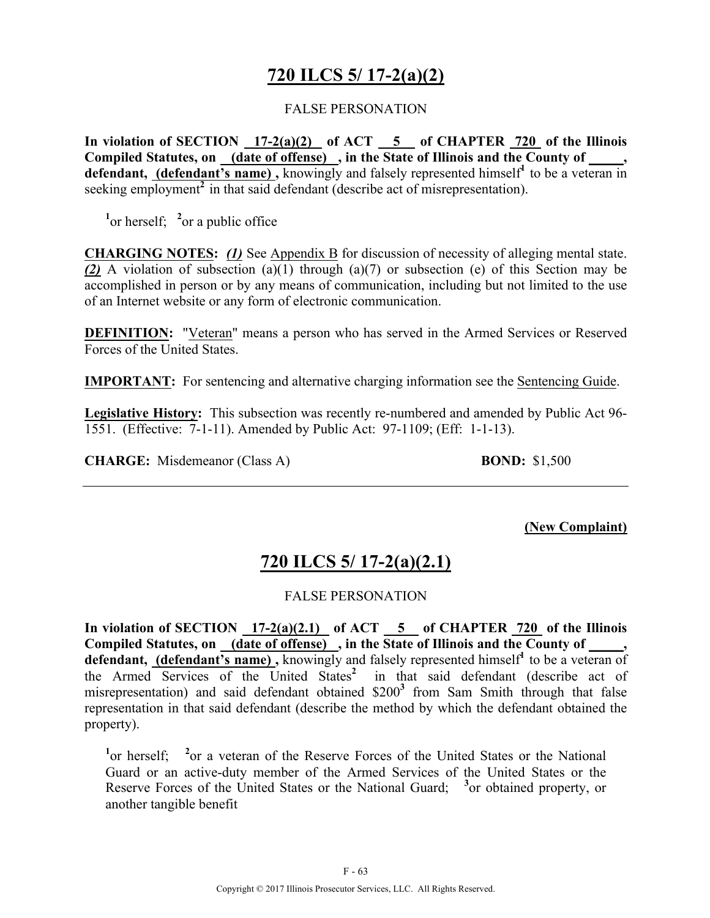# **720 ILCS 5/ 17-2(a)(2)**

#### FALSE PERSONATION

**In violation of SECTION 17-2(a)(2) of ACT 5 of CHAPTER 720 of the Illinois**  Compiled Statutes, on (date of offense), in the State of Illinois and the County of, defendant, (defendant's name), knowingly and falsely represented himself<sup>1</sup> to be a veteran in seeking employment<sup>2</sup> in that said defendant (describe act of misrepresentation).

<sup>1</sup><sup>or</sup> herself; <sup>2</sup><sup>or</sup> a public office

**CHARGING NOTES:** *(1)* See Appendix B for discussion of necessity of alleging mental state. *(2)* A violation of subsection (a)(1) through (a)(7) or subsection (e) of this Section may be accomplished in person or by any means of communication, including but not limited to the use of an Internet website or any form of electronic communication.

**DEFINITION:** "Veteran" means a person who has served in the Armed Services or Reserved Forces of the United States.

**IMPORTANT:** For sentencing and alternative charging information see the Sentencing Guide.

**Legislative History:** This subsection was recently re-numbered and amended by Public Act 96- 1551. (Effective: 7-1-11). Amended by Public Act: 97-1109; (Eff: 1-1-13).

**CHARGE:** Misdemeanor (Class A) **BOND:** \$1,500

**(New Complaint)**

## **720 ILCS 5/ 17-2(a)(2.1)**

#### FALSE PERSONATION

**In violation of SECTION 17-2(a)(2.1) of ACT 5 of CHAPTER 720 of the Illinois**  Compiled Statutes, on (date of offense), in the State of Illinois and the County of defendant, (defendant's name), knowingly and falsely represented himself<sup>1</sup> to be a veteran of the Armed Services of the United States<sup>2</sup> in that said defendant (describe act of misrepresentation) and said defendant obtained \$200**<sup>3</sup>** from Sam Smith through that false representation in that said defendant (describe the method by which the defendant obtained the property).

<sup>1</sup> or herself; <sup>2</sup> or a veteran of the Reserve Forces of the United States or the National Guard or an active-duty member of the Armed Services of the United States or the Reserve Forces of the United States or the National Guard; <sup>3</sup> or obtained property, or another tangible benefit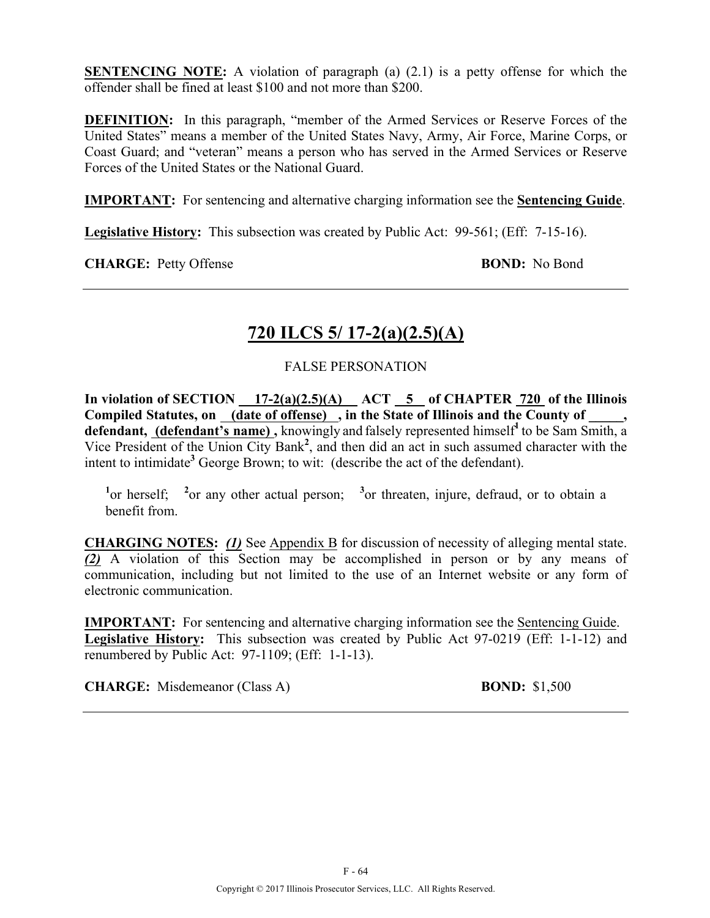**SENTENCING NOTE:** A violation of paragraph (a) (2.1) is a petty offense for which the offender shall be fined at least \$100 and not more than \$200.

**DEFINITION:** In this paragraph, "member of the Armed Services or Reserve Forces of the United States" means a member of the United States Navy, Army, Air Force, Marine Corps, or Coast Guard; and "veteran" means a person who has served in the Armed Services or Reserve Forces of the United States or the National Guard.

**IMPORTANT:** For sentencing and alternative charging information see the **Sentencing Guide**.

**Legislative History:** This subsection was created by Public Act: 99-561; (Eff: 7-15-16).

**CHARGE:** Petty Offense **BOND:** No Bond

# **720 ILCS 5/ 17-2(a)(2.5)(A)**

#### FALSE PERSONATION

**In violation of SECTION 17-2(a)(2.5)(A) ACT 5 of CHAPTER 720 of the Illinois**  Compiled Statutes, on <u>(date of offense)</u>, in the State of Illinois and the County of \_\_\_\_, defendant, (defendant's name), knowingly and falsely represented himself<sup>1</sup> to be Sam Smith, a Vice President of the Union City Bank**<sup>2</sup>** , and then did an act in such assumed character with the intent to intimidate<sup>3</sup> George Brown; to wit: (describe the act of the defendant).

<sup>1</sup><sup>or</sup> herself; <sup>2</sup><sup>or</sup> any other actual person; <sup>3</sup><sup>or</sup> threaten, injure, defraud, or to obtain a benefit from.

**CHARGING NOTES:** *(1)* See Appendix B for discussion of necessity of alleging mental state. *(2)* A violation of this Section may be accomplished in person or by any means of communication, including but not limited to the use of an Internet website or any form of electronic communication.

**IMPORTANT:** For sentencing and alternative charging information see the Sentencing Guide. **Legislative History:** This subsection was created by Public Act 97-0219 (Eff: 1-1-12) and renumbered by Public Act: 97-1109; (Eff: 1-1-13).

**CHARGE:** Misdemeanor (Class A) **BOND:** \$1,500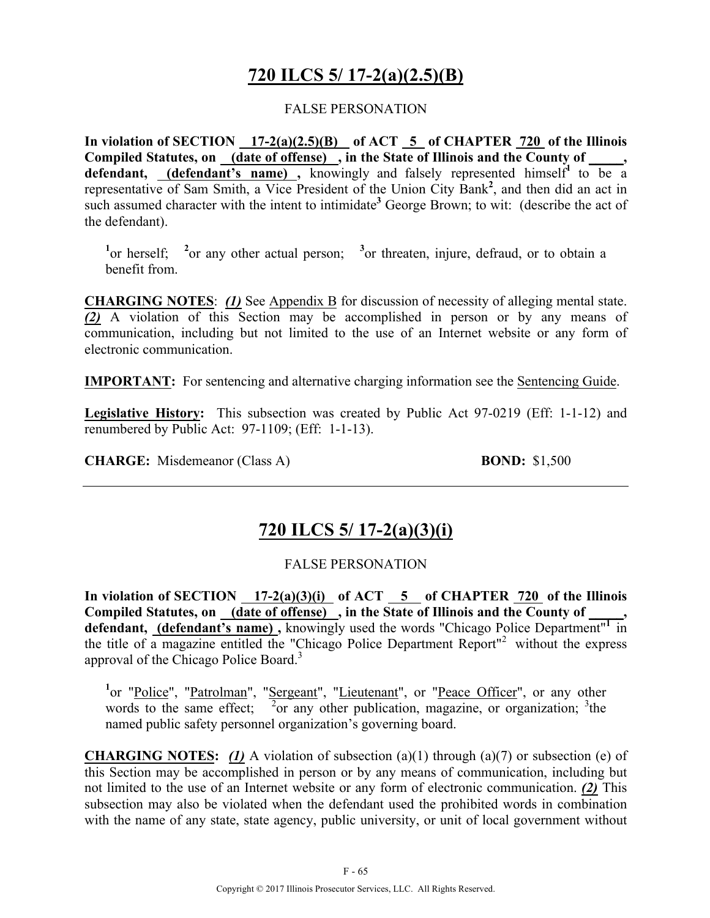# **720 ILCS 5/ 17-2(a)(2.5)(B)**

#### FALSE PERSONATION

**In violation of SECTION 17-2(a)(2.5)(B) of ACT 5 of CHAPTER 720 of the Illinois Compiled Statutes, on (date of offense) , in the State of Illinois and the County of \_\_\_\_\_,**  defendant, **(defendant's name)**, knowingly and falsely represented himself<sup>1</sup> to be a representative of Sam Smith, a Vice President of the Union City Bank**<sup>2</sup>** , and then did an act in such assumed character with the intent to intimidate<sup>3</sup> George Brown; to wit: (describe the act of the defendant).

<sup>1</sup> or herself; <sup>2</sup> or any other actual person; <sup>3</sup> or threaten, injure, defraud, or to obtain a benefit from.

**CHARGING NOTES**: *(1)* See Appendix B for discussion of necessity of alleging mental state. *(2)* A violation of this Section may be accomplished in person or by any means of communication, including but not limited to the use of an Internet website or any form of electronic communication.

**IMPORTANT:** For sentencing and alternative charging information see the Sentencing Guide.

**Legislative History:** This subsection was created by Public Act 97-0219 (Eff: 1-1-12) and renumbered by Public Act: 97-1109; (Eff: 1-1-13).

**CHARGE:** Misdemeanor (Class A) **BOND:** \$1,500

## **720 ILCS 5/ 17-2(a)(3)(i)**

#### FALSE PERSONATION

In violation of SECTION  $17-2(a)(3)(i)$  of ACT  $5$  of CHAPTER  $720$  of the Illinois Compiled Statutes, on (date of offense), in the State of Illinois and the County of **defendant, (defendant's name) ,** knowingly used the words "Chicago Police Department"**<sup>1</sup>**in the title of a magazine entitled the "Chicago Police Department Report"2 without the express approval of the Chicago Police Board.<sup>3</sup>

<sup>1</sup>or "Police", "Patrolman", "Sergeant", "Lieutenant", or "Peace Officer", or any other words to the same effect;  $\frac{1}{2}$  or any other publication, magazine, or organization; <sup>3</sup>the named public safety personnel organization's governing board.

**CHARGING NOTES:** *(1)* A violation of subsection (a)(1) through (a)(7) or subsection (e) of this Section may be accomplished in person or by any means of communication, including but not limited to the use of an Internet website or any form of electronic communication. *(2)* This subsection may also be violated when the defendant used the prohibited words in combination with the name of any state, state agency, public university, or unit of local government without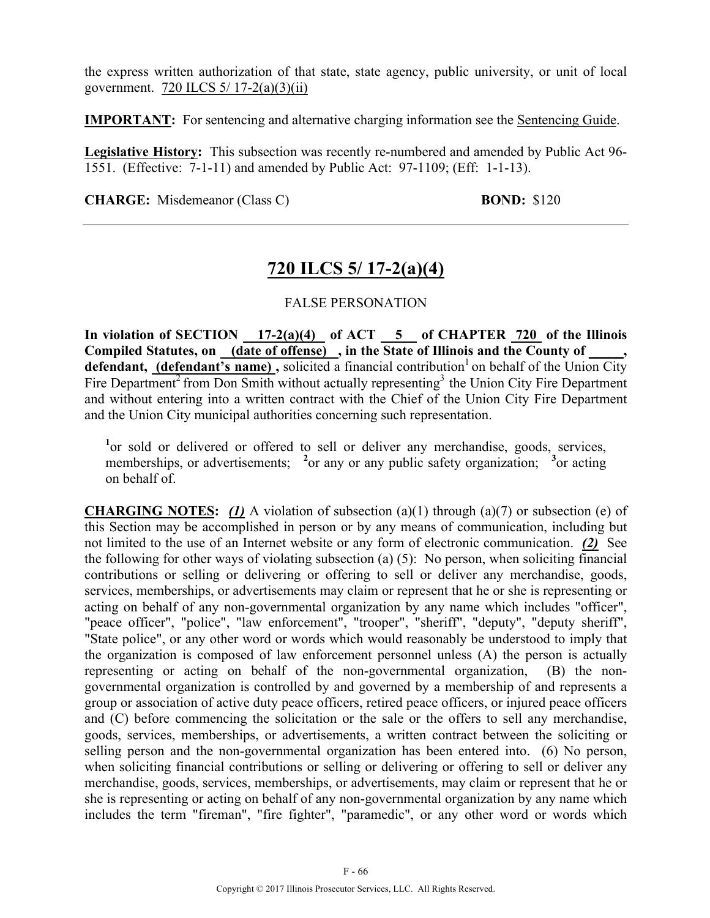the express written authorization of that state, state agency, public university, or unit of local government. 720 ILCS 5/ 17-2(a)(3)(ii)

**IMPORTANT:** For sentencing and alternative charging information see the Sentencing Guide.

**Legislative History:** This subsection was recently re-numbered and amended by Public Act 96- 1551. (Effective: 7-1-11) and amended by Public Act: 97-1109; (Eff: 1-1-13).

**CHARGE:** Misdemeanor (Class C) **BOND:** \$120

## **720 ILCS 5/ 17-2(a)(4)**

#### FALSE PERSONATION

In violation of SECTION 17-2(a)(4) of ACT 5 of CHAPTER 720 of the Illinois **Compiled Statutes, on (date of offense) , in the State of Illinois and the County of \_\_\_\_\_, defendant, (defendant's name)**, solicited a financial contribution<sup>1</sup> on behalf of the Union City Fire Department<sup>2</sup> from Don Smith without actually representing<sup>3</sup> the Union City Fire Department and without entering into a written contract with the Chief of the Union City Fire Department and the Union City municipal authorities concerning such representation.

<sup>1</sup> or sold or delivered or offered to sell or deliver any merchandise, goods, services, memberships, or advertisements; <sup>2</sup> or any or any public safety organization; <sup>3</sup> or acting on behalf of.

**CHARGING NOTES:** *(1)* A violation of subsection (a)(1) through (a)(7) or subsection (e) of this Section may be accomplished in person or by any means of communication, including but not limited to the use of an Internet website or any form of electronic communication. *(2)* See the following for other ways of violating subsection (a) (5): No person, when soliciting financial contributions or selling or delivering or offering to sell or deliver any merchandise, goods, services, memberships, or advertisements may claim or represent that he or she is representing or acting on behalf of any non-governmental organization by any name which includes "officer", "peace officer", "police", "law enforcement", "trooper", "sheriff", "deputy", "deputy sheriff", "State police", or any other word or words which would reasonably be understood to imply that the organization is composed of law enforcement personnel unless (A) the person is actually representing or acting on behalf of the non-governmental organization, (B) the nongovernmental organization is controlled by and governed by a membership of and represents a group or association of active duty peace officers, retired peace officers, or injured peace officers and (C) before commencing the solicitation or the sale or the offers to sell any merchandise, goods, services, memberships, or advertisements, a written contract between the soliciting or selling person and the non-governmental organization has been entered into. (6) No person, when soliciting financial contributions or selling or delivering or offering to sell or deliver any merchandise, goods, services, memberships, or advertisements, may claim or represent that he or she is representing or acting on behalf of any non-governmental organization by any name which includes the term "fireman", "fire fighter", "paramedic", or any other word or words which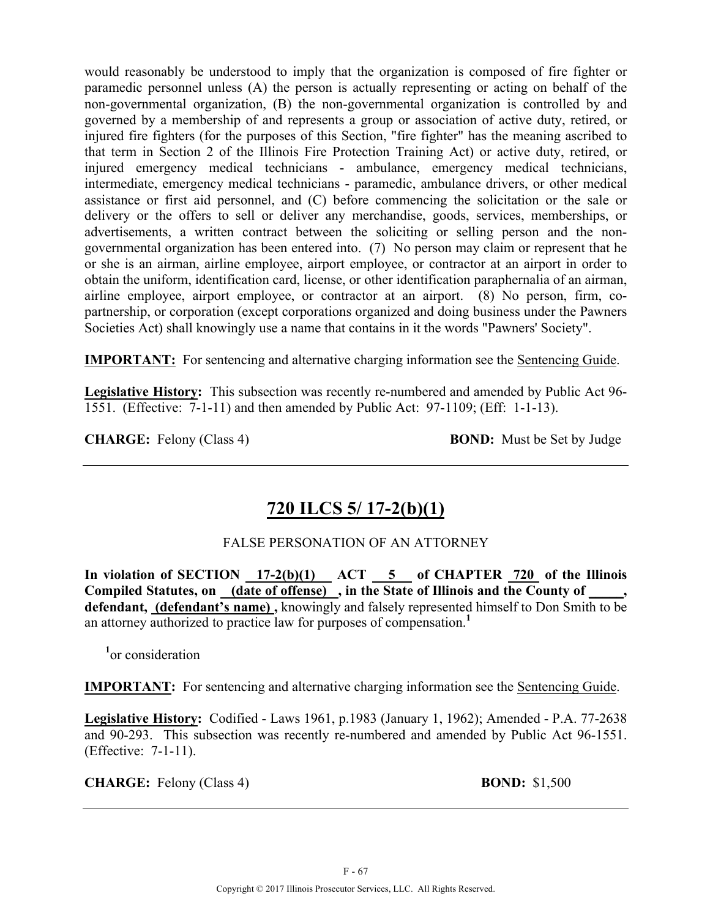would reasonably be understood to imply that the organization is composed of fire fighter or paramedic personnel unless (A) the person is actually representing or acting on behalf of the non-governmental organization, (B) the non-governmental organization is controlled by and governed by a membership of and represents a group or association of active duty, retired, or injured fire fighters (for the purposes of this Section, "fire fighter" has the meaning ascribed to that term in Section 2 of the Illinois Fire Protection Training Act) or active duty, retired, or injured emergency medical technicians - ambulance, emergency medical technicians, intermediate, emergency medical technicians - paramedic, ambulance drivers, or other medical assistance or first aid personnel, and (C) before commencing the solicitation or the sale or delivery or the offers to sell or deliver any merchandise, goods, services, memberships, or advertisements, a written contract between the soliciting or selling person and the nongovernmental organization has been entered into. (7) No person may claim or represent that he or she is an airman, airline employee, airport employee, or contractor at an airport in order to obtain the uniform, identification card, license, or other identification paraphernalia of an airman, airline employee, airport employee, or contractor at an airport. (8) No person, firm, copartnership, or corporation (except corporations organized and doing business under the Pawners Societies Act) shall knowingly use a name that contains in it the words "Pawners' Society".

**IMPORTANT:** For sentencing and alternative charging information see the Sentencing Guide.

**Legislative History:** This subsection was recently re-numbered and amended by Public Act 96- 1551. (Effective: 7-1-11) and then amended by Public Act: 97-1109; (Eff: 1-1-13).

**CHARGE:** Felony (Class 4) **BOND:** Must be Set by Judge

## **720 ILCS 5/ 17-2(b)(1)**

#### FALSE PERSONATION OF AN ATTORNEY

In violation of SECTION 17-2(b)(1) ACT 5 of CHAPTER 720 of the Illinois Compiled Statutes, on <u>(date of offense)</u>, in the State of Illinois and the County of **defendant, (defendant's name) ,** knowingly and falsely represented himself to Don Smith to be an attorney authorized to practice law for purposes of compensation.**<sup>1</sup>**

**1** or consideration

**IMPORTANT:** For sentencing and alternative charging information see the Sentencing Guide.

**Legislative History:** Codified - Laws 1961, p.1983 (January 1, 1962); Amended - P.A. 77-2638 and 90-293. This subsection was recently re-numbered and amended by Public Act 96-1551. (Effective: 7-1-11).

**CHARGE:** Felony (Class 4) **BOND:** \$1,500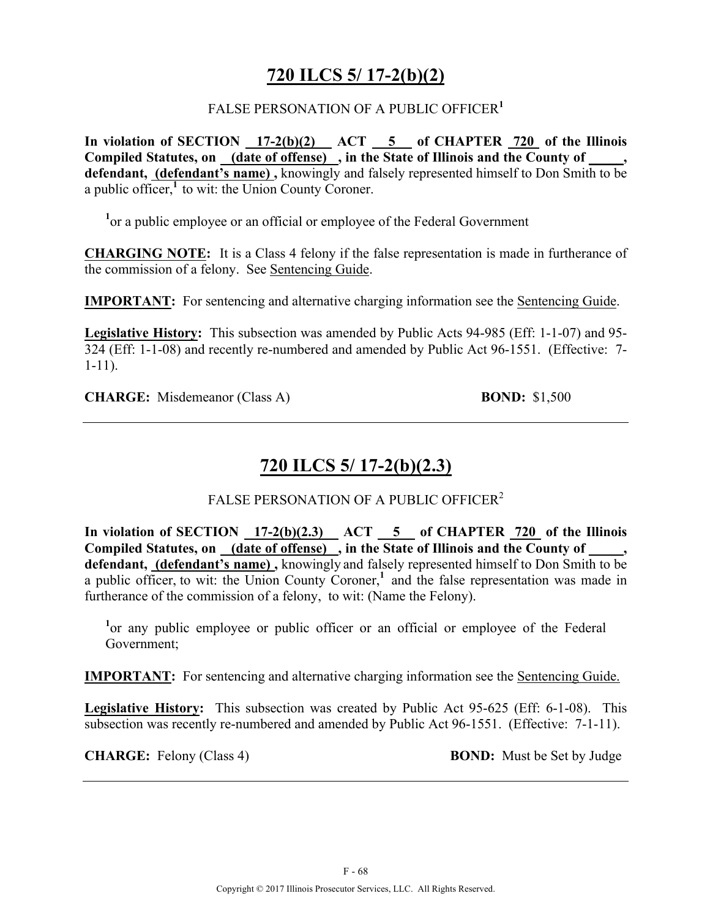### **720 ILCS 5/ 17-2(b)(2)**

#### FALSE PERSONATION OF A PUBLIC OFFICER**<sup>1</sup>**

In violation of SECTION 17-2(b)(2) ACT 5 of CHAPTER 720 of the Illinois Compiled Statutes, on **(date of offense)**, in the State of Illinois and the County of **defendant, (defendant's name) ,** knowingly and falsely represented himself to Don Smith to be a public officer, $\frac{1}{1}$  to wit: the Union County Coroner.

<sup>1</sup> or a public employee or an official or employee of the Federal Government

**CHARGING NOTE:** It is a Class 4 felony if the false representation is made in furtherance of the commission of a felony. See Sentencing Guide.

**IMPORTANT:** For sentencing and alternative charging information see the Sentencing Guide.

**Legislative History:** This subsection was amended by Public Acts 94-985 (Eff: 1-1-07) and 95- 324 (Eff: 1-1-08) and recently re-numbered and amended by Public Act 96-1551. (Effective: 7- 1-11).

**CHARGE:** Misdemeanor (Class A) **BOND:** \$1,500

# **720 ILCS 5/ 17-2(b)(2.3)**

FALSE PERSONATION OF A PUBLIC OFFICER<sup>2</sup>

In violation of SECTION  $17-2(b)(2.3)$  ACT  $5$  of CHAPTER  $720$  of the Illinois **Compiled Statutes, on (date of offense) , in the State of Illinois and the County of \_\_\_\_\_, defendant, (defendant's name) ,** knowingly and falsely represented himself to Don Smith to be a public officer, to wit: the Union County Coroner,**<sup>1</sup>**and the false representation was made in furtherance of the commission of a felony, to wit: (Name the Felony).

<sup>1</sup> or any public employee or public officer or an official or employee of the Federal Government;

**IMPORTANT:** For sentencing and alternative charging information see the Sentencing Guide.

**Legislative History:** This subsection was created by Public Act 95-625 (Eff: 6-1-08). This subsection was recently re-numbered and amended by Public Act 96-1551. (Effective: 7-1-11).

**CHARGE:** Felony (Class 4) **BOND:** Must be Set by Judge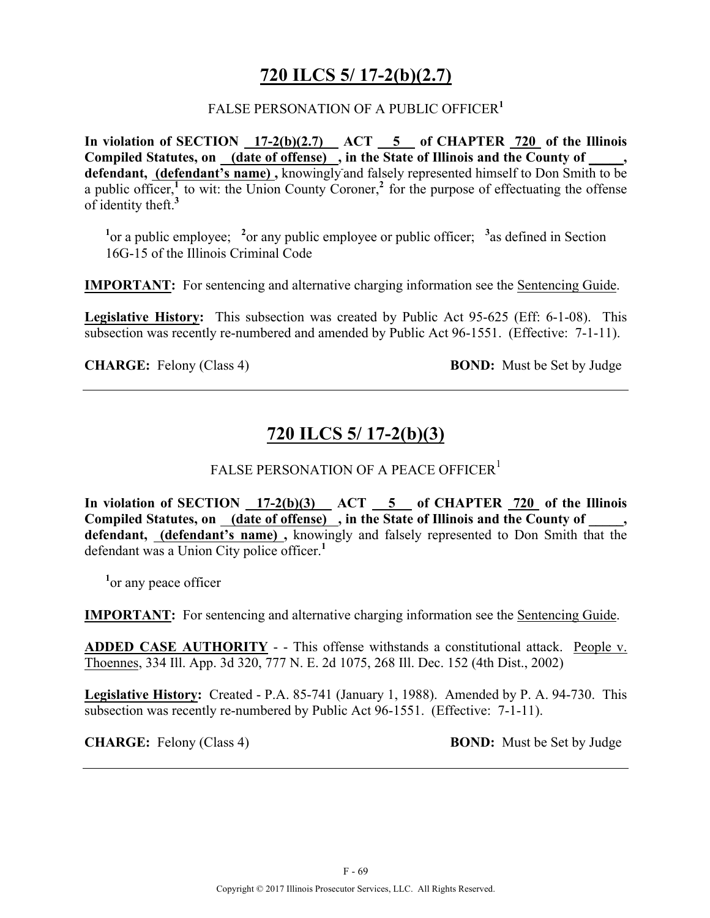### **720 ILCS 5/ 17-2(b)(2.7)**

#### FALSE PERSONATION OF A PUBLIC OFFICER**<sup>1</sup>**

**In violation of SECTION 17-2(b)(2.7) ACT 5 of CHAPTER 720 of the Illinois**  Compiled Statutes, on \_\_\_ (date of offense) , in the State of Illinois and the County of **defendant, (defendant's name) ,** knowingly and falsely represented himself to Don Smith to be a public officer,<sup>1</sup> to wit: the Union County Coroner,<sup>2</sup> for the purpose of effectuating the offense of identity theft.**<sup>3</sup>**

<sup>1</sup> or a public employee; <sup>2</sup> or any public employee or public officer; <sup>3</sup> as defined in Section 16G-15 of the Illinois Criminal Code

**IMPORTANT:** For sentencing and alternative charging information see the Sentencing Guide.

**Legislative History:** This subsection was created by Public Act 95-625 (Eff: 6-1-08). This subsection was recently re-numbered and amended by Public Act 96-1551. (Effective: 7-1-11).

**CHARGE:** Felony (Class 4) **BOND:** Must be Set by Judge

## **720 ILCS 5/ 17-2(b)(3)**

#### FALSE PERSONATION OF A PEACE OFFICER<sup>1</sup>

**In violation of SECTION 17-2(b)(3) ACT 5 of CHAPTER 720 of the Illinois Compiled Statutes, on (date of offense) , in the State of Illinois and the County of \_\_\_\_\_, defendant, (defendant's name) ,** knowingly and falsely represented to Don Smith that the defendant was a Union City police officer.**<sup>1</sup>**

<sup>1</sup><sup>or</sup> any peace officer

**IMPORTANT:** For sentencing and alternative charging information see the Sentencing Guide.

**ADDED CASE AUTHORITY** - - This offense withstands a constitutional attack. People v. Thoennes, 334 Ill. App. 3d 320, 777 N. E. 2d 1075, 268 Ill. Dec. 152 (4th Dist., 2002)

**Legislative History:** Created - P.A. 85-741 (January 1, 1988). Amended by P. A. 94-730. This subsection was recently re-numbered by Public Act 96-1551. (Effective: 7-1-11).

**CHARGE:** Felony (Class 4) **BOND:** Must be Set by Judge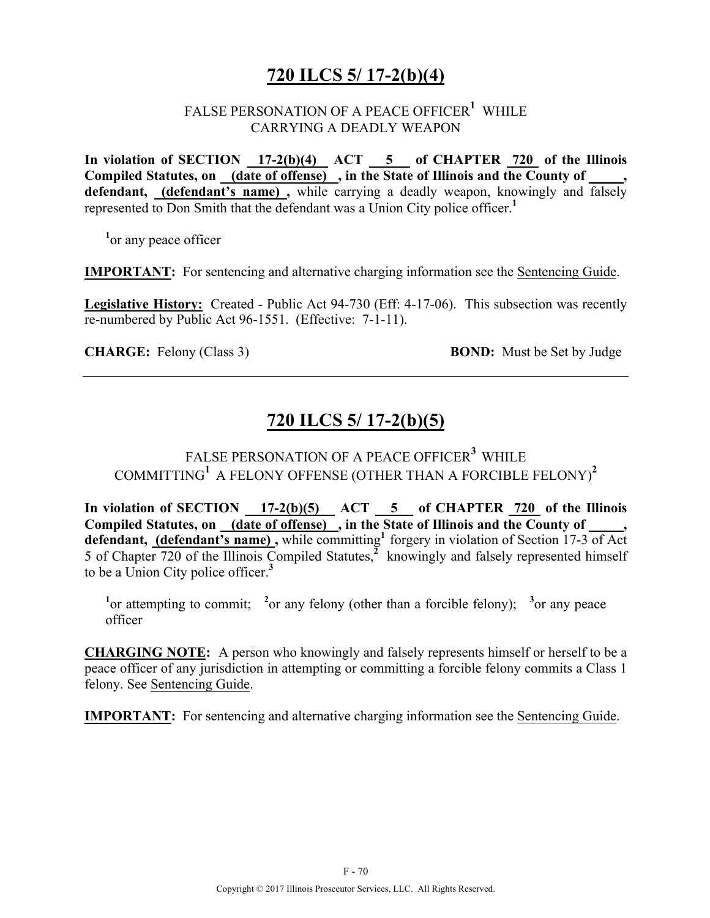## **720 ILCS 5/ 17-2(b)(4)**

### FALSE PERSONATION OF A PEACE OFFICER**<sup>1</sup>** WHILE CARRYING A DEADLY WEAPON

**In violation of SECTION 17-2(b)(4) ACT 5 of CHAPTER 720 of the Illinois Compiled Statutes, on (date of offense) , in the State of Illinois and the County of \_\_\_\_\_,**  defendant, **(defendant's name)**, while carrying a deadly weapon, knowingly and falsely represented to Don Smith that the defendant was a Union City police officer.**<sup>1</sup>**

<sup>1</sup> or any peace officer

**IMPORTANT:** For sentencing and alternative charging information see the Sentencing Guide.

**Legislative History:** Created - Public Act 94-730 (Eff: 4-17-06). This subsection was recently re-numbered by Public Act 96-1551. (Effective: 7-1-11).

**CHARGE:** Felony (Class 3) **BOND:** Must be Set by Judge

### **720 ILCS 5/ 17-2(b)(5)**

### FALSE PERSONATION OF A PEACE OFFICER**<sup>3</sup>** WHILE COMMITTING**<sup>1</sup>** A FELONY OFFENSE (OTHER THAN A FORCIBLE FELONY)**<sup>2</sup>**

In violation of SECTION  $17-2(b)(5)$  ACT  $5$  of CHAPTER 720 of the Illinois Compiled Statutes, on (date of offense), in the State of Illinois and the County of defendant, **(defendant's name)**, while committing<sup>1</sup> forgery in violation of Section 17-3 of Act 5 of Chapter 720 of the Illinois Compiled Statutes,**<sup>2</sup>**knowingly and falsely represented himself to be a Union City police officer.**<sup>3</sup>**

<sup>1</sup> or attempting to commit; <sup>2</sup> or any felony (other than a forcible felony); <sup>3</sup> or any peace officer

**CHARGING NOTE:** A person who knowingly and falsely represents himself or herself to be a peace officer of any jurisdiction in attempting or committing a forcible felony commits a Class 1 felony. See Sentencing Guide.

**IMPORTANT:** For sentencing and alternative charging information see the Sentencing Guide.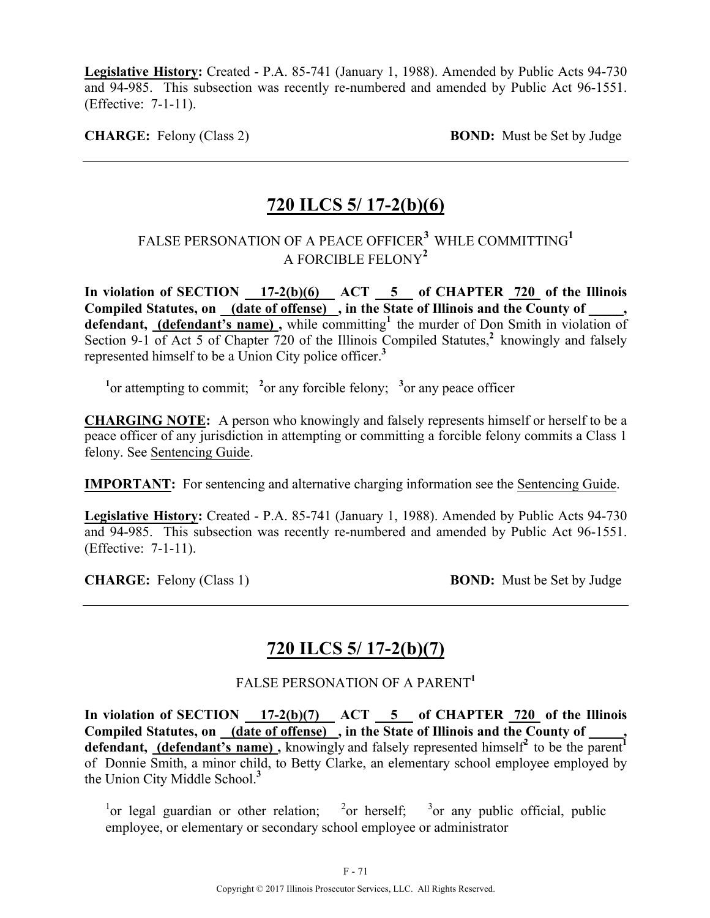**Legislative History:** Created - P.A. 85-741 (January 1, 1988). Amended by Public Acts 94-730 and 94-985. This subsection was recently re-numbered and amended by Public Act 96-1551. (Effective: 7-1-11).

**CHARGE:** Felony (Class 2) **BOND:** Must be Set by Judge

### **720 ILCS 5/ 17-2(b)(6)**

### FALSE PERSONATION OF A PEACE OFFICER**3** WHLE COMMITTING**<sup>1</sup>** A FORCIBLE FELONY**<sup>2</sup>**

In violation of SECTION  $17-2(b)(6)$  ACT  $5$  of CHAPTER  $720$  of the Illinois **Compiled Statutes, on (date of offense) , in the State of Illinois and the County of \_\_\_\_\_,**  defendant, (defendant's name), while committing<sup>1</sup> the murder of Don Smith in violation of Section 9-1 of Act 5 of Chapter 720 of the Illinois Compiled Statutes,<sup>2</sup> knowingly and falsely represented himself to be a Union City police officer.**<sup>3</sup>**

<sup>1</sup><sup>or</sup> attempting to commit; <sup>2</sup><sup>or</sup> any forcible felony; <sup>3</sup><sup>or</sup> any peace officer

**CHARGING NOTE:** A person who knowingly and falsely represents himself or herself to be a peace officer of any jurisdiction in attempting or committing a forcible felony commits a Class 1 felony. See Sentencing Guide.

**IMPORTANT:** For sentencing and alternative charging information see the Sentencing Guide.

**Legislative History:** Created - P.A. 85-741 (January 1, 1988). Amended by Public Acts 94-730 and 94-985. This subsection was recently re-numbered and amended by Public Act 96-1551. (Effective: 7-1-11).

**CHARGE:** Felony (Class 1) **BOND:** Must be Set by Judge

## **720 ILCS 5/ 17-2(b)(7)**

#### FALSE PERSONATION OF A PARENT**<sup>1</sup>**

In violation of SECTION 17-2(b)(7) ACT 5 of CHAPTER 720 of the Illinois Compiled Statutes, on <u>(date of offense)</u>, in the State of Illinois and the County of \_\_\_\_, **defendant, (defendant's name)**, knowingly and falsely represented himself<sup>2</sup> to be the parent of Donnie Smith, a minor child, to Betty Clarke, an elementary school employee employed by the Union City Middle School.**<sup>3</sup>**

<sup>1</sup>or legal guardian or other relation; <sup>2</sup>or herself; <sup>3</sup>  $3$  or any public official, public employee, or elementary or secondary school employee or administrator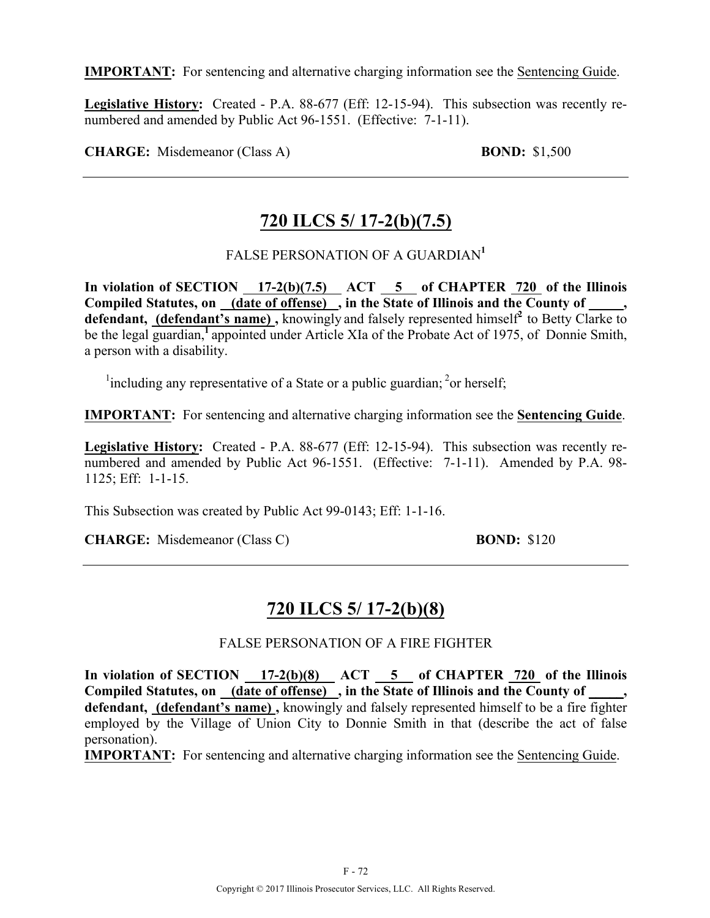**IMPORTANT:** For sentencing and alternative charging information see the Sentencing Guide.

**Legislative History:** Created - P.A. 88-677 (Eff: 12-15-94). This subsection was recently renumbered and amended by Public Act 96-1551. (Effective: 7-1-11).

**CHARGE:** Misdemeanor (Class A) **BOND:** \$1,500

## **720 ILCS 5/ 17-2(b)(7.5)**

FALSE PERSONATION OF A GUARDIAN**<sup>1</sup>**

In violation of SECTION  $17-2(b)(7.5)$  ACT  $5$  of CHAPTER  $720$  of the Illinois Compiled Statutes, on <u>(date of offense)</u>, in the State of Illinois and the County of defendant, (defendant's name), knowingly and falsely represented himself<sup>2</sup> to Betty Clarke to be the legal guardian,**<sup>1</sup>**appointed under Article XIa of the Probate Act of 1975, of Donnie Smith, a person with a disability.

<sup>1</sup>including any representative of a State or a public guardian; <sup>2</sup>or herself;

**IMPORTANT:** For sentencing and alternative charging information see the **Sentencing Guide**.

**Legislative History:** Created - P.A. 88-677 (Eff: 12-15-94). This subsection was recently renumbered and amended by Public Act 96-1551. (Effective: 7-1-11). Amended by P.A. 98- 1125; Eff: 1-1-15.

This Subsection was created by Public Act 99-0143; Eff: 1-1-16.

**CHARGE:** Misdemeanor (Class C) **BOND:**  $$120$ 

### **720 ILCS 5/ 17-2(b)(8)**

FALSE PERSONATION OF A FIRE FIGHTER

In violation of SECTION 17-2(b)(8) ACT 5 of CHAPTER 720 of the Illinois **Compiled Statutes, on (date of offense) , in the State of Illinois and the County of \_\_\_\_\_, defendant, (defendant's name) ,** knowingly and falsely represented himself to be a fire fighter employed by the Village of Union City to Donnie Smith in that (describe the act of false personation).

**IMPORTANT:** For sentencing and alternative charging information see the Sentencing Guide.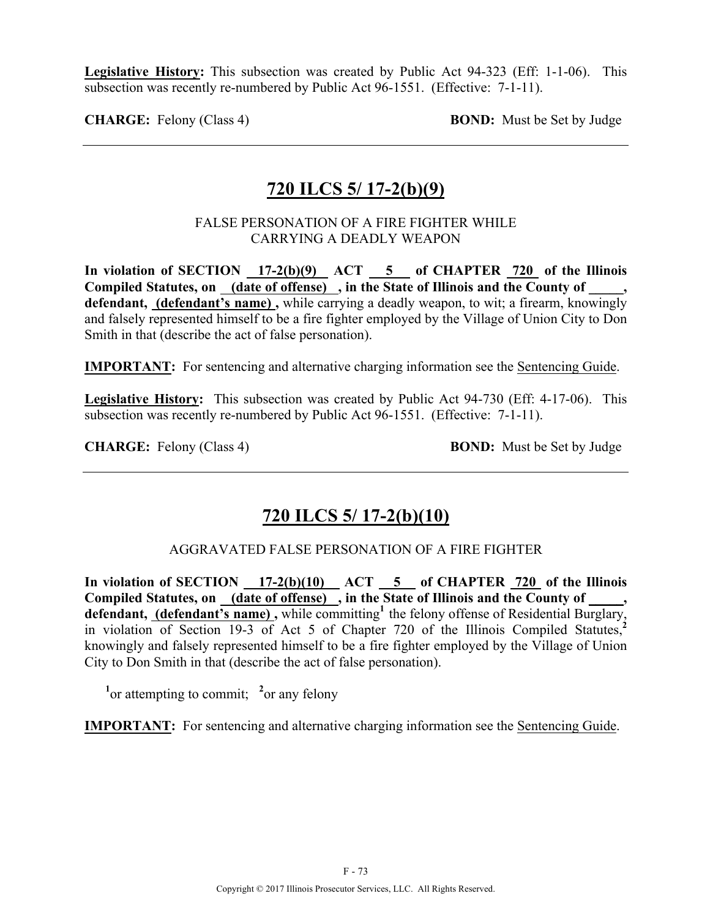**Legislative History:** This subsection was created by Public Act 94-323 (Eff: 1-1-06). This subsection was recently re-numbered by Public Act 96-1551. (Effective: 7-1-11).

**CHARGE:** Felony (Class 4) **BOND:** Must be Set by Judge

## **720 ILCS 5/ 17-2(b)(9)**

### FALSE PERSONATION OF A FIRE FIGHTER WHILE CARRYING A DEADLY WEAPON

In violation of SECTION  $17-2(b)(9)$  ACT  $5$  of CHAPTER 720 of the Illinois Compiled Statutes, on (date of offense), in the State of Illinois and the County of, **defendant, (defendant's name) ,** while carrying a deadly weapon, to wit; a firearm, knowingly and falsely represented himself to be a fire fighter employed by the Village of Union City to Don Smith in that (describe the act of false personation).

**IMPORTANT:** For sentencing and alternative charging information see the Sentencing Guide.

**Legislative History:** This subsection was created by Public Act 94-730 (Eff: 4-17-06). This subsection was recently re-numbered by Public Act 96-1551. (Effective: 7-1-11).

**CHARGE:** Felony (Class 4) **BOND:** Must be Set by Judge

## **720 ILCS 5/ 17-2(b)(10)**

### AGGRAVATED FALSE PERSONATION OF A FIRE FIGHTER

In violation of SECTION 17-2(b)(10) ACT 5 of CHAPTER 720 of the Illinois Compiled Statutes, on <u>(date of offense)</u>, in the State of Illinois and the County of \_\_\_\_, defendant, (defendant's name), while committing<sup>1</sup> the felony offense of Residential Burglary, in violation of Section 19-3 of Act 5 of Chapter 720 of the Illinois Compiled Statutes,**<sup>2</sup>** knowingly and falsely represented himself to be a fire fighter employed by the Village of Union City to Don Smith in that (describe the act of false personation).

<sup>1</sup><sup>or</sup> attempting to commit; <sup>2</sup><sup>or</sup> any felony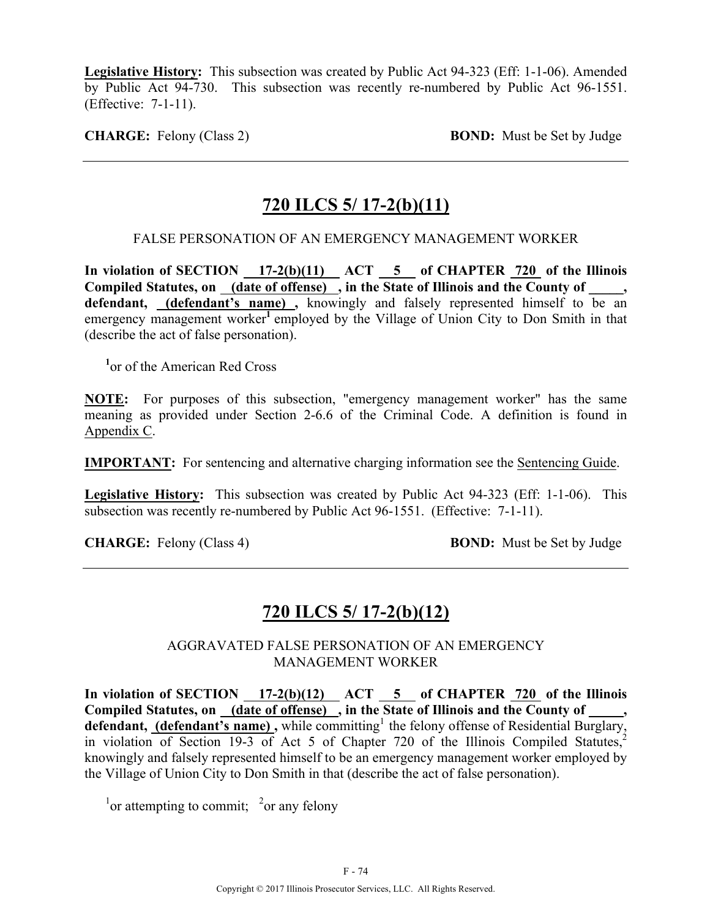**Legislative History:** This subsection was created by Public Act 94-323 (Eff: 1-1-06). Amended by Public Act 94-730. This subsection was recently re-numbered by Public Act 96-1551. (Effective: 7-1-11).

**CHARGE:** Felony (Class 2) **BOND:** Must be Set by Judge

## **720 ILCS 5/ 17-2(b)(11)**

### FALSE PERSONATION OF AN EMERGENCY MANAGEMENT WORKER

**In violation of SECTION 17-2(b)(11) ACT 5 of CHAPTER 720 of the Illinois**  Compiled Statutes, on (date of offense), in the State of Illinois and the County of, defendant, (defendant's name), knowingly and falsely represented himself to be an emergency management worker<sup>1</sup> employed by the Village of Union City to Don Smith in that (describe the act of false personation).

**1** or of the American Red Cross

**NOTE:** For purposes of this subsection, "emergency management worker" has the same meaning as provided under Section 2-6.6 of the Criminal Code. A definition is found in Appendix C.

**IMPORTANT:** For sentencing and alternative charging information see the Sentencing Guide.

**Legislative History:** This subsection was created by Public Act 94-323 (Eff: 1-1-06). This subsection was recently re-numbered by Public Act 96-1551. (Effective: 7-1-11).

**CHARGE:** Felony (Class 4) **BOND:** Must be Set by Judge

# **720 ILCS 5/ 17-2(b)(12)**

### AGGRAVATED FALSE PERSONATION OF AN EMERGENCY MANAGEMENT WORKER

In violation of SECTION  $17-2(b)(12)$  ACT  $5$  of CHAPTER  $720$  of the Illinois Compiled Statutes, on \_(date of offense) , in the State of Illinois and the County of \_ defendant, (defendant's name), while committing<sup>1</sup> the felony offense of Residential Burglary, in violation of Section 19-3 of Act 5 of Chapter 720 of the Illinois Compiled Statutes,<sup>2</sup> knowingly and falsely represented himself to be an emergency management worker employed by the Village of Union City to Don Smith in that (describe the act of false personation).

<sup>1</sup> or attempting to commit; <sup>2</sup> or any felony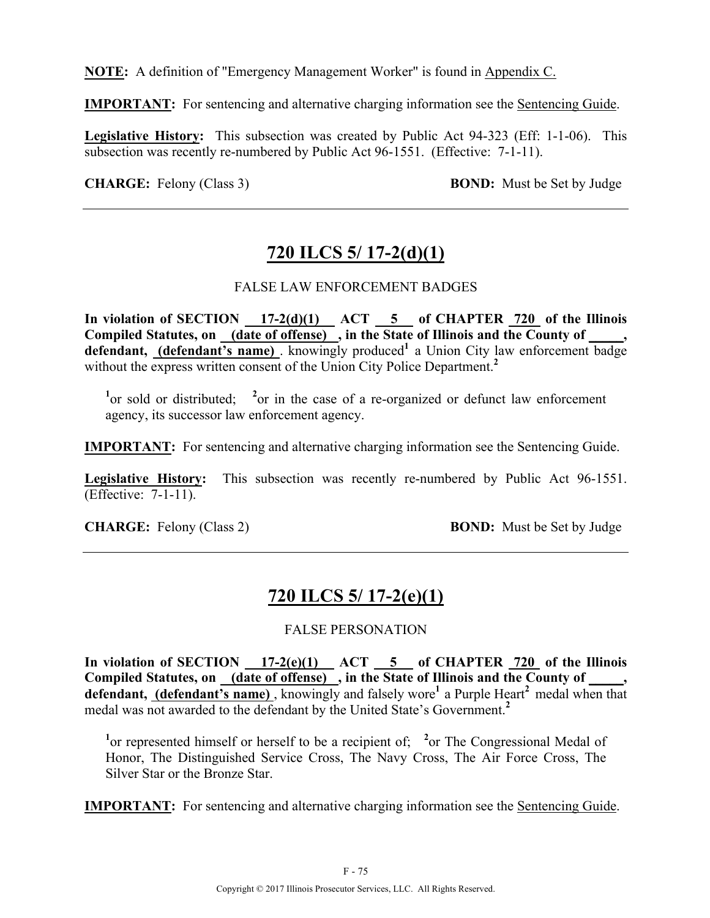**NOTE:** A definition of "Emergency Management Worker" is found in Appendix C.

**IMPORTANT:** For sentencing and alternative charging information see the Sentencing Guide.

**Legislative History:** This subsection was created by Public Act 94-323 (Eff: 1-1-06). This subsection was recently re-numbered by Public Act 96-1551. (Effective: 7-1-11).

**CHARGE:** Felony (Class 3) **BOND:** Must be Set by Judge

# **720 ILCS 5/ 17-2(d)(1)**

### FALSE LAW ENFORCEMENT BADGES

**In violation of SECTION 17-2(d)(1) ACT 5 of CHAPTER 720 of the Illinois Compiled Statutes, on (date of offense) , in the State of Illinois and the County of \_\_\_\_\_,**  defendant, (defendant's name) knowingly produced<sup>1</sup> a Union City law enforcement badge without the express written consent of the Union City Police Department.<sup>2</sup>

<sup>1</sup><sup>or</sup> sold or distributed; <sup>2</sup><sup>or</sup> in the case of a re-organized or defunct law enforcement agency, its successor law enforcement agency.

**IMPORTANT:** For sentencing and alternative charging information see the Sentencing Guide.

**Legislative History:** This subsection was recently re-numbered by Public Act 96-1551. (Effective: 7-1-11).

**CHARGE:** Felony (Class 2) **BOND:** Must be Set by Judge

# **720 ILCS 5/ 17-2(e)(1)**

### FALSE PERSONATION

**In violation of SECTION 17-2(e)(1) ACT 5 of CHAPTER 720 of the Illinois**  Compiled Statutes, on (date of offense), in the State of Illinois and the County of \_\_\_\_, defendant, (defendant's name), knowingly and falsely wore<sup>1</sup> a Purple Heart<sup>2</sup> medal when that medal was not awarded to the defendant by the United State's Government.**<sup>2</sup>**

<sup>1</sup><sup>or</sup> represented himself or herself to be a recipient of; <sup>2</sup><sup>or</sup> The Congressional Medal of Honor, The Distinguished Service Cross, The Navy Cross, The Air Force Cross, The Silver Star or the Bronze Star.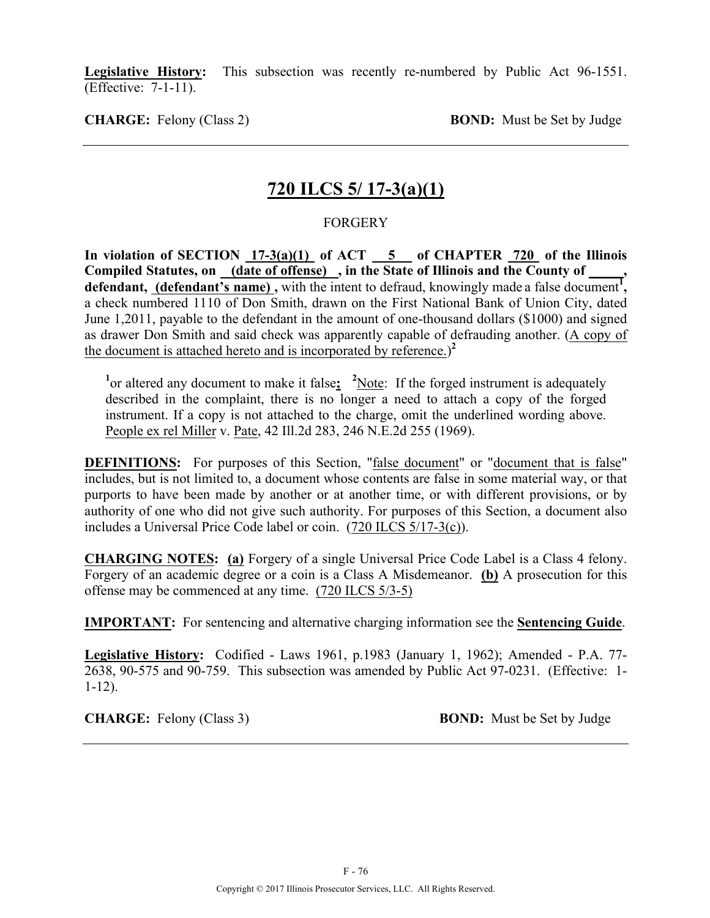**Legislative History:** This subsection was recently re-numbered by Public Act 96-1551. (Effective: 7-1-11).

**CHARGE:** Felony (Class 2) **BOND:** Must be Set by Judge

## **720 ILCS 5/ 17-3(a)(1)**

### FORGERY

**In violation of SECTION 17-3(a)(1) of ACT 5 of CHAPTER 720 of the Illinois Compiled Statutes, on (date of offense) , in the State of Illinois and the County of \_\_\_\_\_,**  defendant, (defendant's name), with the intent to defraud, knowingly made a false document<sup>1</sup>, a check numbered 1110 of Don Smith, drawn on the First National Bank of Union City, dated June 1,2011, payable to the defendant in the amount of one-thousand dollars (\$1000) and signed as drawer Don Smith and said check was apparently capable of defrauding another. (A copy of the document is attached hereto and is incorporated by reference.) **2**

<sup>1</sup><sup>or</sup> altered any document to make it false; <sup>2</sup>Note: If the forged instrument is adequately described in the complaint, there is no longer a need to attach a copy of the forged instrument. If a copy is not attached to the charge, omit the underlined wording above. People ex rel Miller v. Pate, 42 Ill.2d 283, 246 N.E.2d 255 (1969).

**DEFINITIONS:** For purposes of this Section, "false document" or "document that is false" includes, but is not limited to, a document whose contents are false in some material way, or that purports to have been made by another or at another time, or with different provisions, or by authority of one who did not give such authority. For purposes of this Section, a document also includes a Universal Price Code label or coin. (720 ILCS 5/17-3(c)).

**CHARGING NOTES: (a)** Forgery of a single Universal Price Code Label is a Class 4 felony. Forgery of an academic degree or a coin is a Class A Misdemeanor. **(b)** A prosecution for this offense may be commenced at any time. (720 ILCS 5/3-5)

**IMPORTANT:** For sentencing and alternative charging information see the **Sentencing Guide**.

**Legislative History:** Codified - Laws 1961, p.1983 (January 1, 1962); Amended - P.A. 77- 2638, 90-575 and 90-759. This subsection was amended by Public Act 97-0231. (Effective: 1- 1-12).

**CHARGE:** Felony (Class 3) **BOND:** Must be Set by Judge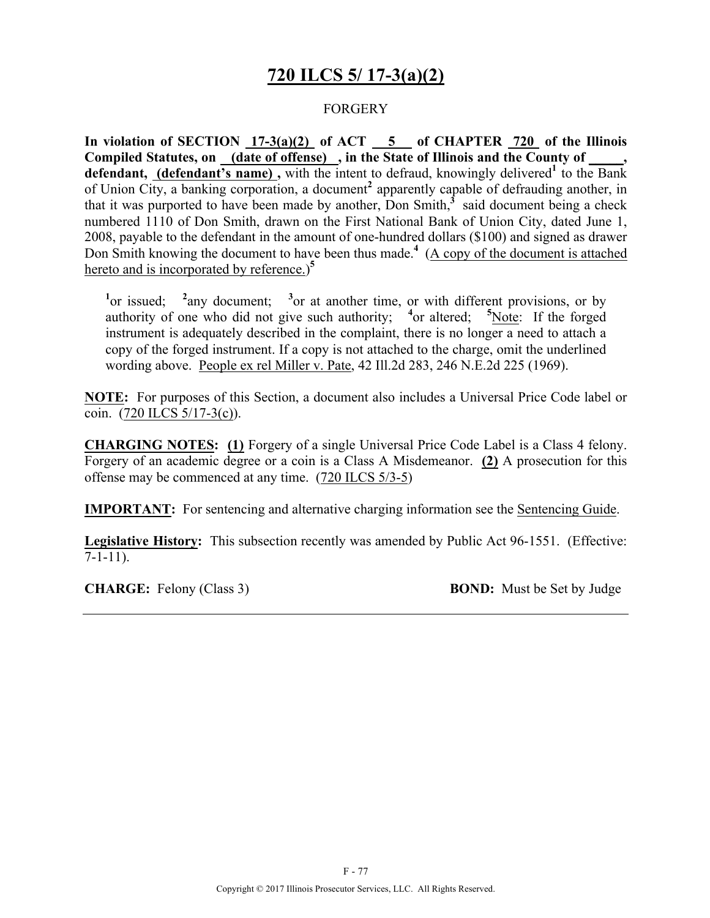# **720 ILCS 5/ 17-3(a)(2)**

### FORGERY

**In violation of SECTION 17-3(a)(2) of ACT 5 of CHAPTER 720 of the Illinois Compiled Statutes, on (date of offense) , in the State of Illinois and the County of \_\_\_\_\_, defendant, (defendant's name),** with the intent to defraud, knowingly delivered<sup>1</sup> to the Bank of Union City, a banking corporation, a document**<sup>2</sup>** apparently capable of defrauding another, in that it was purported to have been made by another. Don Smith, $\frac{3}{5}$  said document being a check numbered 1110 of Don Smith, drawn on the First National Bank of Union City, dated June 1, 2008, payable to the defendant in the amount of one-hundred dollars (\$100) and signed as drawer Don Smith knowing the document to have been thus made.**<sup>4</sup>** (A copy of the document is attached hereto and is incorporated by reference.) **5**

 $\frac{1}{2}$  or issued;  $\frac{2}{2}$ any document;  $3$  or at another time, or with different provisions, or by authority of one who did not give such authority; <sup>4</sup> or altered; <sup>5</sup>Note: If the forged instrument is adequately described in the complaint, there is no longer a need to attach a copy of the forged instrument. If a copy is not attached to the charge, omit the underlined wording above. People ex rel Miller v. Pate, 42 Ill.2d 283, 246 N.E.2d 225 (1969).

**NOTE:** For purposes of this Section, a document also includes a Universal Price Code label or coin.  $(720$  ILCS  $5/17-3(c)$ ).

**CHARGING NOTES: (1)** Forgery of a single Universal Price Code Label is a Class 4 felony. Forgery of an academic degree or a coin is a Class A Misdemeanor. **(2)** A prosecution for this offense may be commenced at any time. (720 ILCS 5/3-5)

**IMPORTANT:** For sentencing and alternative charging information see the Sentencing Guide.

**Legislative History:** This subsection recently was amended by Public Act 96-1551. (Effective:  $\overline{7}$ -1-11).

**CHARGE:** Felony (Class 3) **BOND:** Must be Set by Judge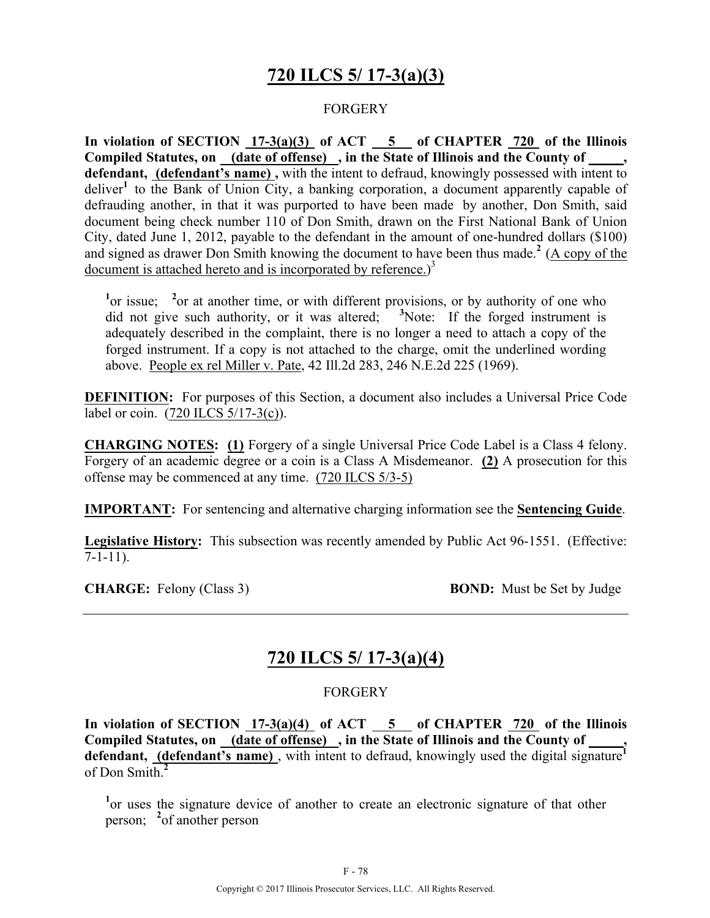# **720 ILCS 5/ 17-3(a)(3)**

### FORGERY

**In violation of SECTION 17-3(a)(3) of ACT 5 of CHAPTER 720 of the Illinois Compiled Statutes, on (date of offense) , in the State of Illinois and the County of \_\_\_\_\_, defendant, (defendant's name) ,** with the intent to defraud, knowingly possessed with intent to deliver**<sup>1</sup>** to the Bank of Union City, a banking corporation, a document apparently capable of defrauding another, in that it was purported to have been made by another, Don Smith, said document being check number 110 of Don Smith, drawn on the First National Bank of Union City, dated June 1, 2012, payable to the defendant in the amount of one-hundred dollars (\$100) and signed as drawer Don Smith knowing the document to have been thus made.**<sup>2</sup>** (A copy of the document is attached hereto and is incorporated by reference.)<sup>3</sup>

<sup>1</sup>or issue; <sup>2</sup> or at another time, or with different provisions, or by authority of one who did not give such authority, or it was altered; <sup>3</sup>Note: If the forged instrument is adequately described in the complaint, there is no longer a need to attach a copy of the forged instrument. If a copy is not attached to the charge, omit the underlined wording above. People ex rel Miller v. Pate, 42 Ill.2d 283, 246 N.E.2d 225 (1969).

**DEFINITION:** For purposes of this Section, a document also includes a Universal Price Code label or coin. (720 ILCS 5/17-3(c)).

**CHARGING NOTES: (1)** Forgery of a single Universal Price Code Label is a Class 4 felony. Forgery of an academic degree or a coin is a Class A Misdemeanor. **(2)** A prosecution for this offense may be commenced at any time. (720 ILCS 5/3-5)

**IMPORTANT:** For sentencing and alternative charging information see the **Sentencing Guide**.

**Legislative History:** This subsection was recently amended by Public Act 96-1551. (Effective:  $\overline{7}$ -1-11).

**CHARGE:** Felony (Class 3) **BOND:** Must be Set by Judge

## **720 ILCS 5/ 17-3(a)(4)**

#### FORGERY

**In violation of SECTION 17-3(a)(4) of ACT 5 of CHAPTER 720 of the Illinois Compiled Statutes, on (date of offense) , in the State of Illinois and the County of \_\_\_\_\_,**  defendant, **(defendant's name)**, with intent to defraud, knowingly used the digital signature<sup>1</sup> of Don Smith.**<sup>2</sup>**

<sup>1</sup> or uses the signature device of another to create an electronic signature of that other person; **<sup>2</sup>** of another person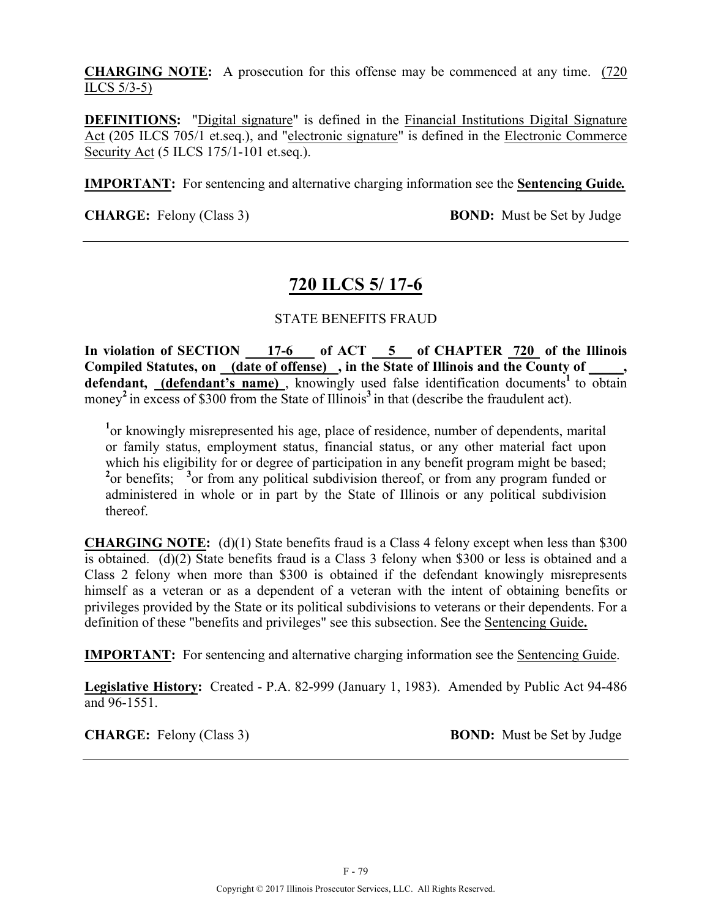**CHARGING NOTE:** A prosecution for this offense may be commenced at any time. (720 ILCS 5/3-5)

**DEFINITIONS:** "Digital signature" is defined in the Financial Institutions Digital Signature Act (205 ILCS 705/1 et.seq.), and "electronic signature" is defined in the Electronic Commerce Security Act (5 ILCS 175/1-101 et.seq.).

**IMPORTANT:** For sentencing and alternative charging information see the **Sentencing Guide***.*

**CHARGE:** Felony (Class 3) **BOND:** Must be Set by Judge

# **720 ILCS 5/ 17-6**

### STATE BENEFITS FRAUD

**In violation of SECTION 17-6 of ACT 5 of CHAPTER 720 of the Illinois**  Compiled Statutes, on (date of offense), in the State of Illinois and the County of defendant, (defendant's name), knowingly used false identification documents<sup>1</sup> to obtain money<sup>2</sup> in excess of \$300 from the State of Illinois<sup>3</sup> in that (describe the fraudulent act).

<sup>1</sup> or knowingly misrepresented his age, place of residence, number of dependents, marital or family status, employment status, financial status, or any other material fact upon which his eligibility for or degree of participation in any benefit program might be based; <sup>2</sup> or benefits; <sup>3</sup> or from any political subdivision thereof, or from any program funded or administered in whole or in part by the State of Illinois or any political subdivision thereof.

**CHARGING NOTE:** (d)(1) State benefits fraud is a Class 4 felony except when less than \$300 is obtained. (d)(2) State benefits fraud is a Class 3 felony when \$300 or less is obtained and a Class 2 felony when more than \$300 is obtained if the defendant knowingly misrepresents himself as a veteran or as a dependent of a veteran with the intent of obtaining benefits or privileges provided by the State or its political subdivisions to veterans or their dependents. For a definition of these "benefits and privileges" see this subsection. See the Sentencing Guide**.**

**IMPORTANT:** For sentencing and alternative charging information see the Sentencing Guide.

**Legislative History:** Created - P.A. 82-999 (January 1, 1983). Amended by Public Act 94-486 and 96-1551.

**CHARGE:** Felony (Class 3) **BOND:** Must be Set by Judge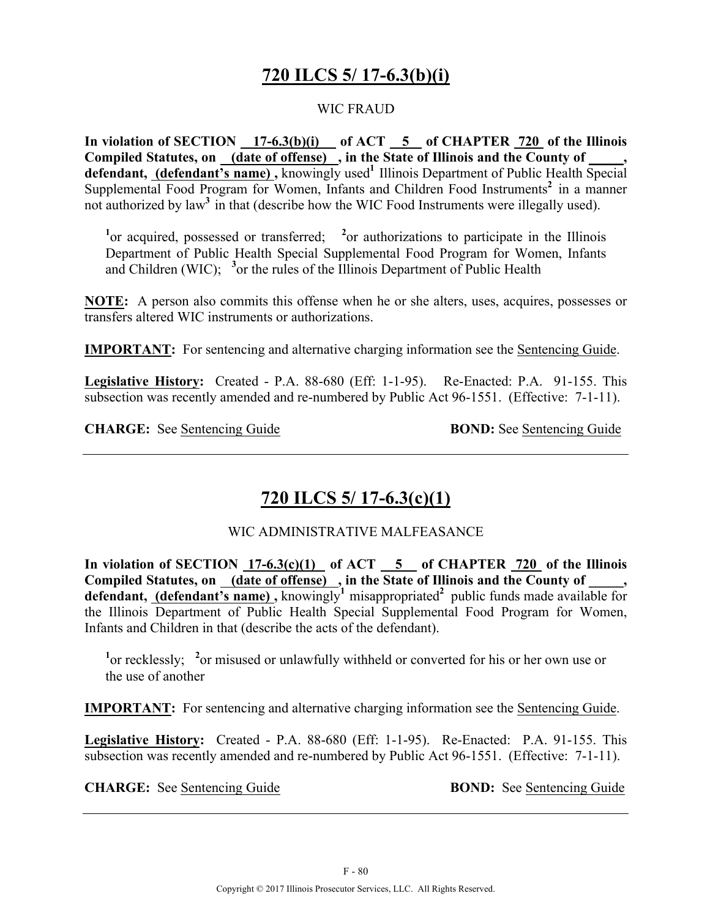# **720 ILCS 5/ 17-6.3(b)(i)**

### WIC FRAUD

**In violation of SECTION 17-6.3(b)(i) of ACT 5 of CHAPTER 720 of the Illinois Compiled Statutes, on (date of offense) , in the State of Illinois and the County of \_\_\_\_\_,**  defendant, (defendant's name), knowingly used<sup>1</sup> Illinois Department of Public Health Special Supplemental Food Program for Women, Infants and Children Food Instruments<sup>2</sup> in a manner not authorized by law<sup>3</sup> in that (describe how the WIC Food Instruments were illegally used).

<sup>1</sup><sup>or</sup> acquired, possessed or transferred; <sup>2</sup><sup>or</sup> authorizations to participate in the Illinois Department of Public Health Special Supplemental Food Program for Women, Infants and Children (WIC); **<sup>3</sup>** or the rules of the Illinois Department of Public Health

**NOTE:** A person also commits this offense when he or she alters, uses, acquires, possesses or transfers altered WIC instruments or authorizations.

**IMPORTANT:** For sentencing and alternative charging information see the Sentencing Guide.

**Legislative History:** Created - P.A. 88-680 (Eff: 1-1-95). Re-Enacted: P.A. 91-155. This subsection was recently amended and re-numbered by Public Act 96-1551. (Effective: 7-1-11).

**CHARGE:** See Sentencing Guide **BOND:** See Sentencing Guide

# **720 ILCS 5/ 17-6.3(c)(1)**

### WIC ADMINISTRATIVE MALFEASANCE

**In violation of SECTION 17-6.3(c)(1) of ACT 5 of CHAPTER 720 of the Illinois**  Compiled Statutes, on \_(date of offense) \_, in the State of Illinois and the County of \_ **defendant, (defendant's name),** knowingly<sup>1</sup> misappropriated<sup>2</sup> public funds made available for the Illinois Department of Public Health Special Supplemental Food Program for Women, Infants and Children in that (describe the acts of the defendant).

<sup>1</sup> or recklessly; <sup>2</sup> or misused or unlawfully withheld or converted for his or her own use or the use of another

**IMPORTANT:** For sentencing and alternative charging information see the Sentencing Guide.

**Legislative History:** Created - P.A. 88-680 (Eff: 1-1-95). Re-Enacted: P.A. 91-155. This subsection was recently amended and re-numbered by Public Act 96-1551. (Effective: 7-1-11).

**CHARGE:** See Sentencing Guide **BOND:** See Sentencing Guide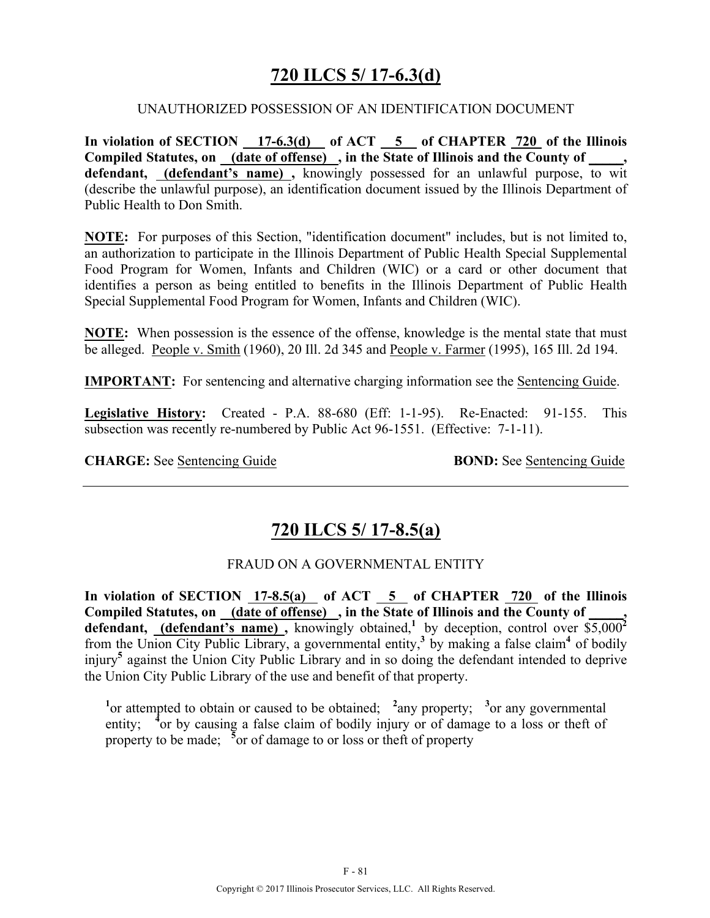## **720 ILCS 5/ 17-6.3(d)**

#### UNAUTHORIZED POSSESSION OF AN IDENTIFICATION DOCUMENT

**In violation of SECTION 17-6.3(d) of ACT 5 of CHAPTER 720 of the Illinois Compiled Statutes, on (date of offense) , in the State of Illinois and the County of \_\_\_\_\_, defendant, (defendant's name) ,** knowingly possessed for an unlawful purpose, to wit (describe the unlawful purpose), an identification document issued by the Illinois Department of Public Health to Don Smith.

**NOTE:** For purposes of this Section, "identification document" includes, but is not limited to, an authorization to participate in the Illinois Department of Public Health Special Supplemental Food Program for Women, Infants and Children (WIC) or a card or other document that identifies a person as being entitled to benefits in the Illinois Department of Public Health Special Supplemental Food Program for Women, Infants and Children (WIC).

**NOTE:** When possession is the essence of the offense, knowledge is the mental state that must be alleged. People v. Smith (1960), 20 Ill. 2d 345 and People v. Farmer (1995), 165 Ill. 2d 194.

**IMPORTANT:** For sentencing and alternative charging information see the Sentencing Guide.

**Legislative History:** Created - P.A. 88-680 (Eff: 1-1-95). Re-Enacted: 91-155. This subsection was recently re-numbered by Public Act 96-1551. (Effective: 7-1-11).

**CHARGE:** See <u>Sentencing Guide</u> **BOND:** See Sentencing Guide

## **720 ILCS 5/ 17-8.5(a)**

### FRAUD ON A GOVERNMENTAL ENTITY

**In violation of SECTION 17-8.5(a) of ACT 5 of CHAPTER 720 of the Illinois**  Compiled Statutes, on (date of offense), in the State of Illinois and the County of defendant, (defendant's name), knowingly obtained,<sup>1</sup> by deception, control over \$5,000<sup>2</sup> from the Union City Public Library, a governmental entity,**<sup>3</sup>** by making a false claim**4** of bodily injury**<sup>5</sup>** against the Union City Public Library and in so doing the defendant intended to deprive the Union City Public Library of the use and benefit of that property.

<sup>1</sup><sup>or</sup> attempted to obtain or caused to be obtained; <sup>2</sup>any property; <sup>3</sup><sub>or any governmental</sub> entity; <sup>4</sup> or by causing a false claim of bodily injury or of damage to a loss or theft of property to be made; <sup>5</sup> or of damage to or loss or theft of property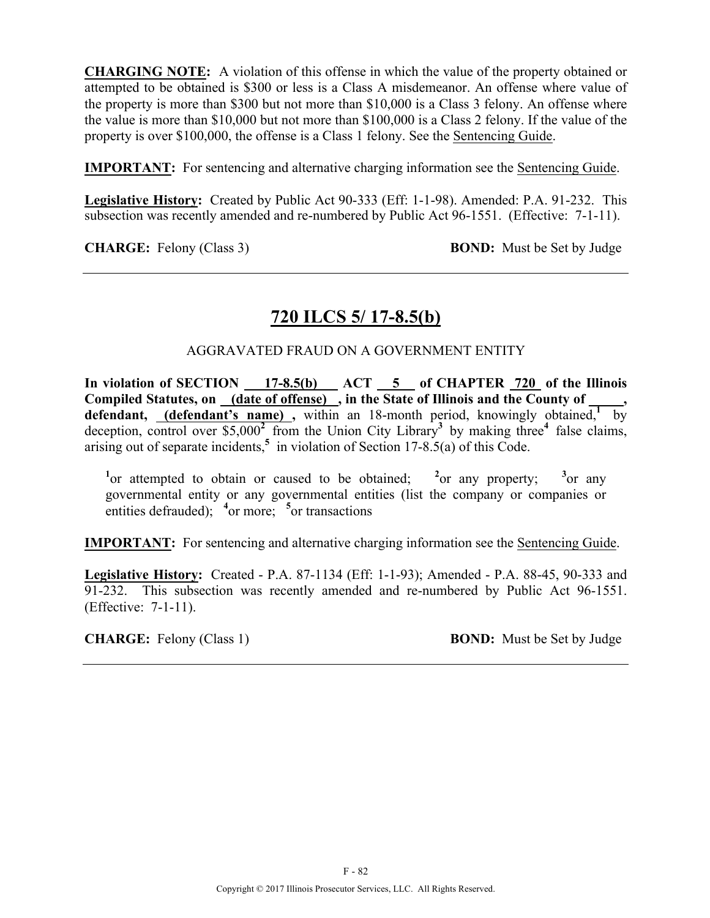**CHARGING NOTE:** A violation of this offense in which the value of the property obtained or attempted to be obtained is \$300 or less is a Class A misdemeanor. An offense where value of the property is more than \$300 but not more than \$10,000 is a Class 3 felony. An offense where the value is more than \$10,000 but not more than \$100,000 is a Class 2 felony. If the value of the property is over \$100,000, the offense is a Class 1 felony. See the Sentencing Guide.

**IMPORTANT:** For sentencing and alternative charging information see the Sentencing Guide.

**Legislative History:** Created by Public Act 90-333 (Eff: 1-1-98). Amended: P.A. 91-232. This subsection was recently amended and re-numbered by Public Act 96-1551. (Effective: 7-1-11).

**CHARGE:** Felony (Class 3) **BOND:** Must be Set by Judge

## **720 ILCS 5/ 17-8.5(b)**

### AGGRAVATED FRAUD ON A GOVERNMENT ENTITY

In violation of SECTION 17-8.5(b) ACT 5 of CHAPTER 720 of the Illinois Compiled Statutes, on (date of offense), in the State of Illinois and the County of defendant, (defendant's name), within an 18-month period, knowingly obtained,<sup>1</sup> by deception, control over  $$5,000^2$  from the Union City Library<sup>3</sup> by making three<sup>4</sup> false claims, arising out of separate incidents,**<sup>5</sup>** in violation of Section 17-8.5(a) of this Code.

<sup>1</sup><sup>or</sup> attempted to obtain or caused to be obtained; <sup>2</sup><sup>or</sup> any property; <sup>3</sup>  $3_{\text{or any}}$ governmental entity or any governmental entities (list the company or companies or entities defrauded); <sup>4</sup> or more; <sup>5</sup> or transactions

**IMPORTANT:** For sentencing and alternative charging information see the Sentencing Guide.

**Legislative History:** Created - P.A. 87-1134 (Eff: 1-1-93); Amended - P.A. 88-45, 90-333 and 91-232. This subsection was recently amended and re-numbered by Public Act 96-1551. (Effective: 7-1-11).

**CHARGE:** Felony (Class 1) **BOND:** Must be Set by Judge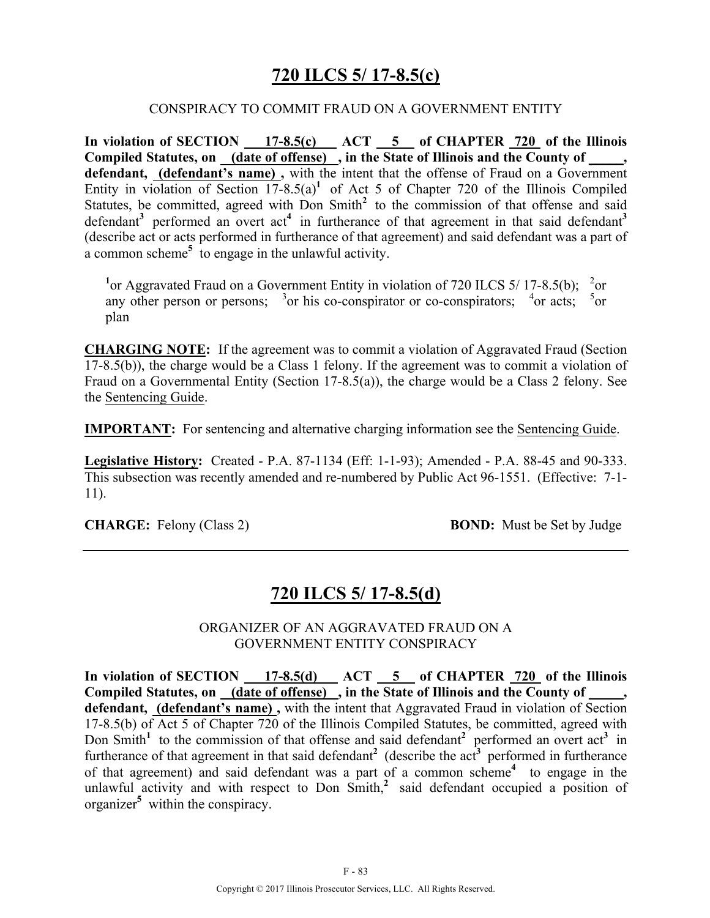## **720 ILCS 5/ 17-8.5(c)**

#### CONSPIRACY TO COMMIT FRAUD ON A GOVERNMENT ENTITY

In violation of SECTION 17-8.5(c) ACT 5 of CHAPTER 720 of the Illinois **Compiled Statutes, on (date of offense) , in the State of Illinois and the County of \_\_\_\_\_, defendant, (defendant's name) ,** with the intent that the offense of Fraud on a Government Entity in violation of Section  $17-8.5(a)^1$  of Act 5 of Chapter 720 of the Illinois Compiled Statutes, be committed, agreed with Don Smith<sup>2</sup> to the commission of that offense and said defendant<sup>3</sup> performed an overt act<sup>4</sup> in furtherance of that agreement in that said defendant<sup>3</sup> (describe act or acts performed in furtherance of that agreement) and said defendant was a part of a common scheme**<sup>5</sup>** to engage in the unlawful activity.

<sup>1</sup> or Aggravated Fraud on a Government Entity in violation of 720 ILCS 5/17-8.5(b); <sup>2</sup> or any other person or persons;  $3$  or his co-conspirator or co-conspirators;  $4$  or acts;  $5$  or plan

**CHARGING NOTE:** If the agreement was to commit a violation of Aggravated Fraud (Section 17-8.5(b)), the charge would be a Class 1 felony. If the agreement was to commit a violation of Fraud on a Governmental Entity (Section 17-8.5(a)), the charge would be a Class 2 felony. See the Sentencing Guide.

**IMPORTANT:** For sentencing and alternative charging information see the Sentencing Guide.

**Legislative History:** Created - P.A. 87-1134 (Eff: 1-1-93); Amended - P.A. 88-45 and 90-333. This subsection was recently amended and re-numbered by Public Act 96-1551. (Effective: 7-1- 11).

**CHARGE:** Felony (Class 2) **BOND:** Must be Set by Judge

## **720 ILCS 5/ 17-8.5(d)**

ORGANIZER OF AN AGGRAVATED FRAUD ON A GOVERNMENT ENTITY CONSPIRACY

In violation of SECTION 17-8.5(d) ACT 5 of CHAPTER 720 of the Illinois Compiled Statutes, on (date of offense), in the State of Illinois and the County of **defendant, (defendant's name) ,** with the intent that Aggravated Fraud in violation of Section 17-8.5(b) of Act 5 of Chapter 720 of the Illinois Compiled Statutes, be committed, agreed with Don Smith<sup>1</sup> to the commission of that offense and said defendant<sup>2</sup> performed an overt act<sup>3</sup> in furtherance of that agreement in that said defendant<sup>2</sup> (describe the act<sup>3</sup> performed in furtherance of that agreement) and said defendant was a part of a common scheme**<sup>4</sup>**to engage in the unlawful activity and with respect to Don Smith,<sup>2</sup> said defendant occupied a position of organizer**<sup>5</sup>** within the conspiracy.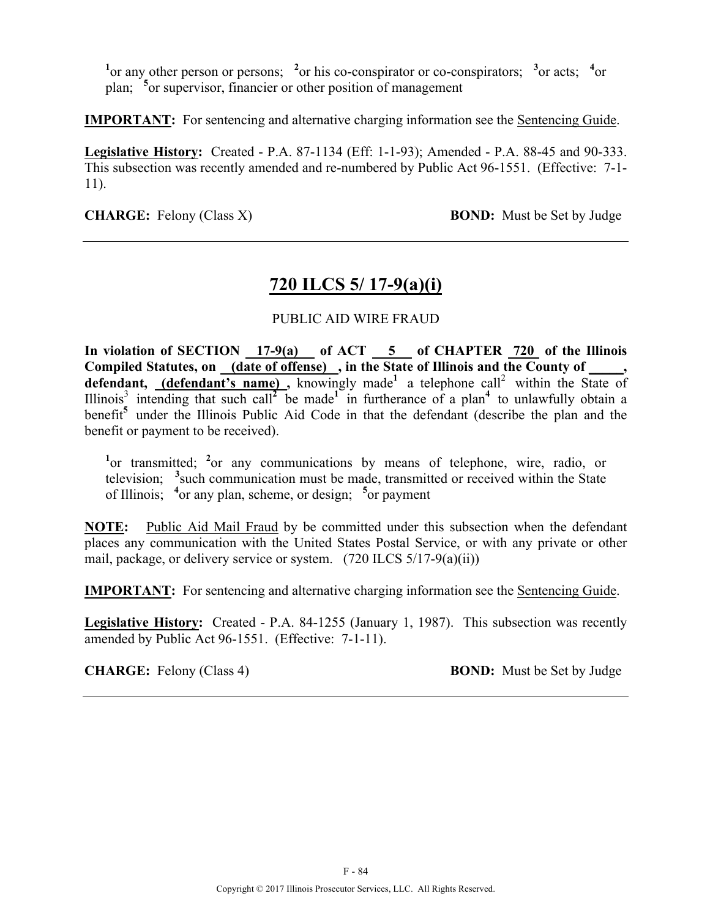<sup>1</sup><sup>or</sup> any other person or persons; <sup>2</sup><sup>or</sup> his co-conspirator or co-conspirators; <sup>3</sup><sup>or</sup> acts; <sup>4</sup><sup>or</sup> plan; **<sup>5</sup>** or supervisor, financier or other position of management

**IMPORTANT:** For sentencing and alternative charging information see the Sentencing Guide.

**Legislative History:** Created - P.A. 87-1134 (Eff: 1-1-93); Amended - P.A. 88-45 and 90-333. This subsection was recently amended and re-numbered by Public Act 96-1551. (Effective: 7-1- 11).

**CHARGE:** Felony (Class X) **BOND:** Must be Set by Judge

## **720 ILCS 5/ 17-9(a)(i)**

### PUBLIC AID WIRE FRAUD

**In violation of SECTION 17-9(a) of ACT 5 of CHAPTER 720 of the Illinois**  Compiled Statutes, on (date of offense), in the State of Illinois and the County of \_\_\_\_\_, defendant, **(defendant's name)**, knowingly made<sup>1</sup> a telephone call<sup>2</sup> within the State of Illinois<sup>3</sup> intending that such call<sup>2</sup> be made<sup>1</sup> in furtherance of a plan<sup>4</sup> to unlawfully obtain a benefit**<sup>5</sup>** under the Illinois Public Aid Code in that the defendant (describe the plan and the benefit or payment to be received).

<sup>1</sup>or transmitted; <sup>2</sup> or any communications by means of telephone, wire, radio, or television; **<sup>3</sup>** such communication must be made, transmitted or received within the State of Illinois; **<sup>4</sup>** or any plan, scheme, or design; **<sup>5</sup>** or payment

**NOTE:** Public Aid Mail Fraud by be committed under this subsection when the defendant places any communication with the United States Postal Service, or with any private or other mail, package, or delivery service or system. (720 ILCS 5/17-9(a)(ii))

**IMPORTANT:** For sentencing and alternative charging information see the Sentencing Guide.

**Legislative History:** Created - P.A. 84-1255 (January 1, 1987). This subsection was recently amended by Public Act 96-1551. (Effective: 7-1-11).

**CHARGE:** Felony (Class 4) **BOND:** Must be Set by Judge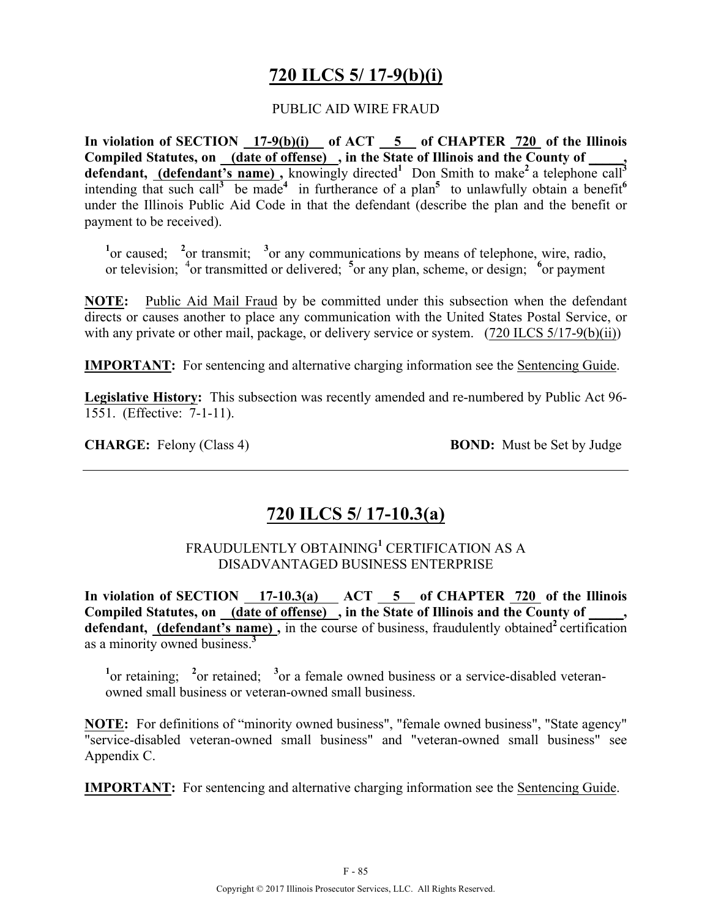# **720 ILCS 5/ 17-9(b)(i)**

### PUBLIC AID WIRE FRAUD

In violation of SECTION 17-9(b)(i) of ACT 5 of CHAPTER 720 of the Illinois **Compiled Statutes, on (date of offense) , in the State of Illinois and the County of \_\_\_\_\_,**  defendant, (defendant's name), knowingly directed<sup>1</sup> Don Smith to make<sup>2</sup> a telephone call<sup>3</sup> intending that such call<sup>3</sup> be made<sup>4</sup> in furtherance of a plan<sup>5</sup> to unlawfully obtain a benefit<sup>6</sup> under the Illinois Public Aid Code in that the defendant (describe the plan and the benefit or payment to be received).

<sup>1</sup> or caused; <sup>2</sup> or transmit; <sup>3</sup> or any communications by means of telephone, wire, radio, or television; <sup>4</sup> or transmitted or delivered; <sup>5</sup> or any plan, scheme, or design; <sup>6</sup> or payment

**NOTE:** Public Aid Mail Fraud by be committed under this subsection when the defendant directs or causes another to place any communication with the United States Postal Service, or with any private or other mail, package, or delivery service or system. (720 ILCS 5/17-9(b)(ii))

**IMPORTANT:** For sentencing and alternative charging information see the Sentencing Guide.

**Legislative History:** This subsection was recently amended and re-numbered by Public Act 96- 1551. (Effective: 7-1-11).

**CHARGE:** Felony (Class 4) **BOND:** Must be Set by Judge

## **720 ILCS 5/ 17-10.3(a)**

## FRAUDULENTLY OBTAINING**<sup>1</sup>** CERTIFICATION AS A DISADVANTAGED BUSINESS ENTERPRISE

In violation of SECTION 17-10.3(a) ACT 5 of CHAPTER 720 of the Illinois Compiled Statutes, on (date of offense), in the State of Illinois and the County of defendant, (defendant's name), in the course of business, fraudulently obtained<sup>2</sup> certification as a minority owned business.**<sup>3</sup>**

<sup>1</sup> or retaining; <sup>2</sup> or retained; <sup>3</sup> or a female owned business or a service-disabled veteranowned small business or veteran-owned small business.

**NOTE:** For definitions of "minority owned business", "female owned business", "State agency" "service-disabled veteran-owned small business" and "veteran-owned small business" see Appendix C.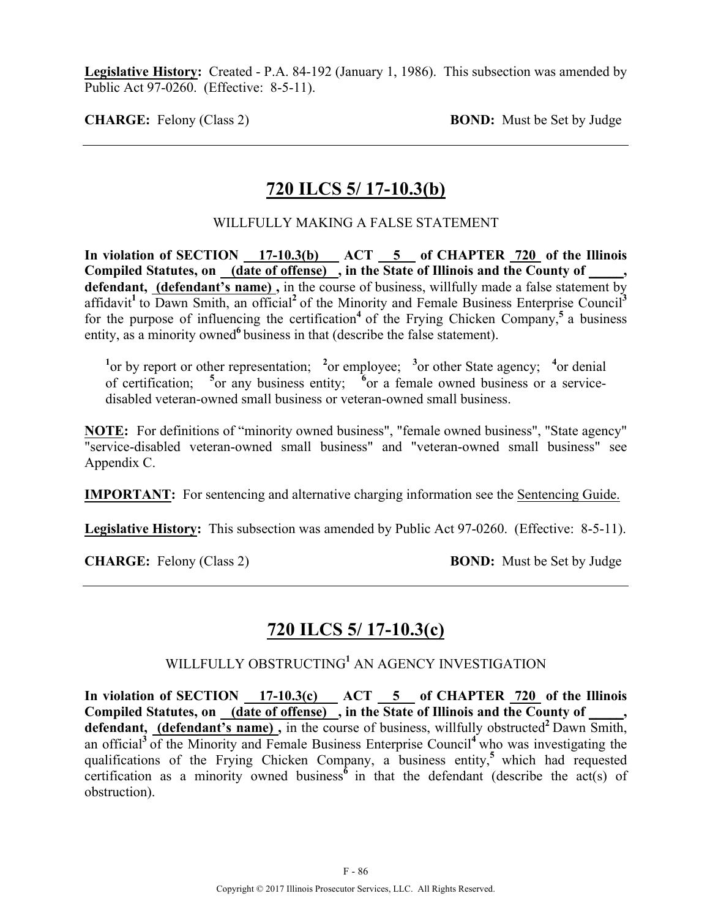**Legislative History:** Created - P.A. 84-192 (January 1, 1986). This subsection was amended by Public Act 97-0260. (Effective: 8-5-11).

**CHARGE:** Felony (Class 2) **BOND:** Must be Set by Judge

# **720 ILCS 5/ 17-10.3(b)**

### WILLFULLY MAKING A FALSE STATEMENT

In violation of SECTION 17-10.3(b) ACT 5 of CHAPTER 720 of the Illinois Compiled Statutes, on <u>(date of offense)</u>, in the State of Illinois and the County of **defendant, (defendant's name) ,** in the course of business, willfully made a false statement by affidavit<sup>1</sup> to Dawn Smith, an official<sup>2</sup> of the Minority and Female Business Enterprise Council<sup>3</sup> for the purpose of influencing the certification<sup>4</sup> of the Frying Chicken Company,<sup>5</sup> a business entity, as a minority owned<sup>6</sup> business in that (describe the false statement).

<sup>1</sup><sup>or</sup> by report or other representation; <sup>2</sup><sup>or</sup> employee; <sup>3</sup><sup>or</sup> other State agency; <sup>4</sup><sup>or</sup> denial of certification; <sup>5</sup> or any business entity; <sup>6</sup> or a female owned business or a servicedisabled veteran-owned small business or veteran-owned small business.

**NOTE:** For definitions of "minority owned business", "female owned business", "State agency" "service-disabled veteran-owned small business" and "veteran-owned small business" see Appendix C.

**IMPORTANT:** For sentencing and alternative charging information see the Sentencing Guide.

**Legislative History:** This subsection was amended by Public Act 97-0260. (Effective: 8-5-11).

**CHARGE:** Felony (Class 2) **BOND:** Must be Set by Judge

# **720 ILCS 5/ 17-10.3(c)**

### WILLFULLY OBSTRUCTING**<sup>1</sup>** AN AGENCY INVESTIGATION

In violation of SECTION 17-10.3(c) ACT 5 of CHAPTER 720 of the Illinois Compiled Statutes, on <u>(date of offense)</u>, in the State of Illinois and the County of \_\_\_\_, defendant, (defendant's name), in the course of business, willfully obstructed<sup>2</sup> Dawn Smith, an official**<sup>3</sup>**of the Minority and Female Business Enterprise Council**<sup>4</sup>**who was investigating the qualifications of the Frying Chicken Company, a business entity,**<sup>5</sup>**which had requested certification as a minority owned business<sup> $\vec{6}$ </sup> in that the defendant (describe the act(s) of obstruction).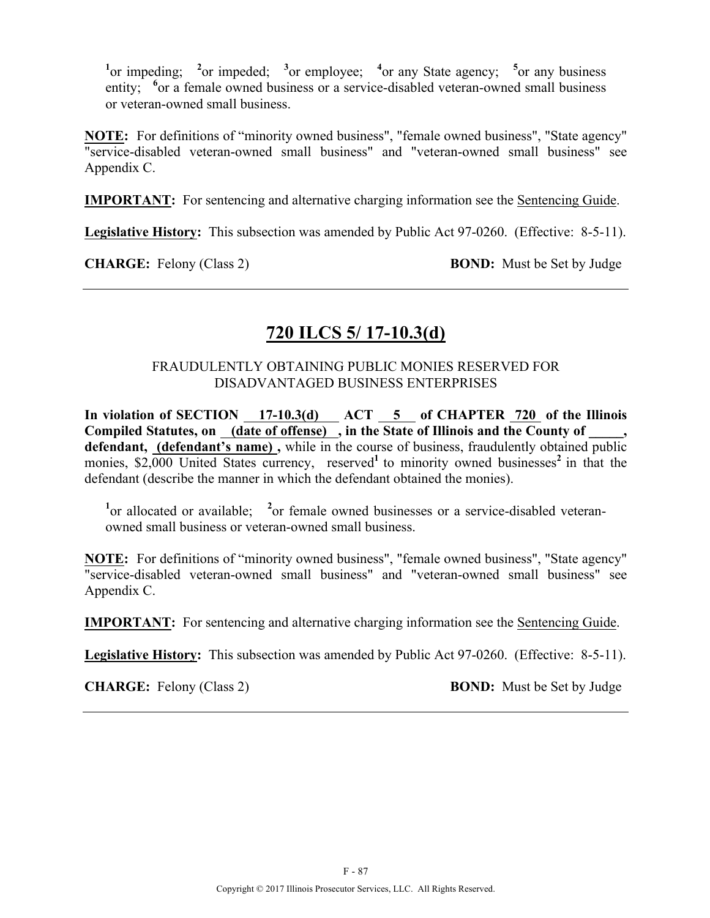<sup>1</sup><sup>or</sup> impeding; <sup>2</sup><sup>or</sup> impeded; <sup>3</sup><sup>or</sup> employee; <sup>4</sup><sup>or</sup> any State agency; <sup>5</sup><sup>or</sup> any business entity; <sup>6</sup> or a female owned business or a service-disabled veteran-owned small business or veteran-owned small business.

**NOTE:** For definitions of "minority owned business", "female owned business", "State agency" "service-disabled veteran-owned small business" and "veteran-owned small business" see Appendix C.

**IMPORTANT:** For sentencing and alternative charging information see the Sentencing Guide.

**Legislative History:** This subsection was amended by Public Act 97-0260. (Effective: 8-5-11).

**CHARGE:** Felony (Class 2) **BOND:** Must be Set by Judge

# **720 ILCS 5/ 17-10.3(d)**

### FRAUDULENTLY OBTAINING PUBLIC MONIES RESERVED FOR DISADVANTAGED BUSINESS ENTERPRISES

In violation of SECTION 17-10.3(d) ACT 5 of CHAPTER 720 of the Illinois Compiled Statutes, on \_(date of offense) \_, in the State of Illinois and the County of \_ **defendant, (defendant's name) ,** while in the course of business, fraudulently obtained public monies, \$2,000 United States currency, reserved<sup>1</sup> to minority owned businesses<sup>2</sup> in that the defendant (describe the manner in which the defendant obtained the monies).

<sup>1</sup> or allocated or available; <sup>2</sup> or female owned businesses or a service-disabled veteranowned small business or veteran-owned small business.

**NOTE:** For definitions of "minority owned business", "female owned business", "State agency" "service-disabled veteran-owned small business" and "veteran-owned small business" see Appendix C.

**IMPORTANT:** For sentencing and alternative charging information see the Sentencing Guide.

**Legislative History:** This subsection was amended by Public Act 97-0260. (Effective: 8-5-11).

**CHARGE:** Felony (Class 2) **BOND:** Must be Set by Judge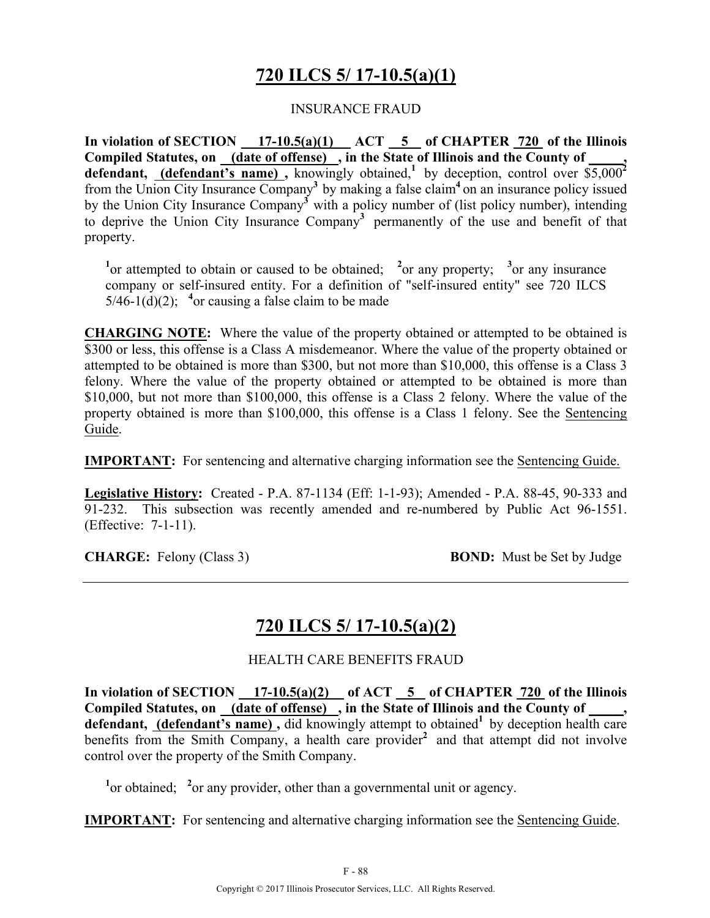# **720 ILCS 5/ 17-10.5(a)(1)**

### INSURANCE FRAUD

**In violation of SECTION 17-10.5(a)(1) ACT 5 of CHAPTER 720 of the Illinois**  Compiled Statutes, on (date of offense), in the State of Illinois and the County of **defendant, (defendant's name)**, knowingly obtained,<sup>1</sup> by deception, control over  $\overline{$5,000^2}$ from the Union City Insurance Company**<sup>3</sup>** by making a false claim**<sup>4</sup>** on an insurance policy issued by the Union City Insurance Company**<sup>3</sup>** with a policy number of (list policy number), intending to deprive the Union City Insurance Company**<sup>3</sup>** permanently of the use and benefit of that property.

<sup>1</sup><sup>or</sup> attempted to obtain or caused to be obtained; <sup>2</sup><sup>or</sup> any property; <sup>3</sup><sup>or</sup> any insurance company or self-insured entity. For a definition of "self-insured entity" see 720 ILCS  $5/46-1(d)(2)$ ; <sup>4</sup> or causing a false claim to be made

**CHARGING NOTE:** Where the value of the property obtained or attempted to be obtained is \$300 or less, this offense is a Class A misdemeanor. Where the value of the property obtained or attempted to be obtained is more than \$300, but not more than \$10,000, this offense is a Class 3 felony. Where the value of the property obtained or attempted to be obtained is more than \$10,000, but not more than \$100,000, this offense is a Class 2 felony. Where the value of the property obtained is more than \$100,000, this offense is a Class 1 felony. See the Sentencing Guide.

**IMPORTANT:** For sentencing and alternative charging information see the Sentencing Guide.

**Legislative History:** Created - P.A. 87-1134 (Eff: 1-1-93); Amended - P.A. 88-45, 90-333 and 91-232. This subsection was recently amended and re-numbered by Public Act 96-1551. (Effective: 7-1-11).

**CHARGE:** Felony (Class 3) **BOND:** Must be Set by Judge

## **720 ILCS 5/ 17-10.5(a)(2)**

HEALTH CARE BENEFITS FRAUD

In violation of SECTION  $17-10.5(a)(2)$  of ACT  $5$  of CHAPTER  $720$  of the Illinois **Compiled Statutes, on (date of offense) , in the State of Illinois and the County of \_\_\_\_\_,**  defendant, (defendant's name), did knowingly attempt to obtained<sup>1</sup> by deception health care benefits from the Smith Company, a health care provider<sup>2</sup> and that attempt did not involve control over the property of the Smith Company.

<sup>1</sup> or obtained; <sup>2</sup> or any provider, other than a governmental unit or agency.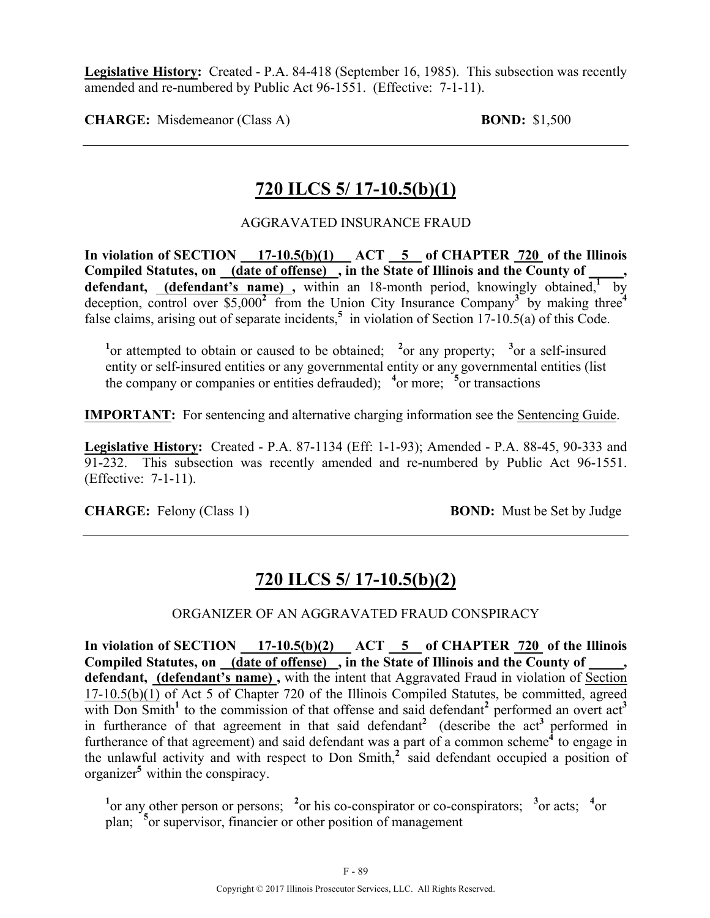**Legislative History:** Created - P.A. 84-418 (September 16, 1985). This subsection was recently amended and re-numbered by Public Act 96-1551. (Effective: 7-1-11).

**CHARGE:** Misdemeanor (Class A) **BOND:** \$1,500

# **720 ILCS 5/ 17-10.5(b)(1)**

AGGRAVATED INSURANCE FRAUD

In violation of SECTION 17-10.5(b)(1) ACT 5 of CHAPTER 720 of the Illinois **Compiled Statutes, on (date of offense) , in the State of Illinois and the County of \_\_\_\_\_, defendant,** (**defendant's name**), within an 18-month period, knowingly obtained, by deception, control over \$5,000**<sup>2</sup>** from the Union City Insurance Company**3** by making three**<sup>4</sup>** false claims, arising out of separate incidents,<sup>5</sup> in violation of Section 17-10.5(a) of this Code.

<sup>1</sup><sup>or</sup> attempted to obtain or caused to be obtained; <sup>2</sup><sup>or</sup> any property; <sup>3</sup><sup>or</sup> a self-insured entity or self-insured entities or any governmental entity or any governmental entities (list the company or companies or entities defrauded); <sup>4</sup> or more; <sup>5</sup> or transactions

**IMPORTANT:** For sentencing and alternative charging information see the Sentencing Guide.

**Legislative History:** Created - P.A. 87-1134 (Eff: 1-1-93); Amended - P.A. 88-45, 90-333 and 91-232. This subsection was recently amended and re-numbered by Public Act 96-1551. (Effective: 7-1-11).

**CHARGE:** Felony (Class 1) **BOND:** Must be Set by Judge

# **720 ILCS 5/ 17-10.5(b)(2)**

## ORGANIZER OF AN AGGRAVATED FRAUD CONSPIRACY

In violation of SECTION 17-10.5(b)(2) ACT 5 of CHAPTER 720 of the Illinois Compiled Statutes, on (date of offense), in the State of Illinois and the County of **defendant, (defendant's name) ,** with the intent that Aggravated Fraud in violation of Section 17-10.5(b)(1) of Act 5 of Chapter 720 of the Illinois Compiled Statutes, be committed, agreed with Don Smith<sup>1</sup> to the commission of that offense and said defendant<sup>2</sup> performed an overt act<sup>3</sup> in furtherance of that agreement in that said defendant<sup>2</sup> (describe the act<sup>3</sup> performed in furtherance of that agreement) and said defendant was a part of a common scheme**<sup>4</sup>** to engage in the unlawful activity and with respect to Don Smith,**<sup>2</sup>** said defendant occupied a position of organizer**<sup>5</sup>** within the conspiracy.

<sup>1</sup><sup>or</sup> any other person or persons; <sup>2</sup><sup>or</sup> his co-conspirator or co-conspirators; <sup>3</sup><sup>or</sup> acts; <sup>4</sup><sup>or</sup> plan; **<sup>5</sup>** or supervisor, financier or other position of management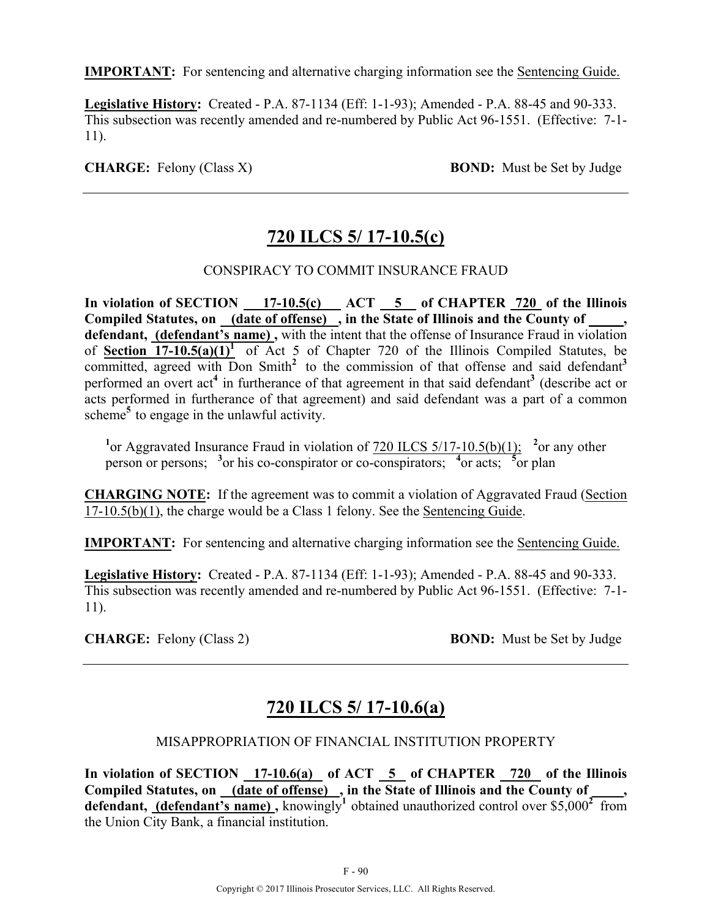**IMPORTANT:** For sentencing and alternative charging information see the Sentencing Guide.

**Legislative History:** Created - P.A. 87-1134 (Eff: 1-1-93); Amended - P.A. 88-45 and 90-333. This subsection was recently amended and re-numbered by Public Act 96-1551. (Effective: 7-1- 11).

**CHARGE:** Felony (Class X) **BOND:** Must be Set by Judge

# **720 ILCS 5/ 17-10.5(c)**

### CONSPIRACY TO COMMIT INSURANCE FRAUD

In violation of SECTION 17-10.5(c) ACT 5 of CHAPTER 720 of the Illinois Compiled Statutes, on (date of offense), in the State of Illinois and the County of **defendant, (defendant's name) ,** with the intent that the offense of Insurance Fraud in violation of **Section 17-10.5(a)(1)**<sup>1</sup> of Act 5 of Chapter 720 of the Illinois Compiled Statutes, be committed, agreed with Don Smith<sup>2</sup> to the commission of that offense and said defendant<sup>3</sup> performed an overt act**<sup>4</sup>** in furtherance of that agreement in that said defendant**<sup>3</sup>** (describe act or acts performed in furtherance of that agreement) and said defendant was a part of a common scheme**<sup>5</sup>** to engage in the unlawful activity.

<sup>1</sup> or Aggravated Insurance Fraud in violation of  $\frac{720 \text{ ILCS}}{5/17 \cdot 10.5 \text{(b)}}$  <sup>2</sup> or any other person or persons; <sup>3</sup> or his co-conspirator or co-conspirators; <sup>4</sup> or acts; <sup>5</sup> or plan

**CHARGING NOTE:** If the agreement was to commit a violation of Aggravated Fraud (Section 17-10.5(b)(1), the charge would be a Class 1 felony. See the Sentencing Guide.

**IMPORTANT:** For sentencing and alternative charging information see the Sentencing Guide.

**Legislative History:** Created - P.A. 87-1134 (Eff: 1-1-93); Amended - P.A. 88-45 and 90-333. This subsection was recently amended and re-numbered by Public Act 96-1551. (Effective: 7-1- 11).

**CHARGE:** Felony (Class 2) **BOND:** Must be Set by Judge

# **720 ILCS 5/ 17-10.6(a)**

#### MISAPPROPRIATION OF FINANCIAL INSTITUTION PROPERTY

**In violation of SECTION 17-10.6(a) of ACT 5 of CHAPTER 720 of the Illinois**  Compiled Statutes, on (date of offense), in the State of Illinois and the County of **defendant, (defendant's name) ,** knowingly**<sup>1</sup>** obtained unauthorized control over \$5,000**2** from the Union City Bank, a financial institution.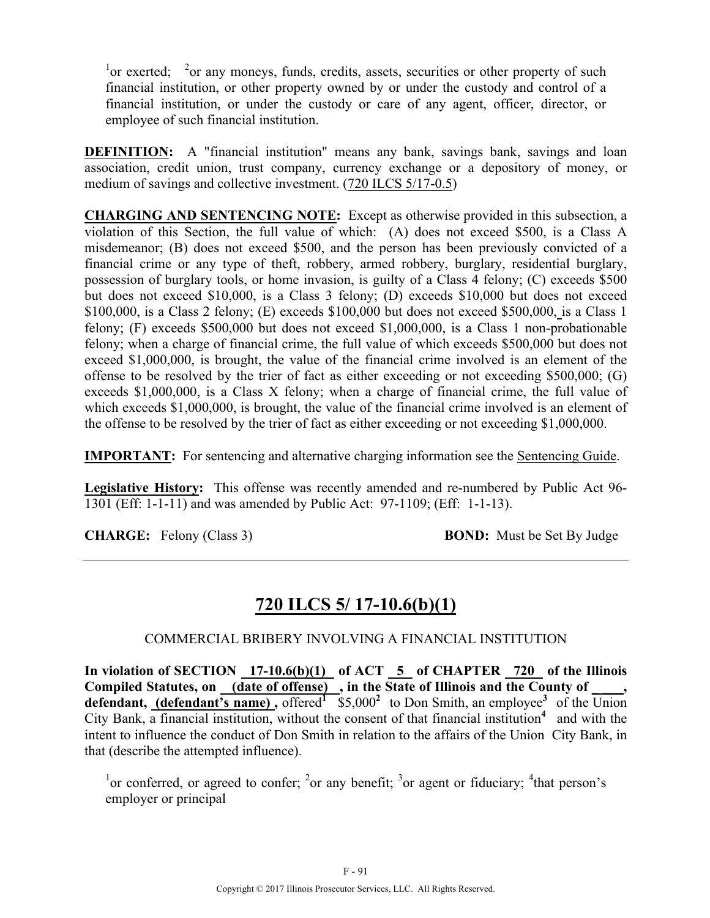$\frac{1}{2}$  or exerted;  $\frac{2}{3}$  or any moneys, funds, credits, assets, securities or other property of such financial institution, or other property owned by or under the custody and control of a financial institution, or under the custody or care of any agent, officer, director, or employee of such financial institution.

**DEFINITION:** A "financial institution" means any bank, savings bank, savings and loan association, credit union, trust company, currency exchange or a depository of money, or medium of savings and collective investment. (720 ILCS 5/17-0.5)

**CHARGING AND SENTENCING NOTE:** Except as otherwise provided in this subsection, a violation of this Section, the full value of which: (A) does not exceed \$500, is a Class A misdemeanor; (B) does not exceed \$500, and the person has been previously convicted of a financial crime or any type of theft, robbery, armed robbery, burglary, residential burglary, possession of burglary tools, or home invasion, is guilty of a Class 4 felony; (C) exceeds \$500 but does not exceed \$10,000, is a Class 3 felony; (D) exceeds \$10,000 but does not exceed \$100,000, is a Class 2 felony; (E) exceeds \$100,000 but does not exceed \$500,000, is a Class 1 felony; (F) exceeds \$500,000 but does not exceed \$1,000,000, is a Class 1 non-probationable felony; when a charge of financial crime, the full value of which exceeds \$500,000 but does not exceed \$1,000,000, is brought, the value of the financial crime involved is an element of the offense to be resolved by the trier of fact as either exceeding or not exceeding \$500,000; (G) exceeds \$1,000,000, is a Class X felony; when a charge of financial crime, the full value of which exceeds \$1,000,000, is brought, the value of the financial crime involved is an element of the offense to be resolved by the trier of fact as either exceeding or not exceeding \$1,000,000.

**IMPORTANT:** For sentencing and alternative charging information see the Sentencing Guide.

**Legislative History:** This offense was recently amended and re-numbered by Public Act 96- 1301 (Eff: 1-1-11) and was amended by Public Act: 97-1109; (Eff: 1-1-13).

**CHARGE:** Felony (Class 3) **BOND:** Must be Set By Judge

## **720 ILCS 5/ 17-10.6(b)(1)**

#### COMMERCIAL BRIBERY INVOLVING A FINANCIAL INSTITUTION

In violation of SECTION 17-10.6(b)(1) of ACT 5 of CHAPTER 720 of the Illinois Compiled Statutes, on <u>(date of offense)</u>, in the State of Illinois and the County of \_\_\_\_, **defendant, (defendant's name) ,** offered**<sup>1</sup>** \$5,000**2** to Don Smith, an employee**3** of the Union City Bank, a financial institution, without the consent of that financial institution**<sup>4</sup>** and with the intent to influence the conduct of Don Smith in relation to the affairs of the Union City Bank, in that (describe the attempted influence).

<sup>1</sup>or conferred, or agreed to confer; <sup>2</sup>or any benefit; <sup>3</sup>or agent or fiduciary; <sup>4</sup>that person's employer or principal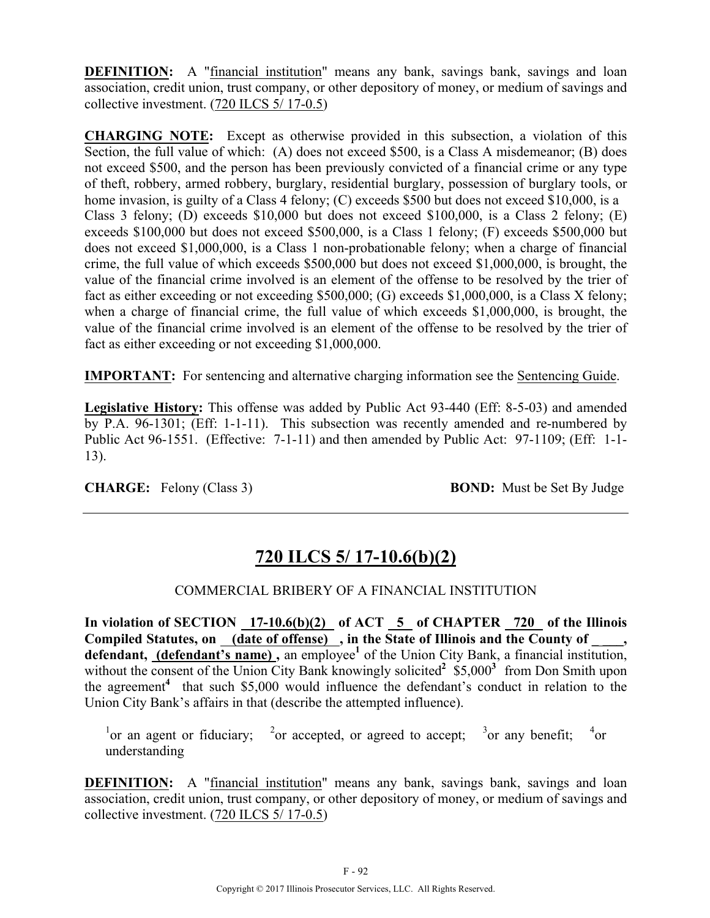**DEFINITION:** A "financial institution" means any bank, savings bank, savings and loan association, credit union, trust company, or other depository of money, or medium of savings and collective investment. (720 ILCS 5/ 17-0.5)

**CHARGING NOTE:** Except as otherwise provided in this subsection, a violation of this Section, the full value of which: (A) does not exceed \$500, is a Class A misdemeanor; (B) does not exceed \$500, and the person has been previously convicted of a financial crime or any type of theft, robbery, armed robbery, burglary, residential burglary, possession of burglary tools, or home invasion, is guilty of a Class 4 felony; (C) exceeds \$500 but does not exceed \$10,000, is a Class 3 felony; (D) exceeds \$10,000 but does not exceed \$100,000, is a Class 2 felony; (E) exceeds \$100,000 but does not exceed \$500,000, is a Class 1 felony; (F) exceeds \$500,000 but does not exceed \$1,000,000, is a Class 1 non-probationable felony; when a charge of financial crime, the full value of which exceeds \$500,000 but does not exceed \$1,000,000, is brought, the value of the financial crime involved is an element of the offense to be resolved by the trier of fact as either exceeding or not exceeding \$500,000; (G) exceeds \$1,000,000, is a Class X felony; when a charge of financial crime, the full value of which exceeds \$1,000,000, is brought, the value of the financial crime involved is an element of the offense to be resolved by the trier of fact as either exceeding or not exceeding \$1,000,000.

**IMPORTANT:** For sentencing and alternative charging information see the Sentencing Guide.

**Legislative History:** This offense was added by Public Act 93-440 (Eff: 8-5-03) and amended by P.A. 96-1301; (Eff: 1-1-11). This subsection was recently amended and re-numbered by Public Act 96-1551. (Effective: 7-1-11) and then amended by Public Act: 97-1109; (Eff: 1-1- 13).

**CHARGE:** Felony (Class 3) **BOND:** Must be Set By Judge

# **720 ILCS 5/ 17-10.6(b)(2)**

## COMMERCIAL BRIBERY OF A FINANCIAL INSTITUTION

In violation of SECTION 17-10.6(b)(2) of ACT 5 of CHAPTER 720 of the Illinois Compiled Statutes, on (date of offense), in the State of Illinois and the County of defendant, (defendant's name), an employee<sup>1</sup> of the Union City Bank, a financial institution, without the consent of the Union City Bank knowingly solicited<sup>2</sup> \$5,000<sup>3</sup> from Don Smith upon the agreement**<sup>4</sup>** that such \$5,000 would influence the defendant's conduct in relation to the Union City Bank's affairs in that (describe the attempted influence).

<sup>1</sup> or an agent or fiduciary; <sup>2</sup> or accepted, or agreed to accept; <sup>3</sup> or any benefit; <sup>4</sup>  $^{4}$ or understanding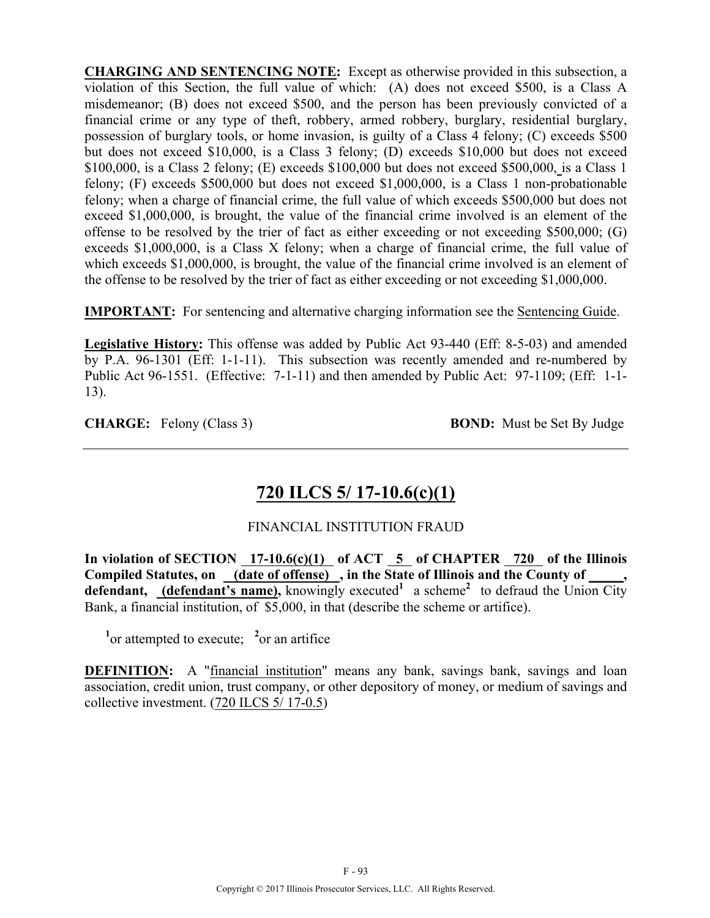**CHARGING AND SENTENCING NOTE:** Except as otherwise provided in this subsection, a violation of this Section, the full value of which: (A) does not exceed \$500, is a Class A misdemeanor; (B) does not exceed \$500, and the person has been previously convicted of a financial crime or any type of theft, robbery, armed robbery, burglary, residential burglary, possession of burglary tools, or home invasion, is guilty of a Class 4 felony; (C) exceeds \$500 but does not exceed \$10,000, is a Class 3 felony; (D) exceeds \$10,000 but does not exceed \$100,000, is a Class 2 felony; (E) exceeds \$100,000 but does not exceed \$500,000, is a Class 1 felony; (F) exceeds \$500,000 but does not exceed \$1,000,000, is a Class 1 non-probationable felony; when a charge of financial crime, the full value of which exceeds \$500,000 but does not exceed \$1,000,000, is brought, the value of the financial crime involved is an element of the offense to be resolved by the trier of fact as either exceeding or not exceeding \$500,000; (G) exceeds \$1,000,000, is a Class X felony; when a charge of financial crime, the full value of which exceeds \$1,000,000, is brought, the value of the financial crime involved is an element of the offense to be resolved by the trier of fact as either exceeding or not exceeding \$1,000,000.

**IMPORTANT:** For sentencing and alternative charging information see the Sentencing Guide.

**Legislative History:** This offense was added by Public Act 93-440 (Eff: 8-5-03) and amended by P.A. 96-1301 (Eff: 1-1-11). This subsection was recently amended and re-numbered by Public Act 96-1551. (Effective: 7-1-11) and then amended by Public Act: 97-1109; (Eff: 1-1- 13).

**CHARGE:** Felony (Class 3) **BOND:** Must be Set By Judge

# **720 ILCS 5/ 17-10.6(c)(1)**

### FINANCIAL INSTITUTION FRAUD

**In violation of SECTION 17-10.6(c)(1) of ACT 5 of CHAPTER 720 of the Illinois**  Compiled Statutes, on (date of offense), in the State of Illinois and the County of **defendant,** (defendant's name), knowingly executed<sup>1</sup> a scheme<sup>2</sup> to defraud the Union City Bank, a financial institution, of \$5,000, in that (describe the scheme or artifice).

 $\frac{1}{2}$  or attempted to execute;  $\frac{2}{2}$  or an artifice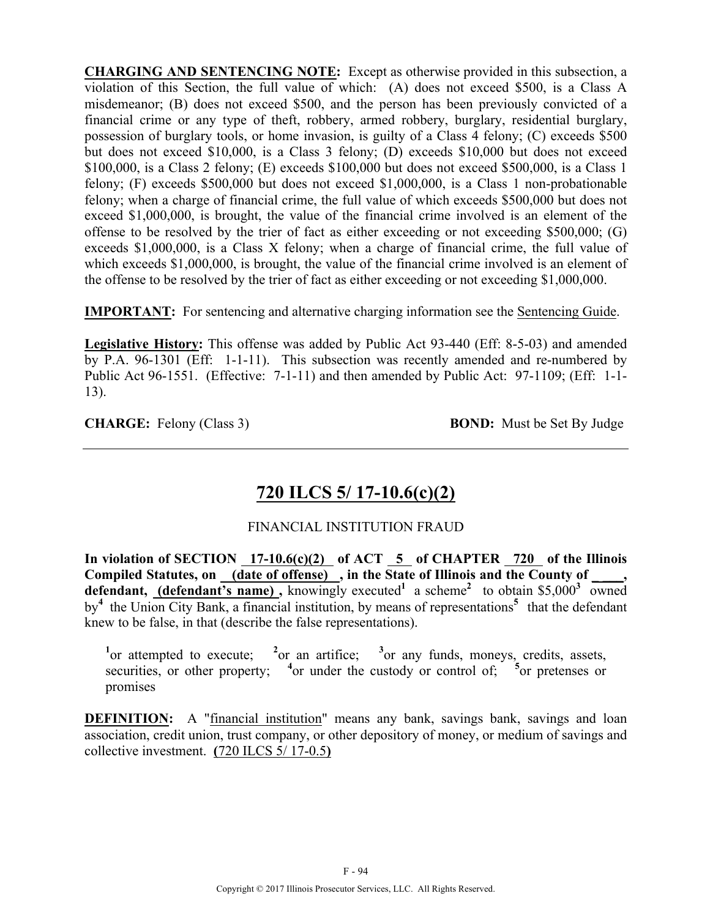**CHARGING AND SENTENCING NOTE:** Except as otherwise provided in this subsection, a violation of this Section, the full value of which: (A) does not exceed \$500, is a Class A misdemeanor; (B) does not exceed \$500, and the person has been previously convicted of a financial crime or any type of theft, robbery, armed robbery, burglary, residential burglary, possession of burglary tools, or home invasion, is guilty of a Class 4 felony; (C) exceeds \$500 but does not exceed \$10,000, is a Class 3 felony; (D) exceeds \$10,000 but does not exceed \$100,000, is a Class 2 felony; (E) exceeds \$100,000 but does not exceed \$500,000, is a Class 1 felony; (F) exceeds \$500,000 but does not exceed \$1,000,000, is a Class 1 non-probationable felony; when a charge of financial crime, the full value of which exceeds \$500,000 but does not exceed \$1,000,000, is brought, the value of the financial crime involved is an element of the offense to be resolved by the trier of fact as either exceeding or not exceeding \$500,000; (G) exceeds \$1,000,000, is a Class X felony; when a charge of financial crime, the full value of which exceeds \$1,000,000, is brought, the value of the financial crime involved is an element of the offense to be resolved by the trier of fact as either exceeding or not exceeding \$1,000,000.

**IMPORTANT:** For sentencing and alternative charging information see the Sentencing Guide.

**Legislative History:** This offense was added by Public Act 93-440 (Eff: 8-5-03) and amended by P.A. 96-1301 (Eff: 1-1-11). This subsection was recently amended and re-numbered by Public Act 96-1551. (Effective: 7-1-11) and then amended by Public Act: 97-1109; (Eff: 1-1- 13).

**CHARGE:** Felony (Class 3) **BOND:** Must be Set By Judge

# **720 ILCS 5/ 17-10.6(c)(2)**

## FINANCIAL INSTITUTION FRAUD

**In violation of SECTION 17-10.6(c)(2) of ACT 5 of CHAPTER 720 of the Illinois**  Compiled Statutes, on (date of offense), in the State of Illinois and the County of **defendant, (defendant's name)**, knowingly executed<sup>1</sup> a scheme<sup>2</sup> to obtain \$5,000<sup>3</sup> owned by**<sup>4</sup>** the Union City Bank, a financial institution, by means of representations**5** that the defendant knew to be false, in that (describe the false representations).

<sup>1</sup><sub>or</sub> attempted to execute; <sup>2</sup> <sup>2</sup><sub>or</sub> an artifice: <sup>3</sup> or any funds, moneys, credits, assets, securities, or other property;  $4$ <sup>or</sup> under the custody or control of;  $5$ <sup>or</sup> pretenses or promises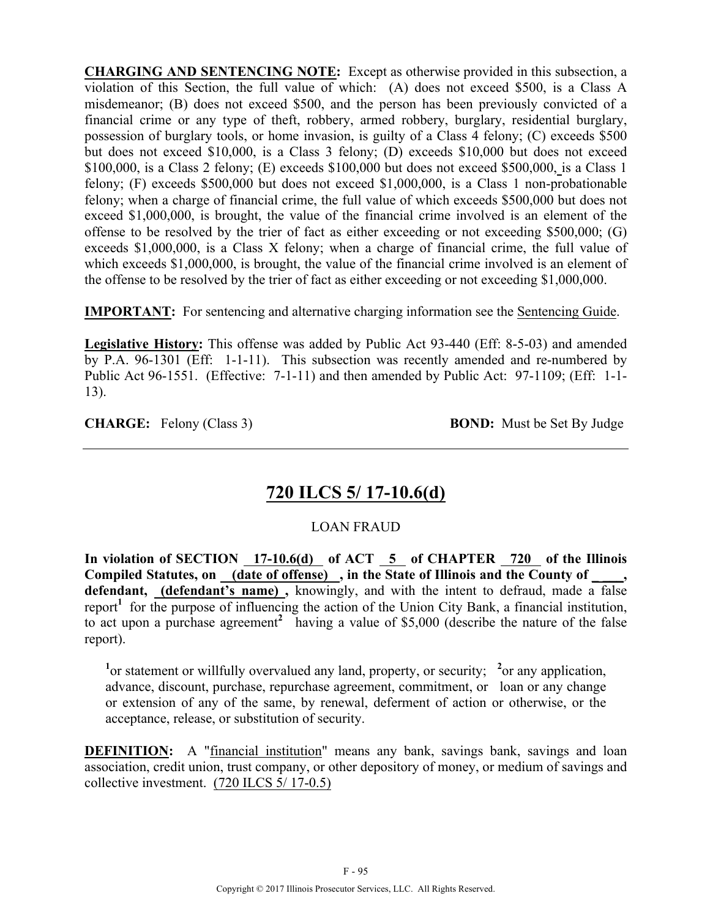**CHARGING AND SENTENCING NOTE:** Except as otherwise provided in this subsection, a violation of this Section, the full value of which: (A) does not exceed \$500, is a Class A misdemeanor; (B) does not exceed \$500, and the person has been previously convicted of a financial crime or any type of theft, robbery, armed robbery, burglary, residential burglary, possession of burglary tools, or home invasion, is guilty of a Class 4 felony; (C) exceeds \$500 but does not exceed \$10,000, is a Class 3 felony; (D) exceeds \$10,000 but does not exceed \$100,000, is a Class 2 felony; (E) exceeds \$100,000 but does not exceed \$500,000, is a Class 1 felony; (F) exceeds \$500,000 but does not exceed \$1,000,000, is a Class 1 non-probationable felony; when a charge of financial crime, the full value of which exceeds \$500,000 but does not exceed \$1,000,000, is brought, the value of the financial crime involved is an element of the offense to be resolved by the trier of fact as either exceeding or not exceeding \$500,000; (G) exceeds \$1,000,000, is a Class X felony; when a charge of financial crime, the full value of which exceeds \$1,000,000, is brought, the value of the financial crime involved is an element of the offense to be resolved by the trier of fact as either exceeding or not exceeding \$1,000,000.

**IMPORTANT:** For sentencing and alternative charging information see the Sentencing Guide.

**Legislative History:** This offense was added by Public Act 93-440 (Eff: 8-5-03) and amended by P.A. 96-1301 (Eff: 1-1-11). This subsection was recently amended and re-numbered by Public Act 96-1551. (Effective: 7-1-11) and then amended by Public Act: 97-1109; (Eff: 1-1- 13).

**CHARGE:** Felony (Class 3) **BOND:** Must be Set By Judge

# **720 ILCS 5/ 17-10.6(d)**

### LOAN FRAUD

**In violation of SECTION 17-10.6(d) of ACT 5 of CHAPTER 720 of the Illinois**  Compiled Statutes, on (date of offense), in the State of Illinois and the County of **defendant, (defendant's name) ,** knowingly, and with the intent to defraud, made a false report<sup>1</sup> for the purpose of influencing the action of the Union City Bank, a financial institution, to act upon a purchase agreement<sup>2</sup> having a value of \$5,000 (describe the nature of the false report).

<sup>1</sup> or statement or willfully overvalued any land, property, or security; <sup>2</sup> or any application, advance, discount, purchase, repurchase agreement, commitment, or loan or any change or extension of any of the same, by renewal, deferment of action or otherwise, or the acceptance, release, or substitution of security.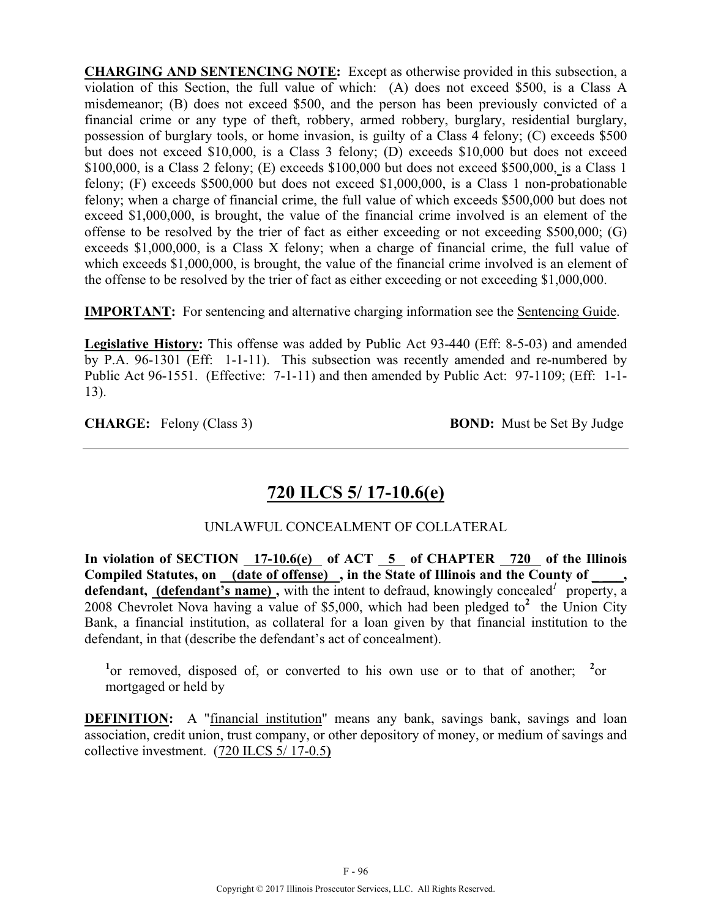**CHARGING AND SENTENCING NOTE:** Except as otherwise provided in this subsection, a violation of this Section, the full value of which: (A) does not exceed \$500, is a Class A misdemeanor; (B) does not exceed \$500, and the person has been previously convicted of a financial crime or any type of theft, robbery, armed robbery, burglary, residential burglary, possession of burglary tools, or home invasion, is guilty of a Class 4 felony; (C) exceeds \$500 but does not exceed \$10,000, is a Class 3 felony; (D) exceeds \$10,000 but does not exceed \$100,000, is a Class 2 felony; (E) exceeds \$100,000 but does not exceed \$500,000, is a Class 1 felony; (F) exceeds \$500,000 but does not exceed \$1,000,000, is a Class 1 non-probationable felony; when a charge of financial crime, the full value of which exceeds \$500,000 but does not exceed \$1,000,000, is brought, the value of the financial crime involved is an element of the offense to be resolved by the trier of fact as either exceeding or not exceeding \$500,000; (G) exceeds \$1,000,000, is a Class X felony; when a charge of financial crime, the full value of which exceeds \$1,000,000, is brought, the value of the financial crime involved is an element of the offense to be resolved by the trier of fact as either exceeding or not exceeding \$1,000,000.

**IMPORTANT:** For sentencing and alternative charging information see the Sentencing Guide.

**Legislative History:** This offense was added by Public Act 93-440 (Eff: 8-5-03) and amended by P.A. 96-1301 (Eff: 1-1-11). This subsection was recently amended and re-numbered by Public Act 96-1551. (Effective: 7-1-11) and then amended by Public Act: 97-1109; (Eff: 1-1- 13).

**CHARGE:** Felony (Class 3) **BOND:** Must be Set By Judge

# **720 ILCS 5/ 17-10.6(e)**

## UNLAWFUL CONCEALMENT OF COLLATERAL

**In violation of SECTION 17-10.6(e) of ACT 5 of CHAPTER 720 of the Illinois**  Compiled Statutes, on (date of offense), in the State of Illinois and the County of defendant, (defendant's name), with the intent to defraud, knowingly concealed<sup>*l*</sup> property, a 2008 Chevrolet Nova having a value of \$5,000, which had been pledged to**<sup>2</sup>** the Union City Bank, a financial institution, as collateral for a loan given by that financial institution to the defendant, in that (describe the defendant's act of concealment).

<sup>1</sup> or removed, disposed of, or converted to his own use or to that of another; <sup>2</sup> or mortgaged or held by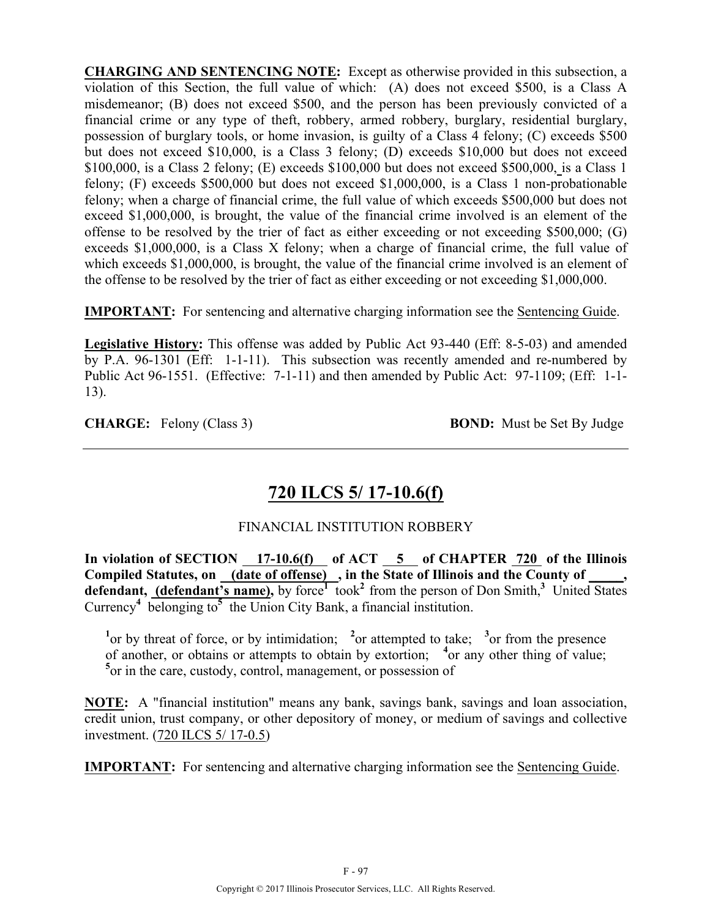**CHARGING AND SENTENCING NOTE:** Except as otherwise provided in this subsection, a violation of this Section, the full value of which: (A) does not exceed \$500, is a Class A misdemeanor; (B) does not exceed \$500, and the person has been previously convicted of a financial crime or any type of theft, robbery, armed robbery, burglary, residential burglary, possession of burglary tools, or home invasion, is guilty of a Class 4 felony; (C) exceeds \$500 but does not exceed \$10,000, is a Class 3 felony; (D) exceeds \$10,000 but does not exceed \$100,000, is a Class 2 felony; (E) exceeds \$100,000 but does not exceed \$500,000, is a Class 1 felony; (F) exceeds \$500,000 but does not exceed \$1,000,000, is a Class 1 non-probationable felony; when a charge of financial crime, the full value of which exceeds \$500,000 but does not exceed \$1,000,000, is brought, the value of the financial crime involved is an element of the offense to be resolved by the trier of fact as either exceeding or not exceeding \$500,000; (G) exceeds \$1,000,000, is a Class X felony; when a charge of financial crime, the full value of which exceeds \$1,000,000, is brought, the value of the financial crime involved is an element of the offense to be resolved by the trier of fact as either exceeding or not exceeding \$1,000,000.

**IMPORTANT:** For sentencing and alternative charging information see the Sentencing Guide.

**Legislative History:** This offense was added by Public Act 93-440 (Eff: 8-5-03) and amended by P.A. 96-1301 (Eff: 1-1-11). This subsection was recently amended and re-numbered by Public Act 96-1551. (Effective: 7-1-11) and then amended by Public Act: 97-1109; (Eff: 1-1- 13).

**CHARGE:** Felony (Class 3) **BOND:** Must be Set By Judge

# **720 ILCS 5/ 17-10.6(f)**

## FINANCIAL INSTITUTION ROBBERY

In violation of SECTION 17-10.6(f) of ACT 5 of CHAPTER 720 of the Illinois Compiled Statutes, on (date of offense), in the State of Illinois and the County of defendant, (defendant's name), by force<sup>1</sup> took<sup>2</sup> from the person of Don Smith,<sup>3</sup> United States Currency**<sup>4</sup>** belonging to**5** the Union City Bank, a financial institution.

<sup>1</sup><sup>or</sup> by threat of force, or by intimidation; <sup>2</sup><sup>or</sup> attempted to take; <sup>3</sup><sup>or</sup> from the presence of another, or obtains or attempts to obtain by extortion; <sup>4</sup> or any other thing of value; **5** or in the care, custody, control, management, or possession of

**NOTE:** A "financial institution" means any bank, savings bank, savings and loan association, credit union, trust company, or other depository of money, or medium of savings and collective investment. (720 ILCS 5/ 17-0.5)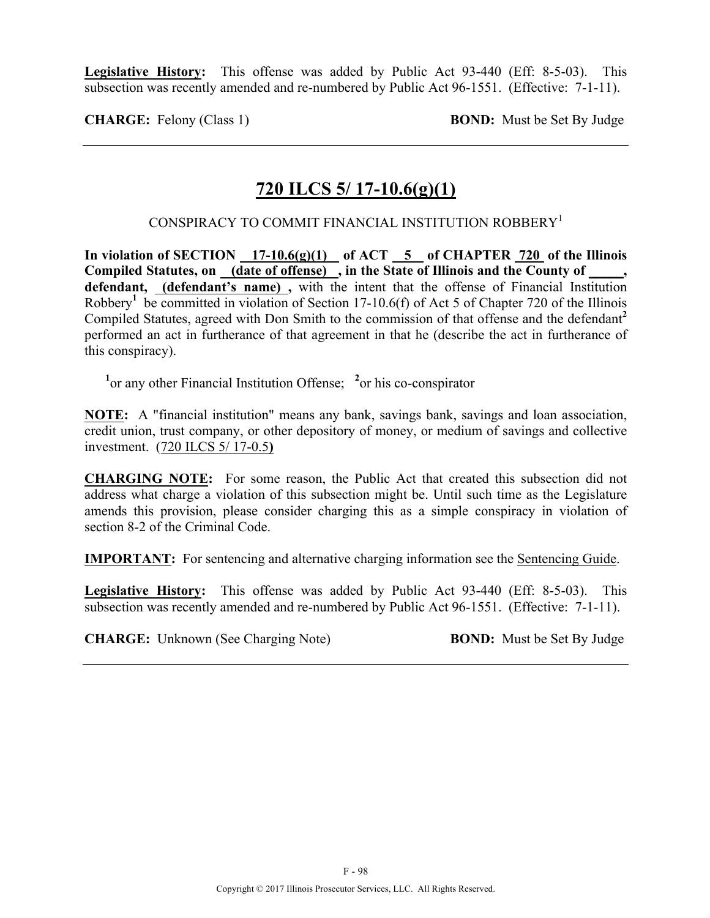**Legislative History:** This offense was added by Public Act 93-440 (Eff: 8-5-03). This subsection was recently amended and re-numbered by Public Act 96-1551. (Effective: 7-1-11).

**CHARGE:** Felony (Class 1) **BOND:** Must be Set By Judge

## **720 ILCS 5/ 17-10.6(g)(1)**

CONSPIRACY TO COMMIT FINANCIAL INSTITUTION ROBBERY1

**In violation of SECTION 17-10.6(g)(1) of ACT 5 of CHAPTER 720 of the Illinois Compiled Statutes, on (date of offense) , in the State of Illinois and the County of \_\_\_\_\_, defendant, (defendant's name) ,** with the intent that the offense of Financial Institution Robbery**<sup>1</sup>** be committed in violation of Section 17-10.6(f) of Act 5 of Chapter 720 of the Illinois Compiled Statutes, agreed with Don Smith to the commission of that offense and the defendant**<sup>2</sup>** performed an act in furtherance of that agreement in that he (describe the act in furtherance of this conspiracy).

<sup>1</sup> or any other Financial Institution Offense; <sup>2</sup> or his co-conspirator

**NOTE:** A "financial institution" means any bank, savings bank, savings and loan association, credit union, trust company, or other depository of money, or medium of savings and collective investment. (720 ILCS 5/ 17-0.5**)**

**CHARGING NOTE:** For some reason, the Public Act that created this subsection did not address what charge a violation of this subsection might be. Until such time as the Legislature amends this provision, please consider charging this as a simple conspiracy in violation of section 8-2 of the Criminal Code.

**IMPORTANT:** For sentencing and alternative charging information see the Sentencing Guide.

**Legislative History:** This offense was added by Public Act 93-440 (Eff: 8-5-03). This subsection was recently amended and re-numbered by Public Act 96-1551. (Effective: 7-1-11).

**CHARGE:** Unknown (See Charging Note) **BOND:** Must be Set By Judge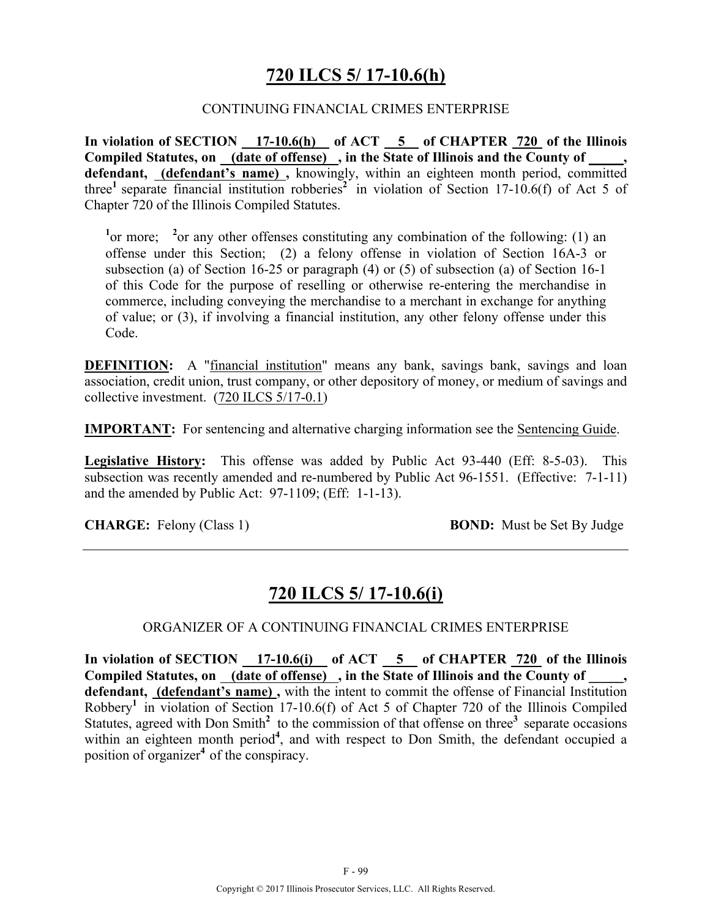## **720 ILCS 5/ 17-10.6(h)**

#### CONTINUING FINANCIAL CRIMES ENTERPRISE

**In violation of SECTION 17-10.6(h) of ACT 5 of CHAPTER 720 of the Illinois Compiled Statutes, on (date of offense) , in the State of Illinois and the County of \_\_\_\_\_, defendant, (defendant's name) ,** knowingly, within an eighteen month period, committed three<sup>1</sup> separate financial institution robberies<sup>2</sup> in violation of Section 17-10.6(f) of Act 5 of Chapter 720 of the Illinois Compiled Statutes.

<sup>1</sup> or more; <sup>2</sup> or any other offenses constituting any combination of the following: (1) an offense under this Section; (2) a felony offense in violation of Section 16A-3 or subsection (a) of Section 16-25 or paragraph (4) or (5) of subsection (a) of Section 16-1 of this Code for the purpose of reselling or otherwise re-entering the merchandise in commerce, including conveying the merchandise to a merchant in exchange for anything of value; or (3), if involving a financial institution, any other felony offense under this Code.

**DEFINITION:** A "financial institution" means any bank, savings bank, savings and loan association, credit union, trust company, or other depository of money, or medium of savings and collective investment. (720 ILCS 5/17-0.1)

**IMPORTANT:** For sentencing and alternative charging information see the Sentencing Guide.

**Legislative History:** This offense was added by Public Act 93-440 (Eff: 8-5-03). This subsection was recently amended and re-numbered by Public Act 96-1551. (Effective: 7-1-11) and the amended by Public Act: 97-1109; (Eff: 1-1-13).

**CHARGE:** Felony (Class 1) **BOND:** Must be Set By Judge

## **720 ILCS 5/ 17-10.6(i)**

#### ORGANIZER OF A CONTINUING FINANCIAL CRIMES ENTERPRISE

In violation of SECTION 17-10.6(i) of ACT 5 of CHAPTER 720 of the Illinois **Compiled Statutes, on (date of offense) , in the State of Illinois and the County of \_\_\_\_\_, defendant, (defendant's name) ,** with the intent to commit the offense of Financial Institution Robbery**<sup>1</sup>** in violation of Section 17-10.6(f) of Act 5 of Chapter 720 of the Illinois Compiled Statutes, agreed with Don Smith<sup>2</sup> to the commission of that offense on three<sup>3</sup> separate occasions within an eighteen month period<sup>4</sup>, and with respect to Don Smith, the defendant occupied a position of organizer**<sup>4</sup>** of the conspiracy.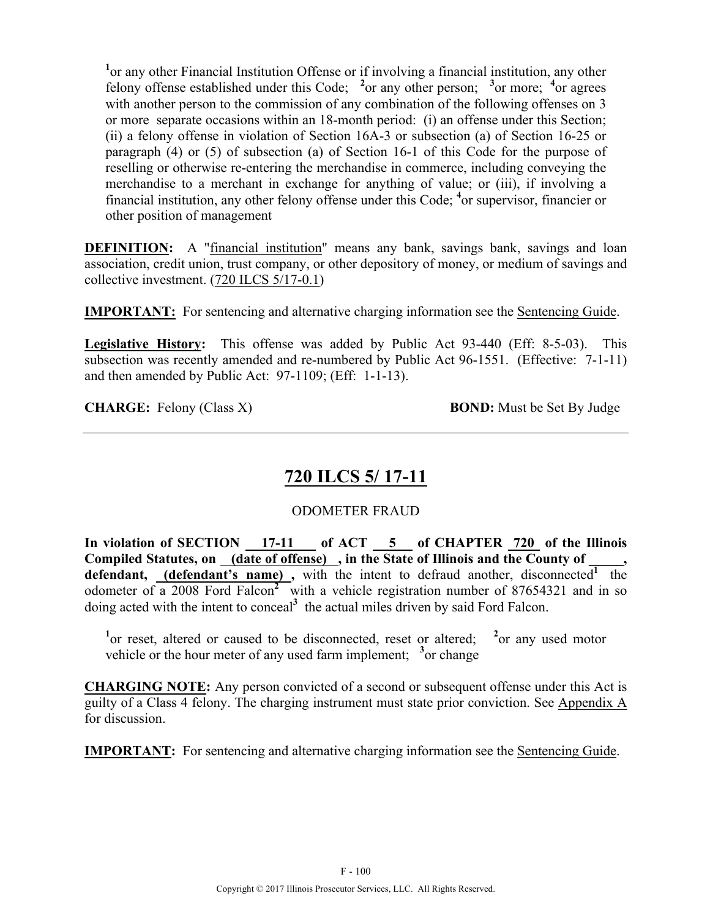<sup>1</sup> or any other Financial Institution Offense or if involving a financial institution, any other felony offense established under this Code; <sup>2</sup> or any other person; <sup>3</sup> or more; <sup>4</sup> or agrees with another person to the commission of any combination of the following offenses on 3 or more separate occasions within an 18-month period: (i) an offense under this Section; (ii) a felony offense in violation of Section 16A-3 or subsection (a) of Section 16-25 or paragraph (4) or (5) of subsection (a) of Section 16-1 of this Code for the purpose of reselling or otherwise re-entering the merchandise in commerce, including conveying the merchandise to a merchant in exchange for anything of value; or (iii), if involving a financial institution, any other felony offense under this Code; **<sup>4</sup>** or supervisor, financier or other position of management

**DEFINITION:** A "financial institution" means any bank, savings bank, savings and loan association, credit union, trust company, or other depository of money, or medium of savings and collective investment. (720 ILCS 5/17-0.1)

**IMPORTANT:** For sentencing and alternative charging information see the Sentencing Guide.

**Legislative History:** This offense was added by Public Act 93-440 (Eff: 8-5-03). This subsection was recently amended and re-numbered by Public Act 96-1551. (Effective: 7-1-11) and then amended by Public Act: 97-1109; (Eff: 1-1-13).

**CHARGE:** Felony (Class X) **BOND:** Must be Set By Judge

# **720 ILCS 5/ 17-11**

### ODOMETER FRAUD

In violation of SECTION 17-11 of ACT 5 of CHAPTER 720 of the Illinois Compiled Statutes, on (date of offense), in the State of Illinois and the County of defendant, (defendant's name), with the intent to defraud another, disconnected<sup>1</sup> the odometer of a 2008 Ford Falcon**<sup>2</sup>** with a vehicle registration number of 87654321 and in so doing acted with the intent to conceal**<sup>3</sup>** the actual miles driven by said Ford Falcon.

<sup>1</sup><sup>or</sup> reset, altered or caused to be disconnected, reset or altered; <sup>2</sup> <sup>2</sup> or any used motor vehicle or the hour meter of any used farm implement; <sup>3</sup> or change

**CHARGING NOTE:** Any person convicted of a second or subsequent offense under this Act is guilty of a Class 4 felony. The charging instrument must state prior conviction. See Appendix A for discussion.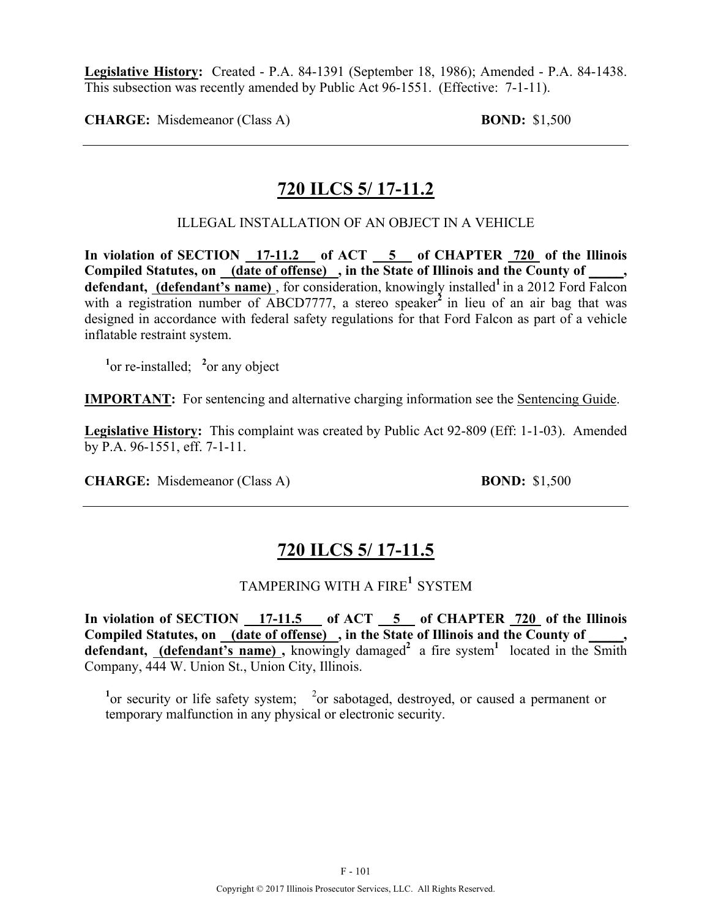**Legislative History:** Created - P.A. 84-1391 (September 18, 1986); Amended - P.A. 84-1438. This subsection was recently amended by Public Act 96-1551. (Effective: 7-1-11).

**CHARGE:** Misdemeanor (Class A) **BOND:** \$1,500

## **720 ILCS 5/ 17-11.2**

ILLEGAL INSTALLATION OF AN OBJECT IN A VEHICLE

**In violation of SECTION 17-11.2 of ACT 5 of CHAPTER 720 of the Illinois Compiled Statutes, on (date of offense) , in the State of Illinois and the County of \_\_\_\_\_,**  defendant, (defendant's name), for consideration, knowingly installed<sup>1</sup> in a 2012 Ford Falcon with a registration number of ABCD7777, a stereo speaker<sup>2</sup> in lieu of an air bag that was designed in accordance with federal safety regulations for that Ford Falcon as part of a vehicle inflatable restraint system.

<sup>1</sup><sup>or</sup> re-installed; <sup>2</sup><sup>or</sup> any object

**IMPORTANT:** For sentencing and alternative charging information see the Sentencing Guide.

**Legislative History:** This complaint was created by Public Act 92-809 (Eff: 1-1-03). Amended by P.A. 96-1551, eff. 7-1-11.

**CHARGE:** Misdemeanor (Class A) **BOND:** \$1,500

## **720 ILCS 5/ 17-11.5**

## TAMPERING WITH A FIRE**<sup>1</sup>** SYSTEM

In violation of SECTION 17-11.5 of ACT 5 of CHAPTER 720 of the Illinois Compiled Statutes, on (date of offense), in the State of Illinois and the County of, defendant, **(defendant's name)**, knowingly damaged<sup>2</sup> a fire system<sup>1</sup> located in the Smith Company, 444 W. Union St., Union City, Illinois.

<sup>1</sup> or security or life safety system; <sup>2</sup> or sabotaged, destroyed, or caused a permanent or temporary malfunction in any physical or electronic security.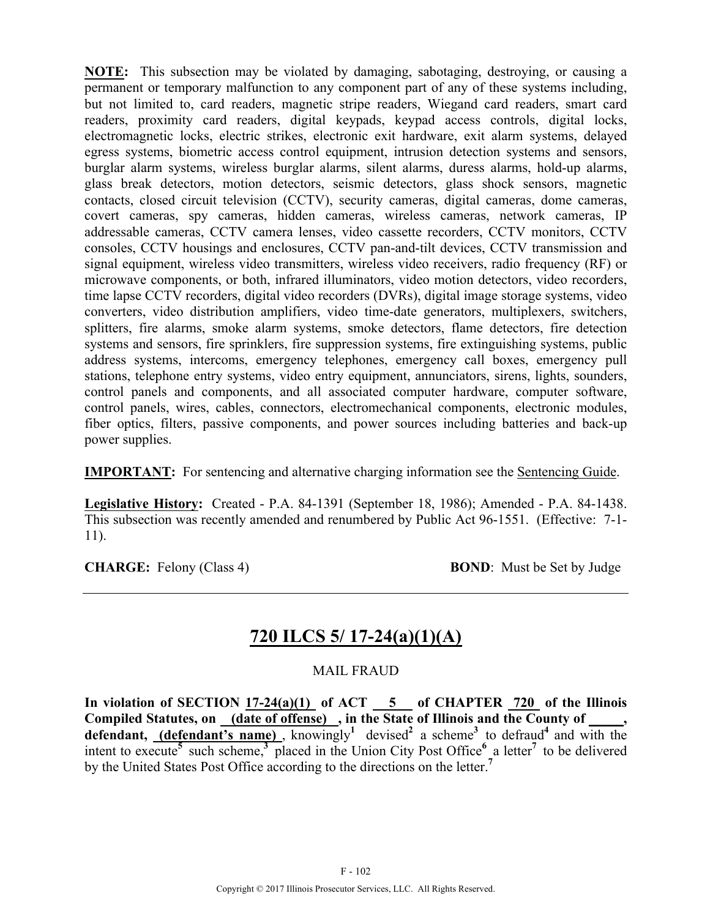**NOTE:** This subsection may be violated by damaging, sabotaging, destroying, or causing a permanent or temporary malfunction to any component part of any of these systems including, but not limited to, card readers, magnetic stripe readers, Wiegand card readers, smart card readers, proximity card readers, digital keypads, keypad access controls, digital locks, electromagnetic locks, electric strikes, electronic exit hardware, exit alarm systems, delayed egress systems, biometric access control equipment, intrusion detection systems and sensors, burglar alarm systems, wireless burglar alarms, silent alarms, duress alarms, hold-up alarms, glass break detectors, motion detectors, seismic detectors, glass shock sensors, magnetic contacts, closed circuit television (CCTV), security cameras, digital cameras, dome cameras, covert cameras, spy cameras, hidden cameras, wireless cameras, network cameras, IP addressable cameras, CCTV camera lenses, video cassette recorders, CCTV monitors, CCTV consoles, CCTV housings and enclosures, CCTV pan-and-tilt devices, CCTV transmission and signal equipment, wireless video transmitters, wireless video receivers, radio frequency (RF) or microwave components, or both, infrared illuminators, video motion detectors, video recorders, time lapse CCTV recorders, digital video recorders (DVRs), digital image storage systems, video converters, video distribution amplifiers, video time-date generators, multiplexers, switchers, splitters, fire alarms, smoke alarm systems, smoke detectors, flame detectors, fire detection systems and sensors, fire sprinklers, fire suppression systems, fire extinguishing systems, public address systems, intercoms, emergency telephones, emergency call boxes, emergency pull stations, telephone entry systems, video entry equipment, annunciators, sirens, lights, sounders, control panels and components, and all associated computer hardware, computer software, control panels, wires, cables, connectors, electromechanical components, electronic modules, fiber optics, filters, passive components, and power sources including batteries and back-up power supplies.

**IMPORTANT:** For sentencing and alternative charging information see the Sentencing Guide.

**Legislative History:** Created - P.A. 84-1391 (September 18, 1986); Amended - P.A. 84-1438. This subsection was recently amended and renumbered by Public Act 96-1551. (Effective: 7-1- 11).

**CHARGE:** Felony (Class 4) **BOND**: Must be Set by Judge

# **720 ILCS 5/ 17-24(a)(1)(A)**

### MAIL FRAUD

In violation of SECTION  $17-24(a)(1)$  of ACT  $-5$  of CHAPTER  $720$  of the Illinois **Compiled Statutes, on (date of offense) , in the State of Illinois and the County of \_\_\_\_\_,**  defendant, **(defendant's name)**, knowingly<sup>1</sup> devised<sup>2</sup> a scheme<sup>3</sup> to defraud<sup>4</sup> and with the intent to execute**<sup>5</sup>** such scheme,**<sup>3</sup>** placed in the Union City Post Office**<sup>6</sup>** a letter**<sup>7</sup>** to be delivered by the United States Post Office according to the directions on the letter.**<sup>7</sup>**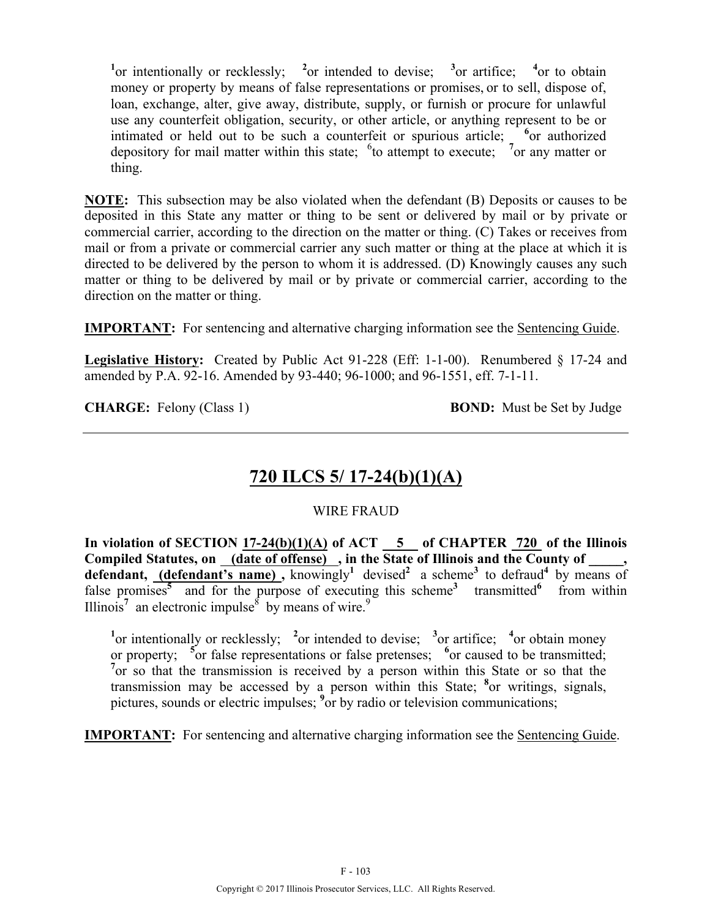<sup>1</sup><sup>or</sup> intentionally or recklessly; <sup>2</sup><sub>or</sub> intended to devise; <sup>3</sup><sub>or</sub> artifice; <sup>4</sup><sub>or</sub> to obtain money or property by means of false representations or promises, or to sell, dispose of, loan, exchange, alter, give away, distribute, supply, or furnish or procure for unlawful use any counterfeit obligation, security, or other article, or anything represent to be or intimated or held out to be such a counterfeit or spurious article; <sup>6</sup> or authorized depository for mail matter within this state;  $6$  to attempt to execute;  $7$  or any matter or thing.

**NOTE:** This subsection may be also violated when the defendant (B) Deposits or causes to be deposited in this State any matter or thing to be sent or delivered by mail or by private or commercial carrier, according to the direction on the matter or thing. (C) Takes or receives from mail or from a private or commercial carrier any such matter or thing at the place at which it is directed to be delivered by the person to whom it is addressed. (D) Knowingly causes any such matter or thing to be delivered by mail or by private or commercial carrier, according to the direction on the matter or thing.

**IMPORTANT:** For sentencing and alternative charging information see the Sentencing Guide.

**Legislative History:** Created by Public Act 91-228 (Eff: 1-1-00). Renumbered § 17-24 and amended by P.A. 92-16. Amended by 93-440; 96-1000; and 96-1551, eff. 7-1-11.

**CHARGE:** Felony (Class 1) **BOND:** Must be Set by Judge

# **720 ILCS 5/ 17-24(b)(1)(A)**

### WIRE FRAUD

In violation of SECTION  $17-24(b)(1)(A)$  of ACT  $\overline{\phantom{0}5}$  of CHAPTER 720 of the Illinois Compiled Statutes, on (date of offense), in the State of Illinois and the County of, **defendant, (defendant's name) ,** knowingly**<sup>1</sup>** devised**<sup>2</sup>** a scheme**3** to defraud**<sup>4</sup>** by means of false promises<sup>5</sup> and for the purpose of executing this scheme<sup>3</sup> transmitted<sup>6</sup> from within Illinois<sup>7</sup> an electronic impulse<sup>8</sup> by means of wire.<sup>9</sup>

<sup>1</sup><sup>or</sup> intentionally or recklessly; <sup>2</sup><sup>or</sup> intended to devise; <sup>3</sup><sup>or</sup> artifice; <sup>4</sup><sup>or</sup> obtain money or property; <sup>5</sup> or false representations or false pretenses; <sup>6</sup> or caused to be transmitted; <sup>7</sup> or so that the transmission is received by a person within this State or so that the transmission may be accessed by a person within this State; **<sup>8</sup>** or writings, signals, pictures, sounds or electric impulses; <sup>9</sup> or by radio or television communications;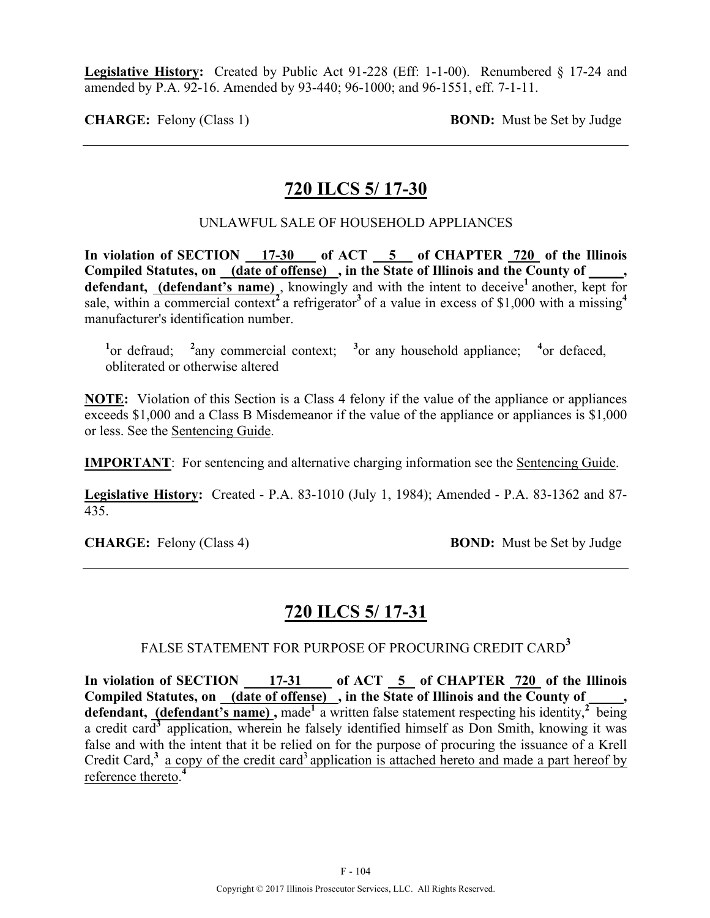**Legislative History:** Created by Public Act 91-228 (Eff: 1-1-00). Renumbered § 17-24 and amended by P.A. 92-16. Amended by 93-440; 96-1000; and 96-1551, eff. 7-1-11.

**CHARGE:** Felony (Class 1) **BOND:** Must be Set by Judge

## **720 ILCS 5/ 17-30**

UNLAWFUL SALE OF HOUSEHOLD APPLIANCES

**In violation of SECTION 17-30 of ACT 5 of CHAPTER 720 of the Illinois Compiled Statutes, on (date of offense) , in the State of Illinois and the County of \_\_\_\_\_,**  defendant, (defendant's name), knowingly and with the intent to deceive<sup>1</sup> another, kept for sale, within a commercial context<sup>2</sup> a refrigerator<sup>3</sup> of a value in excess of \$1,000 with a missing<sup>4</sup> manufacturer's identification number.

<sup>1</sup><sub>or</sub> defraud; <sup>2</sup> any commercial context; <sup>3</sup> or any household appliance; <sup>4</sup> or defaced, obliterated or otherwise altered

**NOTE:** Violation of this Section is a Class 4 felony if the value of the appliance or appliances exceeds \$1,000 and a Class B Misdemeanor if the value of the appliance or appliances is \$1,000 or less. See the Sentencing Guide.

**IMPORTANT**: For sentencing and alternative charging information see the Sentencing Guide.

**Legislative History:** Created - P.A. 83-1010 (July 1, 1984); Amended - P.A. 83-1362 and 87- 435.

**CHARGE:** Felony (Class 4) **BOND:** Must be Set by Judge

## **720 ILCS 5/ 17-31**

FALSE STATEMENT FOR PURPOSE OF PROCURING CREDIT CARD**<sup>3</sup>**

In violation of SECTION 17-31 of ACT 5 of CHAPTER 720 of the Illinois Compiled Statutes, on (date of offense), in the State of Illinois and the County of **defendant, (defendant's name),** made<sup>1</sup> a written false statement respecting his identity,<sup>2</sup> being a credit card**<sup>3</sup>** application, wherein he falsely identified himself as Don Smith, knowing it was false and with the intent that it be relied on for the purpose of procuring the issuance of a Krell Credit Card, $3$  a copy of the credit card<sup>3</sup> application is attached hereto and made a part hereof by reference thereto. **4**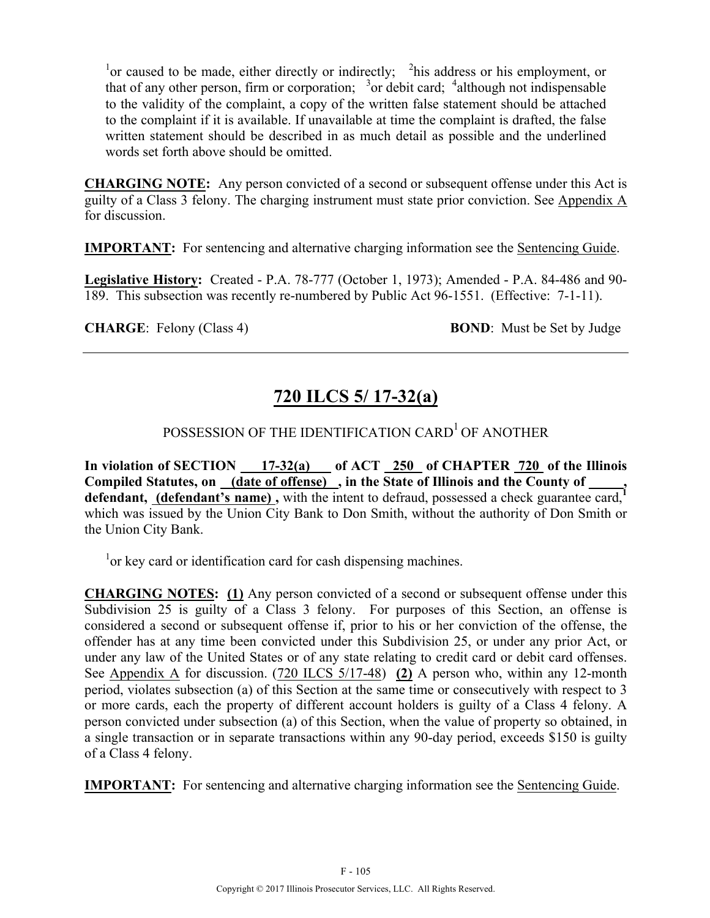<sup>1</sup> or caused to be made, either directly or indirectly;  $\lambda$ <sup>2</sup> his address or his employment, or that of any other person, firm or corporation;  $3\sigma$  debit card;  $4$ although not indispensable to the validity of the complaint, a copy of the written false statement should be attached to the complaint if it is available. If unavailable at time the complaint is drafted, the false written statement should be described in as much detail as possible and the underlined words set forth above should be omitted.

**CHARGING NOTE:** Any person convicted of a second or subsequent offense under this Act is guilty of a Class 3 felony. The charging instrument must state prior conviction. See Appendix A for discussion.

**IMPORTANT:** For sentencing and alternative charging information see the Sentencing Guide.

**Legislative History:** Created - P.A. 78-777 (October 1, 1973); Amended - P.A. 84-486 and 90- 189. This subsection was recently re-numbered by Public Act 96-1551. (Effective: 7-1-11).

**CHARGE:** Felony (Class 4) **BOND:** Must be Set by Judge

# **720 ILCS 5/ 17-32(a)**

# POSSESSION OF THE IDENTIFICATION CARD<sup>1</sup> OF ANOTHER

**In violation of SECTION 17-32(a) of ACT 250 of CHAPTER 720 of the Illinois**  Compiled Statutes, on (date of offense), in the State of Illinois and the County of defendant, (defendant's name), with the intent to defraud, possessed a check guarantee card, which was issued by the Union City Bank to Don Smith, without the authority of Don Smith or the Union City Bank.

<sup>1</sup> or key card or identification card for cash dispensing machines.

**CHARGING NOTES: (1)** Any person convicted of a second or subsequent offense under this Subdivision 25 is guilty of a Class 3 felony. For purposes of this Section, an offense is considered a second or subsequent offense if, prior to his or her conviction of the offense, the offender has at any time been convicted under this Subdivision 25, or under any prior Act, or under any law of the United States or of any state relating to credit card or debit card offenses. See Appendix A for discussion. (720 ILCS 5/17-48) **(2)** A person who, within any 12-month period, violates subsection (a) of this Section at the same time or consecutively with respect to 3 or more cards, each the property of different account holders is guilty of a Class 4 felony. A person convicted under subsection (a) of this Section, when the value of property so obtained, in a single transaction or in separate transactions within any 90-day period, exceeds \$150 is guilty of a Class 4 felony.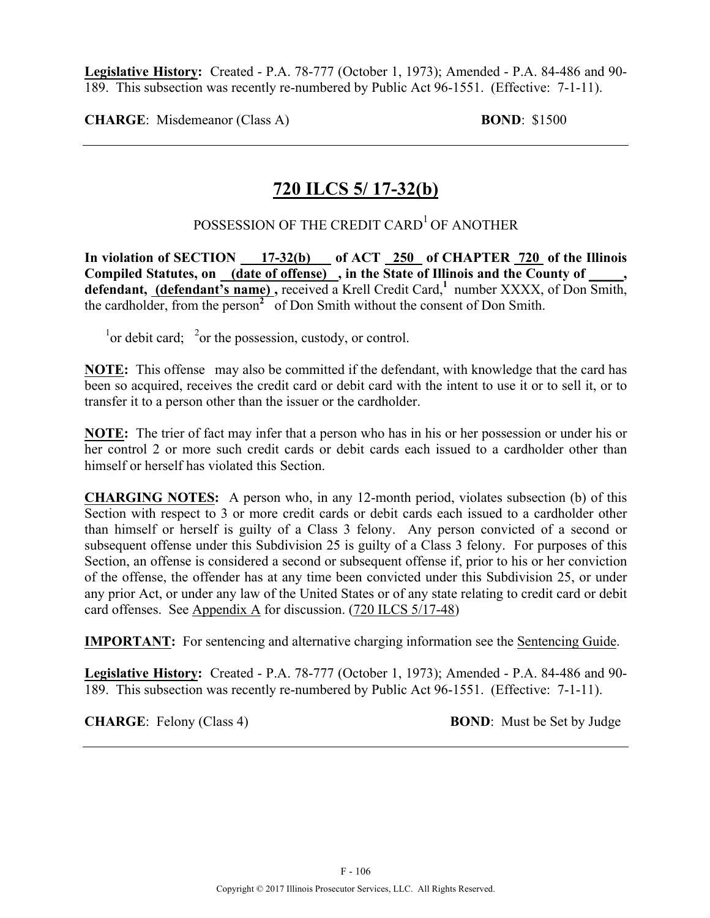**Legislative History:** Created - P.A. 78-777 (October 1, 1973); Amended - P.A. 84-486 and 90- 189. This subsection was recently re-numbered by Public Act 96-1551. (Effective: 7-1-11).

**CHARGE**: Misdemeanor (Class A) **BOND**: \$1500

# **720 ILCS 5/ 17-32(b)**

## POSSESSION OF THE CREDIT CARD<sup>1</sup> OF ANOTHER

In violation of SECTION 17-32(b) of ACT 250 of CHAPTER 720 of the Illinois Compiled Statutes, on <u>(date of offense)</u>, in the State of Illinois and the County of \_\_\_\_, **defendant, (defendant's name) ,** received a Krell Credit Card,**<sup>1</sup>** number XXXX, of Don Smith, the cardholder, from the person**<sup>2</sup>** of Don Smith without the consent of Don Smith.

 $\frac{1}{1}$  or debit card;  $\frac{2}{1}$  or the possession, custody, or control.

**NOTE:** This offense may also be committed if the defendant, with knowledge that the card has been so acquired, receives the credit card or debit card with the intent to use it or to sell it, or to transfer it to a person other than the issuer or the cardholder.

**NOTE:** The trier of fact may infer that a person who has in his or her possession or under his or her control 2 or more such credit cards or debit cards each issued to a cardholder other than himself or herself has violated this Section.

**CHARGING NOTES:** A person who, in any 12-month period, violates subsection (b) of this Section with respect to 3 or more credit cards or debit cards each issued to a cardholder other than himself or herself is guilty of a Class 3 felony. Any person convicted of a second or subsequent offense under this Subdivision 25 is guilty of a Class 3 felony. For purposes of this Section, an offense is considered a second or subsequent offense if, prior to his or her conviction of the offense, the offender has at any time been convicted under this Subdivision 25, or under any prior Act, or under any law of the United States or of any state relating to credit card or debit card offenses. See Appendix A for discussion. (720 ILCS 5/17-48)

**IMPORTANT:** For sentencing and alternative charging information see the Sentencing Guide.

**Legislative History:** Created - P.A. 78-777 (October 1, 1973); Amended - P.A. 84-486 and 90- 189. This subsection was recently re-numbered by Public Act 96-1551. (Effective: 7-1-11).

**CHARGE**: Felony (Class 4) **BOND**: Must be Set by Judge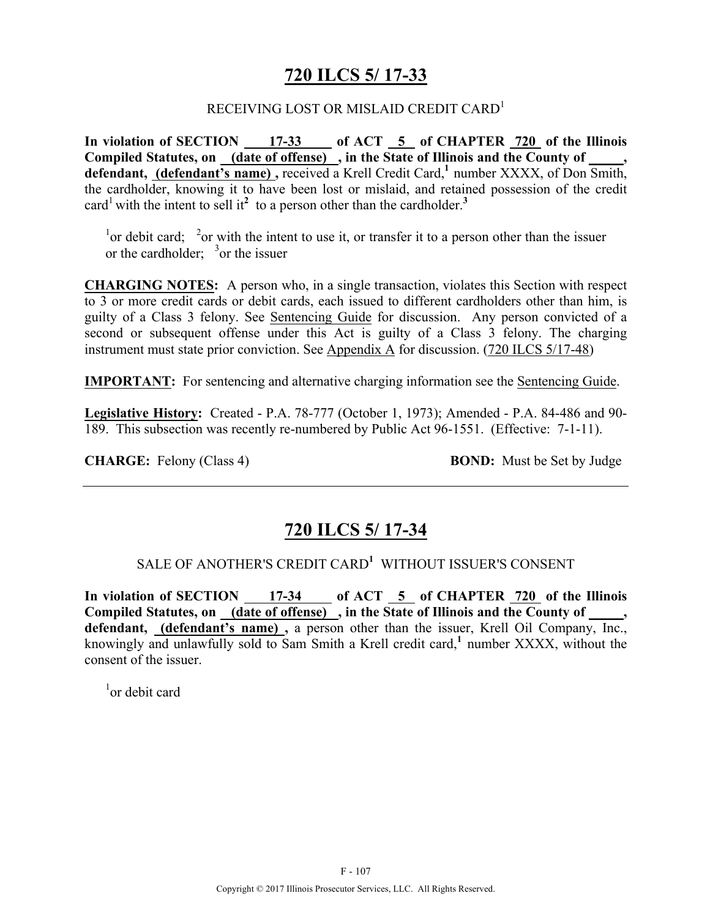## **720 ILCS 5/ 17-33**

### RECEIVING LOST OR MISLAID CREDIT CARD<sup>1</sup>

In violation of SECTION 17-33 of ACT 5 of CHAPTER 720 of the Illinois **Compiled Statutes, on (date of offense) , in the State of Illinois and the County of \_\_\_\_\_, defendant, (defendant's name) ,** received a Krell Credit Card,**<sup>1</sup>** number XXXX, of Don Smith, the cardholder, knowing it to have been lost or mislaid, and retained possession of the credit card<sup>1</sup> with the intent to sell it<sup>2</sup> to a person other than the cardholder.<sup>3</sup>

<sup>1</sup> or debit card; <sup>2</sup> or with the intent to use it, or transfer it to a person other than the issuer or the cardholder;  $3$  or the issuer

**CHARGING NOTES:** A person who, in a single transaction, violates this Section with respect to 3 or more credit cards or debit cards, each issued to different cardholders other than him, is guilty of a Class 3 felony. See Sentencing Guide for discussion. Any person convicted of a second or subsequent offense under this Act is guilty of a Class 3 felony. The charging instrument must state prior conviction. See Appendix A for discussion. (720 ILCS 5/17-48)

**IMPORTANT:** For sentencing and alternative charging information see the Sentencing Guide.

**Legislative History:** Created - P.A. 78-777 (October 1, 1973); Amended - P.A. 84-486 and 90- 189. This subsection was recently re-numbered by Public Act 96-1551. (Effective: 7-1-11).

**CHARGE:** Felony (Class 4) **BOND:** Must be Set by Judge

## **720 ILCS 5/ 17-34**

### SALE OF ANOTHER'S CREDIT CARD**<sup>1</sup>** WITHOUT ISSUER'S CONSENT

In violation of SECTION 17-34 of ACT 5 of CHAPTER 720 of the Illinois Compiled Statutes, on (date of offense), in the State of Illinois and the County of defendant, **(defendant's name)**, a person other than the issuer, Krell Oil Company, Inc., knowingly and unlawfully sold to Sam Smith a Krell credit card,**<sup>1</sup>** number XXXX, without the consent of the issuer.

1 or debit card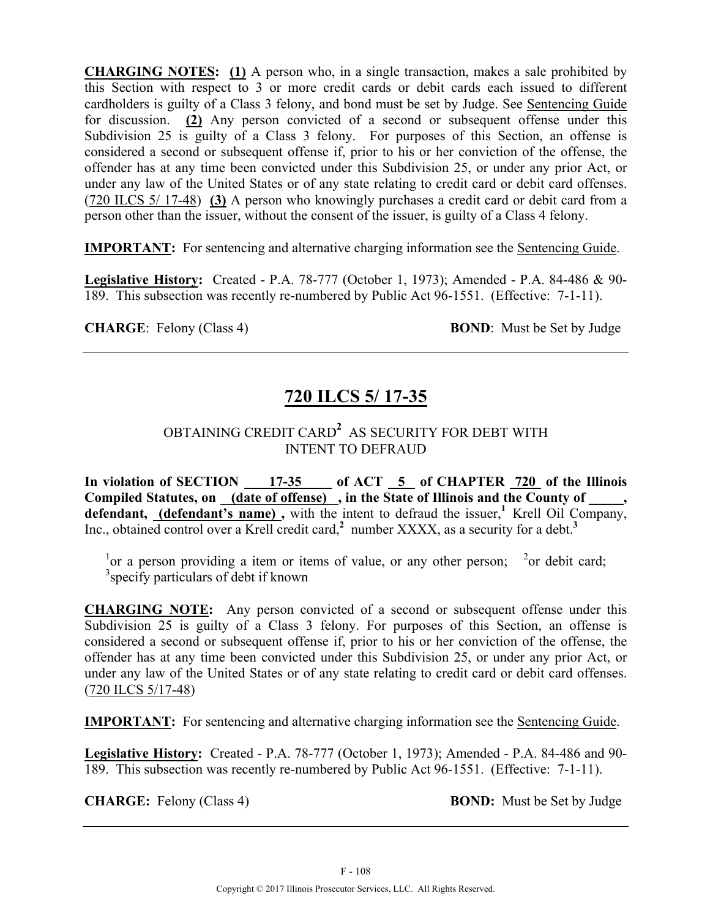**CHARGING NOTES: (1)** A person who, in a single transaction, makes a sale prohibited by this Section with respect to 3 or more credit cards or debit cards each issued to different cardholders is guilty of a Class 3 felony, and bond must be set by Judge. See Sentencing Guide for discussion. **(2)** Any person convicted of a second or subsequent offense under this Subdivision 25 is guilty of a Class 3 felony. For purposes of this Section, an offense is considered a second or subsequent offense if, prior to his or her conviction of the offense, the offender has at any time been convicted under this Subdivision 25, or under any prior Act, or under any law of the United States or of any state relating to credit card or debit card offenses. (720 ILCS 5/ 17-48) **(3)** A person who knowingly purchases a credit card or debit card from a person other than the issuer, without the consent of the issuer, is guilty of a Class 4 felony.

**IMPORTANT:** For sentencing and alternative charging information see the Sentencing Guide.

**Legislative History:** Created - P.A. 78-777 (October 1, 1973); Amended - P.A. 84-486 & 90- 189. This subsection was recently re-numbered by Public Act 96-1551. (Effective: 7-1-11).

**CHARGE:** Felony (Class 4) **BOND:** Must be Set by Judge

# **720 ILCS 5/ 17-35**

## OBTAINING CREDIT CARD**<sup>2</sup>** AS SECURITY FOR DEBT WITH INTENT TO DEFRAUD

In violation of SECTION 17-35 of ACT 5 of CHAPTER 720 of the Illinois Compiled Statutes, on (date of offense), in the State of Illinois and the County of defendant, (defendant's name), with the intent to defraud the issuer,<sup>1</sup> Krell Oil Company, Inc., obtained control over a Krell credit card,**<sup>2</sup>** number XXXX, as a security for a debt.**<sup>3</sup>**

<sup>1</sup> or a person providing a item or items of value, or any other person; <sup>2</sup> or debit card; <sup>3</sup> specify particulars of debt if known

**CHARGING NOTE:** Any person convicted of a second or subsequent offense under this Subdivision 25 is guilty of a Class 3 felony. For purposes of this Section, an offense is considered a second or subsequent offense if, prior to his or her conviction of the offense, the offender has at any time been convicted under this Subdivision 25, or under any prior Act, or under any law of the United States or of any state relating to credit card or debit card offenses. (720 ILCS 5/17-48)

**IMPORTANT:** For sentencing and alternative charging information see the Sentencing Guide.

**Legislative History:** Created - P.A. 78-777 (October 1, 1973); Amended - P.A. 84-486 and 90- 189. This subsection was recently re-numbered by Public Act 96-1551. (Effective: 7-1-11).

**CHARGE:** Felony (Class 4) **BOND:** Must be Set by Judge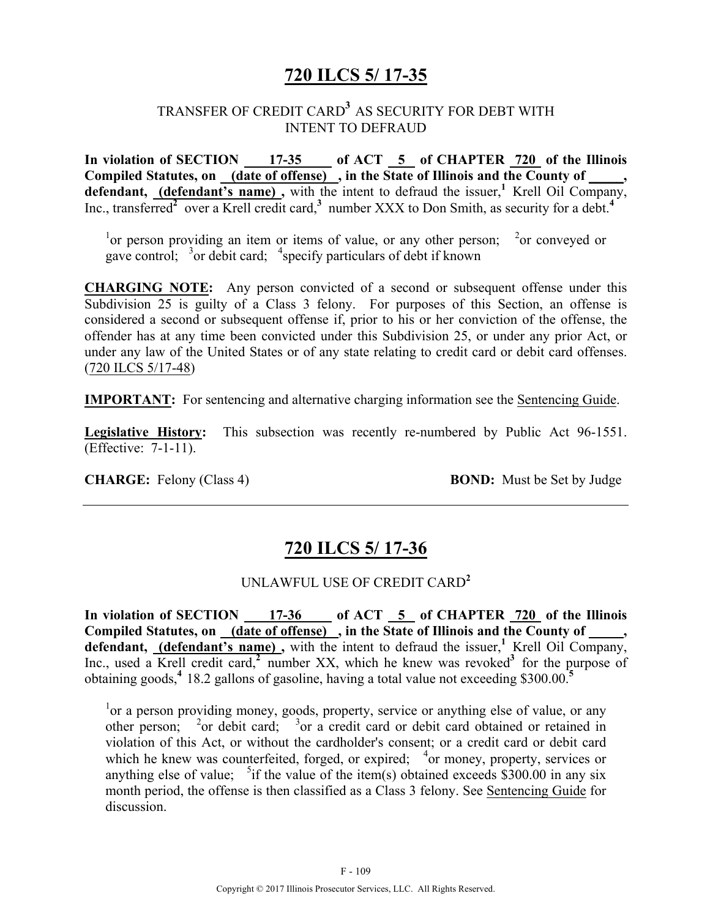# **720 ILCS 5/ 17-35**

#### TRANSFER OF CREDIT CARD**<sup>3</sup>** AS SECURITY FOR DEBT WITH INTENT TO DEFRAUD

**In violation of SECTION 17-35 of ACT 5 of CHAPTER 720 of the Illinois**  Compiled Statutes, on <u>(date of offense)</u>, in the State of Illinois and the County of defendant, (defendant's name), with the intent to defraud the issuer,<sup>1</sup> Krell Oil Company, Inc., transferred<sup>2</sup> over a Krell credit card,<sup>3</sup> number XXX to Don Smith, as security for a debt.<sup>4</sup>

<sup>1</sup> or person providing an item or items of value, or any other person; <sup>2</sup> or conveyed or gave control; <sup>3</sup>or debit card; <sup>4</sup> specify particulars of debt if known

**CHARGING NOTE:** Any person convicted of a second or subsequent offense under this Subdivision 25 is guilty of a Class 3 felony. For purposes of this Section, an offense is considered a second or subsequent offense if, prior to his or her conviction of the offense, the offender has at any time been convicted under this Subdivision 25, or under any prior Act, or under any law of the United States or of any state relating to credit card or debit card offenses. (720 ILCS 5/17-48)

**IMPORTANT:** For sentencing and alternative charging information see the Sentencing Guide.

**Legislative History:** This subsection was recently re-numbered by Public Act 96-1551. (Effective: 7-1-11).

**CHARGE:** Felony (Class 4) **BOND:** Must be Set by Judge

## **720 ILCS 5/ 17-36**

#### UNLAWFUL USE OF CREDIT CARD**<sup>2</sup>**

In violation of SECTION 17-36 of ACT 5 of CHAPTER 720 of the Illinois Compiled Statutes, on <u>(date of offense)</u>, in the State of Illinois and the County of \_\_\_\_, defendant, **(defendant's name)**, with the intent to defraud the issuer,<sup>1</sup> Krell Oil Company, Inc., used a Krell credit card,<sup>2</sup> number XX, which he knew was revoked<sup>3</sup> for the purpose of obtaining goods,**<sup>4</sup>**18.2 gallons of gasoline, having a total value not exceeding \$300.00.**<sup>5</sup>**

<sup>1</sup> or a person providing money, goods, property, service or anything else of value, or any other person;  $\frac{2}{3}$  or debit card;  $\frac{3}{3}$  or a credit card or debit card obtained or retained in violation of this Act, or without the cardholder's consent; or a credit card or debit card which he knew was counterfeited, forged, or expired;  $4 \text{ or money}$ , property, services or anything else of value;  $5$ if the value of the item(s) obtained exceeds \$300.00 in any six month period, the offense is then classified as a Class 3 felony. See Sentencing Guide for discussion.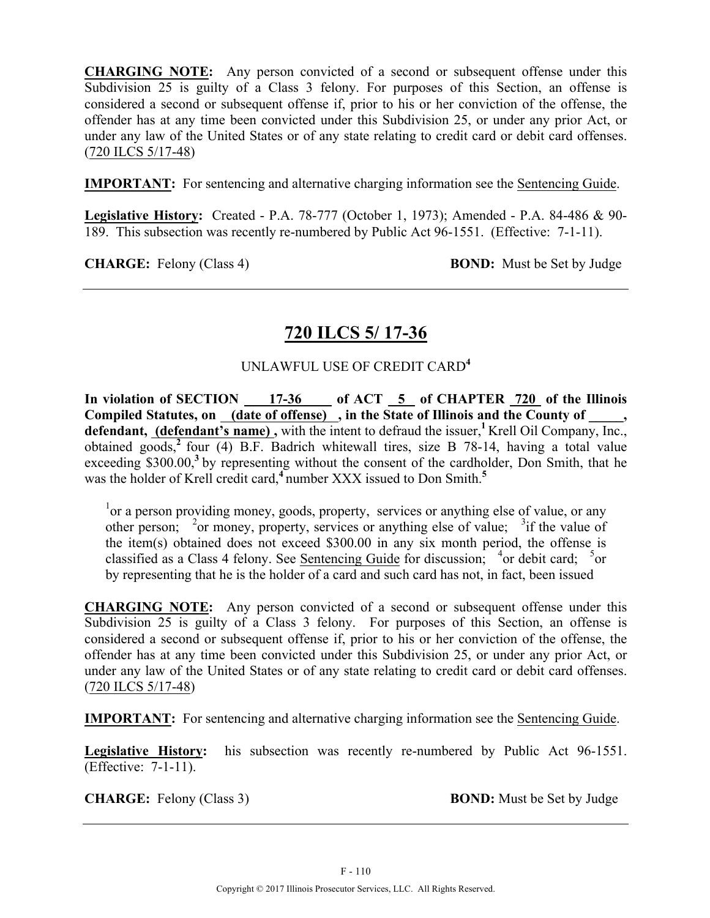**CHARGING NOTE:** Any person convicted of a second or subsequent offense under this Subdivision 25 is guilty of a Class 3 felony. For purposes of this Section, an offense is considered a second or subsequent offense if, prior to his or her conviction of the offense, the offender has at any time been convicted under this Subdivision 25, or under any prior Act, or under any law of the United States or of any state relating to credit card or debit card offenses. (720 ILCS 5/17-48)

**IMPORTANT:** For sentencing and alternative charging information see the **Sentencing Guide**.

**Legislative History:** Created - P.A. 78-777 (October 1, 1973); Amended - P.A. 84-486 & 90- 189. This subsection was recently re-numbered by Public Act 96-1551. (Effective: 7-1-11).

**CHARGE:** Felony (Class 4) **BOND:** Must be Set by Judge

# **720 ILCS 5/ 17-36**

#### UNLAWFUL USE OF CREDIT CARD**<sup>4</sup>**

In violation of SECTION 17-36 of ACT 5 of CHAPTER 720 of the Illinois Compiled Statutes, on <u>(date of offense)</u>, in the State of Illinois and the County of \_\_\_\_, defendant, (defendant's name), with the intent to defraud the issuer,<sup>1</sup> Krell Oil Company, Inc., obtained goods,**<sup>2</sup>** four (4) B.F. Badrich whitewall tires, size B 78-14, having a total value exceeding \$300.00,<sup>3</sup> by representing without the consent of the cardholder, Don Smith, that he was the holder of Krell credit card,**<sup>4</sup>** number XXX issued to Don Smith.**<sup>5</sup>**

<sup>1</sup> or a person providing money, goods, property, services or anything else of value, or any other person; <sup>2</sup>or money, property, services or anything else of value; <sup>3</sup> if the value of the item(s) obtained does not exceed \$300.00 in any six month period, the offense is classified as a Class 4 felony. See Sentencing Guide for discussion;  $4$  or debit card;  $5$  or by representing that he is the holder of a card and such card has not, in fact, been issued

**CHARGING NOTE:** Any person convicted of a second or subsequent offense under this Subdivision 25 is guilty of a Class 3 felony. For purposes of this Section, an offense is considered a second or subsequent offense if, prior to his or her conviction of the offense, the offender has at any time been convicted under this Subdivision 25, or under any prior Act, or under any law of the United States or of any state relating to credit card or debit card offenses. (720 ILCS 5/17-48)

**IMPORTANT:** For sentencing and alternative charging information see the Sentencing Guide.

**Legislative History:** his subsection was recently re-numbered by Public Act 96-1551. (Effective: 7-1-11).

**CHARGE:** Felony (Class 3) **BOND:** Must be Set by Judge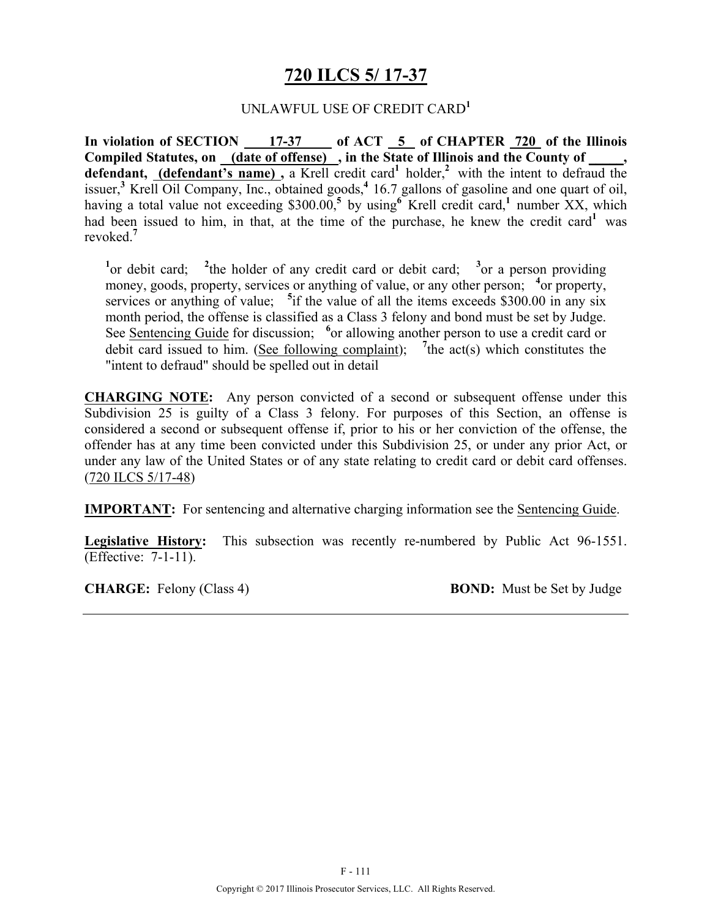## **720 ILCS 5/ 17-37**

#### UNLAWFUL USE OF CREDIT CARD**<sup>1</sup>**

In violation of SECTION 17-37 of ACT 5 of CHAPTER 720 of the Illinois **Compiled Statutes, on (date of offense) , in the State of Illinois and the County of \_\_\_\_\_,**  defendant, (defendant's name), a Krell credit card<sup>1</sup> holder,<sup>2</sup> with the intent to defraud the issuer,<sup>3</sup> Krell Oil Company, Inc., obtained goods,<sup>4</sup> 16.7 gallons of gasoline and one quart of oil, having a total value not exceeding \$300.00,<sup>5</sup> by using Krell credit card,<sup>1</sup> number XX, which had been issued to him, in that, at the time of the purchase, he knew the credit card<sup>1</sup> was revoked.**<sup>7</sup>**

<sup>1</sup> or debit card; <sup>2</sup> the holder of any credit card or debit card; <sup>3</sup> or a person providing money, goods, property, services or anything of value, or any other person; <sup>4</sup> or property, services or anything of value; <sup>5</sup> if the value of all the items exceeds \$300.00 in any six month period, the offense is classified as a Class 3 felony and bond must be set by Judge. See Sentencing Guide for discussion; <sup>6</sup> or allowing another person to use a credit card or debit card issued to him. (See following complaint); <sup>7</sup> the act(s) which constitutes the "intent to defraud" should be spelled out in detail

**CHARGING NOTE:** Any person convicted of a second or subsequent offense under this Subdivision 25 is guilty of a Class 3 felony. For purposes of this Section, an offense is considered a second or subsequent offense if, prior to his or her conviction of the offense, the offender has at any time been convicted under this Subdivision 25, or under any prior Act, or under any law of the United States or of any state relating to credit card or debit card offenses. (720 ILCS 5/17-48)

**IMPORTANT:** For sentencing and alternative charging information see the Sentencing Guide.

**Legislative History:** This subsection was recently re-numbered by Public Act 96-1551. (Effective: 7-1-11).

**CHARGE:** Felony (Class 4) **BOND:** Must be Set by Judge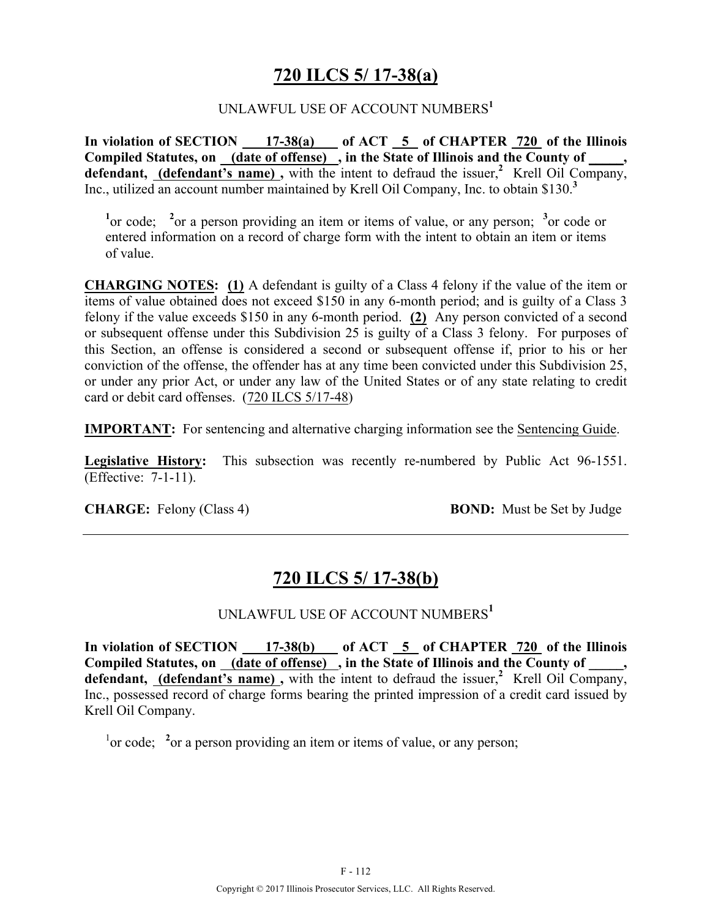## **720 ILCS 5/ 17-38(a)**

#### UNLAWFUL USE OF ACCOUNT NUMBERS**<sup>1</sup>**

In violation of SECTION 17-38(a) of ACT 5 of CHAPTER 720 of the Illinois **Compiled Statutes, on (date of offense) , in the State of Illinois and the County of \_\_\_\_\_,**  defendant, **(defendant's name)**, with the intent to defraud the issuer,<sup>2</sup> Krell Oil Company, Inc., utilized an account number maintained by Krell Oil Company, Inc. to obtain \$130.**<sup>3</sup>**

<sup>1</sup> or code; <sup>2</sup> or a person providing an item or items of value, or any person; <sup>3</sup> or code or entered information on a record of charge form with the intent to obtain an item or items of value.

**CHARGING NOTES: (1)** A defendant is guilty of a Class 4 felony if the value of the item or items of value obtained does not exceed \$150 in any 6-month period; and is guilty of a Class 3 felony if the value exceeds \$150 in any 6-month period. **(2)** Any person convicted of a second or subsequent offense under this Subdivision 25 is guilty of a Class 3 felony. For purposes of this Section, an offense is considered a second or subsequent offense if, prior to his or her conviction of the offense, the offender has at any time been convicted under this Subdivision 25, or under any prior Act, or under any law of the United States or of any state relating to credit card or debit card offenses. (720 ILCS 5/17-48)

**IMPORTANT:** For sentencing and alternative charging information see the Sentencing Guide.

**Legislative History:** This subsection was recently re-numbered by Public Act 96-1551. (Effective: 7-1-11).

**CHARGE:** Felony (Class 4) **BOND:** Must be Set by Judge

# **720 ILCS 5/ 17-38(b)**

## UNLAWFUL USE OF ACCOUNT NUMBERS**<sup>1</sup>**

In violation of SECTION 17-38(b) of ACT 5 of CHAPTER 720 of the Illinois Compiled Statutes, on (date of offense), in the State of Illinois and the County of defendant, **(defendant's name)**, with the intent to defraud the issuer,<sup>2</sup> Krell Oil Company, Inc., possessed record of charge forms bearing the printed impression of a credit card issued by Krell Oil Company.

<sup>1</sup> or code; <sup>2</sup> or a person providing an item or items of value, or any person;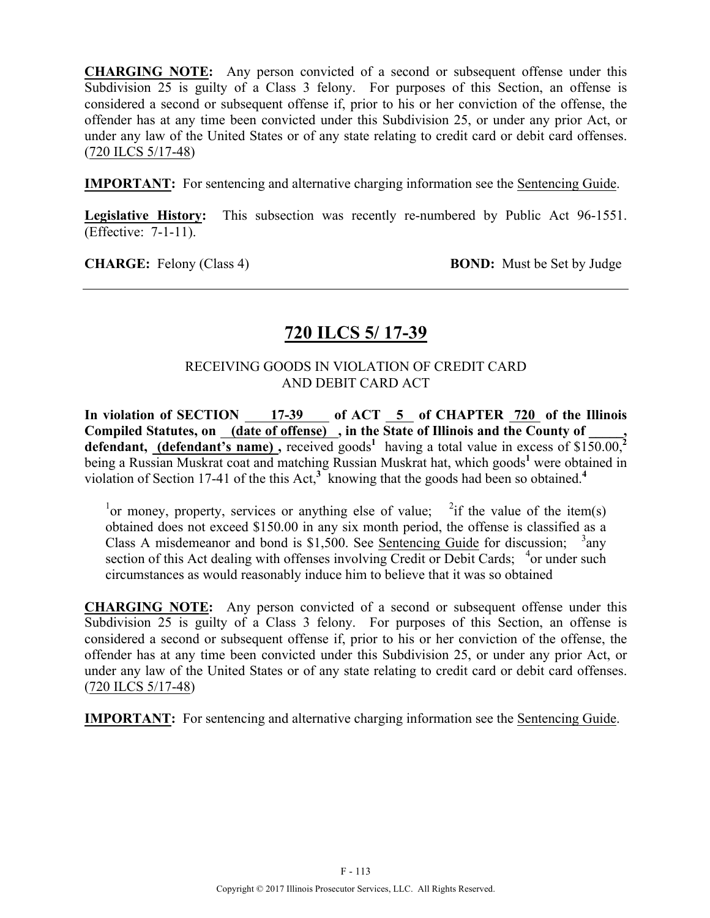**CHARGING NOTE:** Any person convicted of a second or subsequent offense under this Subdivision 25 is guilty of a Class 3 felony. For purposes of this Section, an offense is considered a second or subsequent offense if, prior to his or her conviction of the offense, the offender has at any time been convicted under this Subdivision 25, or under any prior Act, or under any law of the United States or of any state relating to credit card or debit card offenses. (720 ILCS 5/17-48)

**IMPORTANT:** For sentencing and alternative charging information see the **Sentencing Guide**.

**Legislative History:** This subsection was recently re-numbered by Public Act 96-1551. (Effective: 7-1-11).

**CHARGE:** Felony (Class 4) **BOND:** Must be Set by Judge

## **720 ILCS 5/ 17-39**

#### RECEIVING GOODS IN VIOLATION OF CREDIT CARD AND DEBIT CARD ACT

In violation of SECTION 17-39 of ACT 5 of CHAPTER 720 of the Illinois **Compiled Statutes, on (date of offense) , in the State of Illinois and the County of \_\_\_\_\_,**  defendant, (defendant's name), received goods<sup>1</sup> having a total value in excess of \$150.00,<sup>2</sup> being a Russian Muskrat coat and matching Russian Muskrat hat, which goods<sup>1</sup> were obtained in violation of Section 17-41 of the this Act,**<sup>3</sup>** knowing that the goods had been so obtained.**<sup>4</sup>**

<sup>1</sup> or money, property, services or anything else of value; <sup>2</sup> if the value of the item(s) obtained does not exceed \$150.00 in any six month period, the offense is classified as a Class A misdemeanor and bond is \$1,500. See Sentencing Guide for discussion;  $3$ any section of this Act dealing with offenses involving Credit or Debit Cards; <sup>4</sup>or under such circumstances as would reasonably induce him to believe that it was so obtained

**CHARGING NOTE:** Any person convicted of a second or subsequent offense under this Subdivision 25 is guilty of a Class 3 felony. For purposes of this Section, an offense is considered a second or subsequent offense if, prior to his or her conviction of the offense, the offender has at any time been convicted under this Subdivision 25, or under any prior Act, or under any law of the United States or of any state relating to credit card or debit card offenses. (720 ILCS 5/17-48)

**IMPORTANT:** For sentencing and alternative charging information see the Sentencing Guide.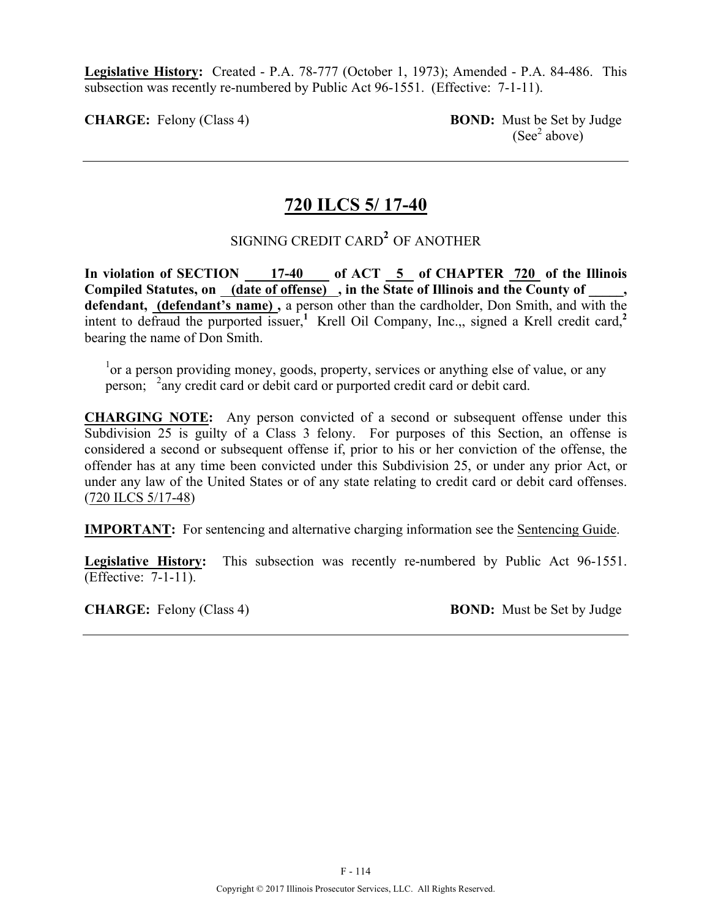**Legislative History:** Created - P.A. 78-777 (October 1, 1973); Amended - P.A. 84-486. This subsection was recently re-numbered by Public Act 96-1551. (Effective: 7-1-11).

**CHARGE:** Felony (Class 4) **BOND:** Must be Set by Judge  $(See<sup>2</sup> above)$ 

## **720 ILCS 5/ 17-40**

# SIGNING CREDIT CARD**<sup>2</sup>** OF ANOTHER

In violation of SECTION 17-40 of ACT 5 of CHAPTER 720 of the Illinois Compiled Statutes, on (date of offense), in the State of Illinois and the County of **defendant, (defendant's name) ,** a person other than the cardholder, Don Smith, and with the intent to defraud the purported issuer,<sup>1</sup> Krell Oil Company, Inc., signed a Krell credit card,<sup>2</sup> bearing the name of Don Smith.

<sup>1</sup> or a person providing money, goods, property, services or anything else of value, or any person; <sup>2</sup>any credit card or debit card or purported credit card or debit card.

**CHARGING NOTE:** Any person convicted of a second or subsequent offense under this Subdivision 25 is guilty of a Class 3 felony. For purposes of this Section, an offense is considered a second or subsequent offense if, prior to his or her conviction of the offense, the offender has at any time been convicted under this Subdivision 25, or under any prior Act, or under any law of the United States or of any state relating to credit card or debit card offenses. (720 ILCS 5/17-48)

**IMPORTANT:** For sentencing and alternative charging information see the Sentencing Guide.

**Legislative History:** This subsection was recently re-numbered by Public Act 96-1551. (Effective: 7-1-11).

**CHARGE:** Felony (Class 4) **BOND:** Must be Set by Judge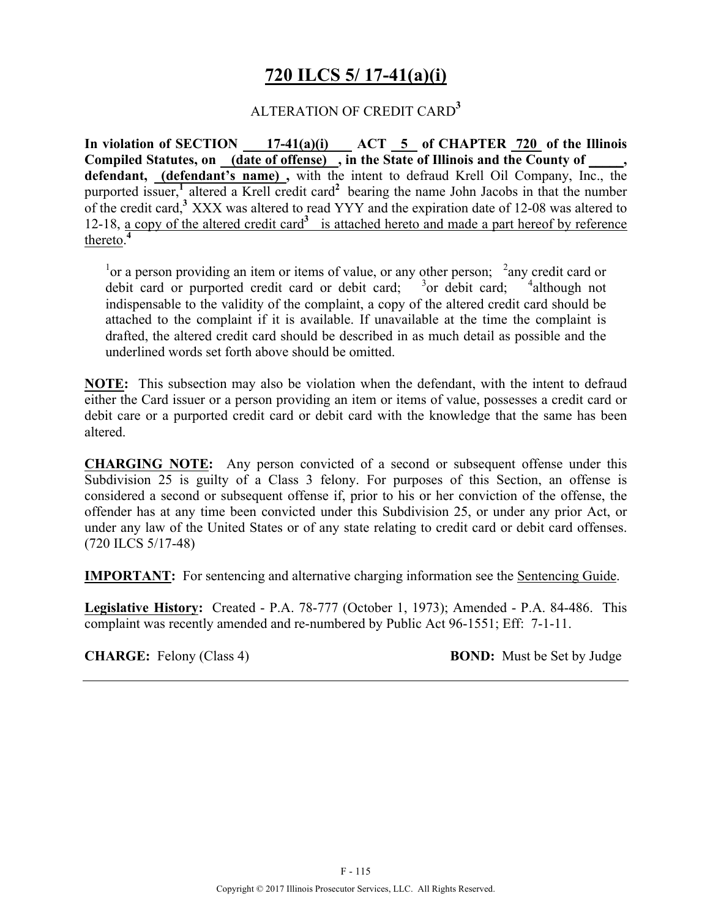# **720 ILCS 5/ 17-41(a)(i)**

#### ALTERATION OF CREDIT CARD**<sup>3</sup>**

In violation of SECTION 17-41(a)(i) ACT 5 of CHAPTER 720 of the Illinois Compiled Statutes, on (date of offense), in the State of Illinois and the County of, **defendant, (defendant's name) ,** with the intent to defraud Krell Oil Company, Inc., the purported issuer,<sup>1</sup> altered a Krell credit card<sup>2</sup> bearing the name John Jacobs in that the number of the credit card,**<sup>3</sup>** XXX was altered to read YYY and the expiration date of 12-08 was altered to 12-18, a copy of the altered credit card<sup>3</sup> is attached hereto and made a part hereof by reference thereto. **4**

 $1$ <sup>1</sup> or a person providing an item or items of value, or any other person;  $2$  any credit card or debit card or purported credit card or debit card;  $3$  or debit card;  $4$ <sup>4</sup> although not indispensable to the validity of the complaint, a copy of the altered credit card should be attached to the complaint if it is available. If unavailable at the time the complaint is drafted, the altered credit card should be described in as much detail as possible and the underlined words set forth above should be omitted.

**NOTE:** This subsection may also be violation when the defendant, with the intent to defraud either the Card issuer or a person providing an item or items of value, possesses a credit card or debit care or a purported credit card or debit card with the knowledge that the same has been altered.

**CHARGING NOTE:** Any person convicted of a second or subsequent offense under this Subdivision 25 is guilty of a Class 3 felony. For purposes of this Section, an offense is considered a second or subsequent offense if, prior to his or her conviction of the offense, the offender has at any time been convicted under this Subdivision 25, or under any prior Act, or under any law of the United States or of any state relating to credit card or debit card offenses. (720 ILCS 5/17-48)

**IMPORTANT:** For sentencing and alternative charging information see the Sentencing Guide.

**Legislative History:** Created - P.A. 78-777 (October 1, 1973); Amended - P.A. 84-486. This complaint was recently amended and re-numbered by Public Act 96-1551; Eff: 7-1-11.

**CHARGE:** Felony (Class 4) **BOND:** Must be Set by Judge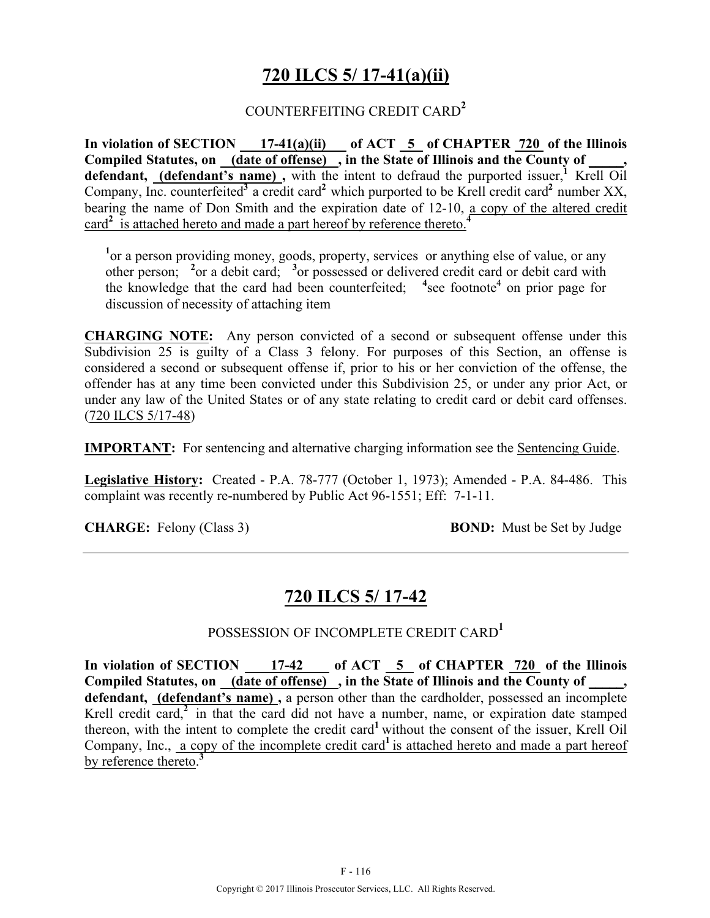# **720 ILCS 5/ 17-41(a)(ii)**

#### COUNTERFEITING CREDIT CARD**<sup>2</sup>**

In violation of SECTION 17-41(a)(ii) of ACT 5 of CHAPTER 720 of the Illinois Compiled Statutes, on <u>(date of offense)</u>, in the State of Illinois and the County of \_\_\_\_, defendant, (defendant's name), with the intent to defraud the purported issuer,<sup>1</sup> Krell Oil Company, Inc. counterfeited<sup>3</sup> a credit card<sup>2</sup> which purported to be Krell credit card<sup>2</sup> number XX, bearing the name of Don Smith and the expiration date of 12-10, a copy of the altered credit card**<sup>2</sup>** is attached hereto and made a part hereof by reference thereto.**<sup>4</sup>**

<sup>1</sup> or a person providing money, goods, property, services or anything else of value, or any other person; <sup>2</sup> or a debit card; <sup>3</sup> or possessed or delivered credit card or debit card with the knowledge that the card had been counterfeited;  $4 \sec$  footnote<sup>4</sup> on prior page for discussion of necessity of attaching item

**CHARGING NOTE:** Any person convicted of a second or subsequent offense under this Subdivision 25 is guilty of a Class 3 felony. For purposes of this Section, an offense is considered a second or subsequent offense if, prior to his or her conviction of the offense, the offender has at any time been convicted under this Subdivision 25, or under any prior Act, or under any law of the United States or of any state relating to credit card or debit card offenses. (720 ILCS 5/17-48)

**IMPORTANT:** For sentencing and alternative charging information see the Sentencing Guide.

**Legislative History:** Created - P.A. 78-777 (October 1, 1973); Amended - P.A. 84-486. This complaint was recently re-numbered by Public Act 96-1551; Eff: 7-1-11.

**CHARGE:** Felony (Class 3) **BOND:** Must be Set by Judge

## **720 ILCS 5/ 17-42**

#### POSSESSION OF INCOMPLETE CREDIT CARD**<sup>1</sup>**

In violation of SECTION 17-42 of ACT 5 of CHAPTER 720 of the Illinois **Compiled Statutes, on (date of offense)**, in the State of Illinois and the County of **defendant, (defendant's name) ,** a person other than the cardholder, possessed an incomplete Krell credit card,<sup>2</sup> in that the card did not have a number, name, or expiration date stamped thereon, with the intent to complete the credit card**<sup>1</sup>** without the consent of the issuer, Krell Oil Company, Inc., a copy of the incomplete credit card<sup>1</sup> is attached hereto and made a part hereof by reference thereto. **3**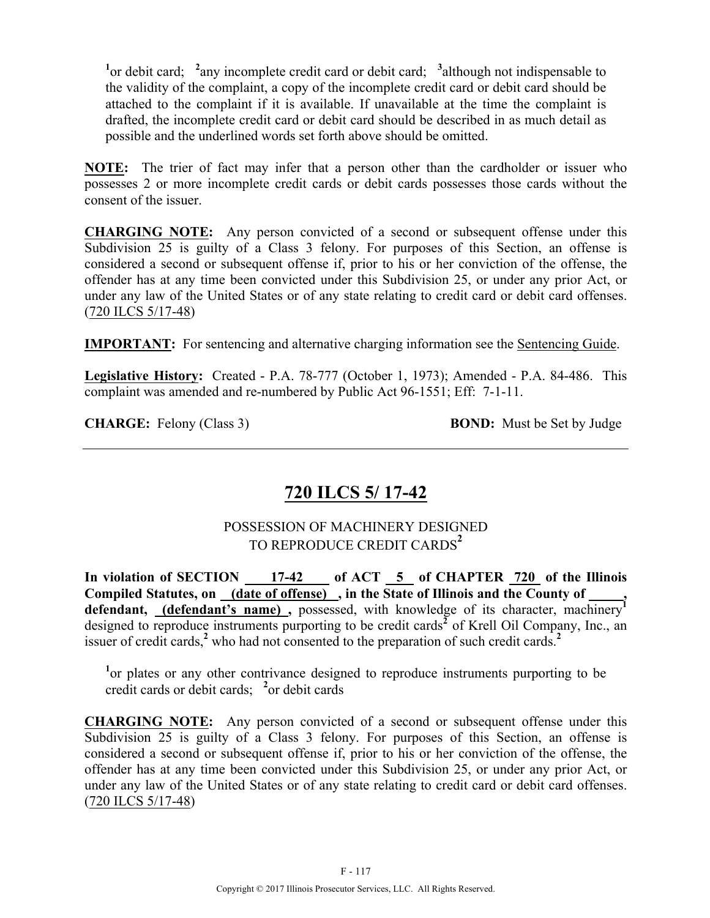<sup>1</sup><sup>or</sup> debit card; <sup>2</sup> any incomplete credit card or debit card; <sup>3</sup> although not indispensable to the validity of the complaint, a copy of the incomplete credit card or debit card should be attached to the complaint if it is available. If unavailable at the time the complaint is drafted, the incomplete credit card or debit card should be described in as much detail as possible and the underlined words set forth above should be omitted.

**NOTE:** The trier of fact may infer that a person other than the cardholder or issuer who possesses 2 or more incomplete credit cards or debit cards possesses those cards without the consent of the issuer.

**CHARGING NOTE:** Any person convicted of a second or subsequent offense under this Subdivision 25 is guilty of a Class 3 felony. For purposes of this Section, an offense is considered a second or subsequent offense if, prior to his or her conviction of the offense, the offender has at any time been convicted under this Subdivision 25, or under any prior Act, or under any law of the United States or of any state relating to credit card or debit card offenses. (720 ILCS 5/17-48)

**IMPORTANT:** For sentencing and alternative charging information see the **Sentencing Guide**.

**Legislative History:** Created - P.A. 78-777 (October 1, 1973); Amended - P.A. 84-486. This complaint was amended and re-numbered by Public Act 96-1551; Eff: 7-1-11.

**CHARGE:** Felony (Class 3) **BOND:** Must be Set by Judge

# **720 ILCS 5/ 17-42**

#### POSSESSION OF MACHINERY DESIGNED TO REPRODUCE CREDIT CARDS**<sup>2</sup>**

**In violation of SECTION 17-42 of ACT 5 of CHAPTER 720 of the Illinois Compiled Statutes, on (date of offense) , in the State of Illinois and the County of \_\_\_\_\_,**  defendant, **(defendant's name)**, possessed, with knowledge of its character, machinery<sup>1</sup> designed to reproduce instruments purporting to be credit cards $\overline{2}$  of Krell Oil Company, Inc., an issuer of credit cards,<sup>2</sup> who had not consented to the preparation of such credit cards.<sup>2</sup>

<sup>1</sup> or plates or any other contrivance designed to reproduce instruments purporting to be credit cards or debit cards; **<sup>2</sup>** or debit cards

**CHARGING NOTE:** Any person convicted of a second or subsequent offense under this Subdivision 25 is guilty of a Class 3 felony. For purposes of this Section, an offense is considered a second or subsequent offense if, prior to his or her conviction of the offense, the offender has at any time been convicted under this Subdivision 25, or under any prior Act, or under any law of the United States or of any state relating to credit card or debit card offenses. (720 ILCS 5/17-48)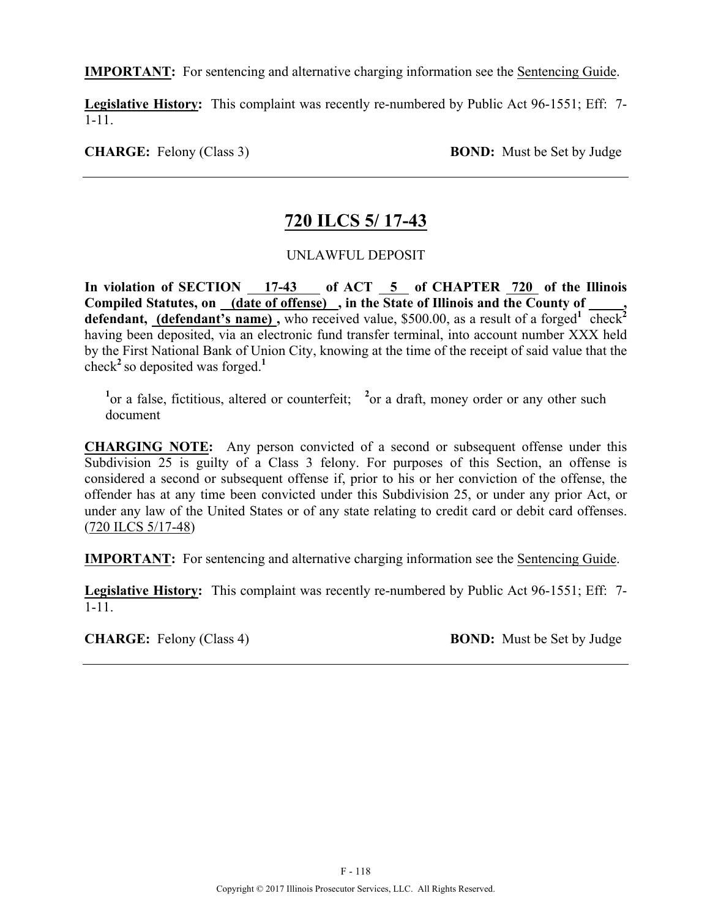**IMPORTANT:** For sentencing and alternative charging information see the Sentencing Guide.

**Legislative History:** This complaint was recently re-numbered by Public Act 96-1551; Eff: 7-  $\overline{1}$ -11.

**CHARGE:** Felony (Class 3) **BOND:** Must be Set by Judge

## **720 ILCS 5/ 17-43**

#### UNLAWFUL DEPOSIT

In violation of SECTION 17-43 of ACT 5 of CHAPTER 720 of the Illinois Compiled Statutes, on (date of offense), in the State of Illinois and the County of defendant, (defendant's name), who received value, \$500.00, as a result of a forged<sup>1</sup> check<sup>2</sup> having been deposited, via an electronic fund transfer terminal, into account number XXX held by the First National Bank of Union City, knowing at the time of the receipt of said value that the check<sup>2</sup> so deposited was forged.<sup>1</sup>

<sup>1</sup> or a false, fictitious, altered or counterfeit; <sup>2</sup> or a draft, money order or any other such document

**CHARGING NOTE:** Any person convicted of a second or subsequent offense under this Subdivision 25 is guilty of a Class 3 felony. For purposes of this Section, an offense is considered a second or subsequent offense if, prior to his or her conviction of the offense, the offender has at any time been convicted under this Subdivision 25, or under any prior Act, or under any law of the United States or of any state relating to credit card or debit card offenses. (720 ILCS 5/17-48)

**IMPORTANT:** For sentencing and alternative charging information see the Sentencing Guide.

**Legislative History:** This complaint was recently re-numbered by Public Act 96-1551; Eff: 7- 1-11.

**CHARGE:** Felony (Class 4) **BOND:** Must be Set by Judge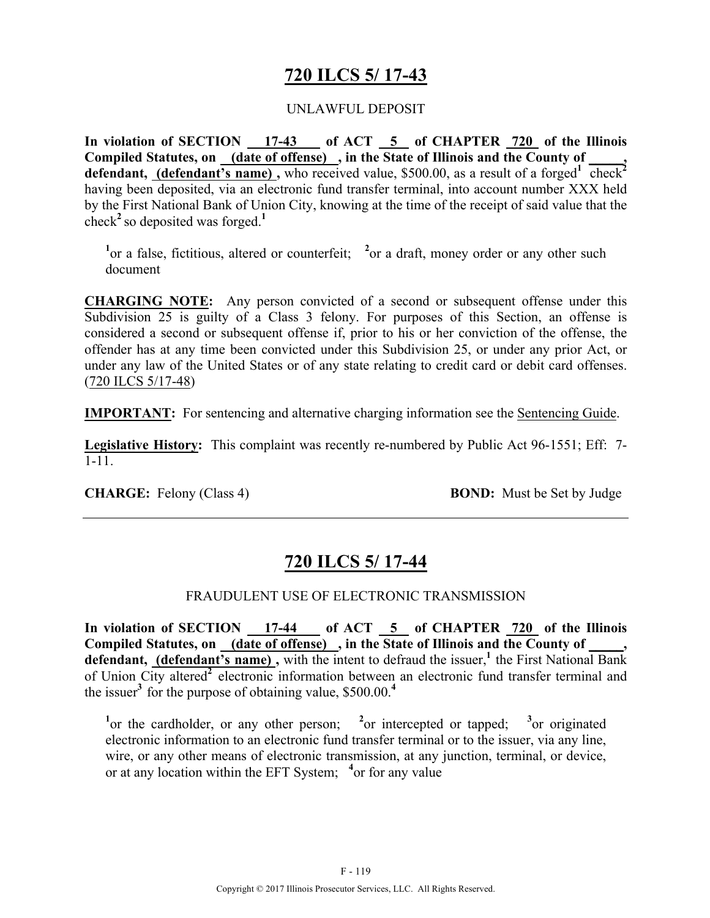# **720 ILCS 5/ 17-43**

#### UNLAWFUL DEPOSIT

**In violation of SECTION 17-43 of ACT 5 of CHAPTER 720 of the Illinois Compiled Statutes, on (date of offense) , in the State of Illinois and the County of \_\_\_\_\_,**  defendant, *(defendant's name)*, who received value, \$500.00, as a result of a forged<sup>1</sup> check<sup>2</sup> having been deposited, via an electronic fund transfer terminal, into account number XXX held by the First National Bank of Union City, knowing at the time of the receipt of said value that the check<sup>2</sup> so deposited was forged.<sup>1</sup>

<sup>1</sup> or a false, fictitious, altered or counterfeit; <sup>2</sup> or a draft, money order or any other such document

**CHARGING NOTE:** Any person convicted of a second or subsequent offense under this Subdivision 25 is guilty of a Class 3 felony. For purposes of this Section, an offense is considered a second or subsequent offense if, prior to his or her conviction of the offense, the offender has at any time been convicted under this Subdivision 25, or under any prior Act, or under any law of the United States or of any state relating to credit card or debit card offenses. (720 ILCS 5/17-48)

**IMPORTANT:** For sentencing and alternative charging information see the Sentencing Guide.

**Legislative History:** This complaint was recently re-numbered by Public Act 96-1551; Eff: 7- 1-11.

**CHARGE:** Felony (Class 4) **BOND:** Must be Set by Judge

# **720 ILCS 5/ 17-44**

#### FRAUDULENT USE OF ELECTRONIC TRANSMISSION

In violation of SECTION 17-44 of ACT 5 of CHAPTER 720 of the Illinois Compiled Statutes, on <u>(date of offense)</u>, in the State of Illinois and the County of \_\_\_\_, defendant, (defendant's name), with the intent to defraud the issuer,<sup>1</sup> the First National Bank of Union City altered**<sup>2</sup>** electronic information between an electronic fund transfer terminal and the issuer<sup>3</sup> for the purpose of obtaining value,  $$500.00<sup>4</sup>$ 

<sup>1</sup><sup>or</sup> the cardholder, or any other person; <sup>2</sup><sup>or</sup> intercepted or tapped; <sup>3</sup>  $3$ <sub>or</sub> originated electronic information to an electronic fund transfer terminal or to the issuer, via any line, wire, or any other means of electronic transmission, at any junction, terminal, or device, or at any location within the EFT System; **<sup>4</sup>** or for any value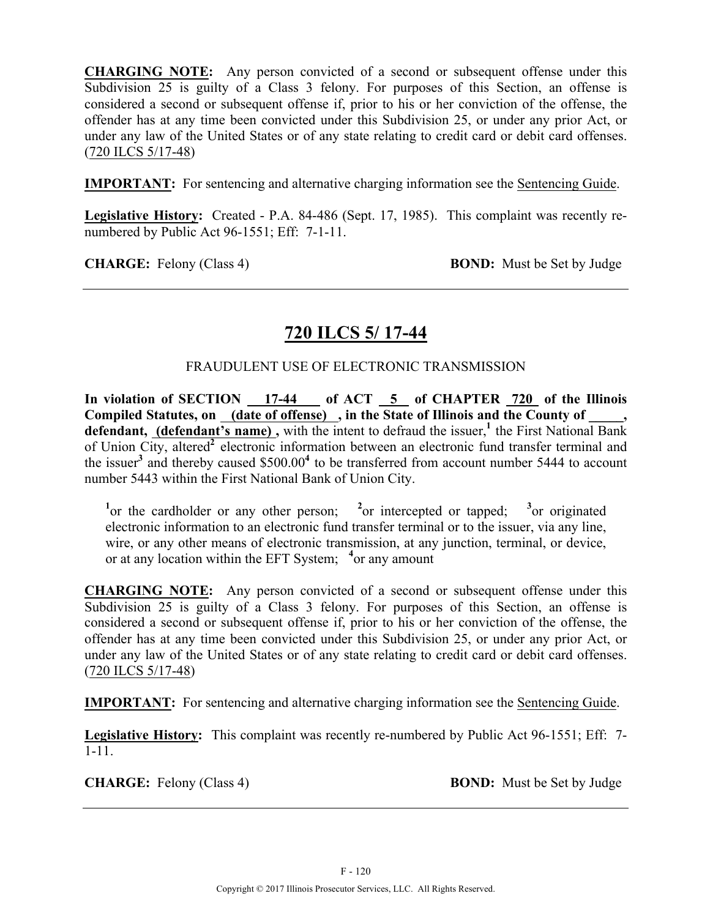**CHARGING NOTE:** Any person convicted of a second or subsequent offense under this Subdivision 25 is guilty of a Class 3 felony. For purposes of this Section, an offense is considered a second or subsequent offense if, prior to his or her conviction of the offense, the offender has at any time been convicted under this Subdivision 25, or under any prior Act, or under any law of the United States or of any state relating to credit card or debit card offenses. (720 ILCS 5/17-48)

**IMPORTANT:** For sentencing and alternative charging information see the Sentencing Guide.

**Legislative History:** Created - P.A. 84-486 (Sept. 17, 1985). This complaint was recently renumbered by Public Act 96-1551; Eff: 7-1-11.

**CHARGE:** Felony (Class 4) **BOND:** Must be Set by Judge

# **720 ILCS 5/ 17-44**

#### FRAUDULENT USE OF ELECTRONIC TRANSMISSION

**In violation of SECTION 17-44 of ACT 5 of CHAPTER 720 of the Illinois**  Compiled Statutes, on (date of offense), in the State of Illinois and the County of, defendant, (defendant's name), with the intent to defraud the issuer,<sup>1</sup> the First National Bank of Union City, altered**<sup>2</sup>** electronic information between an electronic fund transfer terminal and the issuer**<sup>3</sup>** and thereby caused \$500.00**4** to be transferred from account number 5444 to account number 5443 within the First National Bank of Union City.

<sup>1</sup> or the cardholder or any other person; <sup>2</sup> <sup>2</sup><sub>or</sub> intercepted or tapped;  $3$ <sub>or</sub> originated electronic information to an electronic fund transfer terminal or to the issuer, via any line, wire, or any other means of electronic transmission, at any junction, terminal, or device, or at any location within the EFT System; **<sup>4</sup>** or any amount

**CHARGING NOTE:** Any person convicted of a second or subsequent offense under this Subdivision 25 is guilty of a Class 3 felony. For purposes of this Section, an offense is considered a second or subsequent offense if, prior to his or her conviction of the offense, the offender has at any time been convicted under this Subdivision 25, or under any prior Act, or under any law of the United States or of any state relating to credit card or debit card offenses. (720 ILCS 5/17-48)

**IMPORTANT:** For sentencing and alternative charging information see the Sentencing Guide.

**Legislative History:** This complaint was recently re-numbered by Public Act 96-1551; Eff: 7- 1-11.

**CHARGE:** Felony (Class 4) **BOND:** Must be Set by Judge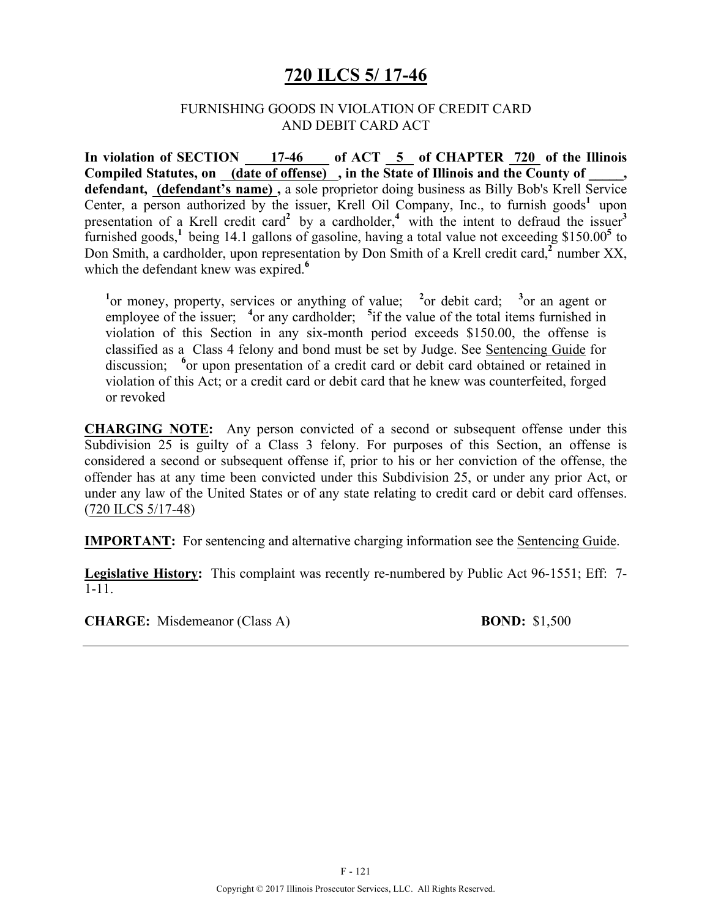## **720 ILCS 5/ 17-46**

#### FURNISHING GOODS IN VIOLATION OF CREDIT CARD AND DEBIT CARD ACT

In violation of SECTION 17-46 of ACT 5 of CHAPTER 720 of the Illinois Compiled Statutes, on (date of offense), in the State of Illinois and the County of **defendant, (defendant's name) ,** a sole proprietor doing business as Billy Bob's Krell Service Center, a person authorized by the issuer, Krell Oil Company, Inc., to furnish goods<sup>1</sup> upon presentation of a Krell credit card<sup>2</sup> by a cardholder,<sup>4</sup> with the intent to defraud the issuer<sup>3</sup> furnished goods,**<sup>1</sup>** being 14.1 gallons of gasoline, having a total value not exceeding \$150.00**<sup>5</sup>** to Don Smith, a cardholder, upon representation by Don Smith of a Krell credit card,**<sup>2</sup>** number XX, which the defendant knew was expired.<sup>6</sup>

<sup>1</sup><sup>or</sup> money, property, services or anything of value; <sup>2</sup>or debit card; <sup>3</sup><sup>or</sup> an agent or employee of the issuer; <sup>4</sup> or any cardholder; <sup>5</sup> if the value of the total items furnished in violation of this Section in any six-month period exceeds \$150.00, the offense is classified as a Class 4 felony and bond must be set by Judge. See Sentencing Guide for discussion; <sup>6</sup> or upon presentation of a credit card or debit card obtained or retained in violation of this Act; or a credit card or debit card that he knew was counterfeited, forged or revoked

**CHARGING NOTE:** Any person convicted of a second or subsequent offense under this Subdivision 25 is guilty of a Class 3 felony. For purposes of this Section, an offense is considered a second or subsequent offense if, prior to his or her conviction of the offense, the offender has at any time been convicted under this Subdivision 25, or under any prior Act, or under any law of the United States or of any state relating to credit card or debit card offenses. (720 ILCS 5/17-48)

**IMPORTANT:** For sentencing and alternative charging information see the Sentencing Guide.

**Legislative History:** This complaint was recently re-numbered by Public Act 96-1551; Eff: 7- 1-11.

**CHARGE:** Misdemeanor (Class A) **BOND:** \$1,500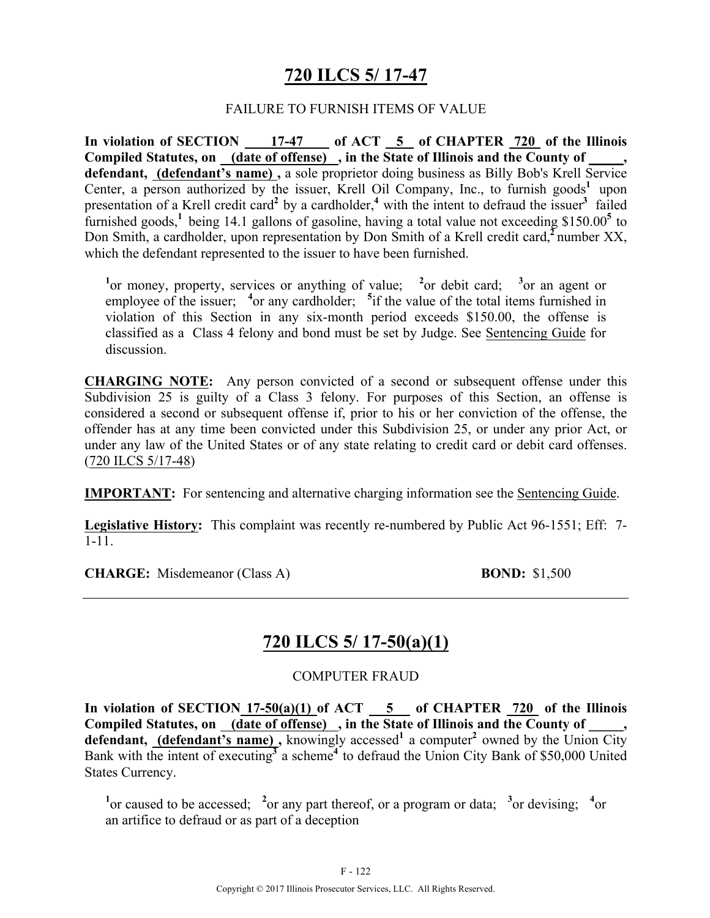# **720 ILCS 5/ 17-47**

#### FAILURE TO FURNISH ITEMS OF VALUE

In violation of SECTION 17-47 of ACT 5 of CHAPTER 720 of the Illinois Compiled Statutes, on (date of offense), in the State of Illinois and the County of **defendant, (defendant's name) ,** a sole proprietor doing business as Billy Bob's Krell Service Center, a person authorized by the issuer, Krell Oil Company, Inc., to furnish goods<sup>1</sup> upon presentation of a Krell credit card<sup>2</sup> by a cardholder,<sup>4</sup> with the intent to defraud the issuer<sup>3</sup> failed furnished goods,**<sup>1</sup>** being 14.1 gallons of gasoline, having a total value not exceeding \$150.00**<sup>5</sup>** to Don Smith, a cardholder, upon representation by Don Smith of a Krell credit card,**<sup>2</sup>** number XX, which the defendant represented to the issuer to have been furnished.

<sup>1</sup><sup>or</sup> money, property, services or anything of value; <sup>2</sup><sup>or</sup> debit card; <sup>3</sup><sup>or</sup> an agent or employee of the issuer; <sup>4</sup> or any cardholder; <sup>5</sup> if the value of the total items furnished in violation of this Section in any six-month period exceeds \$150.00, the offense is classified as a Class 4 felony and bond must be set by Judge. See Sentencing Guide for discussion.

**CHARGING NOTE:** Any person convicted of a second or subsequent offense under this Subdivision 25 is guilty of a Class 3 felony. For purposes of this Section, an offense is considered a second or subsequent offense if, prior to his or her conviction of the offense, the offender has at any time been convicted under this Subdivision 25, or under any prior Act, or under any law of the United States or of any state relating to credit card or debit card offenses. (720 ILCS 5/17-48)

**IMPORTANT:** For sentencing and alternative charging information see the Sentencing Guide.

**Legislative History:** This complaint was recently re-numbered by Public Act 96-1551; Eff: 7- 1-11.

**CHARGE:** Misdemeanor (Class A) **BOND:** \$1,500

## **720 ILCS 5/ 17-50(a)(1)**

COMPUTER FRAUD

**In violation of SECTION 17-50(a)(1) of ACT 5 of CHAPTER 720 of the Illinois**  Compiled Statutes, on (date of offense), in the State of Illinois and the County of defendant, **(defendant's name)**, knowingly accessed<sup>1</sup> a computer<sup>2</sup> owned by the Union City Bank with the intent of executing**<sup>3</sup>** a scheme**4** to defraud the Union City Bank of \$50,000 United States Currency.

<sup>1</sup> $\alpha$  caused to be accessed; <sup>2</sup> $\alpha$  any part thereof, or a program or data; <sup>3</sup> $\alpha$  devising; <sup>4</sup> $\alpha$ an artifice to defraud or as part of a deception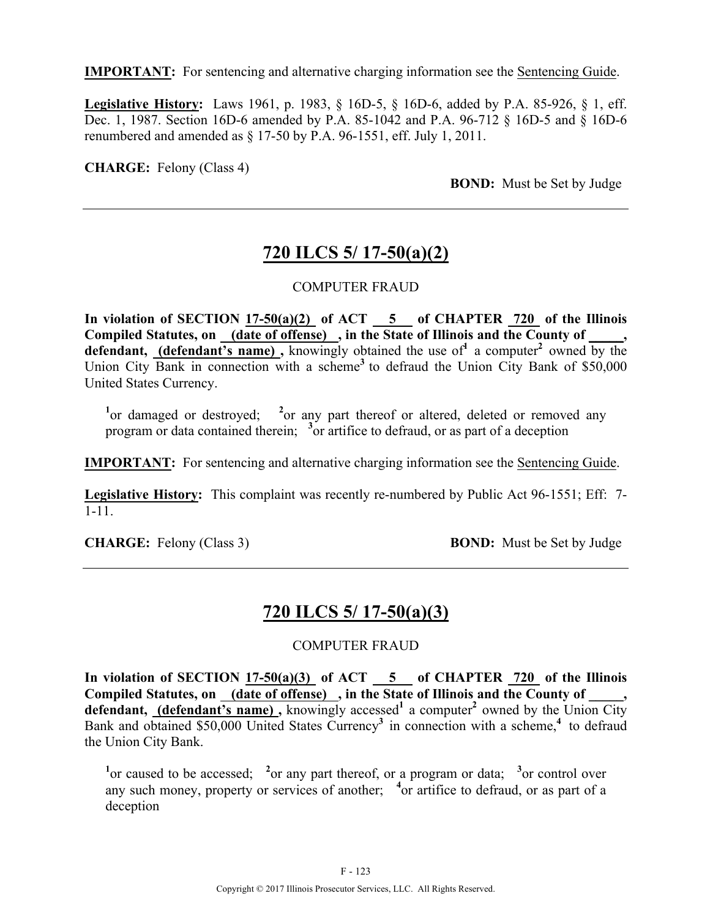**IMPORTANT:** For sentencing and alternative charging information see the Sentencing Guide.

**Legislative History:** Laws 1961, p. 1983, § 16D-5, § 16D-6, added by P.A. 85-926, § 1, eff. Dec. 1, 1987. Section 16D-6 amended by P.A. 85-1042 and P.A. 96-712 § 16D-5 and § 16D-6 renumbered and amended as § 17-50 by P.A. 96-1551, eff. July 1, 2011.

**CHARGE:** Felony (Class 4)

**BOND:** Must be Set by Judge

## **720 ILCS 5/ 17-50(a)(2)**

#### COMPUTER FRAUD

**In violation of SECTION 17-50(a)(2) of ACT 5 of CHAPTER 720 of the Illinois Compiled Statutes, on (date of offense) , in the State of Illinois and the County of \_\_\_\_\_, defendant, (defendant's name)**, knowingly obtained the use of  $\alpha$  a computer<sup>2</sup> owned by the Union City Bank in connection with a scheme<sup>3</sup> to defraud the Union City Bank of \$50,000 United States Currency.

<sup>1</sup> or damaged or destroyed; <sup>2</sup> or any part thereof or altered, deleted or removed any program or data contained therein; <sup>3</sup> or artifice to defraud, or as part of a deception

**IMPORTANT:** For sentencing and alternative charging information see the Sentencing Guide.

**Legislative History:** This complaint was recently re-numbered by Public Act 96-1551; Eff: 7- 1-11.

**CHARGE:** Felony (Class 3) **BOND:** Must be Set by Judge

## **720 ILCS 5/ 17-50(a)(3)**

#### COMPUTER FRAUD

In violation of SECTION  $17-50(a)(3)$  of ACT  $-5$  of CHAPTER  $720$  of the Illinois Compiled Statutes, on (date of offense), in the State of Illinois and the County of defendant, (defendant's name), knowingly accessed<sup>1</sup> a computer<sup>2</sup> owned by the Union City Bank and obtained \$50,000 United States Currency**<sup>3</sup>** in connection with a scheme,**<sup>4</sup>** to defraud the Union City Bank.

<sup>1</sup> or caused to be accessed; <sup>2</sup> or any part thereof, or a program or data; <sup>3</sup> or control over any such money, property or services of another; <sup>4</sup> or artifice to defraud, or as part of a deception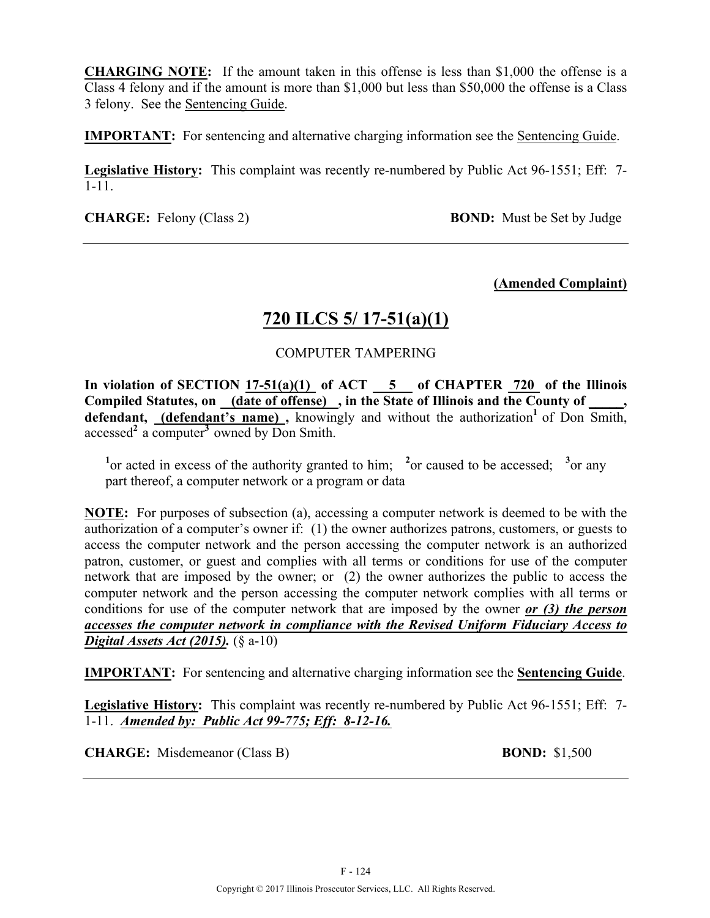**CHARGING NOTE:** If the amount taken in this offense is less than \$1,000 the offense is a Class 4 felony and if the amount is more than \$1,000 but less than \$50,000 the offense is a Class 3 felony. See the Sentencing Guide.

**IMPORTANT:** For sentencing and alternative charging information see the Sentencing Guide.

**Legislative History:** This complaint was recently re-numbered by Public Act 96-1551; Eff: 7- 1-11.

**CHARGE:** Felony (Class 2) **BOND:** Must be Set by Judge

#### **(Amended Complaint)**

## **720 ILCS 5/ 17-51(a)(1)**

#### COMPUTER TAMPERING

In violation of SECTION  $17-51(a)(1)$  of ACT  $-5$  of CHAPTER  $720$  of the Illinois Compiled Statutes, on (date of offense), in the State of Illinois and the County of defendant, (defendant's name), knowingly and without the authorization<sup>1</sup> of Don Smith, accessed**<sup>2</sup>** a computer**<sup>3</sup>**owned by Don Smith.

<sup>1</sup> or acted in excess of the authority granted to him; <sup>2</sup> or caused to be accessed; <sup>3</sup> or any part thereof, a computer network or a program or data

**NOTE:** For purposes of subsection (a), accessing a computer network is deemed to be with the authorization of a computer's owner if: (1) the owner authorizes patrons, customers, or guests to access the computer network and the person accessing the computer network is an authorized patron, customer, or guest and complies with all terms or conditions for use of the computer network that are imposed by the owner; or (2) the owner authorizes the public to access the computer network and the person accessing the computer network complies with all terms or conditions for use of the computer network that are imposed by the owner *or (3) the person accesses the computer network in compliance with the Revised Uniform Fiduciary Access to Digital Assets Act (2015).* (§ a-10)

**IMPORTANT:** For sentencing and alternative charging information see the **Sentencing Guide**.

**Legislative History:** This complaint was recently re-numbered by Public Act 96-1551; Eff: 7- 1-11. *Amended by: Public Act 99-775; Eff: 8-12-16.*

**CHARGE:** Misdemeanor (Class B) **BOND:** \$1,500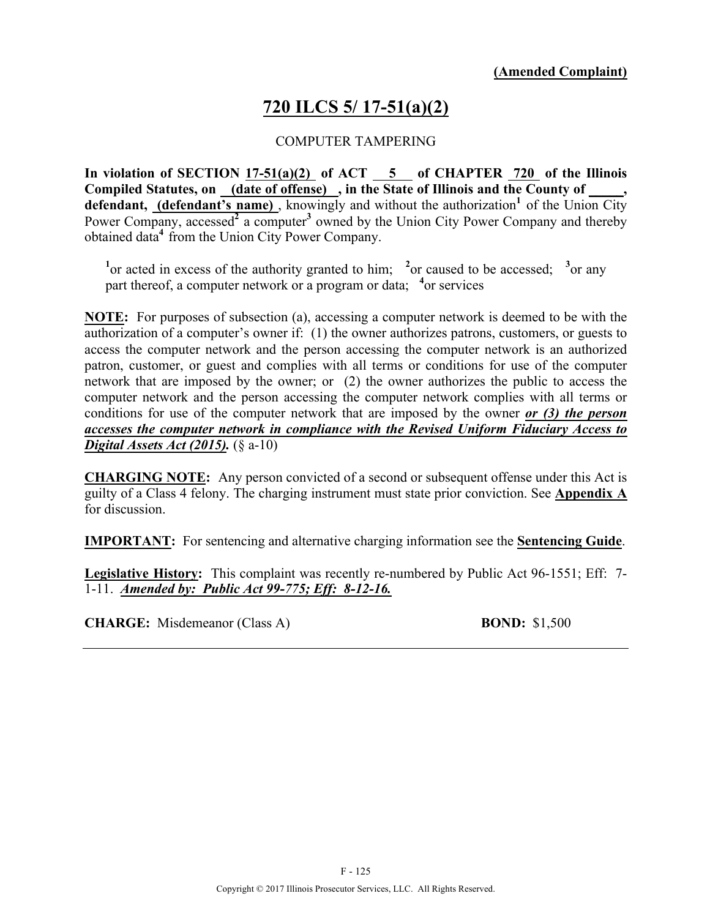# **720 ILCS 5/ 17-51(a)(2)**

#### COMPUTER TAMPERING

**In violation of SECTION 17-51(a)(2) of ACT 5 of CHAPTER 720 of the Illinois**  Compiled Statutes, on \_(date of offense) \_, in the State of Illinois and the County of \_ defendant, (defendant's name), knowingly and without the authorization<sup>1</sup> of the Union City Power Company, accessed<sup>2</sup> a computer<sup>3</sup> owned by the Union City Power Company and thereby obtained data**<sup>4</sup>**from the Union City Power Company.

<sup>1</sup><sup>or</sup> acted in excess of the authority granted to him; <sup>2</sup><sup>or</sup> caused to be accessed; <sup>3</sup><sup>or</sup> any part thereof, a computer network or a program or data; <sup>4</sup> or services

**NOTE:** For purposes of subsection (a), accessing a computer network is deemed to be with the authorization of a computer's owner if: (1) the owner authorizes patrons, customers, or guests to access the computer network and the person accessing the computer network is an authorized patron, customer, or guest and complies with all terms or conditions for use of the computer network that are imposed by the owner; or (2) the owner authorizes the public to access the computer network and the person accessing the computer network complies with all terms or conditions for use of the computer network that are imposed by the owner *or (3) the person accesses the computer network in compliance with the Revised Uniform Fiduciary Access to Digital Assets Act (2015).* (§ a-10)

**CHARGING NOTE:** Any person convicted of a second or subsequent offense under this Act is guilty of a Class 4 felony. The charging instrument must state prior conviction. See **Appendix A** for discussion.

**IMPORTANT:** For sentencing and alternative charging information see the **Sentencing Guide**.

**Legislative History:** This complaint was recently re-numbered by Public Act 96-1551; Eff: 7- 1-11. *Amended by: Public Act 99-775; Eff: 8-12-16.*

**CHARGE:** Misdemeanor (Class A) **BOND:** \$1,500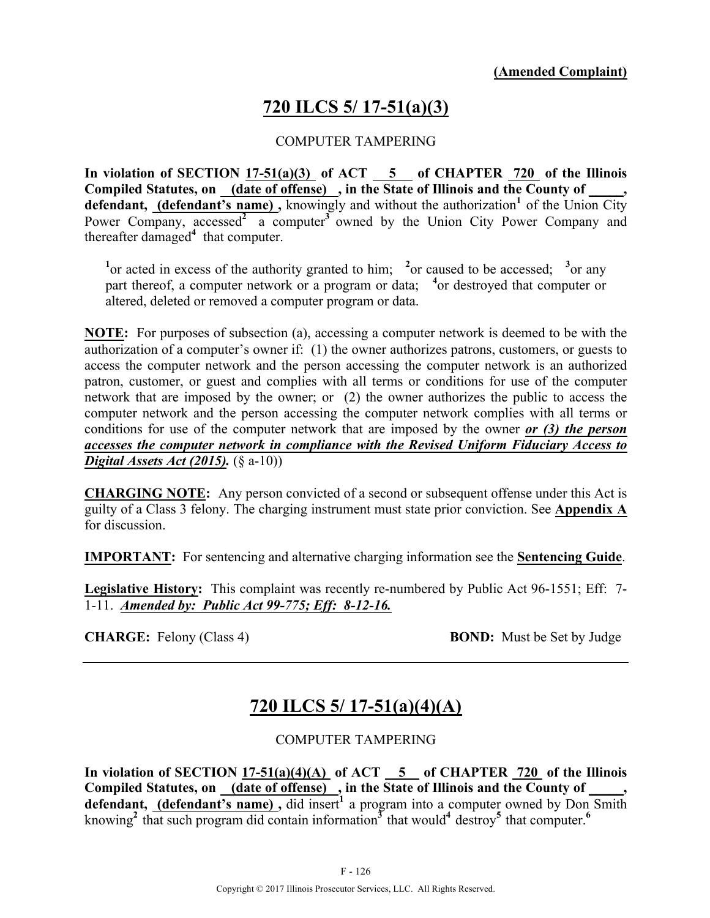# **720 ILCS 5/ 17-51(a)(3)**

#### COMPUTER TAMPERING

**In violation of SECTION 17-51(a)(3) of ACT 5 of CHAPTER 720 of the Illinois**  Compiled Statutes, on \_(date of offense) \_, in the State of Illinois and the County of \_ defendant, (defendant's name), knowingly and without the authorization<sup>1</sup> of the Union City Power Company, accessed<sup>2</sup> a computer<sup>3</sup> owned by the Union City Power Company and thereafter damaged**<sup>4</sup>** that computer.

<sup>1</sup><sup>or</sup> acted in excess of the authority granted to him; <sup>2</sup><sup>or</sup> caused to be accessed; <sup>3</sup><sup>or</sup> any part thereof, a computer network or a program or data; <sup>4</sup> or destroyed that computer or altered, deleted or removed a computer program or data.

**NOTE:** For purposes of subsection (a), accessing a computer network is deemed to be with the authorization of a computer's owner if: (1) the owner authorizes patrons, customers, or guests to access the computer network and the person accessing the computer network is an authorized patron, customer, or guest and complies with all terms or conditions for use of the computer network that are imposed by the owner; or (2) the owner authorizes the public to access the computer network and the person accessing the computer network complies with all terms or conditions for use of the computer network that are imposed by the owner *or (3) the person accesses the computer network in compliance with the Revised Uniform Fiduciary Access to Digital Assets Act (2015).* (§ a-10))

**CHARGING NOTE:** Any person convicted of a second or subsequent offense under this Act is guilty of a Class 3 felony. The charging instrument must state prior conviction. See **Appendix A** for discussion.

**IMPORTANT:** For sentencing and alternative charging information see the **Sentencing Guide**.

**Legislative History:** This complaint was recently re-numbered by Public Act 96-1551; Eff: 7- 1-11. *Amended by: Public Act 99-775; Eff: 8-12-16.*

**CHARGE:** Felony (Class 4) **BOND:** Must be Set by Judge

# **720 ILCS 5/ 17-51(a)(4)(A)**

#### COMPUTER TAMPERING

**In violation of SECTION 17-51(a)(4)(A) of ACT 5 of CHAPTER 720 of the Illinois**  Compiled Statutes, on <u>(date of offense)</u>, in the State of Illinois and the County of defendant, (defendant's name), did insert<sup>1</sup> a program into a computer owned by Don Smith knowing<sup>2</sup> that such program did contain information<sup>3</sup> that would<sup>4</sup> destroy<sup>5</sup> that computer.<sup>6</sup>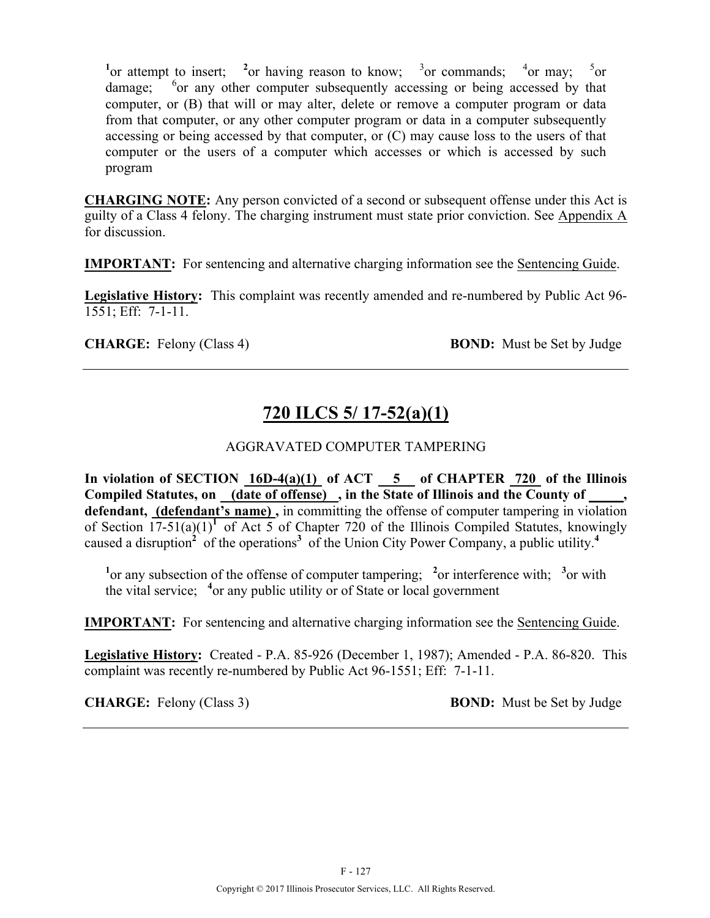<sup>1</sup> or attempt to insert; <sup>2</sup> or having reason to know; <sup>3</sup> or commands; <sup>4</sup> or may; <sup>5</sup>  $5$ <sub>or</sub> damage:  $\delta$  or any other computer subsequently accessing or being accessed by that computer, or (B) that will or may alter, delete or remove a computer program or data from that computer, or any other computer program or data in a computer subsequently accessing or being accessed by that computer, or (C) may cause loss to the users of that computer or the users of a computer which accesses or which is accessed by such program

**CHARGING NOTE:** Any person convicted of a second or subsequent offense under this Act is guilty of a Class 4 felony. The charging instrument must state prior conviction. See Appendix A for discussion.

**IMPORTANT:** For sentencing and alternative charging information see the Sentencing Guide.

**Legislative History:** This complaint was recently amended and re-numbered by Public Act 96- 1551; Eff: 7-1-11.

**CHARGE:** Felony (Class 4) **BOND:** Must be Set by Judge

# **720 ILCS 5/ 17-52(a)(1)**

#### AGGRAVATED COMPUTER TAMPERING

**In violation of SECTION 16D-4(a)(1) of ACT 5 of CHAPTER 720 of the Illinois**  Compiled Statutes, on (date of offense), in the State of Illinois and the County of, **defendant, (defendant's name) ,** in committing the offense of computer tampering in violation of Section  $17-51(a)(1)^1$  of Act 5 of Chapter 720 of the Illinois Compiled Statutes, knowingly caused a disruption**<sup>2</sup>** of the operations**3** of the Union City Power Company, a public utility.**<sup>4</sup>**

<sup>1</sup> or any subsection of the offense of computer tampering; <sup>2</sup> or interference with; <sup>3</sup> or with the vital service; **<sup>4</sup>** or any public utility or of State or local government

**IMPORTANT:** For sentencing and alternative charging information see the Sentencing Guide.

**Legislative History:** Created - P.A. 85-926 (December 1, 1987); Amended - P.A. 86-820. This complaint was recently re-numbered by Public Act 96-1551; Eff: 7-1-11.

**CHARGE:** Felony (Class 3) **BOND:** Must be Set by Judge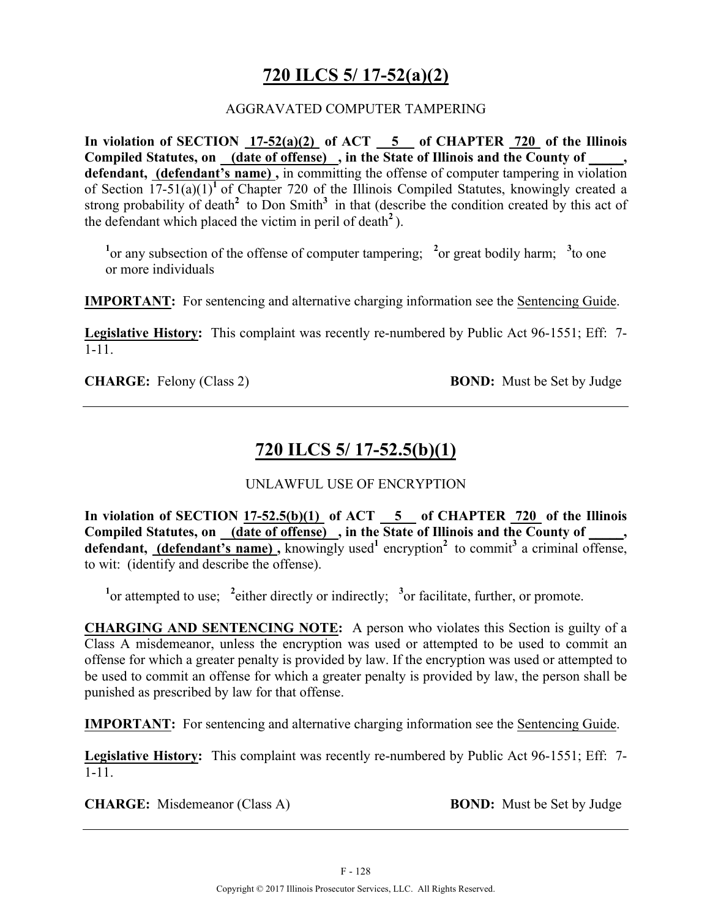# **720 ILCS 5/ 17-52(a)(2)**

#### AGGRAVATED COMPUTER TAMPERING

**In violation of SECTION 17-52(a)(2) of ACT 5 of CHAPTER 720 of the Illinois Compiled Statutes, on (date of offense) , in the State of Illinois and the County of \_\_\_\_\_, defendant, (defendant's name) ,** in committing the offense of computer tampering in violation of Section 17-51(a)(1)**<sup>1</sup>** of Chapter 720 of the Illinois Compiled Statutes, knowingly created a strong probability of death<sup>2</sup> to Don Smith<sup>3</sup> in that (describe the condition created by this act of the defendant which placed the victim in peril of death<sup>2</sup>).

<sup>1</sup><sup>or</sup> any subsection of the offense of computer tampering; <sup>2</sup>or great bodily harm; <sup>3</sup>to one or more individuals

**IMPORTANT:** For sentencing and alternative charging information see the Sentencing Guide.

**Legislative History:** This complaint was recently re-numbered by Public Act 96-1551; Eff: 7- 1-11.

**CHARGE:** Felony (Class 2) **BOND:** Must be Set by Judge

## **720 ILCS 5/ 17-52.5(b)(1)**

UNLAWFUL USE OF ENCRYPTION

**In violation of SECTION 17-52.5(b)(1) of ACT 5 of CHAPTER 720 of the Illinois**  Compiled Statutes, on <u>(date of offense)</u>, in the State of Illinois and the County of **defendant, (defendant's name),** knowingly used<sup>1</sup> encryption<sup>2</sup> to commit<sup>3</sup> a criminal offense, to wit: (identify and describe the offense).

<sup>1</sup><sup>or</sup> attempted to use; <sup>2</sup> either directly or indirectly; <sup>3</sup><sup>or</sup> facilitate, further, or promote.

**CHARGING AND SENTENCING NOTE:** A person who violates this Section is guilty of a Class A misdemeanor, unless the encryption was used or attempted to be used to commit an offense for which a greater penalty is provided by law. If the encryption was used or attempted to be used to commit an offense for which a greater penalty is provided by law, the person shall be punished as prescribed by law for that offense.

**IMPORTANT:** For sentencing and alternative charging information see the Sentencing Guide.

**Legislative History:** This complaint was recently re-numbered by Public Act 96-1551; Eff: 7- 1-11.

**CHARGE:** Misdemeanor (Class A) **BOND:** Must be Set by Judge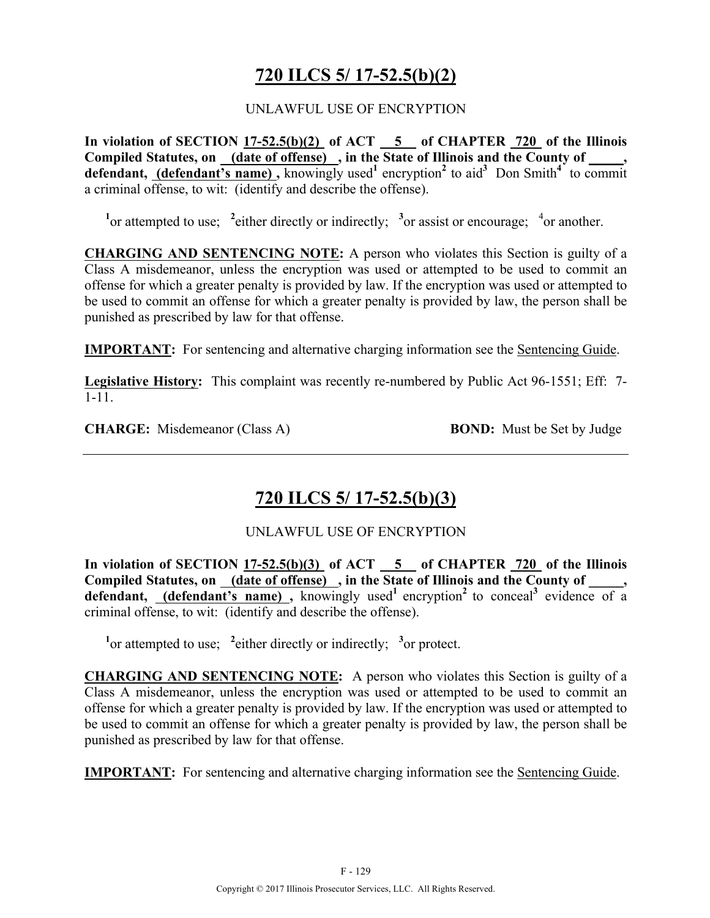# **720 ILCS 5/ 17-52.5(b)(2)**

#### UNLAWFUL USE OF ENCRYPTION

**In violation of SECTION 17-52.5(b)(2) of ACT 5 of CHAPTER 720 of the Illinois**  Compiled Statutes, on (date of offense), in the State of Illinois and the County of, defendant, **(defendant's name)**, knowingly used<sup>1</sup> encryption<sup>2</sup> to aid<sup>3</sup> Don Smith<sup>4</sup> to commit a criminal offense, to wit: (identify and describe the offense).

<sup>1</sup><sup>or</sup> attempted to use; <sup>2</sup> either directly or indirectly; <sup>3</sup><sup>or</sup> assist or encourage; <sup>4</sup><sub>or</sub> another.

**CHARGING AND SENTENCING NOTE:** A person who violates this Section is guilty of a Class A misdemeanor, unless the encryption was used or attempted to be used to commit an offense for which a greater penalty is provided by law. If the encryption was used or attempted to be used to commit an offense for which a greater penalty is provided by law, the person shall be punished as prescribed by law for that offense.

**IMPORTANT:** For sentencing and alternative charging information see the Sentencing Guide.

**Legislative History:** This complaint was recently re-numbered by Public Act 96-1551; Eff: 7- 1-11.

**CHARGE:** Misdemeanor (Class A) **BOND:** Must be Set by Judge

# **720 ILCS 5/ 17-52.5(b)(3)**

UNLAWFUL USE OF ENCRYPTION

**In violation of SECTION 17-52.5(b)(3) of ACT 5 of CHAPTER 720 of the Illinois**  Compiled Statutes, on (date of offense), in the State of Illinois and the County of defendant, (defendant's name), knowingly used<sup>1</sup> encryption<sup>2</sup> to conceal<sup>3</sup> evidence of a criminal offense, to wit: (identify and describe the offense).

<sup>1</sup><sup>or</sup> attempted to use; <sup>2</sup> either directly or indirectly; <sup>3</sup><sup>or</sup> protect.

**CHARGING AND SENTENCING NOTE:** A person who violates this Section is guilty of a Class A misdemeanor, unless the encryption was used or attempted to be used to commit an offense for which a greater penalty is provided by law. If the encryption was used or attempted to be used to commit an offense for which a greater penalty is provided by law, the person shall be punished as prescribed by law for that offense.

**IMPORTANT:** For sentencing and alternative charging information see the Sentencing Guide.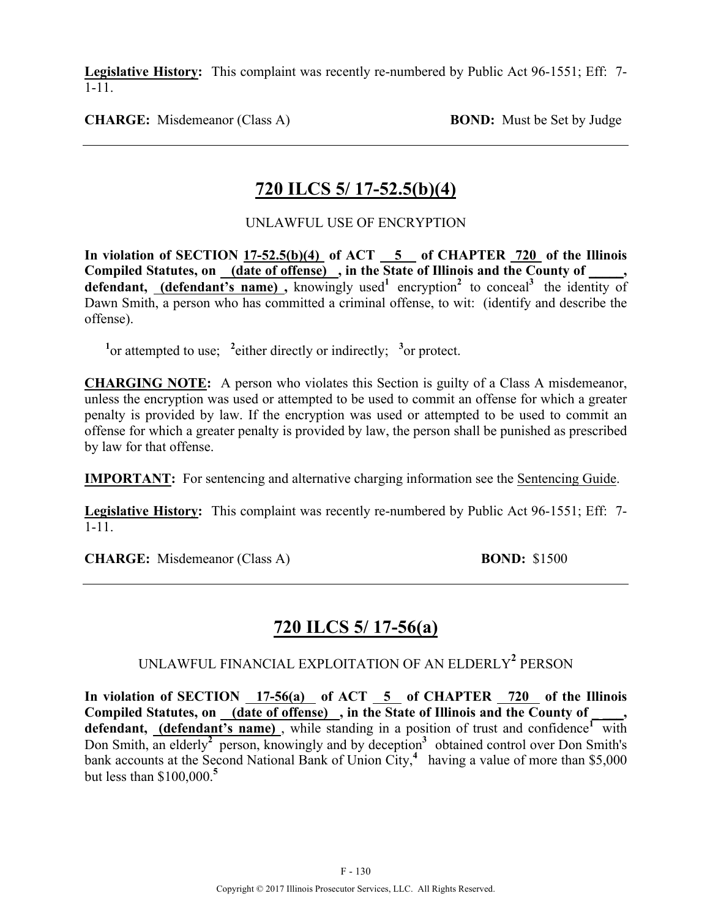**Legislative History:** This complaint was recently re-numbered by Public Act 96-1551; Eff: 7- 1-11.

**CHARGE:** Misdemeanor (Class A) **BOND:** Must be Set by Judge

## **720 ILCS 5/ 17-52.5(b)(4)**

UNLAWFUL USE OF ENCRYPTION

In violation of SECTION 17-52.5(b)(4) of ACT 5 of CHAPTER 720 of the Illinois **Compiled Statutes, on (date of offense) , in the State of Illinois and the County of \_\_\_\_\_,**  defendant, (defendant's name), knowingly used<sup>1</sup> encryption<sup>2</sup> to conceal<sup>3</sup> the identity of Dawn Smith, a person who has committed a criminal offense, to wit: (identify and describe the offense).

<sup>1</sup><sup>or</sup> attempted to use; <sup>2</sup> either directly or indirectly; <sup>3</sup><sup>or</sup> protect.

**CHARGING NOTE:** A person who violates this Section is guilty of a Class A misdemeanor, unless the encryption was used or attempted to be used to commit an offense for which a greater penalty is provided by law. If the encryption was used or attempted to be used to commit an offense for which a greater penalty is provided by law, the person shall be punished as prescribed by law for that offense.

**IMPORTANT:** For sentencing and alternative charging information see the Sentencing Guide.

**Legislative History:** This complaint was recently re-numbered by Public Act 96-1551; Eff: 7- 1-11.

**CHARGE:** Misdemeanor (Class A) **BOND:** \$1500

# **720 ILCS 5/ 17-56(a)**

## UNLAWFUL FINANCIAL EXPLOITATION OF AN ELDERLY**<sup>2</sup>** PERSON

**In violation of SECTION 17-56(a) of ACT 5 of CHAPTER 720 of the Illinois**  Compiled Statutes, on (date of offense), in the State of Illinois and the County of defendant, (defendant's name), while standing in a position of trust and confidence<sup>1</sup> with Don Smith, an elderly**<sup>2</sup>** person, knowingly and by deception**3** obtained control over Don Smith's bank accounts at the Second National Bank of Union City,**<sup>4</sup>** having a value of more than \$5,000 but less than \$100,000.**<sup>5</sup>**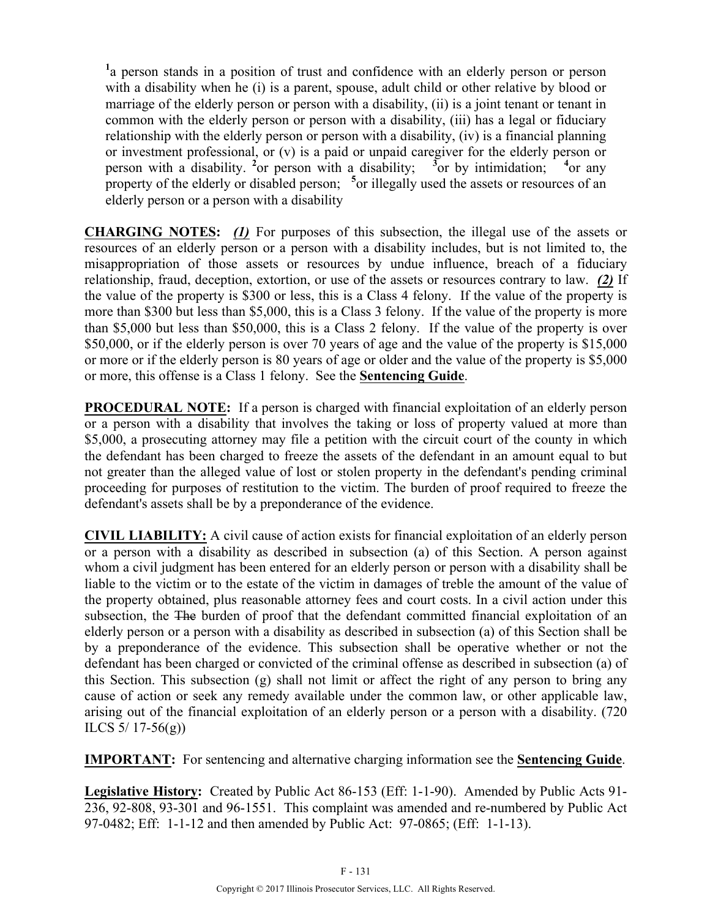<sup>1</sup>a person stands in a position of trust and confidence with an elderly person or person with a disability when he (i) is a parent, spouse, adult child or other relative by blood or marriage of the elderly person or person with a disability, (ii) is a joint tenant or tenant in common with the elderly person or person with a disability, (iii) has a legal or fiduciary relationship with the elderly person or person with a disability, (iv) is a financial planning or investment professional, or (v) is a paid or unpaid caregiver for the elderly person or person with a disability. **<sup>2</sup>** or person with a disability; **<sup>3</sup>** <sup>3</sup> or by intimidation;  $^{4}$ or any property of the elderly or disabled person; <sup>5</sup> or illegally used the assets or resources of an elderly person or a person with a disability

**CHARGING NOTES:** *(1)* For purposes of this subsection, the illegal use of the assets or resources of an elderly person or a person with a disability includes, but is not limited to, the misappropriation of those assets or resources by undue influence, breach of a fiduciary relationship, fraud, deception, extortion, or use of the assets or resources contrary to law. *(2)* If the value of the property is \$300 or less, this is a Class 4 felony. If the value of the property is more than \$300 but less than \$5,000, this is a Class 3 felony. If the value of the property is more than \$5,000 but less than \$50,000, this is a Class 2 felony. If the value of the property is over \$50,000, or if the elderly person is over 70 years of age and the value of the property is \$15,000 or more or if the elderly person is 80 years of age or older and the value of the property is \$5,000 or more, this offense is a Class 1 felony. See the **Sentencing Guide**.

**PROCEDURAL NOTE:** If a person is charged with financial exploitation of an elderly person or a person with a disability that involves the taking or loss of property valued at more than \$5,000, a prosecuting attorney may file a petition with the circuit court of the county in which the defendant has been charged to freeze the assets of the defendant in an amount equal to but not greater than the alleged value of lost or stolen property in the defendant's pending criminal proceeding for purposes of restitution to the victim. The burden of proof required to freeze the defendant's assets shall be by a preponderance of the evidence.

**CIVIL LIABILITY:** A civil cause of action exists for financial exploitation of an elderly person or a person with a disability as described in subsection (a) of this Section. A person against whom a civil judgment has been entered for an elderly person or person with a disability shall be liable to the victim or to the estate of the victim in damages of treble the amount of the value of the property obtained, plus reasonable attorney fees and court costs. In a civil action under this subsection, the The burden of proof that the defendant committed financial exploitation of an elderly person or a person with a disability as described in subsection (a) of this Section shall be by a preponderance of the evidence. This subsection shall be operative whether or not the defendant has been charged or convicted of the criminal offense as described in subsection (a) of this Section. This subsection (g) shall not limit or affect the right of any person to bring any cause of action or seek any remedy available under the common law, or other applicable law, arising out of the financial exploitation of an elderly person or a person with a disability. (720 ILCS  $5/17-56(g)$ 

**IMPORTANT:** For sentencing and alternative charging information see the **Sentencing Guide**.

**Legislative History:** Created by Public Act 86-153 (Eff: 1-1-90). Amended by Public Acts 91- 236, 92-808, 93-301 and 96-1551. This complaint was amended and re-numbered by Public Act 97-0482; Eff: 1-1-12 and then amended by Public Act: 97-0865; (Eff: 1-1-13).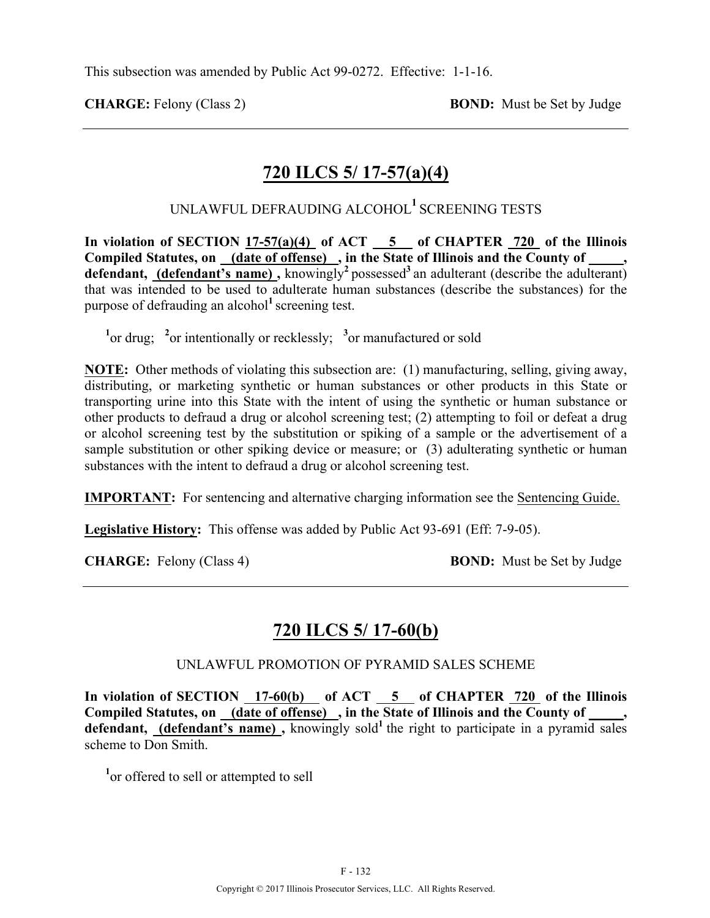**CHARGE:** Felony (Class 2) **BOND:** Must be Set by Judge

## **720 ILCS 5/ 17-57(a)(4)**

UNLAWFUL DEFRAUDING ALCOHOL**<sup>1</sup>** SCREENING TESTS

In violation of SECTION  $17-57(a)(4)$  of ACT  $-5$  of CHAPTER 720 of the Illinois Compiled Statutes, on (date of offense), in the State of Illinois and the County of defendant, (defendant's name), knowingly<sup>2</sup> possessed<sup>3</sup> an adulterant (describe the adulterant) that was intended to be used to adulterate human substances (describe the substances) for the purpose of defrauding an alcohol**<sup>1</sup>** screening test.

<sup>1</sup><sup>or drug; <sup>2</sup><sub>or</sub> intentionally or recklessly; <sup>3</sup><sub>or</sub> manufactured or sold</sup>

**NOTE:** Other methods of violating this subsection are: (1) manufacturing, selling, giving away, distributing, or marketing synthetic or human substances or other products in this State or transporting urine into this State with the intent of using the synthetic or human substance or other products to defraud a drug or alcohol screening test; (2) attempting to foil or defeat a drug or alcohol screening test by the substitution or spiking of a sample or the advertisement of a sample substitution or other spiking device or measure; or (3) adulterating synthetic or human substances with the intent to defraud a drug or alcohol screening test.

**IMPORTANT:** For sentencing and alternative charging information see the Sentencing Guide.

**Legislative History:** This offense was added by Public Act 93-691 (Eff: 7-9-05).

**CHARGE:** Felony (Class 4) **BOND:** Must be Set by Judge

## **720 ILCS 5/ 17-60(b)**

#### UNLAWFUL PROMOTION OF PYRAMID SALES SCHEME

**In violation of SECTION 17-60(b) of ACT 5 of CHAPTER 720 of the Illinois Compiled Statutes, on (date of offense) , in the State of Illinois and the County of \_\_\_\_\_,**  defendant, (defendant's name), knowingly sold<sup>1</sup> the right to participate in a pyramid sales scheme to Don Smith.

<sup>1</sup> or offered to sell or attempted to sell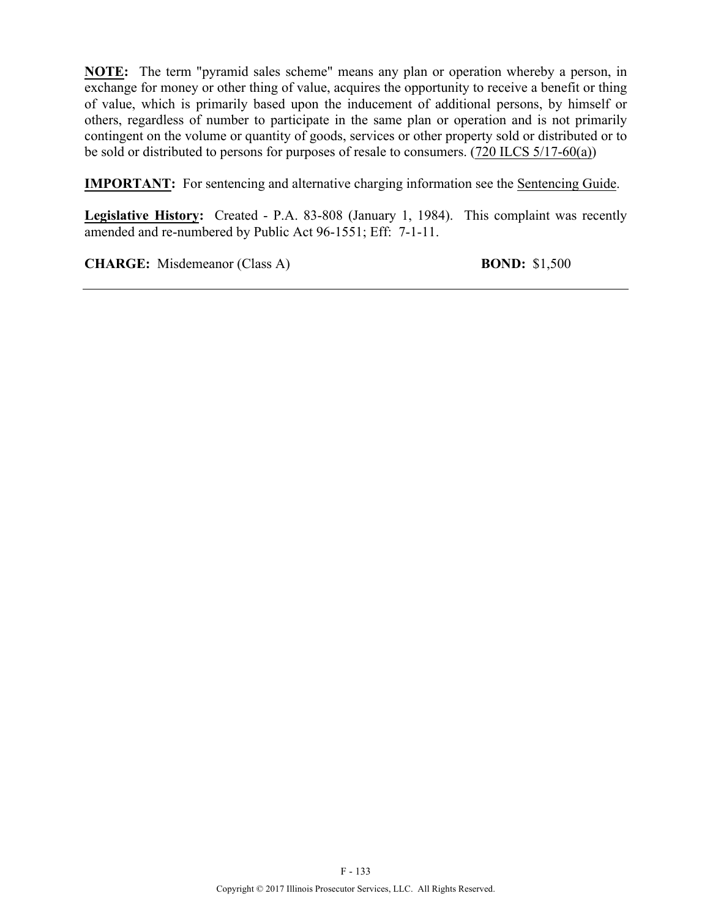**NOTE:** The term "pyramid sales scheme" means any plan or operation whereby a person, in exchange for money or other thing of value, acquires the opportunity to receive a benefit or thing of value, which is primarily based upon the inducement of additional persons, by himself or others, regardless of number to participate in the same plan or operation and is not primarily contingent on the volume or quantity of goods, services or other property sold or distributed or to be sold or distributed to persons for purposes of resale to consumers. (720 ILCS 5/17-60(a))

**IMPORTANT:** For sentencing and alternative charging information see the **Sentencing Guide**.

**Legislative History:** Created - P.A. 83-808 (January 1, 1984). This complaint was recently amended and re-numbered by Public Act 96-1551; Eff: 7-1-11.

**CHARGE:** Misdemeanor (Class A) **BOND:** \$1,500